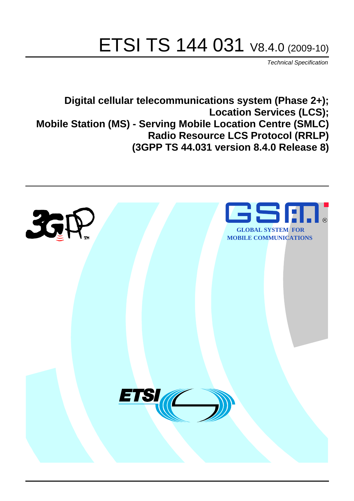# ETSI TS 144 031 V8.4.0 (2009-10)

*Technical Specification*

**Digital cellular telecommunications system (Phase 2+); Location Services (LCS); Mobile Station (MS) - Serving Mobile Location Centre (SMLC) Radio Resource LCS Protocol (RRLP) (3GPP TS 44.031 version 8.4.0 Release 8)**

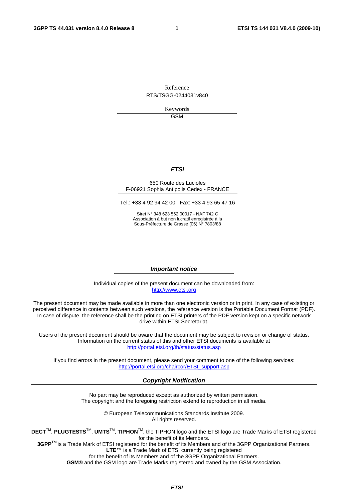Reference RTS/TSGG-0244031v840

> Keywords GSM

#### *ETSI*

#### 650 Route des Lucioles F-06921 Sophia Antipolis Cedex - FRANCE

Tel.: +33 4 92 94 42 00 Fax: +33 4 93 65 47 16

Siret N° 348 623 562 00017 - NAF 742 C Association à but non lucratif enregistrée à la Sous-Préfecture de Grasse (06) N° 7803/88

#### *Important notice*

Individual copies of the present document can be downloaded from: [http://www.etsi.org](http://www.etsi.org/)

The present document may be made available in more than one electronic version or in print. In any case of existing or perceived difference in contents between such versions, the reference version is the Portable Document Format (PDF). In case of dispute, the reference shall be the printing on ETSI printers of the PDF version kept on a specific network drive within ETSI Secretariat.

Users of the present document should be aware that the document may be subject to revision or change of status. Information on the current status of this and other ETSI documents is available at <http://portal.etsi.org/tb/status/status.asp>

If you find errors in the present document, please send your comment to one of the following services: [http://portal.etsi.org/chaircor/ETSI\\_support.asp](http://portal.etsi.org/chaircor/ETSI_support.asp)

#### *Copyright Notification*

No part may be reproduced except as authorized by written permission. The copyright and the foregoing restriction extend to reproduction in all media.

> © European Telecommunications Standards Institute 2009. All rights reserved.

**DECT**TM, **PLUGTESTS**TM, **UMTS**TM, **TIPHON**TM, the TIPHON logo and the ETSI logo are Trade Marks of ETSI registered for the benefit of its Members.

**3GPP**TM is a Trade Mark of ETSI registered for the benefit of its Members and of the 3GPP Organizational Partners. **LTE**™ is a Trade Mark of ETSI currently being registered

for the benefit of its Members and of the 3GPP Organizational Partners.

**GSM**® and the GSM logo are Trade Marks registered and owned by the GSM Association.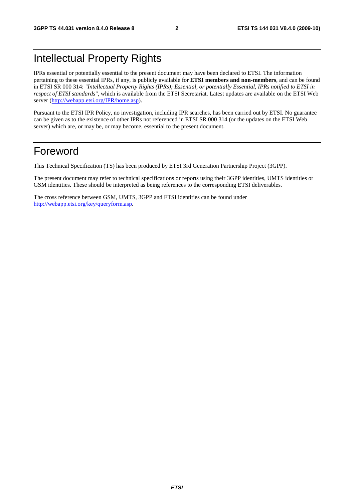# Intellectual Property Rights

IPRs essential or potentially essential to the present document may have been declared to ETSI. The information pertaining to these essential IPRs, if any, is publicly available for **ETSI members and non-members**, and can be found in ETSI SR 000 314: *"Intellectual Property Rights (IPRs); Essential, or potentially Essential, IPRs notified to ETSI in respect of ETSI standards"*, which is available from the ETSI Secretariat. Latest updates are available on the ETSI Web server [\(http://webapp.etsi.org/IPR/home.asp](http://webapp.etsi.org/IPR/home.asp)).

Pursuant to the ETSI IPR Policy, no investigation, including IPR searches, has been carried out by ETSI. No guarantee can be given as to the existence of other IPRs not referenced in ETSI SR 000 314 (or the updates on the ETSI Web server) which are, or may be, or may become, essential to the present document.

### Foreword

This Technical Specification (TS) has been produced by ETSI 3rd Generation Partnership Project (3GPP).

The present document may refer to technical specifications or reports using their 3GPP identities, UMTS identities or GSM identities. These should be interpreted as being references to the corresponding ETSI deliverables.

The cross reference between GSM, UMTS, 3GPP and ETSI identities can be found under <http://webapp.etsi.org/key/queryform.asp>.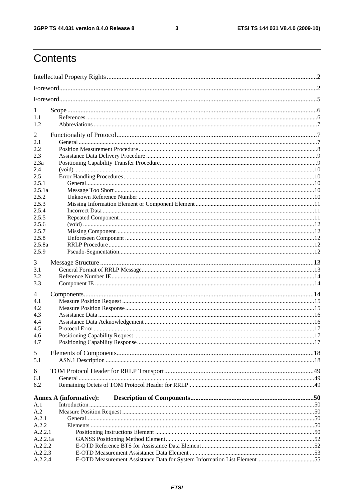$\mathbf{3}$ 

# Contents

| 1              |                               |  |
|----------------|-------------------------------|--|
| 1.1            |                               |  |
| 1.2            |                               |  |
| $\overline{2}$ |                               |  |
| 2.1            |                               |  |
| 2.2            |                               |  |
| 2.3            |                               |  |
| 2.3a           |                               |  |
| 2.4<br>2.5     |                               |  |
| 2.5.1          |                               |  |
| 2.5.1a         |                               |  |
| 2.5.2          |                               |  |
| 2.5.3          |                               |  |
| 2.5.4          |                               |  |
| 2.5.5          |                               |  |
| 2.5.6          |                               |  |
| 2.5.7          |                               |  |
| 2.5.8          |                               |  |
| 2.5.8a         |                               |  |
| 2.5.9          |                               |  |
| 3              |                               |  |
| 3.1            |                               |  |
| 3.2            |                               |  |
| 3.3            |                               |  |
| 4              |                               |  |
| 4.1            |                               |  |
| 4.2            |                               |  |
| 4.3            |                               |  |
| 4.4            |                               |  |
| 4.5            |                               |  |
| 4.6            |                               |  |
| 4.7            |                               |  |
| 5              |                               |  |
| 5.1            |                               |  |
| 6              |                               |  |
| 6.1            |                               |  |
| 6.2            |                               |  |
|                |                               |  |
|                | <b>Annex A (informative):</b> |  |
| A.1            |                               |  |
| A.2<br>A.2.1   |                               |  |
| A.2.2          |                               |  |
| A.2.2.1        |                               |  |
| A.2.2.1a       |                               |  |
| A.2.2.2        |                               |  |
| A.2.2.3        |                               |  |
| A.2.2.4        |                               |  |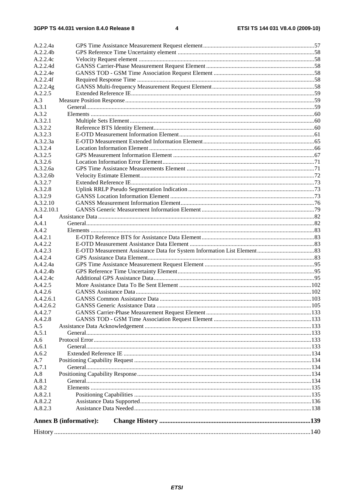| A.2.2.4a<br>A.2.2.4b |                               |  |
|----------------------|-------------------------------|--|
| A.2.2.4c             |                               |  |
| A.2.2.4d             |                               |  |
|                      |                               |  |
| A.2.2.4e             |                               |  |
| A.2.2.4f             |                               |  |
| A.2.2.4g             |                               |  |
| A.2.2.5              |                               |  |
| A.3                  |                               |  |
| A.3.1                |                               |  |
| A.3.2                |                               |  |
| A.3.2.1              |                               |  |
| A.3.2.2              |                               |  |
| A.3.2.3              |                               |  |
| A.3.2.3a             |                               |  |
| A.3.2.4              |                               |  |
| A.3.2.5              |                               |  |
| A.3.2.6              |                               |  |
| A.3.2.6a             |                               |  |
| A.3.2.6b             |                               |  |
| A.3.2.7              |                               |  |
| A.3.2.8              |                               |  |
| A.3.2.9              |                               |  |
| A.3.2.10             |                               |  |
| A.3.2.10.1           |                               |  |
| A.4                  |                               |  |
| A.4.1                |                               |  |
| A.4.2                |                               |  |
| A.4.2.1              |                               |  |
| A.4.2.2              |                               |  |
| A.4.2.3              |                               |  |
| A.4.2.4              |                               |  |
| A.4.2.4a             |                               |  |
| A.4.2.4b             |                               |  |
| A.4.2.4c             |                               |  |
| A.4.2.5              |                               |  |
| A.4.2.6              |                               |  |
| A.4.2.6.1            |                               |  |
| A.4.2.6.2            |                               |  |
| A.4.2.7              |                               |  |
| A.4.2.8              |                               |  |
| A.5                  |                               |  |
| A.5.1                |                               |  |
| A.6                  |                               |  |
| A.6.1                |                               |  |
| A.6.2                |                               |  |
| A.7                  |                               |  |
| A.7.1                |                               |  |
| A.8                  |                               |  |
| A.8.1                |                               |  |
| A.8.2                |                               |  |
| A.8.2.1              |                               |  |
| A.8.2.2              |                               |  |
| A.8.2.3              |                               |  |
|                      | <b>Annex B</b> (informative): |  |
|                      |                               |  |
|                      |                               |  |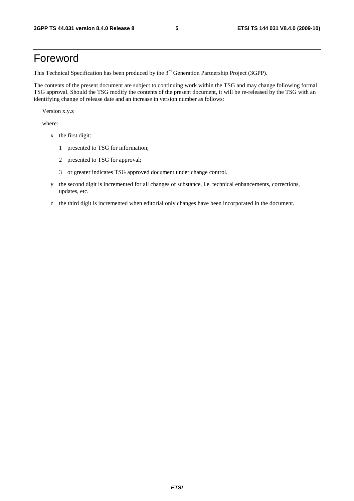# Foreword

This Technical Specification has been produced by the 3<sup>rd</sup> Generation Partnership Project (3GPP).

The contents of the present document are subject to continuing work within the TSG and may change following formal TSG approval. Should the TSG modify the contents of the present document, it will be re-released by the TSG with an identifying change of release date and an increase in version number as follows:

Version x.y.z

where:

- x the first digit:
	- 1 presented to TSG for information;
	- 2 presented to TSG for approval;
	- 3 or greater indicates TSG approved document under change control.
- y the second digit is incremented for all changes of substance, i.e. technical enhancements, corrections, updates, etc.
- z the third digit is incremented when editorial only changes have been incorporated in the document.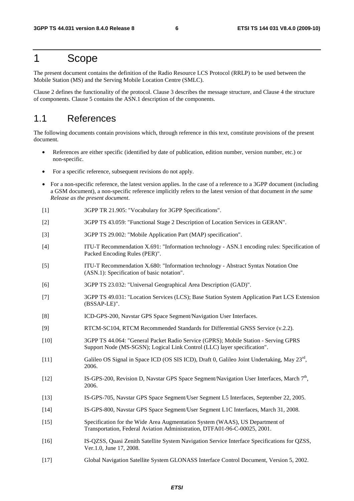### 1 Scope

The present document contains the definition of the Radio Resource LCS Protocol (RRLP) to be used between the Mobile Station (MS) and the Serving Mobile Location Centre (SMLC).

Clause 2 defines the functionality of the protocol. Clause 3 describes the message structure, and Clause 4 the structure of components. Clause 5 contains the ASN.1 description of the components.

#### 1.1 References

The following documents contain provisions which, through reference in this text, constitute provisions of the present document.

- References are either specific (identified by date of publication, edition number, version number, etc.) or non-specific.
- For a specific reference, subsequent revisions do not apply.
- For a non-specific reference, the latest version applies. In the case of a reference to a 3GPP document (including a GSM document), a non-specific reference implicitly refers to the latest version of that document *in the same Release as the present document*.
- [1] 3GPP TR 21.905: "Vocabulary for 3GPP Specifications".
- [2] 3GPP TS 43.059: "Functional Stage 2 Description of Location Services in GERAN".
- [3] 3GPP TS 29.002: "Mobile Application Part (MAP) specification".
- [4] ITU-T Recommendation X.691: "Information technology ASN.1 encoding rules: Specification of Packed Encoding Rules (PER)".
- [5] ITU-T Recommendation X.680: "Information technology Abstract Syntax Notation One (ASN.1): Specification of basic notation".
- [6] 3GPP TS 23.032: "Universal Geographical Area Description (GAD)".
- [7] 3GPP TS 49.031: "Location Services (LCS); Base Station System Application Part LCS Extension (BSSAP-LE)".
- [8] ICD-GPS-200, Navstar GPS Space Segment/Navigation User Interfaces.
- [9] RTCM-SC104, RTCM Recommended Standards for Differential GNSS Service (v.2.2).
- [10] 3GPP TS 44.064: "General Packet Radio Service (GPRS); Mobile Station Serving GPRS Support Node (MS-SGSN); Logical Link Control (LLC) layer specification".
- [11] Galileo OS Signal in Space ICD (OS SIS ICD), Draft 0, Galileo Joint Undertaking, May 23rd, 2006.
- [12] IS-GPS-200, Revision D, Navstar GPS Space Segment/Navigation User Interfaces, March 7<sup>th</sup>, 2006.
- [13] IS-GPS-705, Navstar GPS Space Segment/User Segment L5 Interfaces, September 22, 2005.
- [14] IS-GPS-800, Navstar GPS Space Segment/User Segment L1C Interfaces, March 31, 2008.
- [15] Specification for the Wide Area Augmentation System (WAAS), US Department of Transportation, Federal Aviation Administration, DTFA01-96-C-00025, 2001.
- [16] IS-QZSS, Quasi Zenith Satellite System Navigation Service Interface Specifications for QZSS, Ver.1.0, June 17, 2008.
- [17] Global Navigation Satellite System GLONASS Interface Control Document, Version 5, 2002.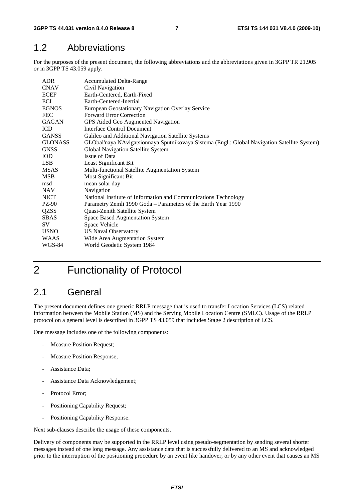### 1.2 Abbreviations

For the purposes of the present document, the following abbreviations and the abbreviations given in 3GPP TR 21.905 or in 3GPP TS 43.059 apply.

| <b>Accumulated Delta-Range</b>                                                               |
|----------------------------------------------------------------------------------------------|
| Civil Navigation                                                                             |
| Earth-Centered, Earth-Fixed                                                                  |
| Earth-Centered-Inertial                                                                      |
| European Geostationary Navigation Overlay Service                                            |
| <b>Forward Error Correction</b>                                                              |
| GPS Aided Geo Augmented Navigation                                                           |
| Interface Control Document                                                                   |
| Galileo and Additional Navigation Satellite Systems                                          |
| GLObal'naya NAvigatsionnaya Sputnikovaya Sistema (Engl.: Global Navigation Satellite System) |
| Global Navigation Satellite System                                                           |
| Issue of Data                                                                                |
| Least Significant Bit                                                                        |
| Multi-functional Satellite Augmentation System                                               |
| <b>Most Significant Bit</b>                                                                  |
| mean solar day                                                                               |
| Navigation                                                                                   |
| National Institute of Information and Communications Technology                              |
| Parametry Zemli 1990 Goda - Parameters of the Earth Year 1990                                |
| Quasi-Zenith Satellite System                                                                |
| Space Based Augmentation System                                                              |
| Space Vehicle                                                                                |
| <b>US Naval Observatory</b>                                                                  |
| Wide Area Augmentation System                                                                |
| World Geodetic System 1984                                                                   |
|                                                                                              |

# 2 Functionality of Protocol

### 2.1 General

The present document defines one generic RRLP message that is used to transfer Location Services (LCS) related information between the Mobile Station (MS) and the Serving Mobile Location Centre (SMLC). Usage of the RRLP protocol on a general level is described in 3GPP TS 43.059 that includes Stage 2 description of LCS.

One message includes one of the following components:

- Measure Position Request;
- Measure Position Response;
- Assistance Data:
- Assistance Data Acknowledgement;
- Protocol Error;
- Positioning Capability Request;
- Positioning Capability Response.

Next sub-clauses describe the usage of these components.

Delivery of components may be supported in the RRLP level using pseudo-segmentation by sending several shorter messages instead of one long message. Any assistance data that is successfully delivered to an MS and acknowledged prior to the interruption of the positioning procedure by an event like handover, or by any other event that causes an MS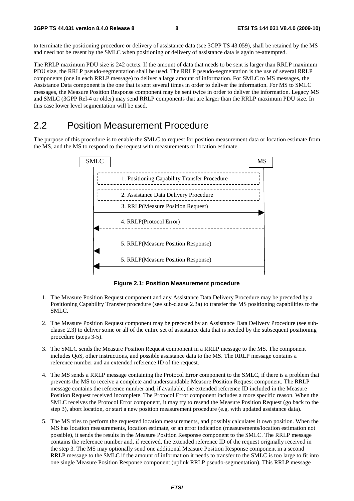to terminate the positioning procedure or delivery of assistance data (see 3GPP TS 43.059), shall be retained by the MS and need not be resent by the SMLC when positioning or delivery of assistance data is again re-attempted.

The RRLP maximum PDU size is 242 octets. If the amount of data that needs to be sent is larger than RRLP maximum PDU size, the RRLP pseudo-segmentation shall be used. The RRLP pseudo-segmentation is the use of several RRLP components (one in each RRLP message) to deliver a large amount of information. For SMLC to MS messages, the Assistance Data component is the one that is sent several times in order to deliver the information. For MS to SMLC messages, the Measure Position Response component may be sent twice in order to deliver the information. Legacy MS and SMLC (3GPP Rel-4 or older) may send RRLP components that are larger than the RRLP maximum PDU size. In this case lower level segmentation will be used.

### 2.2 Position Measurement Procedure

The purpose of this procedure is to enable the SMLC to request for position measurement data or location estimate from the MS, and the MS to respond to the request with measurements or location estimate.



**Figure 2.1: Position Measurement procedure** 

- 1. The Measure Position Request component and any Assistance Data Delivery Procedure may be preceded by a Positioning Capability Transfer procedure (see sub-clause 2.3a) to transfer the MS positioning capabilities to the SMLC.
- 2. The Measure Position Request component may be preceded by an Assistance Data Delivery Procedure (see subclause 2.3) to deliver some or all of the entire set of assistance data that is needed by the subsequent positioning procedure (steps 3-5).
- 3. The SMLC sends the Measure Position Request component in a RRLP message to the MS. The component includes QoS, other instructions, and possible assistance data to the MS. The RRLP message contains a reference number and an extended reference ID of the request.
- 4. The MS sends a RRLP message containing the Protocol Error component to the SMLC, if there is a problem that prevents the MS to receive a complete and understandable Measure Position Request component. The RRLP message contains the reference number and, if available, the extended reference ID included in the Measure Position Request received incomplete. The Protocol Error component includes a more specific reason. When the SMLC receives the Protocol Error component, it may try to resend the Measure Position Request (go back to the step 3), abort location, or start a new position measurement procedure (e.g. with updated assistance data).
- 5. The MS tries to perform the requested location measurements, and possibly calculates it own position. When the MS has location measurements, location estimate, or an error indication (measurements/location estimation not possible), it sends the results in the Measure Position Response component to the SMLC. The RRLP message contains the reference number and, if received, the extended reference ID of the request originally received in the step 3. The MS may optionally send one additional Measure Position Response component in a second RRLP message to the SMLC if the amount of information it needs to transfer to the SMLC is too large to fit into one single Measure Position Response component (uplink RRLP pseudo-segmentation). This RRLP message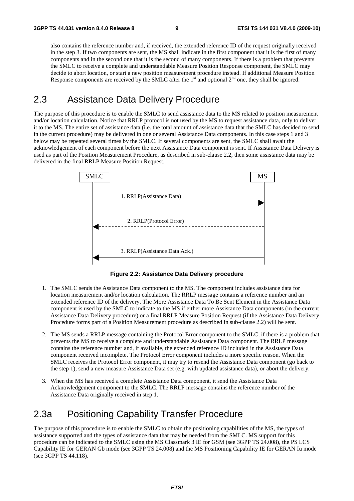also contains the reference number and, if received, the extended reference ID of the request originally received in the step 3. If two components are sent, the MS shall indicate in the first component that it is the first of many components and in the second one that it is the second of many components. If there is a problem that prevents the SMLC to receive a complete and understandable Measure Position Response component, the SMLC may decide to abort location, or start a new position measurement procedure instead. If additional Measure Position Response components are received by the SMLC after the  $1<sup>st</sup>$  and optional  $2<sup>nd</sup>$  one, they shall be ignored.

### 2.3 Assistance Data Delivery Procedure

The purpose of this procedure is to enable the SMLC to send assistance data to the MS related to position measurement and/or location calculation. Notice that RRLP protocol is not used by the MS to request assistance data, only to deliver it to the MS. The entire set of assistance data (i.e. the total amount of assistance data that the SMLC has decided to send in the current procedure) may be delivered in one or several Assistance Data components. In this case steps 1 and 3 below may be repeated several times by the SMLC. If several components are sent, the SMLC shall await the acknowledgement of each component before the next Assistance Data component is sent. If Assistance Data Delivery is used as part of the Position Measurement Procedure, as described in sub-clause 2.2, then some assistance data may be delivered in the final RRLP Measure Position Request.



**Figure 2.2: Assistance Data Delivery procedure** 

- 1. The SMLC sends the Assistance Data component to the MS. The component includes assistance data for location measurement and/or location calculation. The RRLP message contains a reference number and an extended reference ID of the delivery. The More Assistance Data To Be Sent Element in the Assistance Data component is used by the SMLC to indicate to the MS if either more Assistance Data components (in the current Assistance Data Delivery procedure) or a final RRLP Measure Position Request (if the Assistance Data Delivery Procedure forms part of a Position Measurement procedure as described in sub-clause 2.2) will be sent.
- 2. The MS sends a RRLP message containing the Protocol Error component to the SMLC, if there is a problem that prevents the MS to receive a complete and understandable Assistance Data component. The RRLP message contains the reference number and, if available, the extended reference ID included in the Assistance Data component received incomplete. The Protocol Error component includes a more specific reason. When the SMLC receives the Protocol Error component, it may try to resend the Assistance Data component (go back to the step 1), send a new measure Assistance Data set (e.g. with updated assistance data), or abort the delivery.
- 3. When the MS has received a complete Assistance Data component, it send the Assistance Data Acknowledgement component to the SMLC. The RRLP message contains the reference number of the Assistance Data originally received in step 1.

### 2.3a Positioning Capability Transfer Procedure

The purpose of this procedure is to enable the SMLC to obtain the positioning capabilities of the MS, the types of assistance supported and the types of assistance data that may be needed from the SMLC. MS support for this procedure can be indicated to the SMLC using the MS Classmark 3 IE for GSM (see 3GPP TS 24.008), the PS LCS Capability IE for GERAN Gb mode (see 3GPP TS 24.008) and the MS Positioning Capability IE for GERAN Iu mode (see 3GPP TS 44.118).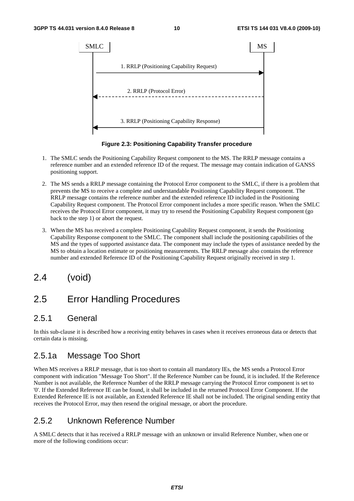

**Figure 2.3: Positioning Capability Transfer procedure** 

- 1. The SMLC sends the Positioning Capability Request component to the MS. The RRLP message contains a reference number and an extended reference ID of the request. The message may contain indication of GANSS positioning support.
- 2. The MS sends a RRLP message containing the Protocol Error component to the SMLC, if there is a problem that prevents the MS to receive a complete and understandable Positioning Capability Request component. The RRLP message contains the reference number and the extended reference ID included in the Positioning Capability Request component. The Protocol Error component includes a more specific reason. When the SMLC receives the Protocol Error component, it may try to resend the Positioning Capability Request component (go back to the step 1) or abort the request.
- 3. When the MS has received a complete Positioning Capability Request component, it sends the Positioning Capability Response component to the SMLC. The component shall include the positioning capabilities of the MS and the types of supported assistance data. The component may include the types of assistance needed by the MS to obtain a location estimate or positioning measurements. The RRLP message also contains the reference number and extended Reference ID of the Positioning Capability Request originally received in step 1.
- 2.4 (void)

### 2.5 Error Handling Procedures

#### 2.5.1 General

In this sub-clause it is described how a receiving entity behaves in cases when it receives erroneous data or detects that certain data is missing.

#### 2.5.1a Message Too Short

When MS receives a RRLP message, that is too short to contain all mandatory IEs, the MS sends a Protocol Error component with indication "Message Too Short". If the Reference Number can be found, it is included. If the Reference Number is not available, the Reference Number of the RRLP message carrying the Protocol Error component is set to '0'. If the Extended Reference IE can be found, it shall be included in the returned Protocol Error Component. If the Extended Reference IE is not available, an Extended Reference IE shall not be included. The original sending entity that receives the Protocol Error, may then resend the original message, or abort the procedure.

#### 2.5.2 Unknown Reference Number

A SMLC detects that it has received a RRLP message with an unknown or invalid Reference Number, when one or more of the following conditions occur: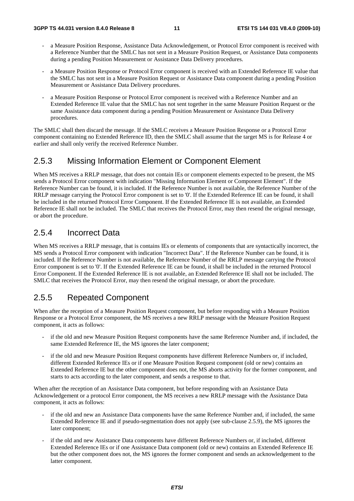- a Measure Position Response, Assistance Data Acknowledgement, or Protocol Error component is received with a Reference Number that the SMLC has not sent in a Measure Position Request, or Assistance Data components during a pending Position Measurement or Assistance Data Delivery procedures.
- a Measure Position Response or Protocol Error component is received with an Extended Reference IE value that the SMLC has not sent in a Measure Position Request or Assistance Data component during a pending Position Measurement or Assistance Data Delivery procedures.
- a Measure Position Response or Protocol Error component is received with a Reference Number and an Extended Reference IE value that the SMLC has not sent together in the same Measure Position Request or the same Assistance data component during a pending Position Measurement or Assistance Data Delivery procedures.

The SMLC shall then discard the message. If the SMLC receives a Measure Position Response or a Protocol Error component containing no Extended Reference ID, then the SMLC shall assume that the target MS is for Release 4 or earlier and shall only verify the received Reference Number.

#### 2.5.3 Missing Information Element or Component Element

When MS receives a RRLP message, that does not contain IEs or component elements expected to be present, the MS sends a Protocol Error component with indication "Missing Information Element or Component Element". If the Reference Number can be found, it is included. If the Reference Number is not available, the Reference Number of the RRLP message carrying the Protocol Error component is set to '0'. If the Extended Reference IE can be found, it shall be included in the returned Protocol Error Component. If the Extended Reference IE is not available, an Extended Reference IE shall not be included. The SMLC that receives the Protocol Error, may then resend the original message, or abort the procedure.

#### 2.5.4 Incorrect Data

When MS receives a RRLP message, that is contains IEs or elements of components that are syntactically incorrect, the MS sends a Protocol Error component with indication "Incorrect Data". If the Reference Number can be found, it is included. If the Reference Number is not available, the Reference Number of the RRLP message carrying the Protocol Error component is set to '0'. If the Extended Reference IE can be found, it shall be included in the returned Protocol Error Component. If the Extended Reference IE is not available, an Extended Reference IE shall not be included. The SMLC that receives the Protocol Error, may then resend the original message, or abort the procedure.

#### 2.5.5 Repeated Component

When after the reception of a Measure Position Request component, but before responding with a Measure Position Response or a Protocol Error component, the MS receives a new RRLP message with the Measure Position Request component, it acts as follows:

- if the old and new Measure Position Request components have the same Reference Number and, if included, the same Extended Reference IE, the MS ignores the later component;
- if the old and new Measure Position Request components have different Reference Numbers or, if included, different Extended Reference IEs or if one Measure Position Request component (old or new) contains an Extended Reference IE but the other component does not, the MS aborts activity for the former component, and starts to acts according to the later component, and sends a response to that.

When after the reception of an Assistance Data component, but before responding with an Assistance Data Acknowledgement or a protocol Error component, the MS receives a new RRLP message with the Assistance Data component, it acts as follows:

- if the old and new an Assistance Data components have the same Reference Number and, if included, the same Extended Reference IE and if pseudo-segmentation does not apply (see sub-clause 2.5.9), the MS ignores the later component;
- if the old and new Assistance Data components have different Reference Numbers or, if included, different Extended Reference IEs or if one Assistance Data component (old or new) contains an Extended Reference IE but the other component does not, the MS ignores the former component and sends an acknowledgement to the latter component.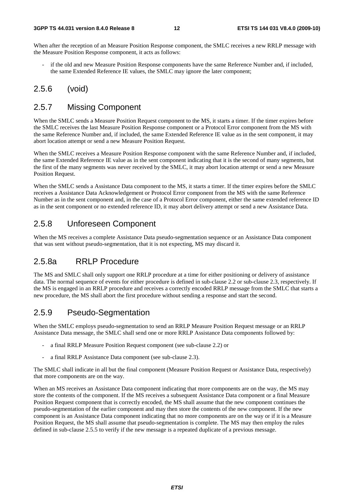When after the reception of an Measure Position Response component, the SMLC receives a new RRLP message with the Measure Position Response component, it acts as follows:

if the old and new Measure Position Response components have the same Reference Number and, if included, the same Extended Reference IE values, the SMLC may ignore the later component;

#### 2.5.6 (void)

#### 2.5.7 Missing Component

When the SMLC sends a Measure Position Request component to the MS, it starts a timer. If the timer expires before the SMLC receives the last Measure Position Response component or a Protocol Error component from the MS with the same Reference Number and, if included, the same Extended Reference IE value as in the sent component, it may abort location attempt or send a new Measure Position Request.

When the SMLC receives a Measure Position Response component with the same Reference Number and, if included, the same Extended Reference IE value as in the sent component indicating that it is the second of many segments, but the first of the many segments was never received by the SMLC, it may abort location attempt or send a new Measure Position Request.

When the SMLC sends a Assistance Data component to the MS, it starts a timer. If the timer expires before the SMLC receives a Assistance Data Acknowledgement or Protocol Error component from the MS with the same Reference Number as in the sent component and, in the case of a Protocol Error component, either the same extended reference ID as in the sent component or no extended reference ID, it may abort delivery attempt or send a new Assistance Data.

#### 2.5.8 Unforeseen Component

When the MS receives a complete Assistance Data pseudo-segmentation sequence or an Assistance Data component that was sent without pseudo-segmentation, that it is not expecting, MS may discard it.

#### 2.5.8a RRLP Procedure

The MS and SMLC shall only support one RRLP procedure at a time for either positioning or delivery of assistance data. The normal sequence of events for either procedure is defined in sub-clause 2.2 or sub-clause 2.3, respectively. If the MS is engaged in an RRLP procedure and receives a correctly encoded RRLP message from the SMLC that starts a new procedure, the MS shall abort the first procedure without sending a response and start the second.

#### 2.5.9 Pseudo-Segmentation

When the SMLC employs pseudo-segmentation to send an RRLP Measure Position Request message or an RRLP Assistance Data message, the SMLC shall send one or more RRLP Assistance Data components followed by:

- a final RRLP Measure Position Request component (see sub-clause 2.2) or
- a final RRLP Assistance Data component (see sub-clause 2.3).

The SMLC shall indicate in all but the final component (Measure Position Request or Assistance Data, respectively) that more components are on the way.

When an MS receives an Assistance Data component indicating that more components are on the way, the MS may store the contents of the component. If the MS receives a subsequent Assistance Data component or a final Measure Position Request component that is correctly encoded, the MS shall assume that the new component continues the pseudo-segmentation of the earlier component and may then store the contents of the new component. If the new component is an Assistance Data component indicating that no more components are on the way or if it is a Measure Position Request, the MS shall assume that pseudo-segmentation is complete. The MS may then employ the rules defined in sub-clause 2.5.5 to verify if the new message is a repeated duplicate of a previous message.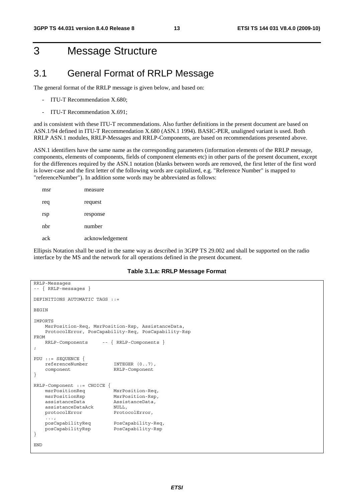# 3 Message Structure

#### 3.1 General Format of RRLP Message

The general format of the RRLP message is given below, and based on:

- ITU-T Recommendation X.680;
- ITU-T Recommendation X.691;

and is consistent with these ITU-T recommendations. Also further definitions in the present document are based on ASN.1/94 defined in ITU-T Recommendation X.680 (ASN.1 1994). BASIC-PER, unaligned variant is used. Both RRLP ASN.1 modules, RRLP-Messages and RRLP-Components, are based on recommendations presented above.

ASN.1 identifiers have the same name as the corresponding parameters (information elements of the RRLP message, components, elements of components, fields of component elements etc) in other parts of the present document, except for the differences required by the ASN.1 notation (blanks between words are removed, the first letter of the first word is lower-case and the first letter of the following words are capitalized, e.g. "Reference Number" is mapped to "referenceNumber"). In addition some words may be abbreviated as follows:

| msr | measure         |
|-----|-----------------|
| req | request         |
| rsp | response        |
| nhr | number          |
| ack | acknowledgement |

Ellipsis Notation shall be used in the same way as described in 3GPP TS 29.002 and shall be supported on the radio interface by the MS and the network for all operations defined in the present document.

#### **Table 3.1.a: RRLP Message Format**

```
RRLP-Messages 
-- { RRLP-messages } 
DEFINITIONS AUTOMATIC TAGS ::= 
BEGIN
IMPORTS 
    MsrPosition-Req, MsrPosition-Rsp, AssistanceData, 
     ProtocolError, PosCapability-Req, PosCapability-Rsp 
FROM 
    RRLP-Components -- { RRLP-Components } 
; 
PDU ::= SEQUENCE { 
     referenceNumber INTEGER (0..7), 
     component RRLP-Component 
} 
RRLP-Component ::= CHOICE { 
    msrPositionReq MsrPosition-Req, 
    msrPositionRsp MsrPosition-Rsp, 
     assistanceData AssistanceData, 
   assistanceDataAck NULL,<br>protocolError Proto
                            ProtocolError,
    ...,<br>posCapabilityReq
                            PosCapability-Req,
     posCapabilityRsp PosCapability-Rsp 
} 
END
```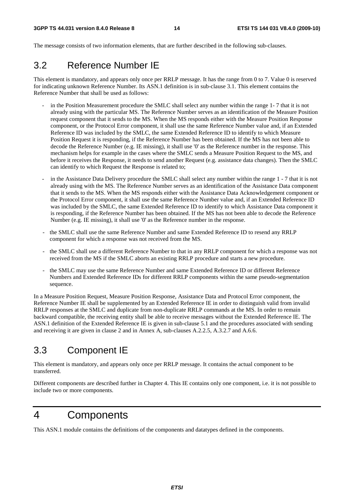The message consists of two information elements, that are further described in the following sub-clauses.

### 3.2 Reference Number IE

This element is mandatory, and appears only once per RRLP message. It has the range from 0 to 7. Value 0 is reserved for indicating unknown Reference Number. Its ASN.1 definition is in sub-clause 3.1. This element contains the Reference Number that shall be used as follows:

- in the Position Measurement procedure the SMLC shall select any number within the range 1-7 that it is not already using with the particular MS. The Reference Number serves as an identification of the Measure Position request component that it sends to the MS. When the MS responds either with the Measure Position Response component, or the Protocol Error component, it shall use the same Reference Number value and, if an Extended Reference ID was included by the SMLC, the same Extended Reference ID to identify to which Measure Position Request it is responding, if the Reference Number has been obtained. If the MS has not been able to decode the Reference Number (e.g. IE missing), it shall use '0' as the Reference number in the response. This mechanism helps for example in the cases where the SMLC sends a Measure Position Request to the MS, and before it receives the Response, it needs to send another Request (e.g. assistance data changes). Then the SMLC can identify to which Request the Response is related to;
- in the Assistance Data Delivery procedure the SMLC shall select any number within the range 1 7 that it is not already using with the MS. The Reference Number serves as an identification of the Assistance Data component that it sends to the MS. When the MS responds either with the Assistance Data Acknowledgement component or the Protocol Error component, it shall use the same Reference Number value and, if an Extended Reference ID was included by the SMLC, the same Extended Reference ID to identify to which Assistance Data component it is responding, if the Reference Number has been obtained. If the MS has not been able to decode the Reference Number (e.g. IE missing), it shall use '0' as the Reference number in the response.
- the SMLC shall use the same Reference Number and same Extended Reference ID to resend any RRLP component for which a response was not received from the MS.
- the SMLC shall use a different Reference Number to that in any RRLP component for which a response was not received from the MS if the SMLC aborts an existing RRLP procedure and starts a new procedure.
- the SMLC may use the same Reference Number and same Extended Reference ID or different Reference Numbers and Extended Reference IDs for different RRLP components within the same pseudo-segmentation sequence.

In a Measure Position Request, Measure Position Response, Assistance Data and Protocol Error component, the Reference Number IE shall be supplemented by an Extended Reference IE in order to distinguish valid from invalid RRLP responses at the SMLC and duplicate from non-duplicate RRLP commands at the MS. In order to remain backward compatible, the receiving entity shall be able to receive messages without the Extended Reference IE. The ASN.1 definition of the Extended Reference IE is given in sub-clause 5.1 and the procedures associated with sending and receiving it are given in clause 2 and in Annex A, sub-clauses A.2.2.5, A.3.2.7 and A.6.6.

# 3.3 Component IE

This element is mandatory, and appears only once per RRLP message. It contains the actual component to be transferred.

Different components are described further in Chapter 4. This IE contains only one component, i.e. it is not possible to include two or more components.

# 4 Components

This ASN.1 module contains the definitions of the components and datatypes defined in the components.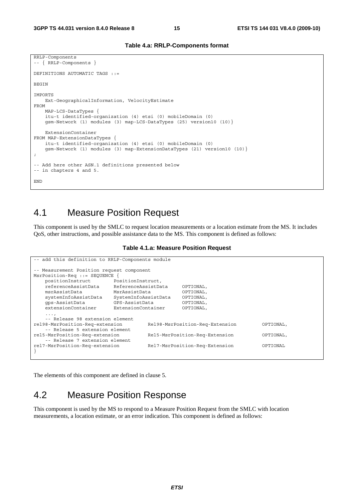```
Table 4.a: RRLP-Components format
```

```
RRLP-Components 
-- { RRLP-Components } 
DEFINITIONS AUTOMATIC TAGS ::= 
BEGIN 
IMPORTS 
    Ext-GeographicalInformation, VelocityEstimate 
FROM 
     MAP-LCS-DataTypes { 
     itu-t identified-organization (4) etsi (0) mobileDomain (0) 
     gsm-Network (1) modules (3) map-LCS-DataTypes (25) version10 (10)} 
     ExtensionContainer 
FROM MAP-ExtensionDataTypes { 
     itu-t identified-organization (4) etsi (0) mobileDomain (0) 
     gsm-Network (1) modules (3) map-ExtensionDataTypes (21) version10 (10)} 
; 
-- Add here other ASN.1 definitions presented below 
-- in chapters 4 and 5. 
END
```
### 4.1 Measure Position Request

This component is used by the SMLC to request location measurements or a location estimate from the MS. It includes QoS, other instructions, and possible assistance data to the MS. This component is defined as follows:

**Table 4.1.a: Measure Position Request** 

| -- add this definition to RRLP-Components module |                      |                                 |           |           |  |  |  |
|--------------------------------------------------|----------------------|---------------------------------|-----------|-----------|--|--|--|
| -- Measurement Position request component        |                      |                                 |           |           |  |  |  |
| MsrPosition-Req ::= SEOUENCE                     |                      |                                 |           |           |  |  |  |
| positionInstruct                                 | PositionInstruct,    |                                 |           |           |  |  |  |
| referenceAssistData                              | ReferenceAssistData  |                                 | OPTIONAL, |           |  |  |  |
| msrAssistData                                    | MsrAssistData        |                                 | OPTIONAL, |           |  |  |  |
| systemInfoAssistData                             | SystemInfoAssistData |                                 | OPTIONAL, |           |  |  |  |
| qps-AssistData                                   | GPS-AssistData       |                                 | OPTIONAL, |           |  |  |  |
| extensionContainer                               | ExtensionContainer   |                                 | OPTIONAL, |           |  |  |  |
| $\cdots$                                         |                      |                                 |           |           |  |  |  |
| -- Release 98 extension element                  |                      |                                 |           |           |  |  |  |
| rel98-MsrPosition-Req-extension                  |                      | Rel98-MsrPosition-Req-Extension |           | OPTIONAL, |  |  |  |
| -- Release 5 extension element                   |                      |                                 |           |           |  |  |  |
| rel5-MsrPosition-Req-extension                   |                      | Rel5-MsrPosition-Req-Extension  |           | OPTIONAL, |  |  |  |
| -- Release 7 extension element                   |                      |                                 |           |           |  |  |  |
| rel7-MsrPosition-Req-extension                   |                      | Rel7-MsrPosition-Req-Extension  |           | OPTIONAL  |  |  |  |
|                                                  |                      |                                 |           |           |  |  |  |

The elements of this component are defined in clause 5.

### 4.2 Measure Position Response

This component is used by the MS to respond to a Measure Position Request from the SMLC with location measurements, a location estimate, or an error indication. This component is defined as follows: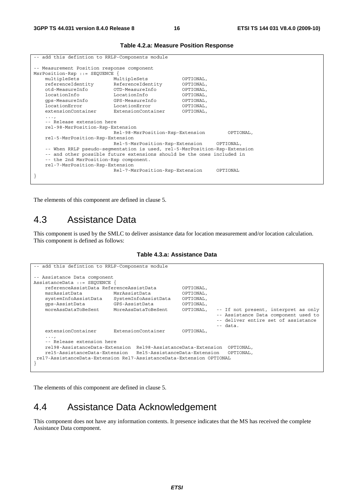| -- add this defintion to RRLP-Components module                              |                                                                           |           |  |  |  |  |
|------------------------------------------------------------------------------|---------------------------------------------------------------------------|-----------|--|--|--|--|
| -- Measurement Position response component<br>MsrPosition-Rsp ::= SEOUENCE { |                                                                           |           |  |  |  |  |
| multipleSets                                                                 | MultipleSets                                                              | OPTIONAL, |  |  |  |  |
| referenceIdentity                                                            | ReferenceIdentity                                                         | OPTIONAL, |  |  |  |  |
| otd-MeasureInfo                                                              | OTD-MeasureInfo                                                           | OPTIONAL, |  |  |  |  |
| locationInfo                                                                 | LocationInfo                                                              | OPTIONAL, |  |  |  |  |
| qps-MeasureInfo                                                              | GPS-MeasureInfo                                                           | OPTIONAL, |  |  |  |  |
| locationError                                                                | LocationError                                                             | OPTIONAL, |  |  |  |  |
| extensionContainer                                                           | ExtensionContainer                                                        | OPTIONAL, |  |  |  |  |
| $\cdots$                                                                     |                                                                           |           |  |  |  |  |
|                                                                              | -- Release extension here                                                 |           |  |  |  |  |
| rel-98-MsrPosition-Rsp-Extension                                             |                                                                           |           |  |  |  |  |
|                                                                              | Rel-98-MsrPosition-Rsp-Extension<br>OPTIONAL,                             |           |  |  |  |  |
|                                                                              | rel-5-MsrPosition-Rsp-Extension                                           |           |  |  |  |  |
|                                                                              | Rel-5-MsrPosition-Rsp-Extension<br>OPTIONAL,                              |           |  |  |  |  |
|                                                                              | -- When RRLP pseudo-seqmentation is used, rel-5-MsrPosition-Rsp-Extension |           |  |  |  |  |
|                                                                              | -- and other possible future extensions should be the ones included in    |           |  |  |  |  |
|                                                                              | -- the 2nd MsrPosition-Rsp component.                                     |           |  |  |  |  |
|                                                                              | rel-7-MsrPosition-Rsp-Extension                                           |           |  |  |  |  |
|                                                                              | Rel-7-MsrPosition-Rsp-Extension                                           | OPTIONAL  |  |  |  |  |
|                                                                              |                                                                           |           |  |  |  |  |
|                                                                              |                                                                           |           |  |  |  |  |

#### **Table 4.2.a: Measure Position Response**

The elements of this component are defined in clause 5.

### 4.3 Assistance Data

This component is used by the SMLC to deliver assistance data for location measurement and/or location calculation. This component is defined as follows:

**Table 4.3.a: Assistance Data** 

```
-- add this defintion to RRLP-Components module 
-- Assistance Data component 
AssistanceData ::= SEQUENCE { 
    referenceAssistData ReferenceAssistData OPTIONAL, 
    msrAssistData MsrAssistData OPTIONAL, 
    systemInfoAssistData SystemInfoAssistData OPTIONAL, 
    gps-AssistData GPS-AssistData OPTIONAL, 
                                                       -- If not present, interpret as only
                                                        -- Assistance Data component used to 
                                                        -- deliver entire set of assistance 
- data.
    extensionContainer ExtensionContainer OPTIONAL, 
    ..., 
    -- Release extension here 
 rel98-AssistanceData-Extension Rel98-AssistanceData-Extension OPTIONAL, 
 rel5-AssistanceData-Extension Rel5-AssistanceData-Extension OPTIONAL, 
 rel7-AssistanceData-Extension Rel7-AssistanceData-Extension OPTIONAL 
}
```
The elements of this component are defined in clause 5.

#### 4.4 Assistance Data Acknowledgement

This component does not have any information contents. It presence indicates that the MS has received the complete Assistance Data component.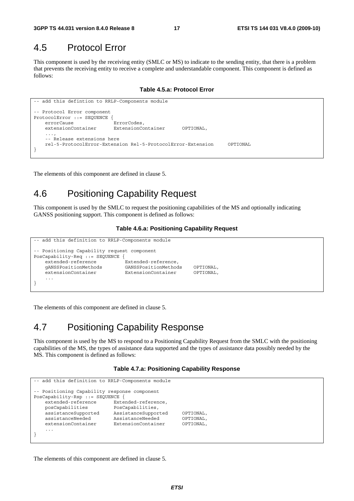### 4.5 Protocol Error

This component is used by the receiving entity (SMLC or MS) to indicate to the sending entity, that there is a problem that prevents the receiving entity to receive a complete and understandable component. This component is defined as follows:

**Table 4.5.a: Protocol Error** 

```
-- add this defintion to RRLP-Components module 
-- Protocol Error component 
ProtocolError ::= SEQUENCE { 
    errorCause ErrorCodes, 
    extensionContainer ExtensionContainer OPTIONAL, 
    ..., 
     -- Release extensions here 
    rel-5-ProtocolError-Extension Rel-5-ProtocolError-Extension OPTIONAL 
}
```
The elements of this component are defined in clause 5.

### 4.6 Positioning Capability Request

This component is used by the SMLC to request the positioning capabilities of the MS and optionally indicating GANSS positioning support. This component is defined as follows:

#### **Table 4.6.a: Positioning Capability Request**

```
add this definition to RRLP-Components module
-- Positioning Capability request component 
PosCapability-Req ::= SEQUENCE { 
   extended-reference Extended-reference,
    gANSSPositionMethods GANSSPositionMethods OPTIONAL, 
   extensionContainer ExtensionContainer OPTIONAL
 ... 
}
```
The elements of this component are defined in clause 5.

### 4.7 Positioning Capability Response

This component is used by the MS to respond to a Positioning Capability Request from the SMLC with the positioning capabilities of the MS, the types of assistance data supported and the types of assistance data possibly needed by the MS. This component is defined as follows:

#### **Table 4.7.a: Positioning Capability Response**

```
add this definition to RRLP-Components module
-- Positioning Capability response component 
PosCapability-Rsp ::= SEQUENCE { 
    extended-reference Extended-reference, 
    posCapabilities PosCapabilities, 
    assistanceSupported AssistanceSupported OPTIONAL, 
    assistanceNeeded AssistanceNeeded OPTIONAL, 
    extensionContainer ExtensionContainer OPTIONAL, 
    ... 
}
```
The elements of this component are defined in clause 5.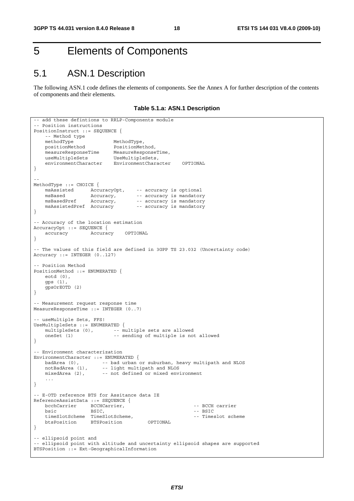# 5 Elements of Components

## 5.1 ASN.1 Description

The following ASN.1 code defines the elements of components. See the Annex A for further description of the contents of components and their elements.

**Table 5.1.a: ASN.1 Description** 

```
-- add these defintions to RRLP-Components module 
-- Position instructions 
PositionInstruct ::= SEQUENCE { 
   -- Method type<br>methodType
methodType MethodType,
 positionMethod PositionMethod, 
 measureResponseTime MeasureResponseTime, 
useMultipleSets UseMultipleSets,
 environmentCharacter EnvironmentCharacter OPTIONAL 
} 
-- 
MethodType ::= CHOICE {<br>msAssisted AccuracyOpt,<br>maRead }
 msAssisted AccuracyOpt, -- accuracy is optional 
msBased Mccuracy, The accuracy is mandatory
msBasedPref Accuracy, -- accuracy is mandatory
   msBasedPref Accuracy, -- accuracy is mandatory<br>msAssistedPref Accuracy -- accuracy is mandatory
} 
-- Accuracy of the location estimation 
AccuracyOpt ::= SEQUENCE { 
    accuracy Accuracy OPTIONAL 
} 
-- The values of this field are defined in 3GPP TS 23.032 (Uncertainty code) 
Accuracy ::= INTEGER (0..127) 
 -- Position Method 
PositionMethod ::= ENUMERATED { 
     eotd (0), 
    gps (1), 
    gpsOrEOTD (2) 
} 
-- Measurement request response time 
MeasureResponseTime ::= INTEGER (0..7) 
-- useMultiple Sets, FFS! 
UseMultipleSets ::= ENUMERATED { 
   multipleSets (0), -- multiple sets are allowed<br>oneSet (1) -- sending of multiple is not
                            -- sending of multiple is not allowed
} 
-- Environment characterization 
EnvironmentCharacter ::= ENUMERATED { 
 badArea (0), -- bad urban or suburban, heavy multipath and NLOS 
 notBadArea (1), -- light multipath and NLOS 
 mixedArea (2), -- not defined or mixed environment 
     ... 
} 
-- E-OTD reference BTS for Assitance data IE 
ReferenceAssistData ::= SEQUENCE { 
   bcchCarrier BCCHCarrier, etc. The CCH carrier
bsic BSIC, and BSIC, the extent of the BSIC set of the BSIC set of the BSIC set of the BSIC
   timeSlotScheme TimeSlotScheme, -- Timeslot scheme
    btsPosition BTSPosition OPTIONAL 
} 
-- ellipsoid point and 
-- ellipsoid point with altitude and uncertainty ellipsoid shapes are supported 
BTSPosition ::= Ext-GeographicalInformation
```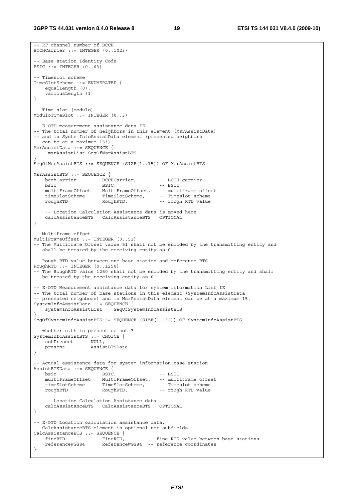-- RF channel number of BCCH BCCHCarrier ::= INTEGER (0..1023)

```
-- Base station Identity Code 
BSIC ::= INTEGER (0..63)-- Timeslot scheme 
TimeSlotScheme ::= ENUMERATED { 
    equalLength (0), 
    variousLength (1) 
} 
-- Time slot (modulo) 
ModuloTimeSlot ::= INTEGER (0..3) 
-- E-OTD measurement assistance data IE 
-- The total number of neighbors in this element (MsrAssistData) 
-- and in SystemInfoAssistData element (presented neighbors 
-- can be at a maximum 15!) 
MsrAssistData ::= SEQUENCE { 
     msrAssistList SeqOfMsrAssistBTS 
} 
SeqOfMsrAssistBTS ::= SEQUENCE (SIZE(1..15)) OF MsrAssistBTS 
MsrAssistBTS ::= SEQUENCE { 
   bcchCarrier - - BCCHCarrier, -- BCCH carrier
bsic BSIC, - - BSTC multiFrameOffset MultiFrameOffset, -- multiframe offset 
 timeSlotScheme TimeSlotScheme, -- Timeslot scheme 
 roughRTD RoughRTD, -- rough RTD value 
    -- Location Calculation Assistance data is moved here<br>calcAssistanceBTS CalcAssistanceBTS OPTIONAL
   calcAssistanceBTS CalcAssistanceBTS
} 
 -- Multiframe offset 
MultiFrameOffset ::= INTEGER (0..51) 
-- The Multiframe Offset value 51 shall not be encoded by the transmitting entity and 
-- shall be treated by the receiving entity as 0. 
 -- Rough RTD value between one base station and reference BTS 
RoughRTD :: = INTEGR (0..1250)-- The RoughRTD value 1250 shall not be encoded by the transmitting entity and shall 
-- be treated by the receiving entity as 0. 
-- E-OTD Measurement assistance data for system information List IE 
-- The total number of base stations in this element (SystemInfoAssistData
-- presented neighbors) and in MsrAssistData element can be at a maximum 15. 
SystemInfoAssistData ::= SEQUENCE { 
     systemInfoAssistList SeqOfSystemInfoAssistBTS 
} 
SeqOfSystemInfoAssistBTS::= SEQUENCE (SIZE(1..32)) OF SystemInfoAssistBTS 
 -- whether n.th is present or not ? 
SystemInfoAssistBTS ::= CHOICE { 
   notPresent NULL,<br>present Assis
                    present AssistBTSData 
} 
-- Actual assistance data for system information base station 
AssistBTSData ::= SEQUENCE { 
  bsic BSIC, -- BSIC
    multiFrameOffset MultiFrameOffset, -- multiframe offset 
 timeSlotScheme TimeSlotScheme, -- Timeslot scheme 
 roughRTD RoughRTD, -- rough RTD value 
     -- Location Calculation Assistance data 
   calcAssistanceBTS CalcAssistanceBTS
} 
-- E-OTD Location calculation assistance data, 
-- CalcAssistanceBTS element is optional not subfields 
CalcAssistanceBTS ::= SEQUENCE {<br>fineRTD FineRTD,<br>referenceWCCC:
   fineRTD FineRTD, -- fine RTD value between base stations
    referenceWGS84 ReferenceWGS84 -- reference coordinates 
}
```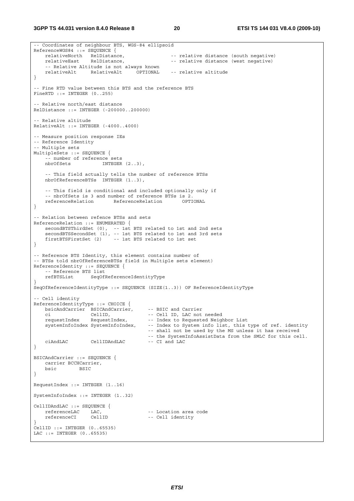-- Coordinates of neighbour BTS, WGS-84 ellipsoid ReferenceWGS84 ::= SEQUENCE {<br>relativeNorth RelDistance, -- relative distance (south negative) relativeEast RelDistance, and the relative distance (west negative) -- Relative Altitude is not always known relativeAlt RelativeAlt OPTIONAL -- relative altitude } -- Fine RTD value between this BTS and the reference BTS  $FinerID ::= INTERER (0..255)$ -- Relative north/east distance  $R$ elDistance  $:$  = INTEGER  $(-200000, 200000)$ -- Relative altitude RelativeAlt ::= INTEGER (-4000..4000) -- Measure position response IEs -- Reference Identity -- Multiple sets MultipleSets ::= SEQUENCE { -- number of reference sets nbrOfSets INTEGER  $(2..3)$ , -- This field actually tells the number of reference BTSs nbrOfReferenceBTSs INTEGER (1..3), -- This field is conditional and included optionally only if -- nbrOfSets is 3 and number of reference BTSs is 2. referenceRelation ReferenceRelation OPTIONAL } -- Relation between refence BTSs and sets ReferenceRelation ::= ENUMERATED { secondBTSThirdSet (0), -- 1st BTS related to 1st and 2nd sets secondBTSSecondSet (1), -- 1st BTS related to 1st and 3rd sets firstBTSFirstSet  $(2)$  -- 1st BTS related to 1st set } -- Reference BTS Identity, this element contains number of -- BTSs told nbrOfReferenceBTSs field in Multiple sets element) ReferenceIdentity ::= SEQUENCE { -- Reference BTS list<br>refBTSList SeqOfl SeqOfReferenceIdentityType } SeqOfReferenceIdentityType ::= SEQUENCE (SIZE(1..3)) OF ReferenceIdentityType -- Cell identity ReferenceIdentityType ::= CHOICE { bsicAndCarrier BSICAndCarrier, -- BSIC and Carrier ci CellID, -- Cell ID, LAC not needed -- Index to Requested Neighbor List systemInfoIndex SystemInfoIndex, -- Index to System info list, this type of ref. identity -- shall not be used by the MS unless it has received -- the SystemInfoAssistData from the SMLC for this cell.<br>-- CI and LAC ciAndLAC CellIDAndLAC -- CI and LAC } BSICAndCarrier ::= SEQUENCE { carrier BCCHCarrier, bsic BSIC } RequestIndex ::= INTEGER (1..16) SystemInfoIndex ::= INTEGER (1..32) CellIDAndLAC ::= SEQUENCE {<br>referenceLAC LAC, -- Location area code referenceCI CellID -- Cell identity } CellID ::= INTEGER (0..65535) LAC ::= INTEGER (0..65535)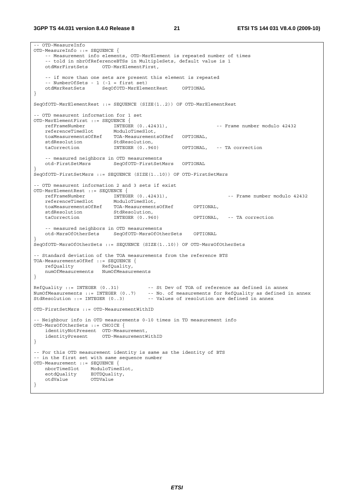```
-- OTD-MeasureInfo 
OTD-MeasureInfo ::= SEQUENCE { 
    -- Measurement info elements, OTD-MsrElement is repeated number of times 
     -- told in nbrOfReferenceBTSs in MultipleSets, default value is 1 
    otdMsrFirstSets OTD-MsrElementFirst, 
     -- if more than one sets are present this element is repeated 
    -- NumberOfSets - 1 (-1 = first set) 
                       SeqOfOTD-MsrElementRest OPTIONAL
} 
SeqOfOTD-MsrElementRest ::= SEQUENCE (SIZE(1..2)) OF OTD-MsrElementRest 
-- OTD measurent information for 1 set 
OTD-MsrElementFirst ::= SEQUENCE { 
 refFrameNumber INTEGER (0..42431), -- Frame number modulo 42432 
 referenceTimeSlot ModuloTimeSlot, 
   toaMeasurementsOfRef TOA-MeasurementsOfRef OPTIONAL,<br>stdResolution StdResolution,
   stdResolution<br>taCorrection
                           INTEGER (0..960) OPTIONAL, -- TA correction
     -- measured neighbors in OTD measurements 
    otd-FirstSetMsrs SeqOfOTD-FirstSetMsrs OPTIONAL 
} 
SeqOfOTD-FirstSetMsrs ::= SEQUENCE (SIZE(1..10)) OF OTD-FirstSetMsrs 
-- OTD measurent information 2 and 3 sets if exist 
OTD-MsrElementRest ::= SEQUENCE { 
                           INTEGER (0..42431), TIME -- Frame number modulo 42432
   referenceTimeSlot<br>referenceTimeSlot ModuloTimeSlot,<br>toaMeasurementsOfRef TOA-Measurement
                          TOA-MeasurementsOfRef OPTIONAL,<br>StdResolution,
   stdResolution<br>taCorrection
                           INTEGER (0..960) OPTIONAL, -- TA correction
    -- measured neighbors in OTD measurements 
                           SeqOfOTD-MsrsOfOtherSets OPTIONAL
} 
SeqOfOTD-MsrsOfOtherSets ::= SEQUENCE (SIZE(1..10)) OF OTD-MsrsOfOtherSets 
 -- Standard deviation of the TOA measurements from the reference BTS 
TOA-MeasurementsOfRef ::= SEQUENCE { 
   refOuality RefQuality,
    numOfMeasurements NumOfMeasurements 
} 
RefQuality ::= INTEGER (0..31) -- St Dev of TOA of reference as defined in annex 
NumOfMeasurements ::= INTEGER (0..7) -- No. of measurements for RefQuality as defined in annex 
StdResolution ::= INTEGER (0..3) -- Values of resolution are defined in annex 
OTD-FirstSetMsrs ::= OTD-MeasurementWithID 
-- Neighbour info in OTD measurements 0-10 times in TD measurement info 
OTD-MsrsOfOtherSets ::= CHOICE { 
     identityNotPresent OTD-Measurement, 
    identityPresent OTD-MeasurementWithID 
} 
-- For this OTD measurement identity is same as the identity of BTS 
 - in the first set with same sequence number
OTD-Measurement ::= SEQUENCE { 
    nborTimeSlot ModuloTimeSlot, 
 eotdQuality EOTDQuality, 
 otdValue OTDValue 
}
```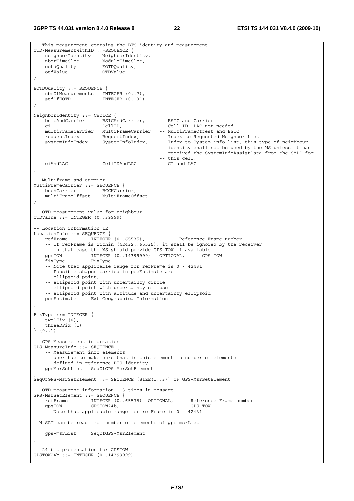**3GPP TS 44.031 version 8.4.0 Release 8 22 ETSI TS 144 031 V8.4.0 (2009-10)**

```
-- This measurement contains the BTS identity and measurement 
OTD-MeasurementWithID ::=SEQUENCE { 
 neighborIdentity NeighborIdentity, 
 nborTimeSlot ModuloTimeSlot, 
    eotdQuality EOTDQuality, 
    otdValue OTDValue 
} 
EOTDQuality ::= SEQUENCE { 
 nbrOfMeasurements INTEGER (0..7), 
stdOfEOTD INTEGER (0..31)} 
NeighborIdentity ::= CHOICE { 
    bsicAndCarrier BSICAndCarrier, -- BSIC and Carrier 
    ci CellID, -- Cell ID, LAC not needed 
    multiFrameCarrier MultiFrameCarrier, -- MultiFrameOffest and BSIC 
 requestIndex RequestIndex, -- Index to Requested Neighbor List 
 systemInfoIndex SystemInfoIndex, -- Index to System info list, this type of neighbour 
                                            -- identity shall not be used by the MS unless it has 
                                            -- received the SystemInfoAssistData from the SMLC for 
                                           -- this cell.<br>-- CI and LAC
    ciAndLAC CellIDAndLAC -- CI and LAC 
} 
-- Multiframe and carrier 
MultiFrameCarrier ::= SEQUENCE { 
bcchCarrier BCCHCarrier,
 multiFrameOffset MultiFrameOffset 
} 
-- OTD measurement value for neighbour 
OTDValue ::= INTEGER (0..39999) 
-- Location information IE 
LocationInfo ::= SEQUENCE {<br>refFrame INTEGER (0..65535),
    refFrame INTEGER (0..65535), -- Reference Frame number 
     -- If refFrame is within (42432..65535), it shall be ignored by the receiver 
    -- in that case the MS should provide GPS TOW if available 
    gpsTOW INTEGER (0..14399999) OPTIONAL, -- GPS TOW 
    fixType FixType, 
    -- Note that applicable range for refFrame is 0 - 42431 
     -- Possible shapes carried in posEstimate are 
     -- ellipsoid point, 
     -- ellipsoid point with uncertainty circle 
     -- ellipsoid point with uncertainty ellipse 
   -- ellipsoid point with altitude and uncertainty ellipsoid<br>posEstimate Ext-GeographicalInformation
                   Ext-GeographicalInformation
} 
FixType ::= INTEGER { 
    twoDFix (0), 
     threeDFix (1) 
} (0..1) 
-- GPS-Measurement information 
GPS-MeasureInfo ::= SEQUENCE { 
    -- Measurement info elements 
     -- user has to make sure that in this element is number of elements 
     -- defined in reference BTS identity 
    gpsMsrSetList SeqOfGPS-MsrSetElement 
} 
SeqOfGPS-MsrSetElement ::= SEQUENCE (SIZE(1..3)) OF GPS-MsrSetElement 
-- OTD measurent information 1-3 times in message 
GPS-MsrSetElement ::= SEQUENCE { 
    refFrame INTEGER (0..65535) OPTIONAL, -- Reference Frame number 
                                                   -- GPS TOW
     -- Note that applicable range for refFrame is 0 - 42431 
--N_SAT can be read from number of elements of gps-msrList 
    gps-msrList SeqOfGPS-MsrElement 
} 
 -- 24 bit presentation for GPSTOW 
GPSTOW24b ::= INTEGER (0..14399999)
```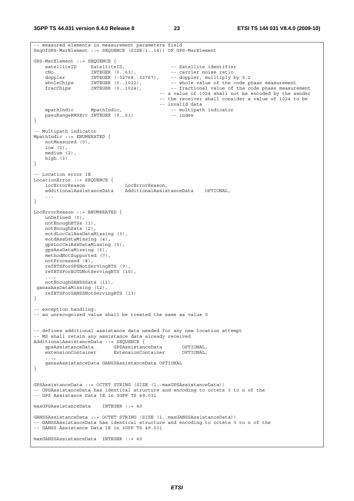```
-- measured elements in measurement parameters field 
SeqOfGPS-MsrElement ::= SEQUENCE (SIZE(1..16)) OF GPS-MsrElement 
GPS-MsrElement ::= SEQUENCE { 
   satelliteID SatelliteID, -- Satellite identifier<br>
CNO INTEGER (0..63), -- carrier noise ratio<br>
International contratation of the complex multiply b
   cNo SatellitelD,<br>
cNo INTEGER (0..63),<br>
doppler TNTEGER (0..63),
 doppler INTEGER (-32768..32767), -- doppler, mulltiply by 0.2 
wholeChips INTEGER (0..1022), -- whole value of the code phase measurement
 fracChips INTEGER (0..1024), -- fractional value of the code phase measurement 
                                              -- a value of 1024 shall not be encoded by the sender 
                                              -- the receiver shall consider a value of 1024 to be 
                                              -- invalid data 
   mpathIndic MpathIndic,<br>pseuRangeRMSErr INTEGER (0..63) -- index
   pseuRangeRMSErr INTEGER (0..63)
} 
-- Multipath indicator 
MpathIndic ::= ENUMERATED { 
    notMeasured (0), 
     low (1), 
     medium (2), 
    high (3) 
} 
-- Location error IE 
LocationError ::= SEQUENCE { 
    locErrorReason LocErrorReason, 
     additionalAssistanceData AdditionalAssistanceData OPTIONAL, 
 ... 
} 
LocErrorReason ::= ENUMERATED { 
    unDefined (0), 
    notEnoughBTSs (1), 
    notEnoughSats (2), 
    eotdLocCalAssDataMissing (3), 
    eotdAssDataMissing (4), 
    gpsLocCalAssDataMissing (5), 
    gpsAssDataMissing (6), 
    methodNotSupported (7), 
    notProcessed (8), 
    refBTSForGPSNotServingBTS (9), 
    refBTSForEOTDNotServingBTS (10), 
 ..., 
    notEnoughGANSSSats (11), 
 ganssAssDataMissing (12), 
    refBTSForGANSSNotServingBTS (13) 
} 
-- exception handling: 
-- an unrecognized value shall be treated the same as value 0 
-- defines additional assistance data needed for any new location attempt 
-- MS shall retain any assistance data already received 
AdditionalAssistanceData ::= SEQUENCE { 
 gpsAssistanceData GPSAssistanceData OPTIONAL, 
 extensionContainer ExtensionContainer OPTIONAL, 
     ganssAssistanceData GANSSAssistanceData OPTIONAL 
} 
GPSAssistanceData ::= OCTET STRING (SIZE (1..maxGPSAssistanceData)) 
-- GPSAssistanceData has identical structure and encoding to octets 3 to n of the 
-- GPS Assistance Data IE in 3GPP TS 49.031 
maxGPSAssistanceData INTEGER ::= 40 
GANSSAssistanceData ::= OCTET STRING (SIZE (1..maxGANSSAssistanceData)) 
-- GANSSAssistanceData has identical structure and encoding to octets 3 to n of the 
-- GANSS Assistance Data IE in 3GPP TS 49.031 
maxGANSSAssistanceData INTEGER ::= 40
```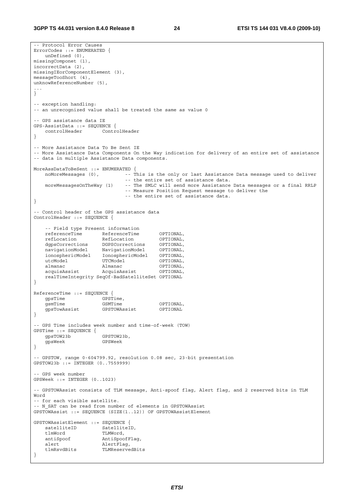-- Protocol Error Causes ErrorCodes ::= ENUMERATED { unDefined (0), missingComponet (1), incorrectData (2), missingIEorComponentElement (3), messageTooShort (4), unknowReferenceNumber (5), ... } -- exception handling: -- an unrecognized value shall be treated the same as value 0 -- GPS assistance data IE GPS-AssistData ::= SEQUENCE { controlHeader ControlHeader } -- More Assistance Data To Be Sent IE -- More Assistance Data Components On the Way indication for delivery of an entire set of assistance -- data in multiple Assistance Data components. MoreAssDataToBeSent ::= ENUMERATED {<br>noMoreMessaqes (0), -- T -- This is the only or last Assistance Data message used to deliver -- the entire set of assistance data. moreMessagesOnTheWay (1) -- The SMLC will send more Assistance Data messages or a final RRLP -- Measure Position Request message to deliver the -- the entire set of assistance data. } -- Control header of the GPS assistance data ControlHeader ::= SEQUENCE { -- Field type Present information referenceTime ReferenceTime OPTIONAL,<br>refLocation RefLocation OPTIONAL, RefLocation dgpsCorrections DGPSCorrections OPTIONAL,<br>navigationModel NavigationModel OPTIONAL, navigationModel NavigationModel OPTIONAL, ionosphericModel IonosphericModel OPTIONAL, utcModel UTCModel OPTIONAL, almanac Malmanac OPTIONAL, acquisAssist AcquisAssist OPTIONAL, realTimeIntegrity SeqOf-BadSatelliteSet OPTIONAL } ReferenceTime ::= SEQUENCE { gpsTime GPSTime, gsmTime GSMTime OPTIONAL,<br>gpsTowAssist GPSTOWAssist OPTIONAL gpsTowAssist } -- GPS Time includes week number and time-of-week (TOW) GPSTime ::= SEQUENCE { gpsTOW23b GPSTOW23b, gpsWeek GPSWeek } -- GPSTOW, range 0-604799.92, resolution 0.08 sec, 23-bit presentation  $GDCTOW23b$   $\cdots$  INTEGER (0...7559999) -- GPS week number GPSWeek ::= INTEGER (0..1023) -- GPSTOWAssist consists of TLM message, Anti-spoof flag, Alert flag, and 2 reserved bits in TLM Word -- for each visible satellite. -- N SAT can be read from number of elements in GPSTOWAssist GPSTOWAssist ::= SEQUENCE (SIZE(1..12)) OF GPSTOWAssistElement GPSTOWAssistElement ::= SEQUENCE { satelliteID SatelliteID, tlmWord TLMWord, antiSpoof AntiSpoofFlag, alert AlertFlag, tlmRsvdBits TLMReservedBits }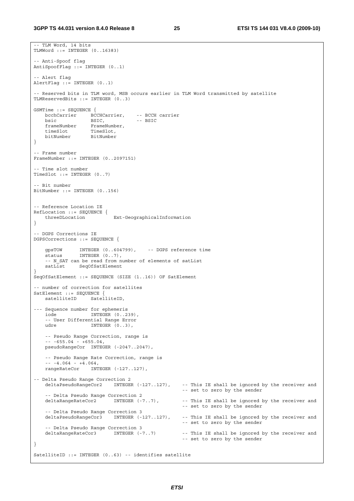```
-- TLM Word, 14 bits 
TLMWord ::= INTEGER (0..16383) 
-- Anti-Spoof flag 
AntiSpoofFlag ::= INTEGER (0..1) 
-- Alert flag 
AlertFlag ::= INTEGER (0..1) 
 -- Reserved bits in TLM word, MSB occurs earlier in TLM Word transmitted by satellite 
TLMReservedBits ::= INTEGER (0..3) 
GSMTime ::= SEQUENCE { 
    bcchCarrier BCCHCarrier, -- BCCH carrier 
bsic BSIC, -- BSIC
 frameNumber FrameNumber, 
 timeSlot TimeSlot, 
 bitNumber BitNumber 
} 
-- Frame number 
FrameNumber ::= INTEGER (0..2097151) 
 -- Time slot number 
TimeSlot ::= INTEGER (0..7)-- Bit number 
BitNumber ::= INTEGER (0..156) 
-- Reference Location IE 
RefLocation ::= SEQUENCE {<br>threeDLocation
                           Ext-GeographicalInformation
} 
 -- DGPS Corrections IE 
DGPSCorrections ::= SEQUENCE { 
 gpsTOW INTEGER (0..604799), -- DGPS reference time 
status INTEGER (0..7),
     -- N_SAT can be read from number of elements of satList 
   satList SeqOfSatElement
} 
SeqOfSatElement ::= SEQUENCE (SIZE (1..16)) OF SatElement 
-- number of correction for satellites 
SatElement ::= SEOUENCE {
   satelliteID SatelliteID,
--- Sequence number for ephemeris<br>iode INTEGER (0..2)
                   INTEGER (0..239),
     -- User Differential Range Error 
   udre INTEGER (0..3),
    -- Pseudo Range Correction, range is 
    -- -655.04 - +655.04, 
    pseudoRangeCor INTEGER (-2047..2047), 
     -- Pseudo Range Rate Correction, range is 
   - - 4.064 - 4.064,
    rangeRateCor INTEGER (-127..127), 
-- Delta Pseudo Range Correction 2 
    deltaPseudoRangeCor2 INTEGER (-127..127), -- This IE shall be ignored by the receiver and 
                                                     -- set to zero by the sender 
   -- Delta Pseudo Range Correction 2<br>deltaRangeRateCor2      INTEGER (-7..7),
                                                    -- This IE shall be ignored by the receiver and
                                                     -- set to zero by the sender 
    -- Delta Pseudo Range Correction 3 
    deltaPseudoRangeCor3 INTEGER (-127..127), -- This IE shall be ignored by the receiver and 
                                                     -- set to zero by the sender 
     -- Delta Pseudo Range Correction 3 
    deltaRangeRateCor3 INTEGER (-7..7) -- This IE shall be ignored by the receiver and 
                                                     -- set to zero by the sender 
} 
SatelliteID ::= INTEGER (0..63) -- identifies satellite
```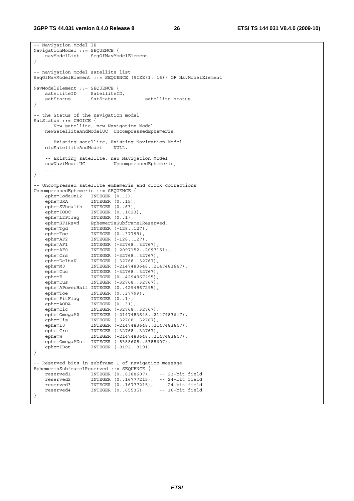-- Navigation Model IE NavigationModel ::= SEQUENCE { navModelList SeqOfNavModelElement } -- navigation model satellite list SeqOfNavModelElement ::= SEQUENCE (SIZE(1..16)) OF NavModelElement NavModelElement ::= SEQUENCE { satelliteID SatelliteID,<br>satStatus SatStatus satStatus SatStatus -- satellite status } -- the Status of the navigation model SatStatus ::= CHOICE { -- New satellite, new Navigation Model newSatelliteAndModelUC UncompressedEphemeris, -- Existing satellite, Existing Navigation Model oldSatelliteAndModel NULL, -- Existing satellite, new Navigation Model UncompressedEphemeris, ... } -- Uncompressed satellite emhemeris and clock corrections UncompressedEphemeris ::= SEQUENCE { ephemCodeOnL2 INTEGER  $(0..3)$ , ephemURA INTEGER (0..15), ephemSVhealth INTEGER (0..63), ephemIODC INTEGER (0..1023), ephemL2Pflag INTEGER (0..1), ephemSF1Rsvd EphemerisSubframe1Reserved, ephemTgd INTEGER (-128..127), ephemToc INTEGER (0..37799), ephemAF2 INTEGER (-128..127), ephemAF1 INTEGER (-32768..32767), ephemAF0 INTEGER (-2097152..2097151), ephemCrs INTEGER (-32768..32767), ephemDeltaN INTEGER (-32768..32767), ephemM0 INTEGER (-2147483648..2147483647), ephemCuc INTEGER (-32768..32767), ephemE INTEGER (0..4294967295), ephemCus INTEGER (-32768..32767), ephemAPowerHalf INTEGER (0..4294967295), ephemToe INTEGER (0..37799), ephemFitFlag INTEGER (0..1), ephemAODA INTEGER (0..31), ephemCic INTEGER (-32768..32767), ephemOmegaA0 INTEGER (-2147483648..2147483647), ephemCis INTEGER (-32768..32767), ephemI0 INTEGER (-2147483648..2147483647), ephemCrc INTEGER (-32768..32767), ephemW INTEGER (-2147483648..2147483647), ephemOmegaADot INTEGER (-8388608..8388607),<br>ephemIDot INTEGER (-8192..8191) INTEGER (-8192..8191) } -- Reserved bits in subframe 1 of navigation message EphemerisSubframe1Reserved ::= SEQUENCE { reserved1 INTEGER (0..8388607), -- 23-bit field reserved2 INTEGER (0..16777215), -- 24-bit field reserved3 INTEGER (0..16777215), -- 24-bit field reserved4 INTEGER (0..65535) -- 16-bit field }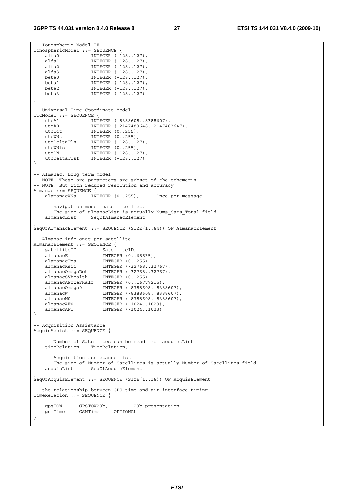```
-- Ionospheric Model IE 
IonosphericModel ::= SEQUENCE { 
 alfa0 INTEGER (-128..127), 
 alfa1 INTEGER (-128..127), 
 alfa2 INTEGER (-128..127), 
 alfa3 INTEGER (-128..127), 
 beta0 INTEGER (-128..127), 
 beta1 INTEGER (-128..127), 
    beta2 INTEGER (-128..127), 
                  INTEGER (-128..127)
} 
-- Universal Time Coordinate Model 
UTCModel ::= SEQUENCE { 
 utcA1 INTEGER (-8388608..8388607), 
 utcA0 INTEGER (-2147483648..2147483647), 
utcTot INTEGER (0..255),
utcWNt INTEGER (0..255),
 utcDeltaTls INTEGER (-128..127), 
 utcWNlsf INTEGER (0..255), 
utcDN INTEGER (-128..127),
    utcDeltaTlsf INTEGER (-128..127) 
} 
-- Almanac, Long term model 
-- NOTE: These are parameters are subset of the ephemeris 
-- NOTE: But with reduced resolution and accuracy 
Almanac ::= SEQUENCE { 
    alamanacWNa INTEGER (0..255), -- Once per message 
    -- navigation model satellite list. 
   -- The size of almanacList is actually Nums_Sats_Total field<br>almanacList SegOfAlmanacElement
                 SeqOfAlmanacElement
} 
SeqOfAlmanacElement ::= SEQUENCE (SIZE(1..64)) OF AlmanacElement 
-- Almanac info once per satellite 
AlmanacElement ::= SEQUENCE { 
   satelliteID SatelliteID,
   almanacE INTEGER (0..65535),<br>alamanacToa INTEGER (0..255),<br>almanacCwestR INTEGER (-32768 33
 alamanacToa INTEGER (0..255), 
 almanacKsii INTEGER (-32768..32767), 
 almanacOmegaDot INTEGER (-32768..32767), 
 almanacSVhealth INTEGER (0..255), 
   almanacBvnearen INTEGER (0..255),
 almanacOmega0 INTEGER (-8388608..8388607), 
 almanacW INTEGER (-8388608..8388607), 
    almanacM0 INTEGER (-8388608..8388607), 
 almanacAF0 INTEGER (-1024..1023), 
 almanacAF1 INTEGER (-1024..1023) 
} 
 -- Acquisition Assistance 
AcquisAssist ::= SEQUENCE { 
   -- Number of Satellites can be read from acquistList<br>timeRelation TimeRelation,
                 TimeRelation,
    -- Acquisition assistance list 
    -- The size of Number of Satellites is actually Number of Satellites field 
    acquisList SeqOfAcquisElement 
} 
SeqOfAcquisElement ::= SEQUENCE (SIZE(1..16)) OF AcquisElement 
 -- the relationship between GPS time and air-interface timing 
TimeRelation ::= SEQUENCE { 
 -- 
   gpsTOW GPSTOW23b, --23b presentation<br>gsmTime GSMTime OPTIONAL
   gsmTime GSMTime
}
```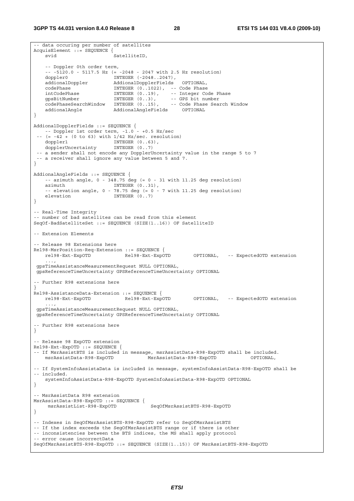-- data occuring per number of satellites

```
AcquisElement ::= SEQUENCE { 
    svid SatelliteID,
     -- Doppler 0th order term, 
     -- -5120.0 - 5117.5 Hz (= -2048 - 2047 with 2.5 Hz resolution) 
   doppler0 			 INTEGER (-2048..2047),
   dopplers<br>addionalDoppler AddionalDopplerFields OPTIONAL,<br>codePhase INTEGER (0..1022), -- CodePhase
                          INTEGER (0..1022), -- Code Phase
 intCodePhase INTEGER (0..19), -- Integer Code Phase 
 gpsBitNumber INTEGER (0..3), -- GPS bit number 
 codePhaseSearchWindow INTEGER (0..15), -- Code Phase Search Window 
 addionalAngle AddionalAngleFields OPTIONAL 
} 
AddionalDopplerFields ::= SEQUENCE { 
    -- Doppler 1st order term, -1.0 - +0.5 Hz/sec 
   (= -42 + (0 \text{ to } 63) \text{ with } 1/42 \text{ Hz/sec. resolution})doppler1 INTEGER (0..63),<br>dopplerUncertainty INTEGER (0..7)
   dopplerUncertainty
  -- a sender shall not encode any DopplerUncertainty value in the range 5 to 7 
  -- a receiver shall ignore any value between 5 and 7. 
} 
AddionalAngleFields ::= SEQUENCE { 
    -- azimuth angle, 0 - 348.75 deg (= 0 - 31 with 11.25 deg resolution)
   azimuth INTEGER (0..31),
    -- elevation angle, 0 - 78.75 deg (= 0 - 7 with 11.25 deg resolution)
   elevation INTEGER (0..7)
} 
-- Real-Time Integrity 
-- number of bad satellites can be read from this element 
SeqOf-BadSatelliteSet ::= SEQUENCE (SIZE(1..16)) OF SatelliteID 
 -- Extension Elements 
-- Release 98 Extensions here 
Rel98-MsrPosition-Req-Extension ::= SEQUENCE { 
 rel98-Ext-ExpOTD Rel98-Ext-ExpOTD OPTIONAL, -- ExpectedOTD extension 
 ..., 
 gpsTimeAssistanceMeasurementRequest NULL OPTIONAL, 
 gpsReferenceTimeUncertainty GPSReferenceTimeUncertainty OPTIONAL 
 -- Further R98 extensions here 
} 
Rel98-AssistanceData-Extension ::= SEQUENCE { 
   rel98-Ext-ExpOTD Rel98-Ext-ExpOTD OPTIONAL, -- ExpectedOTD extension 
 ..., 
 gpsTimeAssistanceMeasurementRequest NULL OPTIONAL, 
 gpsReferenceTimeUncertainty GPSReferenceTimeUncertainty OPTIONAL 
-- Further R98 extensions here 
} 
-- Release 98 ExpOTD extension 
Rel98-Ext-ExpOTD ::= SEQUENCE { 
-- If MsrAssistBTS is included in message, msrAssistData-R98-ExpOTD shall be included. 
    msrAssistData-R98-ExpOTD MsrAssistData-R98-ExpOTD OPTIONAL, 
-- If SystemInfoAssistaData is included in message, systemInfoAssistData-R98-ExpOTD shall be 
-- included. 
    systemInfoAssistData-R98-ExpOTD SystemInfoAssistData-R98-ExpOTD OPTIONAL 
} 
-- MsrAssistData R98 extension 
MsrAssistData-R98-ExpOTD ::= SEQUENCE { 
     msrAssistList-R98-ExpOTD SeqOfMsrAssistBTS-R98-ExpOTD 
} 
-- Indexes in SeqOfMsrAssistBTS-R98-ExpOTD refer to SeqOfMsrAssistBTS 
-- If the index exceeds the SegOfMsrAssistBTS range or if there is other 
-- inconsistencies between the BTS indices, the MS shall apply protocol 
-- error cause incorrectData 
SeqOfMsrAssistBTS-R98-ExpOTD ::= SEQUENCE (SIZE(1..15)) OF MsrAssistBTS-R98-ExpOTD
```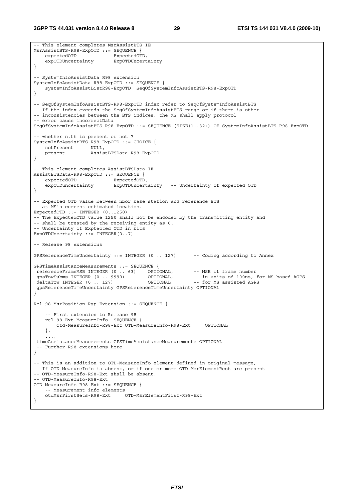**3GPP TS 44.031 version 8.4.0 Release 8 29 ETSI TS 144 031 V8.4.0 (2009-10)**

```
-- This element completes MsrAssistBTS IE 
MsrAssistBTS-R98-ExpOTD ::= SEQUENCE { 
   expectedOTD ExpectedOTD,
     expOTDUncertainty ExpOTDUncertainty 
} 
-- SystemInfoAssistData R98 extension 
SystemInfoAssistData-R98-ExpOTD ::= SEQUENCE { 
    systemInfoAssistListR98-ExpOTD SeqOfSystemInfoAssistBTS-R98-ExpOTD 
} 
-- SeqOfSystemInfoAssistBTS-R98-ExpOTD index refer to SeqOfSystemInfoAssistBTS 
-- If the index exceeds the SegOfSystemInfoAssistBTS range or if there is other 
-- inconsistencies between the BTS indices, the MS shall apply protocol 
-- error cause incorrectData 
SeqOfSystemInfoAssistBTS-R98-ExpOTD ::= SEQUENCE (SIZE(1..32)) OF SystemInfoAssistBTS-R98-ExpOTD 
-- whether n.th is present or not ? 
SystemInfoAssistBTS-R98-ExpOTD ::= CHOICE { 
   notPresent NULL,<br>present Assis
                     present AssistBTSData-R98-ExpOTD 
} 
-- This element completes AssistBTSData IE 
AssistBTSData-R98-ExpOTD ::= SEQUENCE { 
   expectedOTD ExpectedOTD,
    expOTDuncertainty ExpOTDUncertainty -- Uncertainty of expected OTD 
} 
-- Expected OTD value between nbor base station and reference BTS 
-- at MS's current estimated location. 
ExpectedOTD ::= INTEGER (0..1250) 
-- The ExpectedOTD value 1250 shall not be encoded by the transmitting entity and 
-- shall be treated by the receiving entity as 0. 
-- Uncertainty of Exptected OTD in bits 
ExpOTDUncertainty := INTEGER(0..7)
-- Release 98 extensions 
GPSReferenceTimeUncertainty ::= INTEGER (0 .. 127) -- Coding according to Annex 
GPSTimeAssistanceMeasurements ::= SEQUENCE { 
The TerenceFrameMSB INTEGER (0 . . 63) OPTIONAL, -- MSB of frame number<br>gpsTowSubms INTEGER (0 . . . . 9999) OPTIONAL, -- in units of 100ns, for MS based AGPS<br>deltaTow INTEGER (0 . . . 127) OPTIONAL, -- for MS assisted AGP
gpsTowSubms INTEGER (0 .. 9999) OPTIONAL, -- in units of 100ns, for MS based AGPS
deltaTow INTEGER (0 .. 127) OPTIONAL, -- for MS assisted AGPS
 gpsReferenceTimeUncertainty GPSReferenceTimeUncertainty OPTIONAL 
} 
Rel-98-MsrPosition-Rsp-Extension ::= SEQUENCE { 
     -- First extension to Release 98 
     rel-98-Ext-MeasureInfo SEQUENCE { 
         otd-MeasureInfo-R98-Ext OTD-MeasureInfo-R98-Ext OPTIONAL 
     }, 
 ..., 
  timeAssistanceMeasurements GPSTimeAssistanceMeasurements OPTIONAL 
   -- Further R98 extensions here 
} 
-- This is an addition to OTD-MeasureInfo element defined in original message, 
-- If OTD-MeasureInfo is absent, or if one or more OTD-MsrElementRest are present 
-- OTD-MeasureInfo-R98-Ext shall be absent. 
-- OTD-MeasureInfo-R98-Ext 
OTD-MeasureInfo-R98-Ext ::= SEQUENCE { 
    -- Measurement info elements<br>otdMsrFirstSets-R98-Ext
                                 OTD-MsrElementFirst-R98-Ext
}
```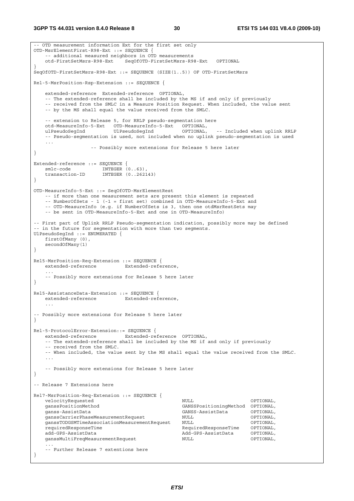```
-- OTD measurement information Ext for the first set only 
OTD-MsrElementFirst-R98-Ext ::= SEQUENCE { 
    -- additional measured neighbors in OTD measurements 
    otd-FirstSetMsrs-R98-Ext SeqOfOTD-FirstSetMsrs-R98-Ext OPTIONAL 
} 
SeqOfOTD-FirstSetMsrs-R98-Ext ::= SEQUENCE (SIZE(1..5)) OF OTD-FirstSetMsrs 
Rel-5-MsrPosition-Rsp-Extension ::= SEQUENCE { 
    extended-reference Extended-reference OPTIONAL, 
    -- The extended-reference shall be included by the MS if and only if previously 
    -- received from the SMLC in a Measure Position Request. When included, the value sent 
    -- by the MS shall equal the value received from the SMLC. 
    -- extension to Release 5, for RRLP pseudo-segmentation here 
    otd-MeasureInfo-5-Ext OTD-MeasureInfo-5-Ext OPTIONAL, 
    ulPseudoSegInd UlPseudoSegInd OPTIONAL, -- Included when uplink RRLP 
     -- Pseudo-segmentation is used, not included when no uplink pseudo-segmentation is used 
    ... 
                   -- Possibly more extensions for Release 5 here later 
} 
Extended-reference ::= SEQUENCE { 
smlc-code INTEGER (0..63),
 transaction-ID INTEGER (0..262143) 
} 
OTD-MeasureInfo-5-Ext ::= SeqOfOTD-MsrElementRest 
    -- if more than one measurement sets are present this element is repeated 
    -- NumberOfSets - 1 (-1 = first set) combined in OTD-MeasureInfo-5-Ext and 
    -- OTD-MeasureInfo (e.g. if NumberOfSets is 3, then one otdMsrRestSets may 
    -- be sent in OTD-MeasureInfo-5-Ext and one in OTD-MeasureInfo) 
-- First part of Uplink RRLP Pseudo-segmentation indication, possibly more may be defined 
-- in the future for segmentation with more than two segments. 
UlPseudoSegInd ::= ENUMERATED { 
    firstOfMany (0), 
    secondOfMany(1) 
} 
Rel5-MsrPosition-Req-Extension ::= SEQUENCE { 
    extended-reference Extended-reference, 
 ... 
    -- Possibly more extensions for Release 5 here later 
} 
Rel5-AssistanceData-Extension ::= SEQUENCE { 
   extended-reference Extended-reference, 
 ... 
-- Possibly more extensions for Release 5 here later 
} 
Rel-5-ProtocolError-Extension::= SEQUENCE { 
   extended-reference Extended-reference OPTIONAL, 
    -- The extended-reference shall be included by the MS if and only if previously 
    -- received from the SMLC. 
    -- When included, the value sent by the MS shall equal the value received from the SMLC. 
 ... 
    -- Possibly more extensions for Release 5 here later 
} 
-- Release 7 Extensions here 
Rel7-MsrPosition-Req-Extension ::= SEQUENCE { 
   velocityRequested and NUL optional,
    ganssPositionMethod GANSSPositioningMethod OPTIONAL, 
    ganss-AssistData GANSS-AssistData OPTIONAL, 
    ganssCarrierPhaseMeasurementRequest NULL OPTIONAL, 
   ganssTODGSMTimeAssociationMeasurementRequest NULL (OPTIONAL, requiredResponseTime OPTIONAL,
                                                  requiredResponseTime RequiredResponseTime OPTIONAL, 
   add-GPS-AssistData and CPS-AssistData OPTIONAL,
    ganssMultiFreqMeasurementRequest NULL OPTIONAL, 
 ... 
    -- Further Release 7 extentions here 
}
```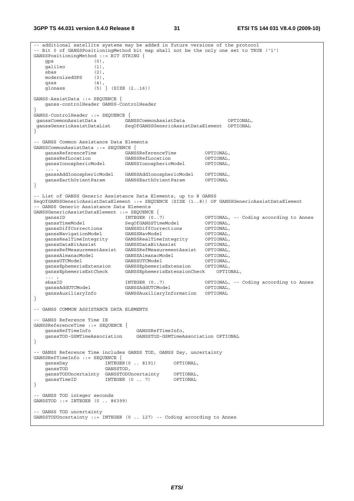**3GPP TS 44.031 version 8.4.0 Release 8 31 ETSI TS 144 031 V8.4.0 (2009-10)**

-- additional satellite systems may be added in future versions of the protocol -- Bit 0 of GANSSPositioningMethod bit map shall not be the only one set to TRUE ('1') GANSSPositioningMethod ::= BIT STRING { gps (0), galileo (1), sbas (2), modernizedGPS (3), qzss (4), glonass (5) } (SIZE (2..16)) GANSS-AssistData ::= SEQUENCE { ganss-controlHeader GANSS-ControlHeader } GANSS-ControlHeader ::= SEQUENCE { ganssCommonAssistData GANSSCommonAssistData OPTIONAL, ganssGenericAssistDataList SeqOfGANSSGenericAssistDataElement OPTIONAL } -- GANSS Common Assistance Data Elements GANSSCommonAssistData ::= SEQUENCE { ganssReferenceTime GANSSReferenceTime OPTIONAL, ganssRefLocation GANSSRefLocation OPTIONAL, ganssIonosphericModel GANSSIonosphericModel OPTIONAL, ganssAddIonosphericModel GANSSAddIonosphericModel OPTIONAL, ganssEarthOrientParam GANSSEarthOrientParam OPTIONAL } -- List of GANSS Generic Assistance Data Elements, up to 8 GANSS SeqOfGANSSGenericAssistDataElement ::= SEQUENCE (SIZE (1..8)) OF GANSSGenericAssistDataElement .<br>- GANSS Generic Assistance Data Elements GANSSGenericAssistDataElement ::= SEQUENCE { ganssID INTEGER (0..7) OPTIONAL, -- Coding according to Annex ganssTimeModel SeqOfGANSSTimeModel OPTIONAL, ganssDiffCorrections GANSSDiffCorrections OPTIONAL, ganssNavigationModel GANSSNavModel OPTIONAL, ganssRealTimeIntegrity GANSSRealTimeIntegrity OPTIONAL, ganssDataBitAssist GANSSDataBitAssist OPTIONAL, ganssRefMeasurementAssist GANSSRefMeasurementAssist OPTIONAL, ganssAlmanacModel GANSSAlmanacModel OPTIONAL, ganssUTCModel GANSSUTCModel OPTIONAL, ganssEphemerisExtension GANSSEphemerisExtension OPTIONAL, ganssEphemerisExtCheck GANSSEphemerisExtensionCheck OPTIONAL,  $\ldots$  ,  $\ldots$  ,  $\ldots$  sbasID INTEGER (0..7) OPTIONAL, -- Coding according to Annex ganssAuxiliaryInfo<br>GanssAuxiliaryInfo GANSSAuxiliaryInformation OPTIONAL } -- GANSS COMMON ASSISTANCE DATA ELEMENTS -- GANSS Reference Time IE GANSSReferenceTime ::= SEQUENCE { GANSSRefTimeInfo, ganssTOD-GSMTimeAssociation GANSSTOD-GSMTimeAssociation OPTIONAL } -- GANSS Reference Time includes GANSS TOD, GANSS Day, uncertainty GANSSRefTimeInfo ::= SEQUENCE { ganssDay INTEGER(0 .. 8191) OPTIONAL, ganssTOD GANSSTOD, ganssTODUncertainty GANSSTODUncertainty OPTIONAL, ganssTimeID INTEGER (0 .. 7) OPTIONAL } -- GANSS TOD integer seconds GANSSTOD ::= INTEGER (0 .. 86399) -- GANSS TOD uncertainty GANSSTODUncertainty ::= INTEGER (0 .. 127) -- Coding according to Annex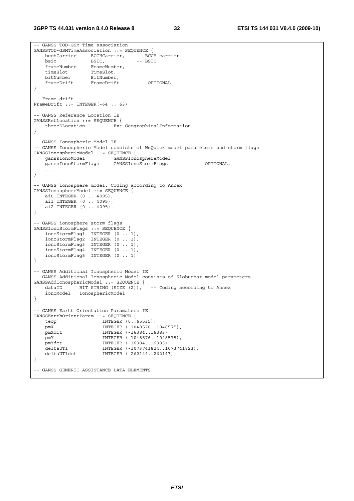```
-- GANSS TOD-GSM Time association 
GANSSTOD-GSMTimeAssociation ::= SEOUENCE {
  bcchCarrier BCCHCarrier, -- BCCH carrier<br>bsic BSIC, -- BSIC
bsic BSIC, -- BSIC
 frameNumber FrameNumber, 
 timeSlot TimeSlot, 
 bitNumber BitNumber, 
 frameDrift FrameDrift OPTIONAL 
} 
 -- Frame drift 
FrameDrift ::= INTEGER(-64 .. 63) 
-- GANSS Reference Location IE 
GANSSRefLocation ::= SEQUENCE { 
   threeDLocation Ext-GeographicalInformation 
} 
-- GANSS Ionospheric Model IE 
-- GANSS Ionospheric Model consists of NeQuick model parameters and storm flags 
GANSSIonosphericModel ::= SEQUENCE { 
 ganssIonoModel GANSSIonosphereModel, 
 ganssIonoStormFlags GANSSIonoStormFlags OPTIONAL, 
    ... 
} 
-- GANSS ionosphere model. Coding according to Annex 
GANSSIonosphereModel ::= SEQUENCE { 
    ai0 INTEGER (0 .. 4095), 
    ai1 INTEGER (0 .. 4095), 
    ai2 INTEGER (0 .. 4095) 
} 
-- GANSS ionosphere storm flags 
GANSSIonoStormFlags ::= SEQUENCE { 
 ionoStormFlag1 INTEGER (0 .. 1), 
 ionoStormFlag2 INTEGER (0 .. 1), 
 ionoStormFlag3 INTEGER (0 .. 1), 
 ionoStormFlag4 INTEGER (0 .. 1), 
 ionoStormFlag5 INTEGER (0 .. 1) 
} 
-- GANSS Additional Ionospheric Model IE 
-- GANSS Additional Ionospheric Model consists of Klobuchar model parameters 
GANSSAddIonosphericModel ::= SEQUENCE { 
 dataID BIT STRING (SIZE (2)), -- Coding according to Annex 
 ionoModel IonosphericModel 
} 
-- GANSS Earth Orientation Paramaters IE 
GANSSEarthOrientParam ::= SEQUENCE { 
   teop INTEGER (0..65535),
    pmX INTEGER (-1048576..1048575), 
    pmXdot INTEGER (-16384..16383), 
 pmY INTEGER (-1048576..1048575), 
 pmYdot INTEGER (-16384..16383), 
   pmYdot     INTEGER (-16384..16383),<br>deltaUT1   INTEGER (-1073741824..1073741823),<br>deltaUT1dot   INTEGER (-262144..262143)
                      INTEGER (-262144..262143)
} 
-- GANSS GENERIC ASSISTANCE DATA ELEMENTS
```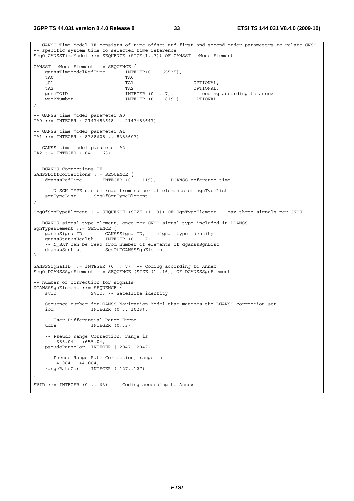**3GPP TS 44.031 version 8.4.0 Release 8 33 ETSI TS 144 031 V8.4.0 (2009-10)**

```
-- GANSS Time Model IE consists of time offset and first and second order parameters to relate GNSS 
-- specific system time to selected time reference 
SeqOfGANSSTimeModel ::= SEQUENCE (SIZE(1..7)) OF GANSSTimeModelElement 
GANSSTimeModelElement ::= SEQUENCE { 
    ganssTimeModelRefTime INTEGER(0 .. 65535), 
ta0 TAO,
    tA1 TA1 OPTIONAL, 
    tA2 TA2 OPTIONAL, 
                                                    -- coding according to annex
    weekNumber INTEGER (0 .. 8191) OPTIONAL 
} 
-- GANSS time model parameter A0 
TA0 ::= INTEGER (-2147483648 .. 2147483647) 
-- GANSS time model parameter A1 
TA1 ::= INTEGER (-8388608 .. 8388607) 
-- GANSS time model parameter A2 
TA2 ::= INTEGER (-64 .. 63) 
 -- DGANSS Corrections IE 
GANSSDiffCorrections ::= SEQUENCE { 
   dganssRefTime INTEGER (0 .. 119), -- DGANSS reference time
   -- N_SGN_TYPE can be read from number of elements of sgnTypeList
    sgnTypeList SeqOfSgnTypeElement 
} 
SeqOfSgnTypeElement ::= SEQUENCE (SIZE (1..3)) OF SgnTypeElement -- max three signals per GNSS 
-- DGANSS signal type element, once per GNSS signal type included in DGANSS 
SgnTypeElement ::= SEQUENCE { 
                      GANSSSignalID, -- signal type identity<br>INTEGER (0 .. 7),
   ganssStatusHealth
    -- N_SAT can be read from number of elements of dganssSgnList 
    dganssSgnList SeqOfDGANSSSgnElement 
} 
GANSSSignalID ::= INTEGER (0 .. 7) -- Coding according to Annex
SeqOfDGANSSSgnElement ::= SEQUENCE (SIZE (1..16)) OF DGANSSSgnElement 
-- number of correction for signals 
DGANSSSgnElement ::= SEQUENCE { 
    svID SVID, -- Satellite identity 
--- Sequence number for GANSS Navigation Model that matches the DGANSS correction set 
    iod INTEGER (0 .. 1023), 
    -- User Differential Range Error 
   udre INTEGER (0..3),
    -- Pseudo Range Correction, range is 
    -- -655.04 - +655.04, 
    pseudoRangeCor INTEGER (-2047..2047), 
    -- Pseudo Range Rate Correction, range is 
   - - 4.064 - 4.064,
    rangeRateCor INTEGER (-127..127) 
} 
SVID ::= INTEGER (0 .. 63) -- Coding according to Annex
```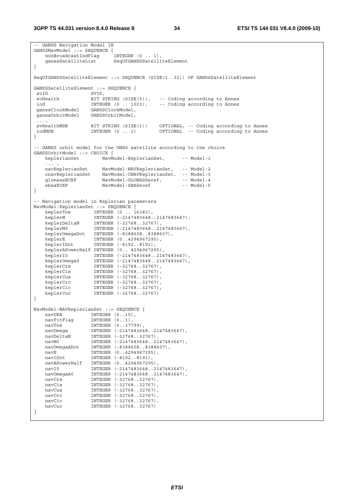```
-- GANSS Navigation Model IE 
GANSSNavModel::= SEOUENCE {
    nonBroadcastIndFlag INTEGER (0 .. 1), 
    ganssSatelliteList SeqOfGANSSSatelliteElement 
} 
SeqOfGANSSSatelliteElement ::= SEQUENCE (SIZE(1..32)) OF GANSSSatelliteElement 
GANSSSatelliteElement ::= SEQUENCE {<br>svID SVID.
 svID SVID, 
                 BIT STRING (SIZE(5)), -- Coding according to Annex<br>INTEGER (0 .. 1023), -- Coding according to Annex
 iod INTEGER (0 .. 1023), -- Coding according to Annex 
 ganssClockModel GANSSClockModel, 
 ganssOrbitModel GANSSOrbitModel, 
  ..., 
 svHealthMSB BIT STRING (SIZE(1)) OPTIONAL, -- Coding according to Annex 
 iodMSB INTEGER (0 .. 1) OPTIONAL -- Coding according to Annex 
} 
-- GANSS orbit model for the GNSS satellite according to the choice 
GANSSOrbitModel ::= CHOICE { 
   keplerianSet NavModel-KeplerianSet, -- Model-1
   ... ,<br>navKeplerianSet
 navKeplerianSet NavModel-NAVKeplerianSet, -- Model-2 
 cnavKeplerianSet NavModel-CNAVKeplerianSet, -- Model-3 
glonassECEF NavModel-GLONASSecef, -- Model-4
    sbasECEF NavModel-SBASecef -- Model-5 
} 
-- Navigation model in Keplerian parameters 
NavModel-KeplerianSet ::= SEQUENCE { 
 keplerToe INTEGER (0 .. 16383), 
 keplerW INTEGER (-2147483648..2147483647), 
 keplerDeltaN INTEGER (-32768..32767), 
 keplerM0 INTEGER (-2147483648..2147483647), 
 keplerOmegaDot INTEGER (-8388608..8388607), 
 keplerE INTEGER (0..4294967295), 
 keplerIDot INTEGER (-8192..8191), 
    keplerAPowerHalf INTEGER (0.. 4294967295), 
 keplerI0 INTEGER (-2147483648..2147483647), 
 keplerOmega0 INTEGER (-2147483648..2147483647), 
 keplerCrs INTEGER (-32768..32767), 
 keplerCis INTEGER (-32768..32767), 
 keplerCus INTEGER (-32768..32767), 
 keplerCrc INTEGER (-32768..32767), 
 keplerCic INTEGER (-32768..32767), 
 keplerCuc INTEGER (-32768..32767) 
} 
NavModel-NAVKeplerianSet ::= SEQUENCE { 
   navURA INTEGER (0..15),<br>navFitFlag INTEGER (0..1),
 navFitFlag INTEGER (0..1), 
navToe INTEGER (0..37799),
 navOmega INTEGER (-2147483648..2147483647), 
 navDeltaN INTEGER (-32768..32767), 
 navM0 INTEGER (-2147483648..2147483647), 
 navOmegaADot INTEGER (-8388608..8388607), 
 navE INTEGER (0..4294967295), 
    navIDot INTEGER (-8192..8191), 
 navAPowerHalf INTEGER (0..4294967295), 
 navI0 INTEGER (-2147483648..2147483647), 
 navOmegaA0 INTEGER (-2147483648..2147483647), 
 navCrs INTEGER (-32768..32767), 
 navCis INTEGER (-32768..32767), 
   navCis INTEGER (-32768..32767), navCus INTEGER (-32768..32767),
   navCrc INTEGER (-32768..32767),<br>navCic INTEGER (-32768..32767).
 navCic INTEGER (-32768..32767), 
 navCuc INTEGER (-32768..32767) 
}
```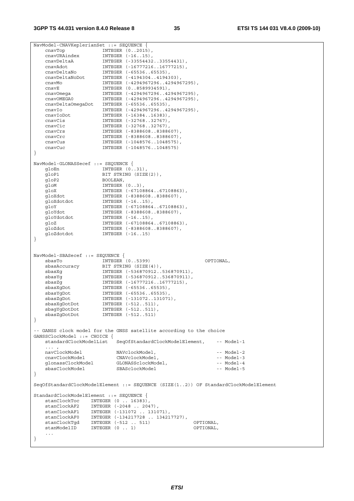NavModel-CNAVKeplerianSet ::= SEQUENCE { cnavTop INTEGER (0..2015), cnavURAindex INTEGER (-16..15), cnavDeltaA INTEGER (-33554432..33554431), cnavAdot INTEGER (-16777216..16777215), cnavDeltaNo INTEGER (-65536..65535), cnavDeltaNoDot INTEGER (-4194304..4194303), cnavMo INTEGER (-4294967296..4294967295), cnavE INTEGER (0..8589934591), cnavOmega INTEGER (-4294967296..4294967295), cnavOMEGA0 INTEGER (-4294967296..4294967295), cnavDeltaOmegaDot INTEGER (-65536..65535), cnavIo INTEGER (-4294967296..4294967295), cnavIoDot INTEGER (-16384..16383), cnavCis INTEGER (-32768..32767), CHAVIODOC MINISTRY (1999)<br>
CHAVCIS INTEGER (-32768..32767),<br>
CHAVCIC INTEGER (-32768..32767),<br>
CHAVCIS INTEGER (-8388608..83886 cnavCrs INTEGER (-8388608..8388607), cnavCrc INTEGER (-8388608..8388607), cnavCus INTEGER (-1048576..1048575), cnavCus INTEGER (-1048576..1048575)<br>cnavCuc INTEGER (-1048576..1048575) } NavModel-GLONASSecef ::= SEQUENCE { gloEn INTEGER (0..31),<br>gloP1 BIT STRING (SIZE BIT STRING (SIZE(2)), gloP2 BOOLEAN, gloM INTEGER (0..3), gloX INTEGER (-67108864..67108863), gloXdot INTEGER (-8388608..8388607), gloXdotdot INTEGER (-16..15), gloY INTEGER (-67108864..67108863), gloYdot INTEGER (-8388608..8388607), gloYdotdot INTEGER (-16..15), gloZ INTEGER (-67108864..67108863), gloZdot INTEGER (-8388608..8388607), gloZdotdot INTEGER (-16..15) } NavModel-SBASecef ::= SEQUENCE { sbasTo INTEGER (0..5399) OPTIONAL, sbasAccuracy BIT STRING (SIZE(4)), sbasXg INTEGER (-536870912..536870911), sbasYg INTEGER (-536870912..536870911), sbasZg INTEGER (-16777216..16777215), sbasXgDot INTEGER (-65536..65535), sbasYgDot INTEGER (-65536..65535), sbasZgDot INTEGER (-131072..131071), sbasXgDotDot INTEGER (-512..511), sbagYgDotDot INTEGER (-512..511), sbasZgDotDot INTEGER (-512..511) } -- GANSS clock model for the GNSS satellite according to the choice GANSSClockModel ::= CHOICE { standardClockModelList SeqOfStandardClockModelElement, -- Model-1  $\ldots$  ,  $\ldots$  ,  $\ldots$  navClockModel NAVclockModel, -- Model-2 cnavClockModel CNAVclockModel, -- Model-3 glonassClockModel GLONASSclockModel, -- Model-4 العامدين بين المستحدة المستحدة المستحدة المستحدة المستحدة المستحدة المستحدة المستحدة المستحدة المستحدة المستح<br>SBASclockModel -- Model-5<br>SBASclockModel -- Model-5 } SeqOfStandardClockModelElement ::= SEQUENCE (SIZE(1..2)) OF StandardClockModelElement StandardClockModelElement ::= SEQUENCE { stanClockToc INTEGER (0 .. 16383), stanClockAF2 INTEGER (-2048 .. 2047), stanClockAF1 INTEGER (-131072 .. 131071), stanClockAF0 INTEGER (-134217728 .. 134217727), stanClockTgd INTEGER (-512 .. 511) OPTIONAL,  $stanModelID$  INTEGER  $(0 \ldots 1)$  ... }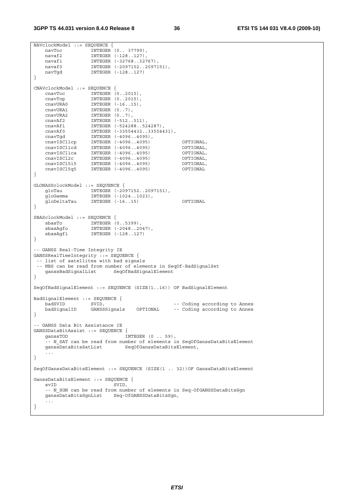```
NAVclockModel ::= SEQUENCE { 
 navToc INTEGER (0.. 37799), 
 navaf2 INTEGER (-128..127), 
 navaf1 INTEGER (-32768..32767), 
 navaf0 INTEGER (-2097152..2097151), 
 navTgd INTEGER (-128..127) 
} 
CNAVclockModel ::= SEQUENCE { 
 cnavToc INTEGER (0..2015), 
 cnavTop INTEGER (0..2015), 
 cnavURA0 INTEGER (-16..15), 
 cnavURA1 INTEGER (0..7), 
 cnavURA2 INTEGER (0..7), 
 cnavAf2 INTEGER (-512..511), 
 cnavAf1 INTEGER (-524288..524287), 
 cnavAf0 INTEGER (-33554432..33554431), 
 cnavTgd INTEGER (-4096..4095), 
 cnavISCl1cp INTEGER (-4096..4095) OPTIONAL, 
 cnavISCl1cd INTEGER (-4096..4095) OPTIONAL, 
 cnavISCl1ca INTEGER (-4096..4095) OPTIONAL, 
 cnavISCl2c INTEGER (-4096..4095) OPTIONAL, 
 cnavISCl5i5 INTEGER (-4096..4095) OPTIONAL, 
 cnavISCl5q5 INTEGER (-4096..4095) OPTIONAL 
} 
GLONASSclockModel ::= SEQUENCE { 
 gloTau INTEGER (-2097152..2097151), 
 gloGamma INTEGER (-1024..1023), 
    gloDeltaTau INTEGER (-16..15) OPTIONAL 
} 
SBASclockModel ::= SEQUENCE { 
 sbasTo INTEGER (0..5399), 
 sbasAgfo INTEGER (-2048..2047), 
 sbasAgf1 INTEGER (-128..127) 
} 
-- GANSS Real-Time Integrity IE 
GANSSRealTimeIntegrity ::= SEQUENCE { 
 -- list of satellites with bad signals 
 -- NBS can be read from number of elements in SeqOf-BadSignalSet 
    ganssBadSignalList SeqOfBadSignalElement 
} 
SeqOfBadSignalElement ::= SEQUENCE (SIZE(1..16)) OF BadSignalElement 
BadSignalElement ::= SEQUENCE { 
badSVID SVID, SVID, \sim -- Coding according to Annex
 badSignalID GANSSSignals OPTIONAL -- Coding according to Annex 
} 
-- GANSS Data Bit Assistance IE 
GANSSDataBitAssist ::= SEQUENCE { 
  ganssTOD INTEGER (0 . 59),
    -- N_SAT can be read from number of elements in SeqOfGanssDataBitsElement 
   ganssDataBitsSatList SeqOfGanssDataBitsElement,
 ... 
} 
SeqOfGanssDataBitsElement ::= SEQUENCE (SIZE(1 .. 32))OF GanssDataBitsElement 
GanssDataBitsElement ::= SEQUENCE { 
   svID SVID,
   -- N SGN can be read from number of elements in Seq-OfGANSSDataBitsSgn
    ganssDataBitsSgnList Seq-OfGANSSDataBitsSgn, 
    ... 
}
```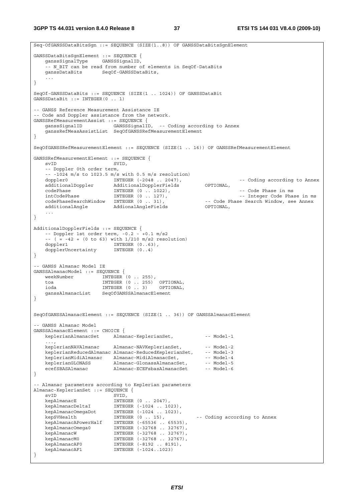**3GPP TS 44.031 version 8.4.0 Release 8 37 ETSI TS 144 031 V8.4.0 (2009-10)**

```
Seq-OfGANSSDataBitsSgn ::= SEQUENCE (SIZE(1..8)) OF GANSSDataBitsSgnElement 
GANSSDataBitsSgnElement ::= SEQUENCE { 
    ganssSignalType GANSSSignalID, 
     -- N_BIT can be read from number of elements in SeqOf-DataBits 
     ganssDataBits SeqOf-GANSSDataBits, 
 ... 
} 
SeqOf-GANSSDataBits ::= SEQUENCE (SIZE(1 .. 1024)) OF GANSSDataBit 
GANSSDataBit ::= INTEGER(0 .. 1) 
-- GANSS Reference Measurement Assistance IE 
-- Code and Doppler assistance from the network. 
GANSSRefMeasurementAssist ::= SEQUENCE { 
     ganssSignalID GANSSSignalID, -- Coding according to Annex 
     ganssRefMeasAssistList SeqOfGANSSRefMeasurementElement 
} 
SeqOfGANSSRefMeasurementElement ::= SEQUENCE (SIZE(1 .. 16)) OF GANSSRefMeasurementElement 
GANSSRefMeasurementElement ::= SEQUENCE { 
   svID SVID.
     -- Doppler 0th order term, 
    -- -1024 m/s to 1023.5 m/s with 0.5 m/s resolution)<br>doppler0 		 INTEGER (-2048 \ldots 2047),
    doppler0 INTEGER (-2048 .. 2047), -- Coding according to Annex<br>additionalDoppler AdditionalDopplerFields OPTIONAL,<br>codePhase in ms<br>\text{codePhase in ms} -- Code Phase in ms
   additionalDoppler AdditionalDopplerFields
 codePhase INTEGER (0 .. 1022), -- Code Phase in ms 
 intCodePhase INTEGER (0 .. 127), -- Integer Code Phase in ms 
    codePhaseSearchWindow INTEGER (0 . 31),    -- Code Phase Search Window, see Annex additionalAngle    -- AddionalAngleFields    -- Code Phase Search Window, see Annex
                             AddionalAngleFields
     ... 
} 
AdditionalDopplerFields ::= SEQUENCE { 
    -- Doppler 1st order term, -0.2 - +0.1 m/s2
    -(-(-8.42 + (0 \text{ to } 63)) \text{ with } 1/210 \text{ m/s2 resolution}) doppler1 INTEGER (0..63), 
    dopplerUncertainty
} 
-- GANSS Almanac Model IE 
GANSSAlmanacModel ::= SEQUENCE { 
    weekNumber INTEGER (0..255),<br>toa INTEGER (0..255)
           INTEGER (0 .. 255) OPTIONAL,
     ioda INTEGER (0 .. 3) OPTIONAL, 
     ganssAlmanacList SeqOfGANSSAlmanacElement 
} 
SeqOfGANSSAlmanacElement ::= SEQUENCE (SIZE(1 .. 36)) OF GANSSAlmanacElement 
 -- GANSS Almanac Model 
GANSSAlmanacElement ::= CHOICE { 
   keplerianAlmanacSet Almanac-KeplerianSet, -- Model-1
 ..., 
    keplerianNAVAlmanac Almanac-NAVKeplerianSet, -- Model-2
    keplerianReducedAlmanac Almanac-ReducedKeplerianSet, -- Model-3
    keplerianMidiAlmanac Almanac-MidiAlmanacSet, -- Model-4<br>keplerianMidiAlmanac Almanac-MidiAlmanacSet, -- Model-4<br>keplerianGLONASS Almanac-GlonassAlmanacSet, -- Model-5
keplerianGLONASS Almanac-GlonassAlmanacSet, -- Model-5
 ecefSBASAlmanac Almanac-ECEFsbasAlmanacSet -- Model-6 
} 
-- Almanac parameters according to Keplerian parameters 
Almanac-KeplerianSet ::= SEQUENCE { 
    svID<br>
kepAlmanacE                         INTEGER (0 .. 2047),
kepAlmanacE INTEGER (0 .. 2047),
 kepAlmanacDeltaI INTEGER (-1024 .. 1023), 
 kepAlmanacOmegaDot INTEGER (-1024 .. 1023), 
 kepSVHealth INTEGER (0 .. 15), -- Coding according to Annex 
    kepbvnearen ministrationen ministrationen (d. 1997),<br>kepAlmanacAPowerHalf INTEGER (-65536 .. 65535),
 kepAlmanacOmega0 INTEGER (-32768 .. 32767), 
 kepAlmanacW INTEGER (-32768 .. 32767), 
    kepAlmanacW INTEGER (-32768 . 32767),<br>kepAlmanacM0 INTEGER (-32768 . 32767),<br>kepAlmanacAF0 INTEGER (-32768 . 32767),<br>kepAlmanacAF1 INTEGER (-1024 ..1023)
                              INTEGER (-8192 .. 8191),
                             INTEGER (-1024..1023)
}
```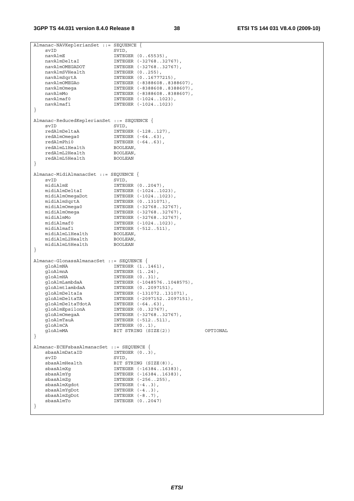| Almanac-NAVKeplerianSet ::= SEQUENCE {     |                            |          |
|--------------------------------------------|----------------------------|----------|
| svID                                       | SVID,                      |          |
| navAlmE                                    | INTEGER (065535),          |          |
| navAlmDeltaI                               | INTEGER (-3276832767),     |          |
| navAlmOMEGADOT                             | INTEGER (-3276832767),     |          |
| navAlmSVHealth                             | INTEGER $(0255)$ ,         |          |
| navAlmSqrtA                                | INTEGER (016777215),       |          |
| navAlmOMEGAo                               | INTEGER (-83886088388607), |          |
| navAlmOmeqa                                | INTEGER (-83886088388607), |          |
| navAlmMo                                   | INTEGER (-83886088388607), |          |
| navAlmaf0                                  | INTEGER (-10241023),       |          |
| navAlmaf1                                  | INTEGER (-10241023)        |          |
| }                                          |                            |          |
|                                            |                            |          |
| Almanac-ReducedKeplerianSet ::= SEQUENCE { |                            |          |
| svID                                       | SVID,                      |          |
| redAlmDeltaA                               | INTEGER (-128127),         |          |
| redAlmOmega0                               | INTEGER $(-6463)$ ,        |          |
| redAlmPhi0                                 | INTEGER $(-6463)$ ,        |          |
| redAlmL1Health                             | BOOLEAN,                   |          |
| redAlmL2Health                             | BOOLEAN,                   |          |
| redAlmL5Health                             | <b>BOOLEAN</b>             |          |
| }                                          |                            |          |
|                                            |                            |          |
| Almanac-MidiAlmanacSet ::= SEQUENCE {      |                            |          |
| svID                                       | SVID,                      |          |
| midiAlmE                                   | INTEGER $(02047)$ ,        |          |
| midiAlmDeltaI                              | INTEGER (-10241023),       |          |
| midiAlmOmegaDot                            | INTEGER (-10241023),       |          |
| midiAlmSqrtA                               | INTEGER (0131071),         |          |
| midiAlmOmega0                              | INTEGER (-3276832767),     |          |
| midiAlmOmeqa                               | INTEGER (-3276832767),     |          |
| midiAlmMo                                  | INTEGER (-3276832767),     |          |
| midiAlmaf0                                 | INTEGER (-10241023),       |          |
| midiAlmaf1                                 | INTEGER (-512511),         |          |
| midiAlmL1Health                            | BOOLEAN,                   |          |
| midiAlmL2Health                            | BOOLEAN,                   |          |
| midiAlmL5Health                            | <b>BOOLEAN</b>             |          |
| }                                          |                            |          |
|                                            |                            |          |
| Almanac-GlonassAlmanacSet ::= SEQUENCE {   |                            |          |
| qloAlmNA                                   | INTEGER (11461),           |          |
| qloAlmnA                                   | INTEGER $(124)$ ,          |          |
| gloAlmHA                                   | INTEGER $(031)$ ,          |          |
| qloAlmLambdaA                              | INTEGER (-10485761048575), |          |
| gloAlmtlambdaA                             | INTEGER (02097151),        |          |
| qloAlmDeltaIa                              | INTEGER (-131072131071),   |          |
|                                            |                            |          |
| gloAlmDeltaTA                              | INTEGER (-20971522097151), |          |
| gloAlmDeltaTdotA                           | INTEGER $(-6463)$ ,        |          |
| gloAlmEpsilonA                             | INTEGER (032767)           |          |
| qloAlmOmeqaA                               | INTEGER (-3276832767),     |          |
| qloAlmTauA                                 | INTEGER (-512511),         |          |
| qloAlmCA                                   | INTEGER $(01)$ ,           |          |
| qloAlmMA                                   | BIT STRING (SIZE(2))       | OPTIONAL |
| }                                          |                            |          |
|                                            |                            |          |
| Almanac-ECEFsbasAlmanacSet ::= SEQUENCE {  |                            |          |
| sbasAlmDataID                              | INTEGER $(03)$ ,           |          |
| svID                                       | SVID,                      |          |
| sbasAlmHealth                              | BIT STRING (SIZE(8)),      |          |
| sbasAlmXq                                  | INTEGER (-1638416383),     |          |
| sbasAlmYq                                  | INTEGER (-1638416383),     |          |
| sbasAlmZq                                  | INTEGER (-256255),         |          |
| sbasAlmXqdot                               | INTEGER $(-43)$ ,          |          |
| sbasAlmYqDot                               | INTEGER $(-43)$ ,          |          |
| sbasAlmZgDot                               | INTEGER $(-87)$ ,          |          |
| sbasAlmTo<br>$\left\{ \right\}$            | INTEGER (02047)            |          |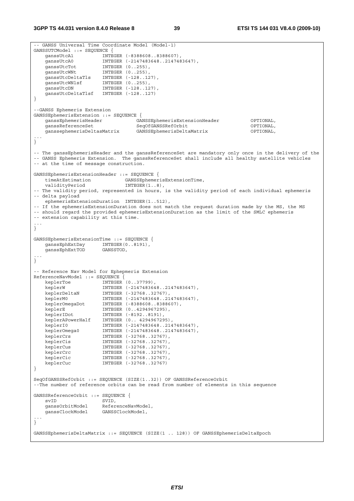```
-- GANSS Universal Time Coordinate Model (Model-1) 
GANSSUTCModel ::= SEQUENCE { 
 ganssUtcA1 INTEGER (-8388608..8388607), 
 ganssUtcA0 INTEGER (-2147483648..2147483647), 
 ganssUtcTot INTEGER (0..255), 
 ganssUtcWNt INTEGER (0..255), 
 ganssUtcDeltaTls INTEGER (-128..127), 
 ganssUtcWNlsf INTEGER (0..255), 
ganssUtcDN INTEGER (-128..127),
   ganssuccent integer (120...27)
} 
--GANSS Ephemeris Extension 
GANSSEphemerisExtension ::= SEQUENCE { 
    ganssEphemerisHeader GANSSEphemerisExtensionHeader OPTIONAL, 
    ganssReferenceSet SeqOfGANSSRefOrbit OPTIONAL, 
    ganssephemerisDeltasMatrix GANSSEphemerisDeltaMatrix OPTIONAL, 
... 
} 
-- The ganssEphemerisHeader and the ganssReferenceSet are mandatory only once in the delivery of the 
-- GANSS Ephemeris Extension. The ganssReferenceSet shall include all healthy satellite vehicles 
-- at the time of message construction. 
GANSSEphemerisExtensionHeader ::= SEQUENCE { 
    timeAtEstimation GANSSEphemerisExtensionTime, 
   validityPeriod INTEGER(1..8),
-- The validity period, represented in hours, is the validity period of each individual ephemeris 
-- delta payload 
    ephemerisExtensionDuration INTEGER(1..512), 
-- If the ephemerisExtensionDuration does not match the request duration made by the MS, the MS 
-- should regard the provided ephemerisExtensionDuration as the limit of the SMLC ephemeris 
-- extension capability at this time.
... 
} 
GANSSEphemerisExtensionTime ::= SEQUENCE { 
   ganssEphExtDay INTEGER(0..8191),
    ganssEphExtTOD GANSSTOD, 
... 
} 
-- Reference Nav Model for Ephepmeris Extension 
ReferenceNavModel ::= SEQUENCE { 
 keplerToe INTEGER (0..37799), 
 keplerW INTEGER (-2147483648..2147483647), 
 keplerDeltaN INTEGER (-32768..32767), 
 keplerM0 INTEGER (-2147483648..2147483647), 
 keplerOmegaDot INTEGER (-8388608..8388607), 
 keplerE INTEGER (0..4294967295), 
 keplerIDot INTEGER (-8192..8191), 
 keplerAPowerHalf INTEGER (0.. 4294967295), 
 keplerI0 INTEGER (-2147483648..2147483647), 
 keplerOmega0 INTEGER (-2147483648..2147483647), 
 keplerCrs INTEGER (-32768..32767), 
 keplerCis INTEGER (-32768..32767), 
 keplerCus INTEGER (-32768..32767), 
 keplerCrc INTEGER (-32768..32767), 
 keplerCic INTEGER (-32768..32767), 
    keplerCuc INTEGER (-32768..32767) 
} 
SeqOfGANSSRefOrbit ::= SEQUENCE (SIZE(1..32)) OF GANSSReferenceOrbit 
--The number of reference orbits can be read from number of elements in this sequence 
GANSSReferenceOrbit ::= SEQUENCE {<br>svID SVID.
   svID SVID,<br>qanssOrbitModel Refer
                     ReferenceNavModel,
    ganssClockModel GANSSClockModel, 
... 
} 
GANSSEphemerisDeltaMatrix ::= SEQUENCE (SIZE(1 .. 128)) OF GANSSEphemerisDeltaEpoch
```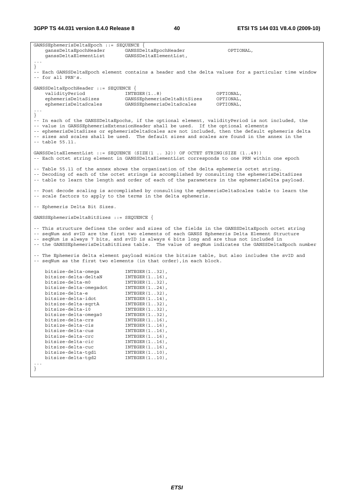**3GPP TS 44.031 version 8.4.0 Release 8 40 ETSI TS 144 031 V8.4.0 (2009-10)**

GANSSEphemerisDeltaEpoch ::= SEQUENCE { ganssDeltaEpochHeader GANSSDeltaEpochHeader OPTIONAL, ganssDeltaElementList GANSSDeltaElementList, ... } -- Each GANSSDeltaEpoch element contains a header and the delta values for a particular time window  $-$  for all PRN's. GANSSDeltaEpochHeader ::= SEQUENCE { validityPeriod INTEGER(1..8) OPTIONAL, ephemerisDeltaSizes GANSSEphemerisDeltaBitSizes OPTIONAL, ephemerisDeltaScales GANSSEphemerisDeltaScales OPTIONAL, ... } -- In each of the GANSSDeltaEpochs, if the optional element, validityPeriod is not included, the -- value in GANSSEphemerisExtensionHeader shall be used. If the optional elements -- ephemerisDeltaSizes or ephemerisDeltaScales are not included, then the default ephemeris delta -- sizes and scales shall be used. The default sizes and scales are found in the annex in the  $--$  table 55.11. GANSSDeltaElementList ::= SEQUENCE (SIZE(1 .. 32)) OF OCTET STRING(SIZE (1..49)) -- Each octet string element in GANSSDeltaElementList corresponds to one PRN within one epoch -- Table 55.11 of the annex shows the organization of the delta ephemeris octet string. -- Decoding of each of the octet strings is accomplished by consulting the ephemerisDeltaSizes -- table to learn the length and order of each of the parameters in the ephemerisDelta payload. -- Post decode scaling is accomplished by consulting the ephemerisDeltaScales table to learn the -- scale factors to apply to the terms in the delta ephemeris. -- Ephemeris Delta Bit Sizes. GANSSEphemerisDeltaBitSizes ::= SEQUENCE { -- This structure defines the order and sizes of the fields in the GANSSDeltaEpoch octet string -- seqNum and svID are the first two elements of each GANSS Ephemeris Delta Element Structure -- seqNum is always 7 bits, and svID is always 6 bits long and are thus not included in -- the GANSSEphemerisDeltaBitSizes table. The value of seqNum indicates the GANSSDeltaEpoch number -- The Ephemeris delta element payload mimics the bitsize table, but also includes the svID and -- seqNum as the first two elements (in that order),in each block. bitsize-delta-omega<br>bitsize-delta-deltaN INTEGER(1..32),<br>bitsize delta-deltaN INTEGER(1..16), bitsize-delta-deltaN<br>bitsize-delta-m0 INTEGER(1..32),<br>INTEGER(1..24),  ${\tt bitsize-delta-omegaedot} \begin{array}{ll} {\tt INTEGER\, (1..24)\,,} \\ {\tt bitsize-delta-e} \end{array}$ bitsize-delta-e bitsize-delta-idot INTEGER(1..14),  ${\tt bitsize-delta-sqrtA} \qquad \qquad {\tt INTEGR(1..32),} \\ {\tt bitsize-delta-i0} \qquad \qquad {\tt INTEGR(1..32),}$  bitsize-delta-i0 INTEGER(1..32), bitsize-delta-omega0 INTEGER(1..32), bitsize-delta-omega0 INTEGER(1..32),<br>bitsize-delta-crs INTEGER(1..16), bitsize-delta-cis INTEGER(1..16),<br>bitsize-delta-cus INTEGER(1..16), bitsize-delta-cus INTEGER(1..16), bitsize-delta-crc INTEGER(1..16), bitsize-delta-cic INTEGER(1..16),<br>bitsize-delta-cuc INTEGER(1..16), bitsize-delta-cuc INTEGER(1..16), bitsize-delta-tgd1 INTEGER(1..10), bitsize-delta-tgd2 INTEGER(1..10), ... }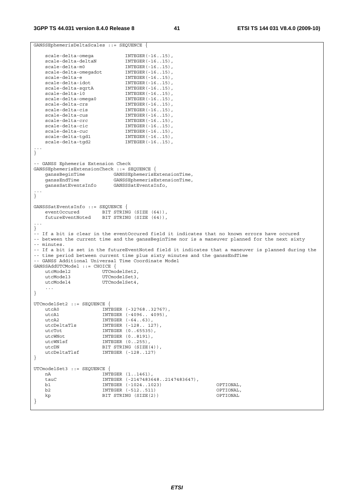```
GANSSEphemerisDeltaScales ::= SEQUENCE { 
 scale-delta-omega INTEGER(-16..15), 
scale-delta-deltaN INTEGER(-16..15),
scale-delta-m0 INTEGER(-16..15),
 scale-delta-omegadot INTEGER(-16..15), 
scale-delta-e INTEGER(-16..15),
scale-delta-idot INTEGER(-16..15),
 scale-delta-sqrtA INTEGER(-16..15), 
scale-delta-i0 INTEGER(-16..15),
 scale-delta-omega0 INTEGER(-16..15), 
scale-delta-crs INTEGER(-16..15),
scale-delta-cis INTEGER(-16..15),
scale-delta-cus INTEGER(-16..15),
scale-delta-crc INTEGER(-16..15),
scale-delta-cic INTEGER(-16..15),
scale-delta-cuc INTEGER(-16..15),
 scale-delta-tgd1 INTEGER(-16..15), 
 scale-delta-tgd2 INTEGER(-16..15), 
... 
} 
-- GANSS Ephemeris Extension Check 
GANSSEphemerisExtensionCheck ::= SEOUENCE {
 ganssBeginTime GANSSEphemerisExtensionTime, 
 ganssEndTime GANSSEphemerisExtensionTime, 
   ganssSatEventsInfo GANSSSatEventsInfo, 
... 
} 
GANSSSatEventsInfo ::= SEQUENCE { 
 eventOccured BIT STRING (SIZE (64)), 
 futureEventNoted BIT STRING (SIZE (64)), 
... 
} 
-- If a bit is clear in the eventOccured field it indicates that no known errors have occured 
-- between the current time and the ganssBeginTime nor is a maneuver planned for the next sixty 
-- minutes. 
-- If a bit is set in the futureEventNoted field it indicates that a maneuver is planned during the 
-- time period between current time plus sixty minutes and the ganssEndTime
-- GANSS Additional Universal Time Coordinate Model 
GANSSAddUTCModel ::= CHOICE { 
utcModel2 UTCmodelSet2,
utcModel3 UTCmodelSet3,
  utcModel4 UTCmodelSet4,
    ... 
} 
UTCmodelSet2 ::= SEQUENCE { 
  utcA0 INTEGER (-32768..32767),<br>utcA1 TNTEGER (-32766..32767),
 utcA1 INTEGER (-4096.. 4095), 
utcA2 INTEGER (-64..63),
 utcDeltaTls INTEGER (-128.. 127), 
utcTot INTEGER (0..65535),
utcWNot INTEGER (0..8191),
utcWNlsf INTEGER (0..255),
utcDN BIT STRING (SIZE(4)),
 utcDeltaTlsf INTEGER (-128..127) 
} 
UTCmodelSet3 ::= SEQUENCE { 
  nA 1NTEGER (1..1461),<br>tauC 1NTEGER (-21474836
                   INTEGER (-2147483648..2147483647),
    b1 INTEGER (-1024..1023) OPTIONAL, 
    b2 INTEGER (-512..511) OPTIONAL, 
   kp BIT STRING (SIZE(2))
}
```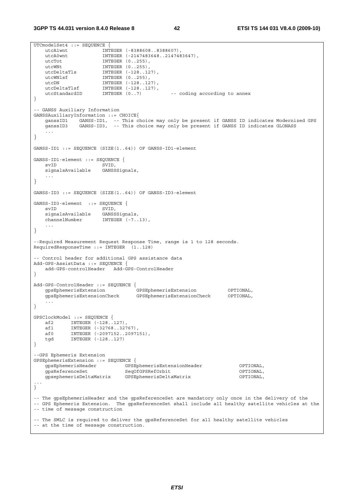```
UTCmodelSet4 ::= SEQUENCE {<br>utcA1wnt INT
 utcA1wnt INTEGER (-8388608..8388607), 
 utcA0wnt INTEGER (-2147483648..2147483647), 
   utcTot INTEGER (0..255),
utcWNt INTEGER (0..255),
 utcDeltaTls INTEGER (-128..127), 
utcWNlsf INTEGER (0..255),
utcDN INTEGER (-128..127),
 utcDeltaTlsf INTEGER (-128..127), 
 utcStandardID INTEGER (0..7) -- coding according to annex 
} 
-- GANSS Auxiliary Information 
GANSSAuxiliaryInformation ::= CHOICE{ 
 ganssID1 GANSS-ID1, -- This choice may only be present if GANSS ID indicates Modernized GPS 
 ganssID3 GANSS-ID3, -- This choice may only be present if GANSS ID indicates GLONASS 
    ... 
} 
GANSS-ID1 ::= SEQUENCE (SIZE(1..64)) OF GANSS-ID1-element
GANSS-ID1-element ::= SEQUENCE {<br>svID SVID.
                    SVID,<br>GANSSSiqnals,
   signalsAvailable
    ... 
} 
GANSS-ID3 ::= SEQUENCE (SIZE(1..64)) OF GANSS-ID3-element 
GANSS-ID3-element ::= SEQUENCE { 
   svID SVID,
    signalsAvailable GANSSSignals, 
   channelNumber INTEGER (-7..13),
    ... 
} 
--Required Measurement Request Response Time, range is 1 to 128 seconds. 
RequiredResponseTime ::= INTEGER (1..128) 
-- Control header for additional GPS assistance data 
Add-GPS-AssistData ::= SEQUENCE { 
    add-GPS-controlHeader Add-GPS-ControlHeader 
} 
Add-GPS-ControlHeader ::= SEQUENCE { 
 gpsEphemerisExtension GPSEphemerisExtension OPTIONAL, 
 gpsEphemerisExtensionCheck GPSEphemerisExtensionCheck OPTIONAL, 
    ... 
} 
GPSClockModel ::= SEQUENCE { 
 af2 INTEGER (-128..127), 
 af1 INTEGER (-32768..32767), 
    af0 INTEGER (-2097152..2097151), 
    tgd INTEGER (-128..127) 
} 
--GPS Ephemeris Extension 
GPSEphemerisExtension ::= SEQUENCE { 
   gpsEphemerisHeader GPSEphemerisExtensionHeader OPTIONAL, 
 gpsReferenceSet SeqOfGPSRefOrbit OPTIONAL, 
 gpsephemerisDeltaMatrix GPSEphemerisDeltaMatrix OPTIONAL, 
... 
} 
-- The gpsEphemerisHeader and the gpsReferenceSet are mandatory only once in the delivery of the 
-- GPS Ephemeris Extension. The gpsReferenceSet shall include all healthy satellite vehicles at the 
-- time of message construction 
-- The SMLC is required to deliver the gpsReferenceSet for all healthy satellite vehicles 
-- at the time of message construction.
```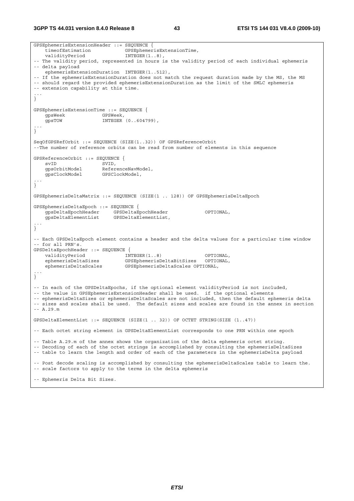**3GPP TS 44.031 version 8.4.0 Release 8 43 ETSI TS 144 031 V8.4.0 (2009-10)**

GPSEphemerisExtensionHeader ::= SEQUENCE { filmentials. validityPeriod INTEGER(1..8), -- The validity period, represented in hours is the validity period of each individual ephemeris -- delta payload ephemerisExtensionDuration INTEGER(1..512), -- If the ephemerisExtensionDuration does not match the request duration made by the MS, the MS -- should regard the provided ephemerisExtensionDuration as the limit of the SMLC ephemeris -- extension capability at this time. ... } GPSEphemerisExtensionTime ::= SEQUENCE { gpsWeek GPSWeek,<br>gpsTOW INTEGER INTEGER (0..604799), ... } SeqOfGPSRefOrbit ::= SEQUENCE (SIZE(1..32)) OF GPSReferenceOrbit --The number of reference orbits can be read from number of elements in this sequence GPSReferenceOrbit ::= SEQUENCE { svID SVID, gpsOrbitModel ReferenceNavModel, gpsClockModel GPSClockModel, ... } GPSEphemerisDeltaMatrix ::= SEQUENCE (SIZE(1 .. 128)) OF GPSEphemerisDeltaEpoch GPSEphemerisDeltaEpoch ::= SEQUENCE { gpsDeltaEpochHeader GPSDeltaEpochHeader OPTIONAL,<br>gpsDeltaElementList GPSDeltaElementList, gpsDeltaElementList GPSDeltaElementList, ... } -- Each GPSDeltaEpoch element contains a header and the delta values for a particular time window -- for all PRN's. GPSDeltaEpochHeader ::= SEQUENCE { validityPeriod INTEGER(1..8) OPTIONAL, ephemerisDeltaSizes GPSEphemerisDeltaBitSizes OPTIONAL, ephemerisDeltaScales GPSEphemerisDeltaScales OPTIONAL, ... } -- In each of the GPSDeltaEpochs, if the optional element validityPeriod is not included, -- the value in GPSEphemerisExtensionHeader shall be used. if the optional elements -- ephemerisDeltaSizes or ephemerisDeltaScales are not included, then the default ephemeris delta -- sizes and scales shall be used. The default sizes and scales are found in the annex in section -- A.29.m GPSDeltaElementList ::= SEQUENCE (SIZE(1 .. 32)) OF OCTET STRING(SIZE (1..47)) -- Each octet string element in GPSDeltaElementList corresponds to one PRN within one epoch -- Table A.29.m of the annex shows the organization of the delta ephemeris octet string. -- Decoding of each of the octet strings is accomplished by consulting the ephemerisDeltaSizes -- table to learn the length and order of each of the parameters in the ephemerisDelta payload -- Post decode scaling is accomplished by consulting the ephemerisDeltaScales table to learn the. -- scale factors to apply to the terms in the delta ephemeris -- Ephemeris Delta Bit Sizes.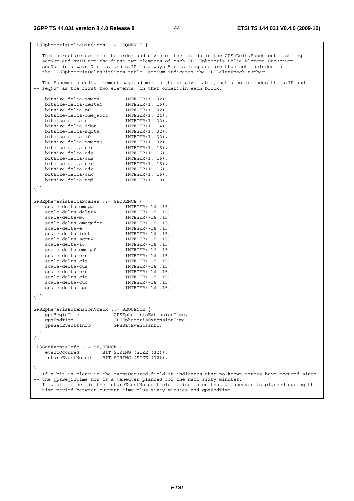| GPSEphemerisDeltaBitSizes ::= SEQUENCE {                                                                                                                                         |                                                                                                     |  |
|----------------------------------------------------------------------------------------------------------------------------------------------------------------------------------|-----------------------------------------------------------------------------------------------------|--|
|                                                                                                                                                                                  | -- This structure defines the order and sizes of the fields in the GPSsDeltaEpoch octet string      |  |
|                                                                                                                                                                                  | -- seqNum and svID are the first two elements of each GPS Ephemeris Delta Element Structure         |  |
|                                                                                                                                                                                  | -- seqNum is always 7 bits, and svID is always 5 bits long and are thus not included in             |  |
|                                                                                                                                                                                  | -- the GPSEphemerisDeltaBitSizes table. seqNum indicates the GPSDeltaEpoch number.                  |  |
|                                                                                                                                                                                  | The Ephemeris delta element payload mimics the bitsize table, but also includes the svID and        |  |
|                                                                                                                                                                                  | -- seqNum as the first two elements (in that order), in each block.                                 |  |
|                                                                                                                                                                                  |                                                                                                     |  |
| bitsize-delta-omega                                                                                                                                                              | $INTER(132)$ ,                                                                                      |  |
| bitsize-delta-deltaN                                                                                                                                                             | $INTER(116)$ ,                                                                                      |  |
| bitsize-delta-m0                                                                                                                                                                 | $INTEGER(132)$ ,                                                                                    |  |
| bitsize-delta-omegadot                                                                                                                                                           | $INTEGER(124)$ ,                                                                                    |  |
| bitsize-delta-e                                                                                                                                                                  | $INTER(132)$ ,                                                                                      |  |
| bitsize-delta-idot                                                                                                                                                               | $INTEGER(114)$ ,                                                                                    |  |
| bitsize-delta-sqrtA                                                                                                                                                              | $INTEGER(132)$ ,                                                                                    |  |
| bitsize-delta-i0                                                                                                                                                                 | $INTEGER(132)$ ,                                                                                    |  |
| bitsize-delta-omega0                                                                                                                                                             | $INTEGER(132)$ ,                                                                                    |  |
| bitsize-delta-crs                                                                                                                                                                | $INTEGER(116)$ ,                                                                                    |  |
| bitsize-delta-cis                                                                                                                                                                | $INTEGER(116)$ ,                                                                                    |  |
| bitsize-delta-cus                                                                                                                                                                | $INTEGER(116)$ ,                                                                                    |  |
| bitsize-delta-crc                                                                                                                                                                | $INTEGER(116)$ ,                                                                                    |  |
| bitsize-delta-cic                                                                                                                                                                | $INTEGR(116)$ ,                                                                                     |  |
| bitsize-delta-cuc                                                                                                                                                                | $INTEGER(116)$ ,                                                                                    |  |
| bitsize-delta-tgd                                                                                                                                                                | $INTEGER(110)$ ,                                                                                    |  |
|                                                                                                                                                                                  |                                                                                                     |  |
| $\big\}$                                                                                                                                                                         |                                                                                                     |  |
| GPSEphemerisDeltaScales ::= SEQUENCE {                                                                                                                                           |                                                                                                     |  |
| scale-delta-omega                                                                                                                                                                | $INTEGER(-1615)$ ,                                                                                  |  |
| scale-delta-deltaN                                                                                                                                                               | $INTEGER(-1615)$ ,                                                                                  |  |
| scale-delta-m0                                                                                                                                                                   | $INTEGER (-1615)$ ,                                                                                 |  |
| scale-delta-omegadot                                                                                                                                                             | $INTEGER (-1615)$ ,                                                                                 |  |
| scale-delta-e                                                                                                                                                                    | $INTEGER (-1615)$ ,                                                                                 |  |
| scale-delta-idot                                                                                                                                                                 | $INTEGER(-1615)$ ,                                                                                  |  |
| scale-delta-sqrtA                                                                                                                                                                | $INTEGER (-1615)$ ,                                                                                 |  |
| scale-delta-i0                                                                                                                                                                   | $INTEGER(-1615)$ ,                                                                                  |  |
| scale-delta-omega0                                                                                                                                                               | $INTEGER (-1615)$ ,                                                                                 |  |
| scale-delta-crs                                                                                                                                                                  | $INTEGER (-1615)$ ,                                                                                 |  |
| scale-delta-cis                                                                                                                                                                  |                                                                                                     |  |
| scale-delta-cus                                                                                                                                                                  | $INTEGER (-1615)$ ,                                                                                 |  |
| scale-delta-crc                                                                                                                                                                  | $INTEGER(-1615)$ ,<br>$INTEGER(-1615)$ ,                                                            |  |
| scale-delta-cic                                                                                                                                                                  | $INTEGER(-1615)$ ,                                                                                  |  |
| scale-delta-cuc                                                                                                                                                                  |                                                                                                     |  |
| scale-delta-tgd                                                                                                                                                                  | $INTER(-1615)$ ,<br>$INTEGER (-1615)$ ,                                                             |  |
|                                                                                                                                                                                  |                                                                                                     |  |
|                                                                                                                                                                                  |                                                                                                     |  |
|                                                                                                                                                                                  |                                                                                                     |  |
| GPSEphemerisExtensionCheck ::= SEQUENCE {                                                                                                                                        |                                                                                                     |  |
| gpsBeginTime                                                                                                                                                                     | GPSEphemerisExtensionTime,                                                                          |  |
| qpsEndTime                                                                                                                                                                       | GPSEphemerisExtensionTime,                                                                          |  |
| qpsSatEventsInfo                                                                                                                                                                 | GPSSatEventsInfo,                                                                                   |  |
|                                                                                                                                                                                  |                                                                                                     |  |
|                                                                                                                                                                                  |                                                                                                     |  |
| GPSSatEventsInfo ::= SEQUENCE {                                                                                                                                                  |                                                                                                     |  |
| eventOccured                                                                                                                                                                     |                                                                                                     |  |
|                                                                                                                                                                                  | BIT STRING (SIZE (32)),                                                                             |  |
| futureEventNoted                                                                                                                                                                 | BIT STRING (SIZE (32)),                                                                             |  |
|                                                                                                                                                                                  |                                                                                                     |  |
| $\mathcal{F}$                                                                                                                                                                    |                                                                                                     |  |
|                                                                                                                                                                                  | -- If a bit is clear in the eventOccured field it indicates that no known errors have occured since |  |
| -- the gpsBeginTime nor is a maneuver planned for the next sixty minutes.<br>-- If a bit is set in the futureEventNoted field it indicates that a maneuver is planned during the |                                                                                                     |  |
|                                                                                                                                                                                  |                                                                                                     |  |
| -- time period between current time plus sixty minutes and gpsEndTime                                                                                                            |                                                                                                     |  |

*ETSI*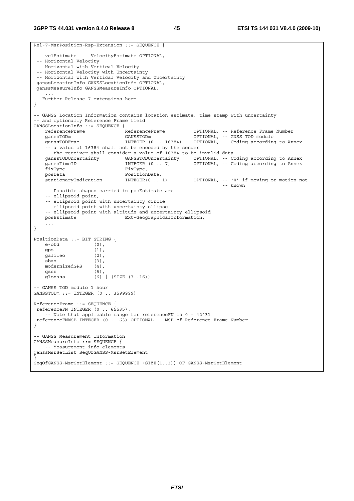```
Rel-7-MsrPosition-Rsp-Extension ::= SEQUENCE { 
    velEstimate VelocityEstimate OPTIONAL, 
  -- Horizontal Velocity 
  -- Horizontal with Vertical Velocity 
  -- Horizontal Velocity with Uncertainty 
  -- Horizontal with Vertical Velocity and Uncertainty 
  ganssLocationInfo GANSSLocationInfo OPTIONAL, 
 ganssMeasureInfo GANSSMeasureInfo OPTIONAL, 
     ... 
-- Further Release 7 extensions here 
} 
-- GANSS Location Information contains location estimate, time stamp with uncertainty 
-- and optionally Reference Frame field 
GANSSLocationInfo ::= SEQUENCE {<br>referenceFrame ReferenceFrame \alpha_{NN} referenceFrame ReferenceFrame OPTIONAL, -- Reference Frame Number 
 ganssTODm GANSSTODm OPTIONAL, -- GNSS TOD modulo 
 ganssTODFrac INTEGER (0 .. 16384) OPTIONAL, -- Coding according to Annex 
    -- a value of 16384 shall not be encoded by the sender 
   -- the receiver shall consider a value of 16384 to be invalid data<br>ganssTODUncertainty GANSSTODUncertainty OPTIONAL, -- Co
 ganssTODUncertainty GANSSTODUncertainty OPTIONAL, -- Coding according to Annex 
 ganssTimeID INTEGER (0 .. 7) OPTIONAL, -- Coding according to Annex 
    fixType FixType, 
                               positionData,<br>INTEGER(0 .. 1)
   stationaryIndication INTEGER(0 .. 1) OPTIONAL, -- '0' if moving or motion not
                                                                  -- known 
     -- Possible shapes carried in posEstimate are 
    -- ellipsoid point, 
     -- ellipsoid point with uncertainty circle 
     -- ellipsoid point with uncertainty ellipse 
   -- ellipsoid point with altitude and uncertainty ellipsoid<br>posEstimate Ext-GeographicalInformation,
                               Ext-GeographicalInformation,
 ... 
} 
PositionData ::= BIT STRING { 
   e-otd (0), 
    gps (1), 
    galileo (2), 
    sbas (3), 
   modernizedGPS (4),
 qzss (5), 
 glonass (6) } (SIZE (3..16)) 
-- GANSS TOD modulo 1 hour 
GANSSTODm ::= INTEGER (0 .. 3599999) 
ReferenceFrame ::= SEQUENCE { 
 referenceFN INTEGER (0 .. 65535), 
    -- Note that applicable range for referenceFN is 0 - 42431 
 referenceFNMSB INTEGER (0 .. 63) OPTIONAL -- MSB of Reference Frame Number
} 
-- GANSS Measurement Information 
GANSSMeasureInfo ::= SEQUENCE { 
    -- Measurement info elements 
ganssMsrSetList SeqOfGANSS-MsrSetElement 
} 
SeqOfGANSS-MsrSetElement ::= SEQUENCE (SIZE(1..3)) OF GANSS-MsrSetElement
```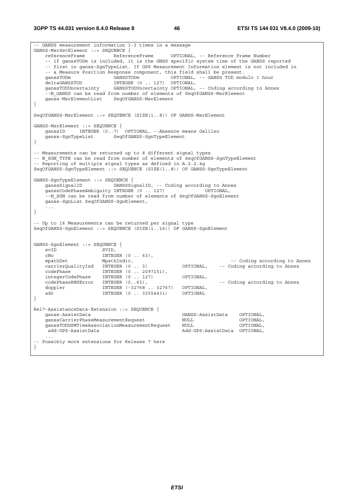**3GPP TS 44.031 version 8.4.0 Release 8 46 ETSI TS 144 031 V8.4.0 (2009-10)**

-- GANSS measurement information 1-3 times in a message GANSS-MsrSetElement ::= SEQUENCE { referenceFrame ReferenceFrame OPTIONAL, -- Reference Frame Number -- if ganssTODm is included, it is the GNSS specific system time of the GANSS reported -- first in ganss-SgnTypeList. If GPS Measurement Information element is not included in -- a Measure Position Response component, this field shall be present. ganssTODm GANSSTODm OPTIONAL, -- GANSS TOD modulo 1 hour deltaGANSSTOD DELTAGANSSTOD INTEGER (0 . 127) OPTIONAL,<br>ganssTODUncertainty GANSSTODUncertainty OPTIONAL, GANSSTODUncertainty OPTIONAL, -- Coding according to Annex --N\_GANSS can be read from number of elements of SeqOfGANSS-MsrElement ganss-MsrElementList SeqOfGANSS-MsrElement } SeqOfGANSS-MsrElement ::= SEQUENCE (SIZE(1..8)) OF GANSS-MsrElement GANSS-MsrElement ::= SEQUENCE { ganssID INTEGER (0..7) OPTIONAL, --Absence means Galileo SeqOfGANSS-SgnTypeElement } -- Measurements can be returned up to 8 different signal types -- N\_SGN\_TYPE can be read from number of elements of SeqOfGANSS-SgnTypeElement -- Reporting of multiple signal types as defined in A.2.2.4g SeqOfGANSS-SgnTypeElement ::= SEQUENCE (SIZE(1..8)) OF GANSS-SgnTypeElement GANSS-SgnTypeElement ::= SEQUENCE { ganssSignalID GANSSSignalID, -- Coding according to Annex ganssCodePhaseAmbiguity INTEGER (0 .. 127) OPTIONAL, --N\_SGN can be read from number of elements of SeqOfGANSS-SgnElement ganss-SgnList SeqOfGANSS-SgnElement, ... } -- Up to 16 Measurements can be returned per signal type SeqOfGANSS-SgnElement ::= SEQUENCE (SIZE(1..16)) OF GANSS-SgnElement GANSS-SgnElement ::= SEQUENCE { svID SVID, cNo INTEGER (0 .. 63), mpathDet MpathIndic,<br>carrierOualitvInd INTEGER (0 . 3) OPTIONAL, -- Coding according to Annex carrierQualityInd INTEGER (0 .. 3) OPTIONAL, -- Coding according to Annex codePhase INTEGER (0 .. 2097151), integerCodePhase INTEGER (0 .. 127) OPTIONAL, codePhaseRMSError INTEGER (0..63),<br>doppler INTEGER (-32768 ..32767) OPTIONAL, INTEGER (-32768 .. 32767) OPTIONAL, adr **INTEGER** (0 .. 33554431) OPTIONAL } Rel7-AssistanceData-Extension ::= SEQUENCE { ganss-AssistData GANSS-AssistData OPTIONAL, ganssCarrierPhaseMeasurementRequest NULL OPTIONAL, ganssTODGSMTimeAssociationMeasurementRequest NULL OPTIONAL,<br>dd-GPS-AssistData Add-GPS-AssistData OPTIONAL, Add-GPS-AssistData OPTIONAL, ... -- Possibly more extensions for Release 7 here }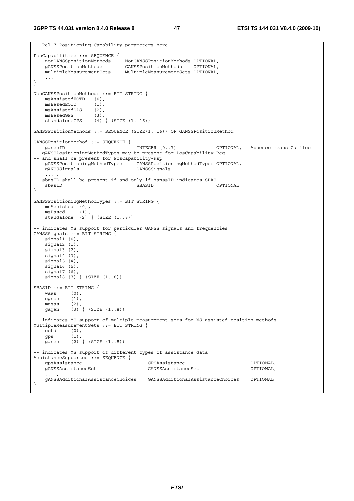**3GPP TS 44.031 version 8.4.0 Release 8 47 ETSI TS 144 031 V8.4.0 (2009-10)**

```
-- Rel-7 Positioning Capability parameters here 
PosCapabilities ::= SEQUENCE { 
 nonGANSSpositionMethods NonGANSSPositionMethods OPTIONAL, 
 gANSSPositionMethods GANSSPositionMethods OPTIONAL, 
    multipleMeasurementSets MultipleMeasurementSets OPTIONAL, 
 ... 
} 
NonGANSSPositionMethods ::= BIT STRING { 
   msAssistedEOTD (0), 
    msBasedEOTD (1), 
   msAssistedGPS (2),<br>msBasedGPS (3),
   msBasedGPS
   standaloneGPS (4) } (SIZE (1..16))
GANSSPositionMethods ::= SEQUENCE (SIZE(1..16)) OF GANSSPositionMethod 
GANSSPositionMethod ::= SEQUENCE { 
   ganssID INTEGER (0..7) OPTIONAL, --Absence means Galileo 
-- gANSSPositioningMethodTypes may be present for PosCapability-Req 
-- and shall be present for PosCapability-Rsp 
    gANSSPositioningMethodTypes GANSSPositioningMethodTypes OPTIONAL, 
                                 GANSSSignals,
-- sbasID shall be present if and only if ganssID indicates SBAS 
    sbasID SBASID OPTIONAL 
} 
GANSSPositioningMethodTypes ::= BIT STRING { 
   msAssisted (0),<br>msBased (1),msBased standalone (2) } (SIZE (1..8)) 
-- indicates MS support for particular GANSS signals and frequencies 
GANSSSignals ::= BIT STRING { 
  signal1 (0),
    signal2 (1), 
    signal3 (2), 
    signal4 (3), 
    signal5 (4), 
   signal6 (5),
 signal7 (6), 
 signal8 (7) } (SIZE (1..8)) 
SBASID ::= BIT STRING { 
    waas (0), 
    egnos (1), 
    masas (2), 
   gagan (3) } (SIZE (1..8))
-- indicates MS support of multiple measurement sets for MS assisted position methods 
MultipleMeasurementSets ::= BIT STRING {<br>eotd (0),
   \overline{\text{e}}otd
    gps (1), 
    ganss (2) } (SIZE (1..8)) 
-- indicates MS support of different types of assistance data 
AssistanceSupported ::= SEQUENCE { 
    gpsAssistance GPSAssistance OPTIONAL, 
    gANSSAssistanceSet GANSSAssistanceSet OPTIONAL, 
    ... , 
    gANSSAdditionalAssistanceChoices GANSSAdditionalAssistanceChoices OPTIONAL 
}
```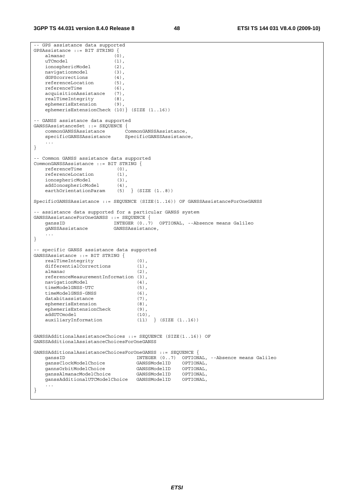```
-- GPS assistance data supported 
GPSAssistance ::= BIT STRING { 
    almanac (0), 
   uTCmodel (1),
    ionosphericModel (2), 
    navigationmodel (3), 
     dGPScorrections (4), 
   referenceLocation (5),<br>referenceTime (6),
   referenceTime (6),<br>acquisitionAssistance (7),
    acquisitionAssistance (7),<br>realTimeIntegrity (8),
   acquission<br>realTimeIntegrity
     ephemerisExtension (9), 
     ephemerisExtensionCheck (10)} (SIZE (1..16)) 
-- GANSS assistance data supported 
GANSSAssistanceSet ::= SEQUENCE { 
     commonGANSSAssistance CommonGANSSAssistance, 
     specificGANSSAssistance SpecificGANSSAssistance, 
     ... 
} 
-- Common GANSS assistance data supported 
CommonGANSSAssistance ::= BIT STRING { 
    referenceTime (0), 
   referenceLocation (1),
 ionosphericModel (3), 
 addIonosphericModel (4), 
    earthOrientationParam (5) } (SIZE (1..8))
SpecificGANSSAssistance ::= SEQUENCE (SIZE(1..16)) OF GANSSAssistanceForOneGANSS 
-- assistance data supported for a particular GANSS system 
GANSSAssistanceForOneGANSS ::= SEQUENCE { 
                            INTEGER (0..7) OPTIONAL, --Absence means Galileo
    gANSSAssistance GANSSAssistance, 
     ... 
} 
-- specific GANSS assistance data supported 
GANSSAssistance ::= BIT STRING { 
    realTimeIntegrity (0), 
    differentialCorrections (1),
   almanac (2),
    referenceMeasurementInformation (3),<br>navigationModel (4),
    navigationModel (4), 
    timeModelGNSS-UTC (5), 
     timeModelGNSS-GNSS (6), 
   databitassistance (7),
    ephemerisExtension (8),
    ephemerisExtensionCheck (9), addUTCmodel (10),
    addUTCmodel
    auxiliaryInformation (11) } (SIZE (1..16))
GANSSAdditionalAssistanceChoices ::= SEQUENCE (SIZE(1..16)) OF 
GANSSAdditionalAssistanceChoicesForOneGANSS 
GANSSAdditionalAssistanceChoicesForOneGANSS ::= SEQUENCE { 
   enconstruction of the contract of the contract of the contract of the contract of the contract of the contract of the contract of the contract of the contract of the contract of the contract of canssClockModelChoice (3ANSS
 ganssClockModelChoice GANSSModelID OPTIONAL, 
 gannsOrbitModelChoice GANSSModelID OPTIONAL, 
 ganssAlmanacModelChoice GANSSModelID OPTIONAL, 
     ganssAdditionalUTCModelChoice GANSSModelID OPTIONAL, 
     ... 
}
```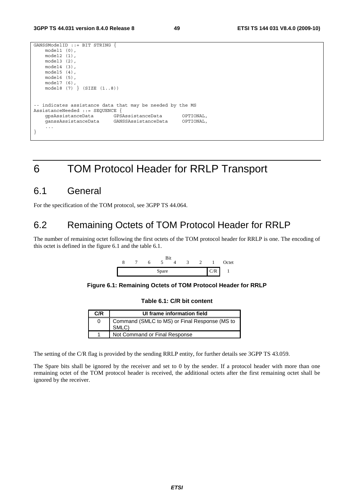```
GANSSModelID ::= BIT STRING { 
    model1 (0), 
    model2 (1), 
     model3 (2), 
     model4 (3), 
    model5 (4), 
     model6 (5), 
     model7 (6), 
     model8 (7) } (SIZE (1..8)) 
-- indicates assistance data that may be needed by the MS 
AssistanceNeeded ::= SEQUENCE { 
     gpsAssistanceData GPSAssistanceData OPTIONAL, 
     ganssAssistanceData GANSSAssistanceData OPTIONAL, 
     ... 
}
```
# 6 TOM Protocol Header for RRLP Transport

# 6.1 General

For the specification of the TOM protocol, see 3GPP TS 44.064.

# 6.2 Remaining Octets of TOM Protocol Header for RRLP

The number of remaining octet following the first octets of the TOM protocol header for RRLP is one. The encoding of this octet is defined in the figure 6.1 and the table 6.1.





**Table 6.1: C/R bit content** 

| C/R | UI frame information field                             |
|-----|--------------------------------------------------------|
|     | Command (SMLC to MS) or Final Response (MS to<br>SMLC) |
|     | Not Command or Final Response                          |

The setting of the C/R flag is provided by the sending RRLP entity, for further details see 3GPP TS 43.059.

The Spare bits shall be ignored by the receiver and set to 0 by the sender. If a protocol header with more than one remaining octet of the TOM protocol header is received, the additional octets after the first remaining octet shall be ignored by the receiver.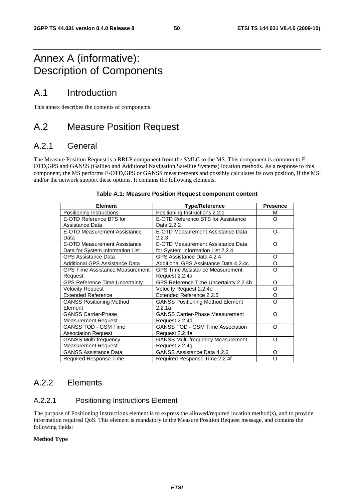# Annex A (informative): Description of Components

# A.1 Introduction

This annex describes the contents of components.

# A.2 Measure Position Request

# A.2.1 General

The Measure Position Request is a RRLP component from the SMLC to the MS. This component is common to E-OTD,GPS and GANSS (Galileo and Additional Navigation Satellite Systems) location methods. As a response to this component, the MS performs E-OTD,GPS or GANSS measurements and possibly calculates its own position, if the MS and/or the network support these options. It contains the following elements.

| <b>Element</b>                         | <b>Type/Reference</b>                    | <b>Presence</b> |
|----------------------------------------|------------------------------------------|-----------------|
| Positioning Instructions               | Positioning Instructions 2.2.1           | м               |
| E-OTD Reference BTS for                | E-OTD Reference BTS for Assistance       | Ω               |
| Assistance Data                        | Data 2.2.2                               |                 |
| E-OTD Measurement Assistance           | E-OTD Measurement Assistance Data        | Ω               |
| Data                                   | 2.2.3                                    |                 |
| <b>E-OTD Measurement Assistance</b>    | E-OTD Measurement Assistance Data        | Ω               |
| Data for System Information List       | for System Information List 2.2.4        |                 |
| <b>GPS Assistance Data</b>             | GPS Assistance Data 4.2.4                | O               |
| Additional GPS Assistance Data         | Additional GPS Assistance Data 4.2.4c    | O               |
| <b>GPS Time Assistance Measurement</b> | <b>GPS Time Assistance Measurement</b>   | Ω               |
| Request                                | Request 2.2.4a                           |                 |
| <b>GPS Reference Time Uncertainty</b>  | GPS Reference Time Uncertainty 2.2.4b    | O               |
| <b>Velocity Request</b>                | Velocity Request 2.2.4c                  | O               |
| <b>Extended Reference</b>              | Extended Reference 2.2.5                 | O               |
| <b>GANSS Positioning Method</b>        | <b>GANSS Positioning Method Element</b>  | റ               |
| Element                                | 2.2.1a                                   |                 |
| <b>GANSS Carrier-Phase</b>             | <b>GANSS Carrier-Phase Measurement</b>   | റ               |
| <b>Measurement Request</b>             | Request 2.2.4d                           |                 |
| <b>GANSS TOD - GSM Time</b>            | <b>GANSS TOD - GSM Time Association</b>  | റ               |
| <b>Association Request</b>             | Request 2.2.4e                           |                 |
| <b>GANSS Multi-frequency</b>           | <b>GANSS Multi-frequency Measurement</b> | റ               |
| <b>Measurement Request</b>             | Request 2.2.4g                           |                 |
| <b>GANSS Assistance Data</b>           | GANSS Assistance Data 4.2.6              | O               |
| Required Response Time                 | Required Response Time 2.2.4f            | Ω               |

## **Table A.1: Measure Position Request component content**

# A.2.2 Elements

# A.2.2.1 Positioning Instructions Element

The purpose of Positioning Instructions element is to express the allowed/required location method(s), and to provide information required QoS. This element is mandatory in the Measure Position Request message, and contains the following fields:

## **Method Type**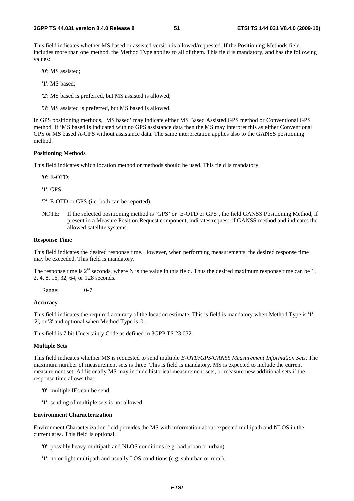This field indicates whether MS based or assisted version is allowed/requested. If the Positioning Methods field includes more than one method, the Method Type applies to all of them. This field is mandatory, and has the following values:

'0': MS assisted;

'1': MS based;

'2': MS based is preferred, but MS assisted is allowed;

'3': MS assisted is preferred, but MS based is allowed.

In GPS positioning methods, 'MS based' may indicate either MS Based Assisted GPS method or Conventional GPS method. If 'MS based is indicated with no GPS assistance data then the MS may interpret this as either Conventional GPS or MS based A-GPS without assistance data. The same interpretation applies also to the GANSS positioning method.

#### **Positioning Methods**

This field indicates which location method or methods should be used. This field is mandatory.

'0': E-OTD;

'1': GPS;

'2': E-OTD or GPS (i.e. both can be reported).

NOTE: If the selected positioning method is 'GPS' or 'E-OTD or GPS', the field GANSS Positioning Method, if present in a Measure Position Request component, indicates request of GANSS method and indicates the allowed satellite systems.

#### **Response Time**

This field indicates the desired response time. However, when performing measurements, the desired response time may be exceeded. This field is mandatory.

The response time is  $2^N$  seconds, where N is the value in this field. Thus the desired maximum response time can be 1, 2, 4, 8, 16, 32, 64, or 128 seconds.

Range: 0-7

## **Accuracy**

This field indicates the required accuracy of the location estimate. This is field is mandatory when Method Type is '1', '2', or '3' and optional when Method Type is '0'.

This field is 7 bit Uncertainty Code as defined in 3GPP TS 23.032.

#### **Multiple Sets**

This field indicates whether MS is requested to send multiple *E-OTD/GPS/GANSS Measurement Information Sets*. The maximum number of measurement sets is three. This is field is mandatory. MS is expected to include the current measurement set. Additionally MS may include historical measurement sets, or measure new additional sets if the response time allows that.

- '0': multiple IEs can be send;
- '1': sending of multiple sets is not allowed.

#### **Environment Characterization**

Environment Characterization field provides the MS with information about expected multipath and NLOS in the current area. This field is optional.

'0': possibly heavy multipath and NLOS conditions (e.g. bad urban or urban).

'1': no or light multipath and usually LOS conditions (e.g. suburban or rural).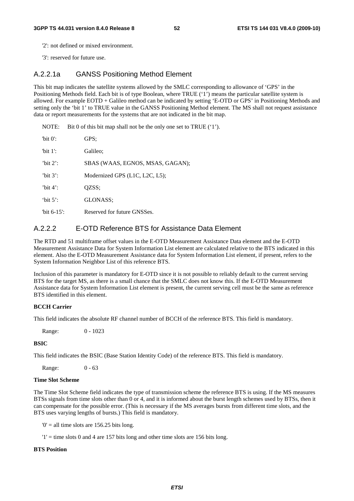'2': not defined or mixed environment.

'3': reserved for future use.

# A.2.2.1a GANSS Positioning Method Element

This bit map indicates the satellite systems allowed by the SMLC corresponding to allowance of 'GPS' in the Positioning Methods field. Each bit is of type Boolean, where TRUE ('1') means the particular satellite system is allowed. For example EOTD + Galileo method can be indicated by setting 'E-OTD or GPS' in Positioning Methods and setting only the 'bit 1' to TRUE value in the GANSS Positioning Method element. The MS shall not request assistance data or report measurements for the systems that are not indicated in the bit map.

NOTE: Bit 0 of this bit map shall not be the only one set to TRUE ('1').

| "bit $0$ ":    | GPS:                             |
|----------------|----------------------------------|
| 'bit $1$ ':    | Galileo:                         |
| 'bit $2$ ':    | SBAS (WAAS, EGNOS, MSAS, GAGAN); |
| 'bit $3$ ':    | Modernized GPS (L1C, L2C, L5);   |
| 'bit $4$ ':    | QZSS;                            |
| 'bit $5$ ':    | GLONASS:                         |
| "bit $6-15$ ": | Reserved for future GNSSes.      |

## A.2.2.2 E-OTD Reference BTS for Assistance Data Element

The RTD and 51 multiframe offset values in the E-OTD Measurement Assistance Data element and the E-OTD Measurement Assistance Data for System Information List element are calculated relative to the BTS indicated in this element. Also the E-OTD Measurement Assistance data for System Information List element, if present, refers to the System Information Neighbor List of this reference BTS.

Inclusion of this parameter is mandatory for E-OTD since it is not possible to reliably default to the current serving BTS for the target MS, as there is a small chance that the SMLC does not know this. If the E-OTD Measurement Assistance data for System Information List element is present, the current serving cell must be the same as reference BTS identified in this element.

#### **BCCH Carrier**

This field indicates the absolute RF channel number of BCCH of the reference BTS. This field is mandatory.

Range: 0 - 1023

#### **BSIC**

This field indicates the BSIC (Base Station Identity Code) of the reference BTS. This field is mandatory.

Range: 0 - 63

## **Time Slot Scheme**

The Time Slot Scheme field indicates the type of transmission scheme the reference BTS is using. If the MS measures BTSs signals from time slots other than 0 or 4, and it is informed about the burst length schemes used by BTSs, then it can compensate for the possible error. (This is necessary if the MS averages bursts from different time slots, and the BTS uses varying lengths of bursts.) This field is mandatory.

 $0'$  = all time slots are 156.25 bits long.

 $'1'$  = time slots 0 and 4 are 157 bits long and other time slots are 156 bits long.

#### **BTS Position**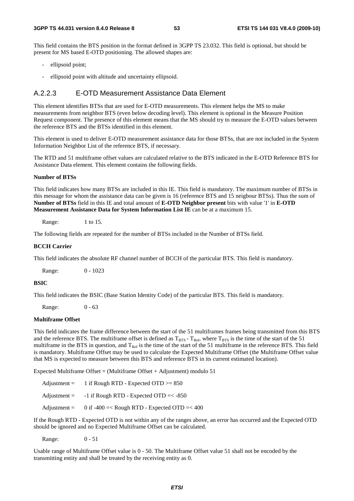This field contains the BTS position in the format defined in 3GPP TS 23.032. This field is optional, but should be present for MS based E-OTD positioning. The allowed shapes are:

- ellipsoid point;
- ellipsoid point with altitude and uncertainty ellipsoid.

## A.2.2.3 E-OTD Measurement Assistance Data Element

This element identifies BTSs that are used for E-OTD measurements. This element helps the MS to make measurements from neighbor BTS (even below decoding level). This element is optional in the Measure Position Request component. The presence of this element means that the MS should try to measure the E-OTD values between the reference BTS and the BTSs identified in this element.

This element is used to deliver E-OTD measurement assistance data for those BTSs, that are not included in the System Information Neighbor List of the reference BTS, if necessary.

The RTD and 51 multiframe offset values are calculated relative to the BTS indicated in the E-OTD Reference BTS for Assistance Data element. This element contains the following fields.

#### **Number of BTSs**

This field indicates how many BTSs are included in this IE. This field is mandatory. The maximum number of BTSs in this message for whom the assistance data can be given is 16 (reference BTS and 15 neigbour BTSs). Thus the sum of **Number of BTSs** field in this IE and total amount of **E-OTD Neighbor present** bits with value '1' in **E-OTD Measurement Assistance Data for System Information List IE** can be at a maximum 15.

Range: 1 to 15.

The following fields are repeated for the number of BTSs included in the Number of BTSs field.

#### **BCCH Carrier**

This field indicates the absolute RF channel number of BCCH of the particular BTS. This field is mandatory.

Range: 0 - 1023

## **BSIC**

This field indicates the BSIC (Base Station Identity Code) of the particular BTS. This field is mandatory.

Range: 0 - 63

## **Multiframe Offset**

This field indicates the frame difference between the start of the 51 multiframes frames being transmitted from this BTS and the reference BTS. The multiframe offset is defined as  $T_{BTS}$  -  $T_{Ref}$ , where  $T_{BTS}$  is the time of the start of the 51 multiframe in the BTS in question, and  $T_{\text{Ref}}$  is the time of the start of the 51 multiframe in the reference BTS. This field is mandatory. Multiframe Offset may be used to calculate the Expected Multiframe Offset (the Multiframe Offset value that MS is expected to measure between this BTS and reference BTS in its current estimated location).

Expected Multiframe Offset = (Multiframe Offset + Adjustment) modulo 51

| $\text{Adjustment} =$ | 1 if Rough RTD - Expected OTD $>= 850$       |
|-----------------------|----------------------------------------------|
| $\text{Adjustment} =$ | -1 if Rough RTD - Expected OTD $=<$ -850     |
| Adjustment $=$        | 0 if -400 =< Rough RTD - Expected OTD =< 400 |

If the Rough RTD - Expected OTD is not within any of the ranges above, an error has occurred and the Expected OTD should be ignored and no Expected Multiframe Offset can be calculated.

Range: 0 - 51

Usable range of Multiframe Offset value is 0 - 50. The Multiframe Offset value 51 shall not be encoded by the transmitting entity and shall be treated by the receiving entity as 0.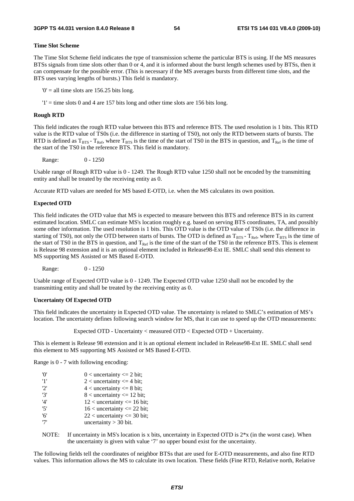## **Time Slot Scheme**

The Time Slot Scheme field indicates the type of transmission scheme the particular BTS is using. If the MS measures BTSs signals from time slots other than 0 or 4, and it is informed about the burst length schemes used by BTSs, then it can compensate for the possible error. (This is necessary if the MS averages bursts from different time slots, and the BTS uses varying lengths of bursts.) This field is mandatory.

 $0'$  = all time slots are 156.25 bits long.

 $'1'$  = time slots 0 and 4 are 157 bits long and other time slots are 156 bits long.

## **Rough RTD**

This field indicates the rough RTD value between this BTS and reference BTS. The used resolution is 1 bits. This RTD value is the RTD value of TS0s (i.e. the difference in starting of TS0), not only the RTD between starts of bursts. The RTD is defined as  $T_{BTS}$  -  $T_{Ref}$ , where  $T_{BTS}$  is the time of the start of TS0 in the BTS in question, and  $T_{Ref}$  is the time of the start of the TS0 in the reference BTS. This field is mandatory.

Range: 0 - 1250

Usable range of Rough RTD value is 0 - 1249. The Rough RTD value 1250 shall not be encoded by the transmitting entity and shall be treated by the receiving entity as 0.

Accurate RTD values are needed for MS based E-OTD, i.e. when the MS calculates its own position.

## **Expected OTD**

This field indicates the OTD value that MS is expected to measure between this BTS and reference BTS in its current estimated location. SMLC can estimate MS's location roughly e.g. based on serving BTS coordinates, TA, and possibly some other information. The used resolution is 1 bits. This OTD value is the OTD value of TS0s (i.e. the difference in starting of TS0), not only the OTD between starts of bursts. The OTD is defined as  $T_{BTS}$ - T<sub>Ref</sub>, where T<sub>BTS</sub> is the time of the start of TS0 in the BTS in question, and  $T_{\text{Ref}}$  is the time of the start of the TS0 in the reference BTS. This is element is Release 98 extension and it is an optional element included in Release98-Ext IE. SMLC shall send this element to MS supporting MS Assisted or MS Based E-OTD.

Range: 0 - 1250

Usable range of Expected OTD value is 0 - 1249. The Expected OTD value 1250 shall not be encoded by the transmitting entity and shall be treated by the receiving entity as 0.

## **Uncertainty Of Expected OTD**

This field indicates the uncertainty in Expected OTD value. The uncertainty is related to SMLC's estimation of MS's location. The uncertainty defines following search window for MS, that it can use to speed up the OTD measurements:

Expected OTD - Uncertainty < measured OTD < Expected OTD + Uncertainty.

This is element is Release 98 extension and it is an optional element included in Release98-Ext IE. SMLC shall send this element to MS supporting MS Assisted or MS Based E-OTD.

Range is 0 - 7 with following encoding:

| 'O' | $0$ < uncertainty $\leq 2$ bit;  |
|-----|----------------------------------|
| '1' | $2$ < uncertainty $\leq$ 4 bit;  |
| 2'  | $4$ < uncertainty $\leq 8$ bit;  |
| '3' | $8$ < uncertainty $\leq 12$ bit; |
| '4' | $12$ < uncertainty <= 16 bit;    |
| '5' | $16$ < uncertainty <= 22 bit;    |
| '6' | $22$ < uncertainty <= 30 bit;    |
| י7' | uncertainty $>$ 30 bit.          |
|     |                                  |

NOTE: If uncertainty in MS's location is x bits, uncertainty in Expected OTD is  $2*x$  (in the worst case). When the uncertainty is given with value '7' no upper bound exist for the uncertainty.

The following fields tell the coordinates of neighbor BTSs that are used for E-OTD measurements, and also fine RTD values. This information allows the MS to calculate its own location. These fields (Fine RTD, Relative north, Relative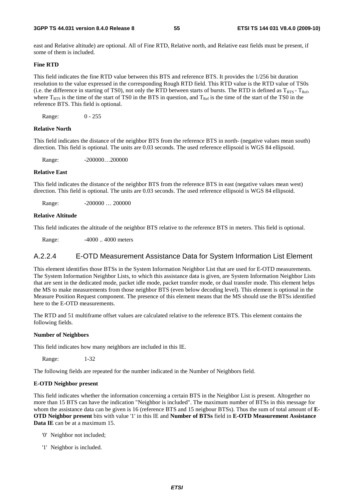east and Relative altitude) are optional. All of Fine RTD, Relative north, and Relative east fields must be present, if some of them is included.

### **Fine RTD**

This field indicates the fine RTD value between this BTS and reference BTS. It provides the 1/256 bit duration resolution to the value expressed in the corresponding Rough RTD field. This RTD value is the RTD value of TS0s (i.e. the difference in starting of TS0), not only the RTD between starts of bursts. The RTD is defined as  $T_{BTS} - T_{Ref}$ , where  $T_{BTS}$  is the time of the start of TS0 in the BTS in question, and  $T_{Ref}$  is the time of the start of the TS0 in the reference BTS. This field is optional.

Range: 0 - 255

## **Relative North**

This field indicates the distance of the neighbor BTS from the reference BTS in north- (negative values mean south) direction. This field is optional. The units are 0.03 seconds. The used reference ellipsoid is WGS 84 ellipsoid.

Range: -200000...200000

### **Relative East**

This field indicates the distance of the neighbor BTS from the reference BTS in east (negative values mean west) direction. This field is optional. The units are 0.03 seconds. The used reference ellipsoid is WGS 84 ellipsoid.

Range: -200000 ... 200000

#### **Relative Altitude**

This field indicates the altitude of the neighbor BTS relative to the reference BTS in meters. This field is optional.

Range: -4000 .. 4000 meters

## A.2.2.4 E-OTD Measurement Assistance Data for System Information List Element

This element identifies those BTSs in the System Information Neighbor List that are used for E-OTD measurements. The System Information Neighbor Lists, to which this assistance data is given, are System Information Neighbor Lists that are sent in the dedicated mode, packet idle mode, packet transfer mode, or dual transfer mode. This element helps the MS to make measurements from those neighbor BTS (even below decoding level). This element is optional in the Measure Position Request component. The presence of this element means that the MS should use the BTSs identified here to the E-OTD measurements.

The RTD and 51 multiframe offset values are calculated relative to the reference BTS. This element contains the following fields.

#### **Number of Neighbors**

This field indicates how many neighbors are included in this IE.

Range: 1-32

The following fields are repeated for the number indicated in the Number of Neighbors field.

#### **E-OTD Neighbor present**

This field indicates whether the information concerning a certain BTS in the Neighbor List is present. Altogether no more than 15 BTS can have the indication "Neighbor is included". The maximum number of BTSs in this message for whom the assistance data can be given is 16 (reference BTS and 15 neigbour BTSs). Thus the sum of total amount of **E-OTD Neighbor present** bits with value '1' in this IE and **Number of BTSs** field in **E-OTD Measurement Assistance Data IE** can be at a maximum 15.

- '0' Neighbor not included;
- '1' Neighbor is included.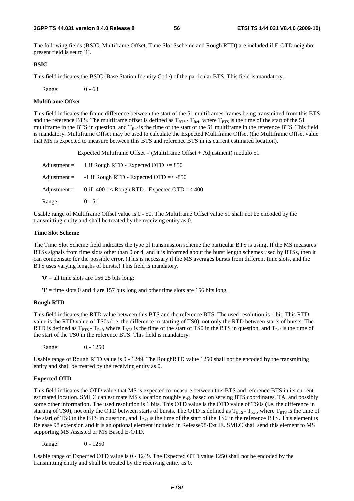The following fields (BSIC, Multiframe Offset, Time Slot Sscheme and Rough RTD) are included if E-OTD neighbor present field is set to '1'.

#### **BSIC**

This field indicates the BSIC (Base Station Identity Code) of the particular BTS. This field is mandatory.

Range: 0 - 63

#### **Multiframe Offset**

This field indicates the frame difference between the start of the 51 multiframes frames being transmitted from this BTS and the reference BTS. The multiframe offset is defined as  $T_{\rm BTS}$  -  $T_{\rm Ref}$ , where  $T_{\rm BTS}$  is the time of the start of the 51 multiframe in the BTS in question, and  $T_{Ref}$  is the time of the start of the 51 multiframe in the reference BTS. This field is mandatory. Multiframe Offset may be used to calculate the Expected Multiframe Offset (the Multiframe Offset value that MS is expected to measure between this BTS and reference BTS in its current estimated location).

Expected Multiframe Offset = (Multiframe Offset + Adjustment) modulo 51

| $\text{Adjustment} =$ | 1 if Rough RTD - Expected OTD $>= 850$                      |
|-----------------------|-------------------------------------------------------------|
| $\text{Adjustment} =$ | $-1$ if Rough RTD - Expected OTD $=< -850$                  |
|                       | Adjustment = $0$ if -400 =< Rough RTD - Expected OTD =< 400 |
| Range:                | $0 - 51$                                                    |

Usable range of Multiframe Offset value is 0 - 50. The Multiframe Offset value 51 shall not be encoded by the transmitting entity and shall be treated by the receiving entity as 0.

#### **Time Slot Scheme**

The Time Slot Scheme field indicates the type of transmission scheme the particular BTS is using. If the MS measures BTSs signals from time slots other than 0 or 4, and it is informed about the burst length schemes used by BTSs, then it can compensate for the possible error. (This is necessary if the MS averages bursts from different time slots, and the BTS uses varying lengths of bursts.) This field is mandatory.

 $0'$  = all time slots are 156.25 bits long;

 $'1'$  = time slots 0 and 4 are 157 bits long and other time slots are 156 bits long.

#### **Rough RTD**

This field indicates the RTD value between this BTS and the reference BTS. The used resolution is 1 bit. This RTD value is the RTD value of TS0s (i.e. the difference in starting of TS0), not only the RTD between starts of bursts. The RTD is defined as  $T_{BTS}$  -  $T_{Ref}$ , where  $T_{BTS}$  is the time of the start of TS0 in the BTS in question, and  $T_{Ref}$  is the time of the start of the TS0 in the reference BTS. This field is mandatory.

Range: 0 - 1250

Usable range of Rough RTD value is 0 - 1249. The RoughRTD value 1250 shall not be encoded by the transmitting entity and shall be treated by the receiving entity as 0.

#### **Expected OTD**

This field indicates the OTD value that MS is expected to measure between this BTS and reference BTS in its current estimated location. SMLC can estimate MS's location roughly e.g. based on serving BTS coordinates, TA, and possibly some other information. The used resolution is 1 bits. This OTD value is the OTD value of TS0s (i.e. the difference in starting of TS0), not only the OTD between starts of bursts. The OTD is defined as  $T_{BTS}$  -  $T_{Ref}$ , where  $T_{BTS}$  is the time of the start of TS0 in the BTS in question, and  $T_{Ref}$  is the time of the start of the TS0 in the reference BTS. This element is Release 98 extension and it is an optional element included in Release98-Ext IE. SMLC shall send this element to MS supporting MS Assisted or MS Based E-OTD.

Range: 0 - 1250

Usable range of Expected OTD value is 0 - 1249. The Expected OTD value 1250 shall not be encoded by the transmitting entity and shall be treated by the receiving entity as 0.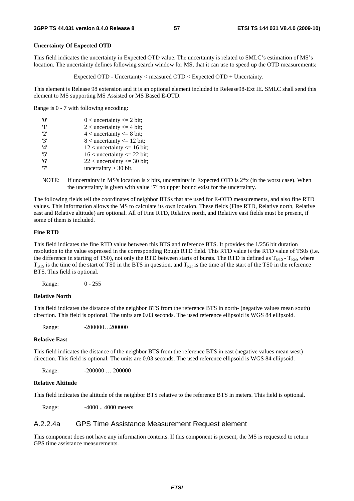## **Uncertainty Of Expected OTD**

This field indicates the uncertainty in Expected OTD value. The uncertainty is related to SMLC's estimation of MS's location. The uncertainty defines following search window for MS, that it can use to speed up the OTD measurements:

Expected OTD - Uncertainty < measured OTD < Expected OTD + Uncertainty.

This element is Release 98 extension and it is an optional element included in Release98-Ext IE. SMLC shall send this element to MS supporting MS Assisted or MS Based E-OTD.

Range is 0 - 7 with following encoding:

| 'O' | $0$ < uncertainty <= 2 bit;      |
|-----|----------------------------------|
| '1' | 2 < uncertainty $\leq$ 4 bit;    |
| 2'  | $4$ < uncertainty $\leq 8$ bit;  |
| '3' | $8$ < uncertainty $\leq 12$ bit; |
| '4' | $12$ < uncertainty <= 16 bit;    |
| '5' | $16$ < uncertainty <= 22 bit;    |
| '6' | $22$ < uncertainty <= 30 bit;    |
| '7' | uncertainty $>$ 30 bit.          |

NOTE: If uncertainty in MS's location is x bits, uncertainty in Expected OTD is  $2*x$  (in the worst case). When the uncertainty is given with value '7' no upper bound exist for the uncertainty.

The following fields tell the coordinates of neighbor BTSs that are used for E-OTD measurements, and also fine RTD values. This information allows the MS to calculate its own location. These fields (Fine RTD, Relative north, Relative east and Relative altitude) are optional. All of Fine RTD, Relative north, and Relative east fields must be present, if some of them is included.

## **Fine RTD**

This field indicates the fine RTD value between this BTS and reference BTS. It provides the 1/256 bit duration resolution to the value expressed in the corresponding Rough RTD field. This RTD value is the RTD value of TS0s (i.e. the difference in starting of TS0), not only the RTD between starts of bursts. The RTD is defined as  $T_{BTS}$  -  $T_{Ref}$ , where  $T<sub>BTS</sub>$  is the time of the start of TS0 in the BTS in question, and  $T<sub>Ref</sub>$  is the time of the start of the TS0 in the reference BTS. This field is optional.

Range: 0 - 255

## **Relative North**

This field indicates the distance of the neighbor BTS from the reference BTS in north- (negative values mean south) direction. This field is optional. The units are 0.03 seconds. The used reference ellipsoid is WGS 84 ellipsoid.

Range: -200000...200000

#### **Relative East**

This field indicates the distance of the neighbor BTS from the reference BTS in east (negative values mean west) direction. This field is optional. The units are 0.03 seconds. The used reference ellipsoid is WGS 84 ellipsoid.

Range: -200000 ... 200000

#### **Relative Altitude**

This field indicates the altitude of the neighbor BTS relative to the reference BTS in meters. This field is optional.

Range:  $-4000$ ... 4000 meters

## A.2.2.4a GPS Time Assistance Measurement Request element

This component does not have any information contents. If this component is present, the MS is requested to return GPS time assistance measurements.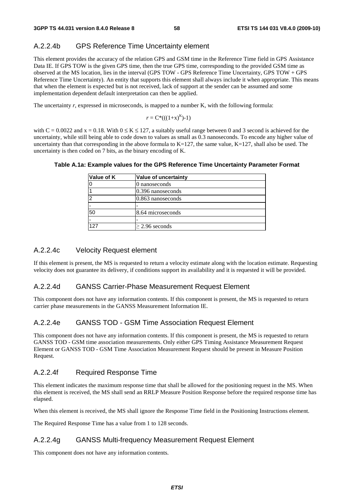# A.2.2.4b GPS Reference Time Uncertainty element

This element provides the accuracy of the relation GPS and GSM time in the Reference Time field in GPS Assistance Data IE. If GPS TOW is the given GPS time, then the true GPS time, corresponding to the provided GSM time as observed at the MS location, lies in the interval (GPS TOW - GPS Reference Time Uncertainty, GPS TOW + GPS Reference Time Uncertainty). An entity that supports this element shall always include it when appropriate. This means that when the element is expected but is not received, lack of support at the sender can be assumed and some implementation dependent default interpretation can then be applied.

The uncertainty *r*, expressed in microseconds, is mapped to a number K, with the following formula:

$$
r = C^*((1+x)^K)-1)
$$

with  $C = 0.0022$  and  $x = 0.18$ . With  $0 \le K \le 127$ , a suitably useful range between 0 and 3 second is achieved for the uncertainty, while still being able to code down to values as small as 0.3 nanoseconds. To encode any higher value of uncertainty than that corresponding in the above formula to  $K=127$ , the same value,  $K=127$ , shall also be used. The uncertainty is then coded on 7 bits, as the binary encoding of K.

| Value of K | <b>Value of uncertainty</b> |
|------------|-----------------------------|
|            | 0 nanoseconds               |
|            | 0.396 nanoseconds           |
|            | 0.863 nanoseconds           |
|            |                             |
| 50         | 8.64 microseconds           |
|            |                             |
| 127        | $>$ 2.96 seconds            |

## **Table A.1a: Example values for the GPS Reference Time Uncertainty Parameter Format**

# A.2.2.4c Velocity Request element

If this element is present, the MS is requested to return a velocity estimate along with the location estimate. Requesting velocity does not guarantee its delivery, if conditions support its availability and it is requested it will be provided.

# A.2.2.4d GANSS Carrier-Phase Measurement Request Element

This component does not have any information contents. If this component is present, the MS is requested to return carrier phase measurements in the GANSS Measurement Information IE.

# A.2.2.4e GANSS TOD - GSM Time Association Request Element

This component does not have any information contents. If this component is present, the MS is requested to return GANSS TOD - GSM time association measurements. Only either GPS Timing Assistance Measurement Request Element or GANSS TOD - GSM Time Association Measurement Request should be present in Measure Position Request.

# A.2.2.4f Required Response Time

This element indicates the maximum response time that shall be allowed for the positioning request in the MS. When this element is received, the MS shall send an RRLP Measure Position Response before the required response time has elapsed.

When this element is received, the MS shall ignore the Response Time field in the Positioning Instructions element.

The Required Response Time has a value from 1 to 128 seconds.

# A.2.2.4g GANSS Multi-frequency Measurement Request Element

This component does not have any information contents.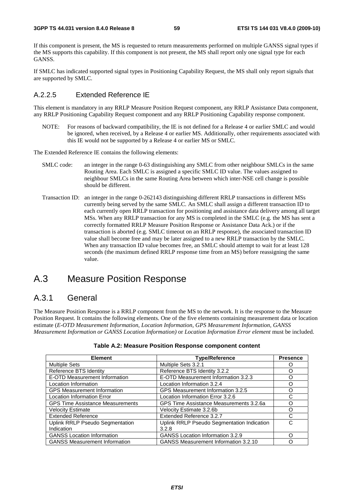If this component is present, the MS is requested to return measurements performed on multiple GANSS signal types if the MS supports this capability. If this component is not present, the MS shall report only one signal type for each GANSS.

If SMLC has indicated supported signal types in Positioning Capability Request, the MS shall only report signals that are supported by SMLC.

# A.2.2.5 Extended Reference IE

This element is mandatory in any RRLP Measure Position Request component, any RRLP Assistance Data component, any RRLP Positioning Capability Request component and any RRLP Positioning Capability response component.

NOTE: For reasons of backward compatibility, the IE is not defined for a Release 4 or earlier SMLC and would be ignored, when received, by a Release 4 or earlier MS. Additionally, other requirements associated with this IE would not be supported by a Release 4 or earlier MS or SMLC.

The Extended Reference IE contains the following elements:

- SMLC code: an integer in the range 0-63 distinguishing any SMLC from other neighbour SMLCs in the same Routing Area. Each SMLC is assigned a specific SMLC ID value. The values assigned to neighbour SMLCs in the same Routing Area between which inter-NSE cell change is possible should be different.
- Transaction ID: an integer in the range 0-262143 distinguishing different RRLP transactions in different MSs currently being served by the same SMLC. An SMLC shall assign a different transaction ID to each currently open RRLP transaction for positioning and assistance data delivery among all target MSs. When any RRLP transaction for any MS is completed in the SMLC (e.g. the MS has sent a correctly formatted RRLP Measure Position Response or Assistance Data Ack.) or if the transaction is aborted (e.g. SMLC timeout on an RRLP response), the associated transaction ID value shall become free and may be later assigned to a new RRLP transaction by the SMLC. When any transaction ID value becomes free, an SMLC should attempt to wait for at least 128 seconds (the maximum defined RRLP response time from an MS) before reassigning the same value.

# A.3 Measure Position Response

# A.3.1 General

The Measure Position Response is a RRLP component from the MS to the network. It is the response to the Measure Position Request. It contains the following elements. One of the five elements containing measurement data or location estimate (*E-OTD Measurement Information*, *Location Information*, *GPS Measurement Information, GANSS Measurement Information or GANSS Location Information)* or *Location Information Error element* must be included.

| <b>Element</b>                          | <b>Type/Reference</b>                       | <b>Presence</b> |
|-----------------------------------------|---------------------------------------------|-----------------|
| <b>Multiple Sets</b>                    | Multiple Sets 3.2.1                         |                 |
| Reference BTS Identity                  | Reference BTS Identity 3.2.2                |                 |
| E-OTD Measurement Information           | E-OTD Measurement Information 3.2.3         |                 |
| Location Information                    | Location Information 3.2.4                  | ∩               |
| <b>GPS Measurement Information</b>      | GPS Measurement Information 3.2.5           | ∩               |
| <b>Location Information Error</b>       | Location Information Error 3.2.6            | C               |
| <b>GPS Time Assistance Measurements</b> | GPS Time Assistance Measurements 3.2.6a     | ∩               |
| <b>Velocity Estimate</b>                | Velocity Estimate 3.2.6b                    | ∩               |
| <b>Extended Reference</b>               | Extended Reference 3.2.7                    |                 |
| <b>Uplink RRLP Pseudo Segmentation</b>  | Uplink RRLP Pseudo Segmentation Indication  | C               |
| Indication                              | 3.2.8                                       |                 |
| <b>GANSS Location Information</b>       | <b>GANSS Location Information 3.2.9</b>     | ∩               |
| <b>GANSS Measurement Information</b>    | <b>GANSS Measurement Information 3.2.10</b> |                 |

## **Table A.2: Measure Position Response component content**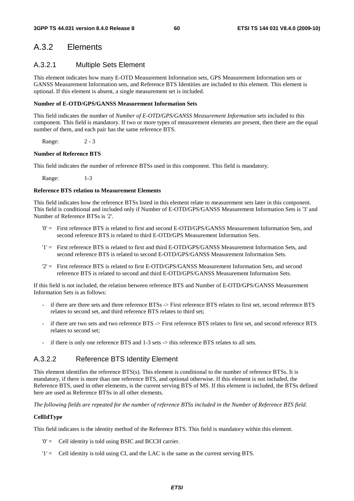# A.3.2 Elements

# A.3.2.1 Multiple Sets Element

This element indicates how many E-OTD Measurement Information sets, GPS Measurement Information sets or GANSS Measurement Information sets, and Reference BTS Identities are included to this element. This element is optional. If this element is absent, a single measurement set is included.

## **Number of E-OTD/GPS/GANSS Measurement Information Sets**

This field indicates the number of *Number of E-OTD/GPS/GANSS Measurement Information* sets included to this component. This field is mandatory. If two or more types of measurement elements are present, then there are the equal number of them, and each pair has the same reference BTS.

Range: 2 - 3

## **Number of Reference BTS**

This field indicates the number of reference BTSs used in this component. This field is mandatory.

Range: 1-3

## **Reference BTS relation to Measurement Elements**

This field indicates how the reference BTSs listed in this element relate to measurement sets later in this component. This field is conditional and included only if Number of E-OTD/GPS/GANSS Measurement Information Sets is '3' and Number of Reference BTSs is '2'.

- '0' = First reference BTS is related to first and second E-OTD/GPS/GANSS Measurement Information Sets, and second reference BTS is related to third E-OTD/GPS Measurement Information Sets.
- '1' = First reference BTS is related to first and third E-OTD/GPS/GANSS Measurement Information Sets, and second reference BTS is related to second E-OTD/GPS/GANSS Measurement Information Sets.
- '2' = First reference BTS is related to first E-OTD/GPS/GANSS Measurement Information Sets, and second reference BTS is related to second and third E-OTD/GPS/GANSS Measurement Information Sets.

If this field is not included, the relation between reference BTS and Number of E-OTD/GPS/GANSS Measurement Information Sets is as follows:

- if there are three sets and three reference BTSs -> First reference BTS relates to first set, second reference BTS relates to second set, and third reference BTS relates to third set;
- if there are two sets and two reference BTS -> First reference BTS relates to first set, and second reference BTS relates to second set;
- if there is only one reference BTS and 1-3 sets -> this reference BTS relates to all sets.

# A.3.2.2 Reference BTS Identity Element

This element identifies the reference BTS(s). This element is conditional to the number of reference BTSs. It is mandatory, if there is more than one reference BTS, and optional otherwise. If this element is not included, the Reference BTS, used in other elements, is the current serving BTS of MS. If this element is included, the BTSs defined here are used as Reference BTSs in all other elements.

*The following fields are repeated for the number of reference BTSs included in the Number of Reference BTS field.* 

## **CellIdType**

This field indicates is the identity method of the Reference BTS. This field is mandatory within this element.

- '0' = Cell identity is told using BSIC and BCCH carrier.
- '1' = Cell identity is told using CI, and the LAC is the same as the current serving BTS.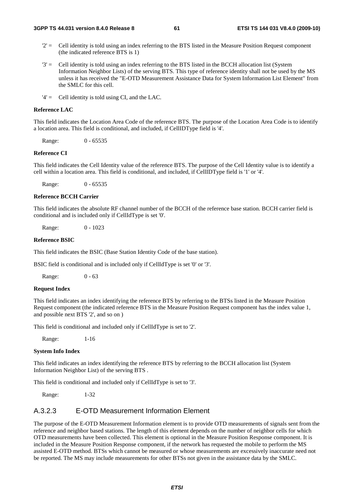- $2'$  = Cell identity is told using an index referring to the BTS listed in the Measure Position Request component (the indicated reference BTS is 1)
- '3' = Cell identity is told using an index referring to the BTS listed in the BCCH allocation list (System Information Neighbor Lists) of the serving BTS. This type of reference identity shall not be used by the MS unless it has received the "E-OTD Measurement Assistance Data for System Information List Element" from the SMLC for this cell.
- '4' = Cell identity is told using CI, and the LAC.

## **Reference LAC**

This field indicates the Location Area Code of the reference BTS. The purpose of the Location Area Code is to identify a location area. This field is conditional, and included, if CellIDType field is '4'.

Range: 0 - 65535

## **Reference CI**

This field indicates the Cell Identity value of the reference BTS. The purpose of the Cell Identity value is to identify a cell within a location area. This field is conditional, and included, if CellIDType field is '1' or '4'.

Range: 0 - 65535

## **Reference BCCH Carrier**

This field indicates the absolute RF channel number of the BCCH of the reference base station. BCCH carrier field is conditional and is included only if CellIdType is set '0'.

Range: 0 - 1023

#### **Reference BSIC**

This field indicates the BSIC (Base Station Identity Code of the base station).

BSIC field is conditional and is included only if CellIdType is set '0' or '3'.

Range: 0 - 63

## **Request Index**

This field indicates an index identifying the reference BTS by referring to the BTSs listed in the Measure Position Request component (the indicated reference BTS in the Measure Position Request component has the index value 1, and possible next BTS '2', and so on )

This field is conditional and included only if CellIdType is set to '2'.

Range: 1-16

## **System Info Index**

This field indicates an index identifying the reference BTS by referring to the BCCH allocation list (System Information Neighbor List) of the serving BTS .

This field is conditional and included only if CellIdType is set to '3'.

Range: 1-32

## A.3.2.3 E-OTD Measurement Information Element

The purpose of the E-OTD Measurement Information element is to provide OTD measurements of signals sent from the reference and neighbor based stations. The length of this element depends on the number of neighbor cells for which OTD measurements have been collected. This element is optional in the Measure Position Response component. It is included in the Measure Position Response component, if the network has requested the mobile to perform the MS assisted E-OTD method. BTSs which cannot be measured or whose measurements are excessively inaccurate need not be reported. The MS may include measurements for other BTSs not given in the assistance data by the SMLC.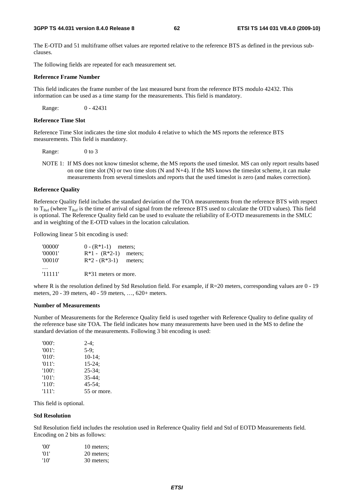The E-OTD and 51 multiframe offset values are reported relative to the reference BTS as defined in the previous subclauses.

The following fields are repeated for each measurement set.

#### **Reference Frame Number**

This field indicates the frame number of the last measured burst from the reference BTS modulo 42432. This information can be used as a time stamp for the measurements. This field is mandatory.

Range: 0 - 42431

#### **Reference Time Slot**

Reference Time Slot indicates the time slot modulo 4 relative to which the MS reports the reference BTS measurements. This field is mandatory.

Range: 0 to 3

NOTE 1: If MS does not know timeslot scheme, the MS reports the used timeslot. MS can only report results based on one time slot  $(N)$  or two time slots  $(N \text{ and } N+4)$ . If the MS knows the timeslot scheme, it can make measurements from several timeslots and reports that the used timeslot is zero (and makes correction).

#### **Reference Quality**

Reference Quality field includes the standard deviation of the TOA measurements from the reference BTS with respect to  $T_{\text{Ref}}$  (where  $T_{\text{Ref}}$  is the time of arrival of signal from the reference BTS used to calculate the OTD values). This field is optional. The Reference Quality field can be used to evaluate the reliability of E-OTD measurements in the SMLC and in weighting of the E-OTD values in the location calculation.

Following linear 5 bit encoding is used:

| '00000' |                         | $0 - (R^*1-1)$ meters; |  |
|---------|-------------------------|------------------------|--|
| '00001' | $R*1 - (R*2-1)$ meters; |                        |  |
| '00010' | $R*2 - (R*3-1)$         | meters:                |  |
|         |                         |                        |  |
| '11111' | $R*31$ meters or more.  |                        |  |

where R is the resolution defined by Std Resolution field. For example, if R=20 meters, corresponding values are 0 - 19 meters, 20 - 39 meters, 40 - 59 meters, …, 620+ meters.

#### **Number of Measurements**

Number of Measurements for the Reference Quality field is used together with Reference Quality to define quality of the reference base site TOA. The field indicates how many measurements have been used in the MS to define the standard deviation of the measurements. Following 3 bit encoding is used:

| $'000'$ : | $2-4:$      |
|-----------|-------------|
| $'001'$ : | $5-9$ ;     |
| $'010'$ : | $10-14$ ;   |
| $'011'$ : | $15 - 24$ ; |
| $'100'$ : | $25 - 34$ ; |
| $'101'$ : | $35 - 44:$  |
| $'110'$ : | $45 - 54$ : |
| '111':    | 55 or more. |

This field is optional.

#### **Std Resolution**

Std Resolution field includes the resolution used in Reference Quality field and Std of EOTD Measurements field. Encoding on 2 bits as follows:

| 'OO' | 10 meters: |
|------|------------|
| '01' | 20 meters; |
| '10' | 30 meters; |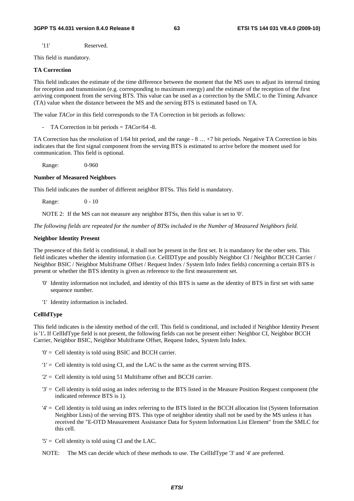'11' Reserved.

This field is mandatory.

## **TA Correction**

This field indicates the estimate of the time difference between the moment that the MS uses to adjust its internal timing for reception and transmission (e.g. corresponding to maximum energy) and the estimate of the reception of the first arriving component from the serving BTS. This value can be used as a correction by the SMLC to the Timing Advance (TA) value when the distance between the MS and the serving BTS is estimated based on TA.

The value *TACor* in this field corresponds to the TA Correction in bit periods as follows:

- TA Correction in bit periods = *TACor*/64 -8.

TA Correction has the resolution of 1/64 bit period, and the range - 8 … +7 bit periods. Negative TA Correction in bits indicates that the first signal component from the serving BTS is estimated to arrive before the moment used for communication. This field is optional.

Range: 0-960

#### **Number of Measured Neighbors**

This field indicates the number of different neighbor BTSs. This field is mandatory.

Range: 0 - 10

NOTE 2: If the MS can not measure any neighbor BTSs, then this value is set to '0'.

*The following fields are repeated for the number of BTSs included in the Number of Measured Neighbors field.* 

## **Neighbor Identity Present**

The presence of this field is conditional, it shall not be present in the first set. It is mandatory for the other sets. This field indicates whether the identity information (i.e. CellIDType and possibly Neighbor CI / Neighbor BCCH Carrier / Neighbor BSIC / Neighbor Multiframe Offset / Request Index / System Info Index fields) concerning a certain BTS is present or whether the BTS identity is given as reference to the first measurement set.

- '0' Identity information not included, and identity of this BTS is same as the identity of BTS in first set with same sequence number.
- '1' Identity information is included.

## **CellIdType**

This field indicates is the identity method of the cell. This field is conditional, and included if Neighbor Identity Present is '1'**.** If CellIdType field is not present, the following fields can not be present either: Neighbor CI, Neighbor BCCH Carrier, Neighbor BSIC, Neighbor Multiframe Offset, Request Index, System Info Index.

- '0' = Cell identity is told using BSIC and BCCH carrier.
- '1' = Cell identity is told using CI, and the LAC is the same as the current serving BTS.
- '2' = Cell identity is told using 51 Multiframe offset and BCCH carrier.
- '3' = Cell identity is told using an index referring to the BTS listed in the Measure Position Request component (the indicated reference BTS is 1).
- '4' = Cell identity is told using an index referring to the BTS listed in the BCCH allocation list (System Information Neighbor Lists) of the serving BTS. This type of neighbor identity shall not be used by the MS unless it has received the "E-OTD Measurement Assistance Data for System Information List Element" from the SMLC for this cell.
- $5'$  = Cell identity is told using CI and the LAC.
- NOTE: The MS can decide which of these methods to use. The CellIdType '3' and '4' are preferred.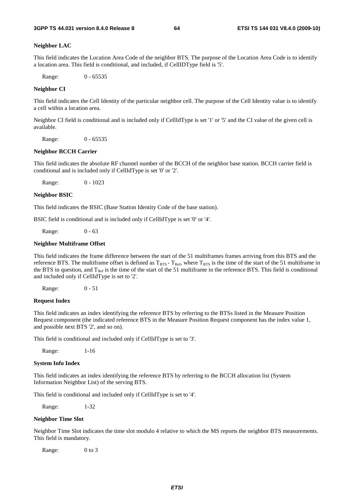#### **Neighbor LAC**

This field indicates the Location Area Code of the neighbor BTS. The purpose of the Location Area Code is to identify a location area. This field is conditional, and included, if CellIDType field is '5'.

Range: 0 - 65535

#### **Neighbor CI**

This field indicates the Cell Identity of the particular neighbor cell. The purpose of the Cell Identity value is to identify a cell within a location area.

Neighbor CI field is conditional and is included only if CellIdType is set '1' or '5' and the CI value of the given cell is available.

Range: 0 - 65535

#### **Neighbor BCCH Carrier**

This field indicates the absolute RF channel number of the BCCH of the neighbor base station. BCCH carrier field is conditional and is included only if CellIdType is set '0' or '2'.

Range: 0 - 1023

#### **Neighbor BSIC**

This field indicates the BSIC (Base Station Identity Code of the base station).

BSIC field is conditional and is included only if CellIdType is set '0' or '4'.

Range: 0 - 63

## **Neighbor Multiframe Offset**

This field indicates the frame difference between the start of the 51 multiframes frames arriving from this BTS and the reference BTS. The multiframe offset is defined as  $T_{BTS}$  -  $T_{Ref}$ , where  $T_{BTS}$  is the time of the start of the 51 multiframe in the BTS in question, and  $T_{Ref}$  is the time of the start of the 51 multiframe in the reference BTS. This field is conditional and included only if CellIdType is set to '2'.

Range: 0 - 51

#### **Request Index**

This field indicates an index identifying the reference BTS by referring to the BTSs listed in the Measure Position Request component (the indicated reference BTS in the Measure Position Request component has the index value 1, and possible next BTS '2', and so on).

This field is conditional and included only if CellIdType is set to '3'.

Range: 1-16

#### **System Info Index**

This field indicates an index identifying the reference BTS by referring to the BCCH allocation list (System Information Neighbor List) of the serving BTS.

This field is conditional and included only if CellIdType is set to '4'.

Range: 1-32

## **Neighbor Time Slot**

Neighbor Time Slot indicates the time slot modulo 4 relative to which the MS reports the neighbor BTS measurements. This field is mandatory.

Range: 0 to 3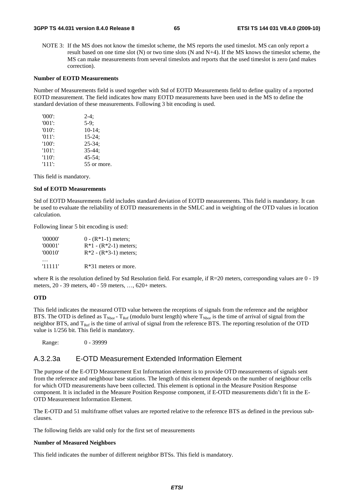NOTE 3: If the MS does not know the timeslot scheme, the MS reports the used timeslot. MS can only report a result based on one time slot (N) or two time slots (N and N+4). If the MS knows the timeslot scheme, the MS can make measurements from several timeslots and reports that the used timeslot is zero (and makes correction).

#### **Number of EOTD Measurements**

Number of Measurements field is used together with Std of EOTD Measurements field to define quality of a reported EOTD measurement. The field indicates how many EOTD measurements have been used in the MS to define the standard deviation of these measurements. Following 3 bit encoding is used.

| $'000$ .  | $2-4:$      |
|-----------|-------------|
| $'001'$ : | $5-9:$      |
| $'010'$ : | $10-14$ ;   |
| $'011'$ : | $15-24;$    |
| $'100'$ : | $25 - 34$ ; |
| $'101'$ : | $35 - 44:$  |
| $'110'$ : | $45 - 54$ ; |
| $'111'$ : | 55 or more. |

This field is mandatory.

## **Std of EOTD Measurements**

Std of EOTD Measurements field includes standard deviation of EOTD measurements. This field is mandatory. It can be used to evaluate the reliability of EOTD measurements in the SMLC and in weighting of the OTD values in location calculation.

Following linear 5 bit encoding is used:

| '00000' | $0 - (R*1-1)$ meters;   |
|---------|-------------------------|
| '00001' | $R*1 - (R*2-1)$ meters; |
| '00010' | $R*2 - (R*3-1)$ meters; |
|         |                         |
| '11111' | $R*31$ meters or more.  |

where R is the resolution defined by Std Resolution field. For example, if R=20 meters, corresponding values are 0 - 19 meters, 20 - 39 meters, 40 - 59 meters, …, 620+ meters.

### **OTD**

This field indicates the measured OTD value between the receptions of signals from the reference and the neighbor BTS. The OTD is defined as  $T_{Nbor}$  -  $T_{Ref}$  (modulo burst length) where  $T_{Nbor}$  is the time of arrival of signal from the neighbor BTS, and  $T_{\text{Ref}}$  is the time of arrival of signal from the reference BTS. The reporting resolution of the OTD value is 1/256 bit. This field is mandatory.

Range: 0 - 39999

# A.3.2.3a E-OTD Measurement Extended Information Element

The purpose of the E-OTD Measurement Ext Information element is to provide OTD measurements of signals sent from the reference and neighbour base stations. The length of this element depends on the number of neighbour cells for which OTD measurements have been collected. This element is optional in the Measure Position Response component. It is included in the Measure Position Response component, if E-OTD measurements didn't fit in the E-OTD Measurement Information Element.

The E-OTD and 51 multiframe offset values are reported relative to the reference BTS as defined in the previous subclauses.

The following fields are valid only for the first set of measurements

#### **Number of Measured Neighbors**

This field indicates the number of different neighbor BTSs. This field is mandatory.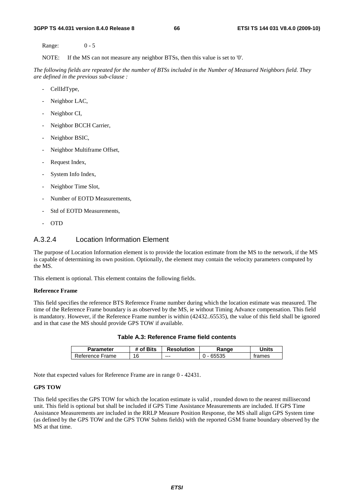Range: 0 - 5

NOTE: If the MS can not measure any neighbor BTSs, then this value is set to '0'.

*The following fields are repeated for the number of BTSs included in the Number of Measured Neighbors field. They are defined in the previous sub-clause :*

- CellIdType,
- Neighbor LAC,
- Neighbor CI,
- Neighbor BCCH Carrier,
- Neighbor BSIC,
- Neighbor Multiframe Offset,
- Request Index,
- System Info Index,
- Neighbor Time Slot,
- Number of EOTD Measurements,
- Std of EOTD Measurements,
- OTD

# A.3.2.4 Location Information Element

The purpose of Location Information element is to provide the location estimate from the MS to the network, if the MS is capable of determining its own position. Optionally, the element may contain the velocity parameters computed by the MS.

This element is optional. This element contains the following fields.

## **Reference Frame**

This field specifies the reference BTS Reference Frame number during which the location estimate was measured. The time of the Reference Frame boundary is as observed by the MS, ie without Timing Advance compensation. This field is mandatory. However, if the Reference Frame number is within (42432..65535), the value of this field shall be ignored and in that case the MS should provide GPS TOW if available.

| <b>Parameter</b> | # of Bits | <b>Resolution</b> | Range | Jnits  |
|------------------|-----------|-------------------|-------|--------|
| Reference Frame  | 16        | ---               | 65535 | trames |

**Table A.3: Reference Frame field contents** 

Note that expected values for Reference Frame are in range 0 - 42431.

## **GPS TOW**

This field specifies the GPS TOW for which the location estimate is valid , rounded down to the nearest millisecond unit. This field is optional but shall be included if GPS Time Assistance Measurements are included. If GPS Time Assistance Measurements are included in the RRLP Measure Position Response, the MS shall align GPS System time (as defined by the GPS TOW and the GPS TOW Subms fields) with the reported GSM frame boundary observed by the MS at that time.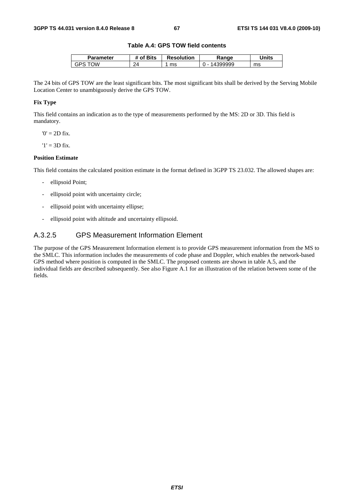## **Table A.4: GPS TOW field contents**

| Parameter | <b>Bits</b><br>Οf | <b>Resolution</b> | 'ange | <b>Jnits</b> |
|-----------|-------------------|-------------------|-------|--------------|
| ١W<br>GP۲ | つハ                | ms                |       | ms           |

The 24 bits of GPS TOW are the least significant bits. The most significant bits shall be derived by the Serving Mobile Location Center to unambiguously derive the GPS TOW.

## **Fix Type**

This field contains an indication as to the type of measurements performed by the MS: 2D or 3D. This field is mandatory.

 $0' = 2D$  fix.

 $'1' = 3D$  fix.

## **Position Estimate**

This field contains the calculated position estimate in the format defined in 3GPP TS 23.032. The allowed shapes are:

- ellipsoid Point;
- ellipsoid point with uncertainty circle;
- ellipsoid point with uncertainty ellipse;
- ellipsoid point with altitude and uncertainty ellipsoid.

# A.3.2.5 GPS Measurement Information Element

The purpose of the GPS Measurement Information element is to provide GPS measurement information from the MS to the SMLC. This information includes the measurements of code phase and Doppler, which enables the network-based GPS method where position is computed in the SMLC. The proposed contents are shown in table A.5, and the individual fields are described subsequently. See also Figure A.1 for an illustration of the relation between some of the fields.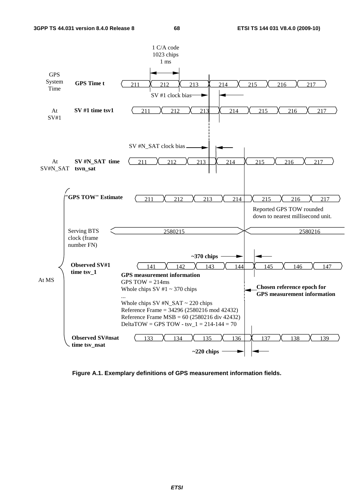

**Figure A.1. Exemplary definitions of GPS measurement information fields.**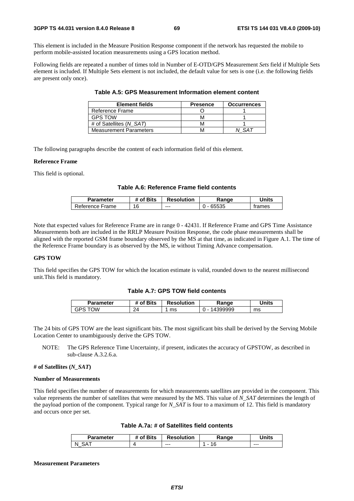This element is included in the Measure Position Response component if the network has requested the mobile to perform mobile-assisted location measurements using a GPS location method.

Following fields are repeated a number of times told in Number of E-OTD/GPS Measurement *Sets* field if Multiple Sets element is included. If Multiple Sets element is not included, the default value for sets is one (i.e. the following fields are present only once).

| <b>Element fields</b>         | <b>Presence</b> | <b>Occurrences</b> |
|-------------------------------|-----------------|--------------------|
| Reference Frame               |                 |                    |
| <b>GPS TOW</b>                |                 |                    |
| # of Satellites (N SAT)       |                 |                    |
| <b>Measurement Parameters</b> |                 |                    |

**Table A.5: GPS Measurement Information element content** 

The following paragraphs describe the content of each information field of this element.

#### **Reference Frame**

This field is optional.

## **Table A.6: Reference Frame field contents**

| Parameter       | # of Bits | <b>Resolution</b> | Range | Units  |
|-----------------|-----------|-------------------|-------|--------|
| Reference Frame | 16        | $--$              | 65535 | trames |

Note that expected values for Reference Frame are in range 0 - 42431. If Reference Frame and GPS Time Assistance Measurements both are included in the RRLP Measure Position Response, the code phase measurements shall be aligned with the reported GSM frame boundary observed by the MS at that time, as indicated in Figure A.1. The time of the Reference Frame boundary is as observed by the MS, ie without Timing Advance compensation.

## **GPS TOW**

This field specifies the GPS TOW for which the location estimate is valid, rounded down to the nearest millisecond unit.This field is mandatory.

## **Table A.7: GPS TOW field contents**

| Parameter | f Bits **            | <b>Resolution</b> | Range                              | Units |
|-----------|----------------------|-------------------|------------------------------------|-------|
| Ŵ<br>'۲ن  | $\mathcal{D}$<br>- 1 | ms                | 399999<br>$\overline{\phantom{a}}$ | ms    |

The 24 bits of GPS TOW are the least significant bits. The most significant bits shall be derived by the Serving Mobile Location Center to unambiguously derive the GPS TOW.

NOTE: The GPS Reference Time Uncertainty, if present, indicates the accuracy of GPSTOW, as described in sub-clause A.3.2.6.a.

## **# of Satellites (***N\_SAT***)**

#### **Number of Measurements**

This field specifies the number of measurements for which measurements satellites are provided in the component. This value represents the number of satellites that were measured by the MS. This value of *N\_SAT* determines the length of the payload portion of the component. Typical range for *N\_SAT* is four to a maximum of 12. This field is mandatory and occurs once per set.

| Parameter | <sup>4</sup> of Bits | <b>Resolution</b> | Range | <b>Inits</b> |
|-----------|----------------------|-------------------|-------|--------------|
| N<br>_    |                      | $--$              |       | $- - -$      |

#### **Measurement Parameters**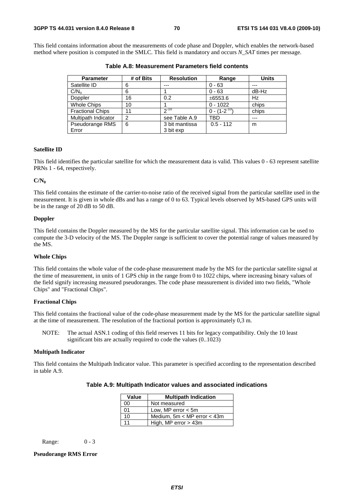This field contains information about the measurements of code phase and Doppler, which enables the network-based method where position is computed in the SMLC. This field is mandatory and occurs *N\_SAT* times per message.

| <b>Parameter</b>        | # of Bits      | <b>Resolution</b> | Range               | <b>Units</b> |
|-------------------------|----------------|-------------------|---------------------|--------------|
| Satellite ID            | 6              | ---               | $0 - 63$            | ---          |
| C/N <sub>o</sub>        | 6              |                   | $0 - 63$            | dB-Hz        |
| Doppler                 | 16             | 0.2               | ±6553.6             | Hz           |
| <b>Whole Chips</b>      | 10             |                   | $0 - 1022$          | chips        |
| <b>Fractional Chips</b> | 11             | $2^{-10}$         | $0 - (1 - 2^{-10})$ | chips        |
| Multipath Indicator     | $\overline{2}$ | see Table A.9     | TBD                 | ---          |
| Pseudorange RMS         | 6              | 3 bit mantissa    | $0.5 - 112$         | m            |
| Error                   |                | 3 bit exp         |                     |              |

**Table A.8: Measurement Parameters field contents** 

#### **Satellite ID**

This field identifies the particular satellite for which the measurement data is valid. This values 0 - 63 represent satellite PRNs 1 - 64, respectively.

#### **C/N0**

This field contains the estimate of the carrier-to-noise ratio of the received signal from the particular satellite used in the measurement. It is given in whole dBs and has a range of 0 to 63. Typical levels observed by MS-based GPS units will be in the range of 20 dB to 50 dB.

## **Doppler**

This field contains the Doppler measured by the MS for the particular satellite signal. This information can be used to compute the 3-D velocity of the MS. The Doppler range is sufficient to cover the potential range of values measured by the MS.

### **Whole Chips**

This field contains the whole value of the code-phase measurement made by the MS for the particular satellite signal at the time of measurement, in units of 1 GPS chip in the range from 0 to 1022 chips, where increasing binary values of the field signify increasing measured pseudoranges. The code phase measurement is divided into two fields, "Whole Chips" and "Fractional Chips".

## **Fractional Chips**

This field contains the fractional value of the code-phase measurement made by the MS for the particular satellite signal at the time of measurement. The resolution of the fractional portion is approximately 0,3 m.

NOTE: The actual ASN.1 coding of this field reserves 11 bits for legacy compatibility. Only the 10 least significant bits are actually required to code the values (0..1023)

#### **Multipath Indicator**

This field contains the Multipath Indicator value. This parameter is specified according to the representation described in table A.9.

| Value | <b>Multipath Indication</b>     |
|-------|---------------------------------|
| 00    | Not measured                    |
| 01    | Low, MP error $<$ 5m            |
| 10    | Medium, $5m < MP$ error $<$ 43m |
| 11    | High, MP error $>$ 43m          |

Range: 0 - 3

## **Pseudorange RMS Error**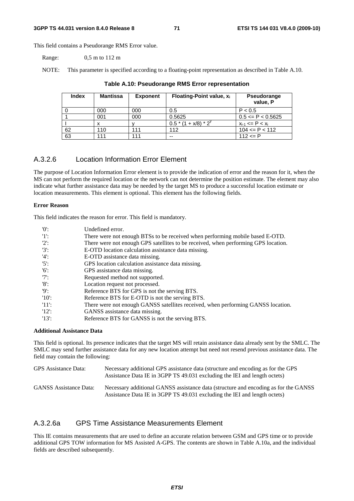This field contains a Pseudorange RMS Error value.

Range: 0,5 m to 112 m

NOTE: This parameter is specified according to a floating-point representation as described in Table A.10.

| <b>Index</b> | <b>Mantissa</b> | <b>Exponent</b> | Floating-Point value, $x_i$ | <b>Pseudorange</b><br>value, P |
|--------------|-----------------|-----------------|-----------------------------|--------------------------------|
|              | 000             | 000             | 0.5                         | P < 0.5                        |
|              | 001             | 000             | 0.5625                      | $0.5 \leq P \leq 0.5625$       |
|              |                 |                 | $0.5*(1+x/8)*2^{y}$         | $x_{i-1}$ <= P < $x_i$         |
| 62           | 110             | 111             | 112                         | $104 \leq P \leq 112$          |
| 63           | 111             | 111             | --                          | 112 $\leq$ P                   |

## **Table A.10: Pseudorange RMS Error representation**

# A.3.2.6 Location Information Error Element

The purpose of Location Information Error element is to provide the indication of error and the reason for it, when the MS can not perform the required location or the network can not determine the position estimate. The element may also indicate what further assistance data may be needed by the target MS to produce a successful location estimate or location measurements. This element is optional. This element has the following fields.

#### **Error Reason**

This field indicates the reason for error. This field is mandatory.

| '0'      | Undefined error.                                                                   |
|----------|------------------------------------------------------------------------------------|
| 11:      | There were not enough BTSs to be received when performing mobile based E-OTD.      |
| $'2$ :   | There were not enough GPS satellites to be received, when performing GPS location. |
| $'3'$ :  | E-OTD location calculation assistance data missing.                                |
| $'4$ :   | E-OTD assistance data missing.                                                     |
| $'5$ :   | GPS location calculation assistance data missing.                                  |
| $'6$ :   | GPS assistance data missing.                                                       |
| $'7$ :   | Requested method not supported.                                                    |
| $'8$ :   | Location request not processed.                                                    |
| '9       | Reference BTS for GPS is not the serving BTS.                                      |
| $'10'$ : | Reference BTS for E-OTD is not the serving BTS.                                    |
| -'11':   | There were not enough GANSS satellites received, when performing GANSS location.   |
| 12:      | GANSS assistance data missing.                                                     |
| $'13'$ : | Reference BTS for GANSS is not the serving BTS.                                    |

## **Additional Assistance Data**

This field is optional. Its presence indicates that the target MS will retain assistance data already sent by the SMLC. The SMLC may send further assistance data for any new location attempt but need not resend previous assistance data. The field may contain the following:

| GPS Assistance Data:          | Necessary additional GPS assistance data (structure and encoding as for the GPS<br>Assistance Data IE in 3GPP TS 49.031 excluding the IEI and length octets)     |
|-------------------------------|------------------------------------------------------------------------------------------------------------------------------------------------------------------|
| <b>GANSS</b> Assistance Data: | Necessary additional GANSS assistance data (structure and encoding as for the GANSS<br>Assistance Data IE in 3GPP TS 49.031 excluding the IEI and length octets) |

# A.3.2.6a GPS Time Assistance Measurements Element

This IE contains measurements that are used to define an accurate relation between GSM and GPS time or to provide additional GPS TOW information for MS Assisted A-GPS. The contents are shown in Table A.10a, and the individual fields are described subsequently.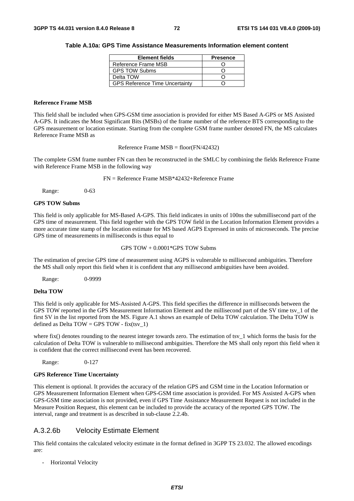#### **Table A.10a: GPS Time Assistance Measurements Information element content**

| <b>Element fields</b>                 | <b>Presence</b> |
|---------------------------------------|-----------------|
| Reference Frame MSB                   |                 |
| <b>GPS TOW Subms</b>                  |                 |
| Delta TOW                             |                 |
| <b>GPS Reference Time Uncertainty</b> |                 |

#### **Reference Frame MSB**

This field shall be included when GPS-GSM time association is provided for either MS Based A-GPS or MS Assisted A-GPS. It indicates the Most Significant Bits (MSBs) of the frame number of the reference BTS corresponding to the GPS measurement or location estimate. Starting from the complete GSM frame number denoted FN, the MS calculates Reference Frame MSB as

Reference Frame MSB = floor(FN/42432)

The complete GSM frame number FN can then be reconstructed in the SMLC by combining the fields Reference Frame with Reference Frame MSB in the following way

FN = Reference Frame MSB\*42432+Reference Frame

Range: 0-63

#### **GPS TOW Subms**

This field is only applicable for MS-Based A-GPS. This field indicates in units of 100ns the submillisecond part of the GPS time of measurement. This field together with the GPS TOW field in the Location Information Element provides a more accurate time stamp of the location estimate for MS based AGPS Expressed in units of microseconds. The precise GPS time of measurements in milliseconds is thus equal to

GPS TOW + 0.0001\*GPS TOW Subms

The estimation of precise GPS time of measurement using AGPS is vulnerable to millisecond ambiguities. Therefore the MS shall only report this field when it is confident that any millisecond ambiguities have been avoided.

Range: 0-9999

#### **Delta TOW**

This field is only applicable for MS-Assisted A-GPS. This field specifies the difference in milliseconds between the GPS TOW reported in the GPS Measurement Information Element and the millisecond part of the SV time tsv\_1 of the first SV in the list reported from the MS. Figure A.1 shows an example of Delta TOW calculation. The Delta TOW is defined as Delta TOW = GPS TOW - fix(tsy\_1)

where fix() denotes rounding to the nearest integer towards zero. The estimation of tsv $1$  which forms the basis for the calculation of Delta TOW is vulnerable to millisecond ambiguities. Therefore the MS shall only report this field when it is confident that the correct millisecond event has been recovered.

Range: 0-127

#### **GPS Reference Time Uncertainty**

This element is optional. It provides the accuracy of the relation GPS and GSM time in the Location Information or GPS Measurement Information Element when GPS-GSM time association is provided. For MS Assisted A-GPS when GPS-GSM time association is not provided, even if GPS Time Assistance Measurement Request is not included in the Measure Position Request, this element can be included to provide the accuracy of the reported GPS TOW. The interval, range and treatment is as described in sub-clause 2.2.4b.

### A.3.2.6b Velocity Estimate Element

This field contains the calculated velocity estimate in the format defined in 3GPP TS 23.032. The allowed encodings are:

- Horizontal Velocity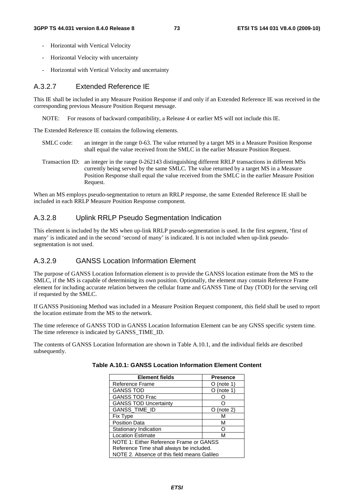- Horizontal with Vertical Velocity
- Horizontal Velocity with uncertainty
- Horizontal with Vertical Velocity and uncertainty

### A.3.2.7 Extended Reference IE

This IE shall be included in any Measure Position Response if and only if an Extended Reference IE was received in the corresponding previous Measure Position Request message.

NOTE: For reasons of backward compatibility, a Release 4 or earlier MS will not include this IE.

The Extended Reference IE contains the following elements.

- SMLC code: an integer in the range 0-63. The value returned by a target MS in a Measure Position Response shall equal the value received from the SMLC in the earlier Measure Position Request.
- Transaction ID: an integer in the range 0-262143 distinguishing different RRLP transactions in different MSs currently being served by the same SMLC. The value returned by a target MS in a Measure Position Response shall equal the value received from the SMLC in the earlier Measure Position Request.

When an MS employs pseudo-segmentation to return an RRLP response, the same Extended Reference IE shall be included in each RRLP Measure Position Response component.

### A.3.2.8 Uplink RRLP Pseudo Segmentation Indication

This element is included by the MS when up-link RRLP pseudo-segmentation is used. In the first segment, 'first of many' is indicated and in the second 'second of many' is indicated. It is not included when up-link pseudosegmentation is not used.

### A.3.2.9 GANSS Location Information Element

The purpose of GANSS Location Information element is to provide the GANSS location estimate from the MS to the SMLC, if the MS is capable of determining its own position. Optionally, the element may contain Reference Frame element for including accurate relation between the cellular frame and GANSS Time of Day (TOD) for the serving cell if requested by the SMLC.

If GANSS Positioning Method was included in a Measure Position Request component, this field shall be used to report the location estimate from the MS to the network.

The time reference of GANSS TOD in GANSS Location Information Element can be any GNSS specific system time. The time reference is indicated by GANSS\_TIME\_ID.

The contents of GANSS Location Information are shown in Table A.10.1, and the individual fields are described subsequently.

| <b>Element fields</b>                       | <b>Presence</b> |  |
|---------------------------------------------|-----------------|--|
| Reference Frame                             | (note 1)        |  |
| <b>GANSS TOD</b>                            | $O$ (note 1)    |  |
| <b>GANSS TOD Frac</b>                       |                 |  |
| <b>GANSS TOD Uncertainty</b>                |                 |  |
| GANSS_TIME_ID                               | (note 2)        |  |
| <b>Fix Type</b>                             | М               |  |
| <b>Position Data</b>                        | М               |  |
| Stationary Indication                       |                 |  |
| <b>Location Estimate</b>                    | М               |  |
| NOTE 1: Either Reference Frame or GANSS     |                 |  |
| Reference Time shall always be included.    |                 |  |
| NOTE 2. Absence of this field means Galileo |                 |  |

| Table A.10.1: GANSS Location Information Element Content |  |  |  |  |
|----------------------------------------------------------|--|--|--|--|
|----------------------------------------------------------|--|--|--|--|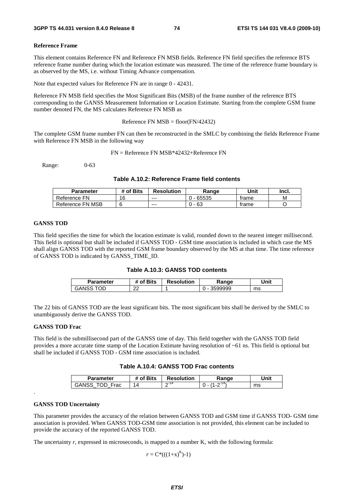#### **Reference Frame**

This element contains Reference FN and Reference FN MSB fields. Reference FN field specifies the reference BTS reference frame number during which the location estimate was measured. The time of the reference frame boundary is as observed by the MS, i.e. without Timing Advance compensation.

Note that expected values for Reference FN are in range 0 - 42431.

Reference FN MSB field specifies the Most Significant Bits (MSB) of the frame number of the reference BTS corresponding to the GANSS Measurement Information or Location Estimate. Starting from the complete GSM frame number denoted FN, the MS calculates Reference FN MSB as

Reference FN  $MSB = floor(FN/42432)$ 

The complete GSM frame number FN can then be reconstructed in the SMLC by combining the fields Reference Frame with Reference FN MSB in the following way

FN = Reference FN MSB\*42432+Reference FN

Range: 0-63

#### **Table A.10.2: Reference Frame field contents**

| <b>Parameter</b> | of Bits | <b>Resolution</b> | Range | Unit  | Incl. |
|------------------|---------|-------------------|-------|-------|-------|
| Reference FN     | 16      | $--$              | 65535 | trame | M     |
| Reference FN MSB |         | $- - -$           | 63    | trame |       |

#### **GANSS TOD**

This field specifies the time for which the location estimate is valid, rounded down to the nearest integer millisecond. This field is optional but shall be included if GANSS TOD - GSM time association is included in which case the MS shall align GANSS TOD with the reported GSM frame boundary observed by the MS at that time. The time reference of GANSS TOD is indicated by GANSS\_TIME\_ID.

| Table A.10.3: GANSS TOD contents |  |  |
|----------------------------------|--|--|
|----------------------------------|--|--|

| Parameter | # of Bits | <b>Resolution</b> | Range   | Unit |
|-----------|-----------|-------------------|---------|------|
| GANSS     | ົ<br>ے    |                   | 3599999 | ms   |

The 22 bits of GANSS TOD are the least significant bits. The most significant bits shall be derived by the SMLC to unambiguously derive the GANSS TOD.

#### **GANSS TOD Frac**

This field is the submillisecond part of the GANSS time of day. This field together with the GANSS TOD field provides a more accurate time stamp of the Location Estimate having resolution of ~61 ns. This field is optional but shall be included if GANSS TOD - GSM time association is included.

#### **Table A.10.4: GANSS TOD Frac contents**

| <b>Parameter</b> | <b>Bits</b><br>ot. | <b>Resolution</b> | Range | Unit |
|------------------|--------------------|-------------------|-------|------|
| Frac<br>GANSS    | Д                  | $\sim$ 14<br>-    |       | ms   |

#### **GANSS TOD Uncertainty**

.

This parameter provides the accuracy of the relation between GANSS TOD and GSM time if GANSS TOD- GSM time association is provided. When GANSS TOD-GSM time association is not provided, this element can be included to provide the accuracy of the reported GANSS TOD.

The uncertainty *r*, expressed in microseconds, is mapped to a number K, with the following formula:

 $r = C^*((1+x)^K)-1)$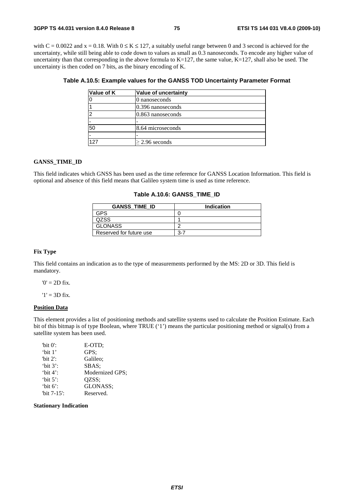with C = 0.0022 and x = 0.18. With  $0 \le K \le 127$ , a suitably useful range between 0 and 3 second is achieved for the uncertainty, while still being able to code down to values as small as 0.3 nanoseconds. To encode any higher value of uncertainty than that corresponding in the above formula to  $K=127$ , the same value,  $K=127$ , shall also be used. The uncertainty is then coded on 7 bits, as the binary encoding of K.

| Value of K | Value of uncertainty |
|------------|----------------------|
|            | 0 nanoseconds        |
|            | $0.396$ nanoseconds  |
|            | $0.863$ nanoseconds  |
|            |                      |
| 50         | 8.64 microseconds    |
|            |                      |
| 127        | $\geq$ 2.96 seconds  |

#### **GANSS\_TIME\_ID**

This field indicates which GNSS has been used as the time reference for GANSS Location Information. This field is optional and absence of this field means that Galileo system time is used as time reference.

#### **Table A.10.6: GANSS\_TIME\_ID**

| <b>GANSS TIME ID</b>    | Indication |
|-------------------------|------------|
| GPS                     |            |
| QZSS.                   |            |
| <b>GLONASS</b>          |            |
| Reserved for future use | 3-7        |

#### **Fix Type**

This field contains an indication as to the type of measurements performed by the MS: 2D or 3D. This field is mandatory.

 $0' = 2D$  fix.

 $'1' = 3D$  fix.

#### **Position Data**

This element provides a list of positioning methods and satellite systems used to calculate the Position Estimate. Each bit of this bitmap is of type Boolean, where TRUE ('1') means the particular positioning method or signal(s) from a satellite system has been used.

| "bit $0$ ":    | E-OTD:          |
|----------------|-----------------|
| 'bit $1$ '     | GPS:            |
| "bit $2$ ":    | Galileo:        |
| 'bit $3$ ':    | SBAS:           |
| 'bit $4$ ':    | Modernized GPS; |
| 'bit $5$ ':    | OZSS:           |
| 'bit $6$ ':    | GLONASS;        |
| "bit $7-15$ ": | Reserved.       |

**Stationary Indication**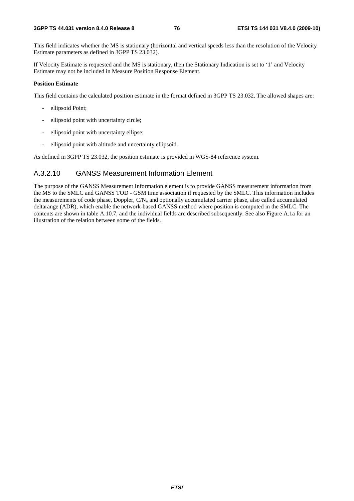This field indicates whether the MS is stationary (horizontal and vertical speeds less than the resolution of the Velocity Estimate parameters as defined in 3GPP TS 23.032).

If Velocity Estimate is requested and the MS is stationary, then the Stationary Indication is set to '1' and Velocity Estimate may not be included in Measure Position Response Element.

#### **Position Estimate**

This field contains the calculated position estimate in the format defined in 3GPP TS 23.032. The allowed shapes are:

- ellipsoid Point;
- ellipsoid point with uncertainty circle;
- ellipsoid point with uncertainty ellipse;
- ellipsoid point with altitude and uncertainty ellipsoid.

As defined in 3GPP TS 23.032, the position estimate is provided in WGS-84 reference system.

### A.3.2.10 GANSS Measurement Information Element

The purpose of the GANSS Measurement Information element is to provide GANSS measurement information from the MS to the SMLC and GANSS TOD - GSM time association if requested by the SMLC. This information includes the measurements of code phase, Doppler,  $CN<sub>o</sub>$  and optionally accumulated carrier phase, also called accumulated deltarange (ADR), which enable the network-based GANSS method where position is computed in the SMLC. The contents are shown in table A.10.7, and the individual fields are described subsequently. See also Figure A.1a for an illustration of the relation between some of the fields.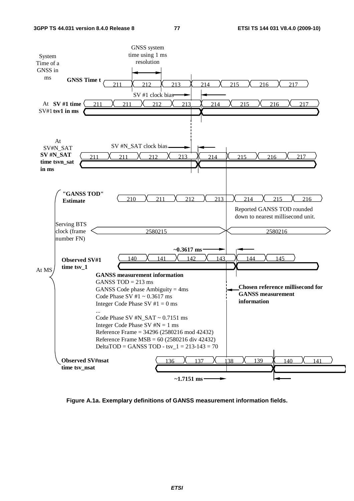

**Figure A.1a. Exemplary definitions of GANSS measurement information fields.**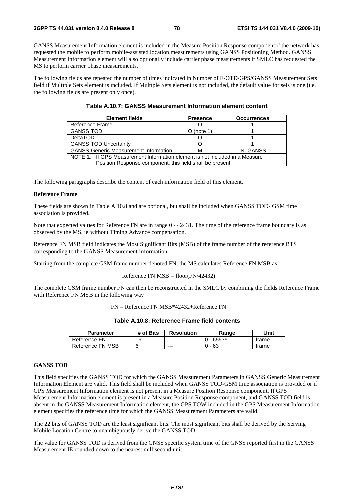GANSS Measurement Information element is included in the Measure Position Response component if the network has requested the mobile to perform mobile-assisted location measurements using GANSS Positioning Method. GANSS Measurement Information element will also optionally include carrier phase measurements if SMLC has requested the MS to perform carrier phase measurements.

The following fields are repeated the number of times indicated in Number of E-OTD/GPS/GANSS Measurement Sets field if Multiple Sets element is included. If Multiple Sets element is not included, the default value for sets is one (i.e. the following fields are present only once).

| <b>Element fields</b>                                                       | <b>Presence</b> | <b>Occurrences</b> |  |  |
|-----------------------------------------------------------------------------|-----------------|--------------------|--|--|
| Reference Frame                                                             |                 |                    |  |  |
| <b>GANSS TOD</b>                                                            | $O$ (note 1)    |                    |  |  |
| <b>DeltaTOD</b>                                                             |                 |                    |  |  |
| <b>GANSS TOD Uncertainty</b>                                                |                 |                    |  |  |
| <b>GANSS Generic Measurement Information</b><br>N GANSS<br>м                |                 |                    |  |  |
| NOTE 1: If GPS Measurement Information element is not included in a Measure |                 |                    |  |  |
| Position Response component, this field shall be present.                   |                 |                    |  |  |

The following paragraphs describe the content of each information field of this element.

#### **Reference Frame**

These fields are shown in Table A.10.8 and are optional, but shall be included when GANSS TOD- GSM time association is provided.

Note that expected values for Reference FN are in range  $0 - 42431$ . The time of the reference frame boundary is as observed by the MS, ie without Timing Advance compensation.

Reference FN MSB field indicates the Most Significant Bits (MSB) of the frame number of the reference BTS corresponding to the GANSS Measurement Information.

Starting from the complete GSM frame number denoted FN, the MS calculates Reference FN MSB as

#### Reference FN  $MSB = floor(FN/42432)$

The complete GSM frame number FN can then be reconstructed in the SMLC by combining the fields Reference Frame with Reference FN MSB in the following way

FN = Reference FN MSB\*42432+Reference FN

| <b>Parameter</b> | # of Bits | <b>Resolution</b> | Range       | Unit  |
|------------------|-----------|-------------------|-------------|-------|
| Reference FN     | 16        | ---               | $0 - 65535$ | trame |
| Reference FN MSB |           | $--$              | - 63<br>∩.  | trame |

#### **GANSS TOD**

This field specifies the GANSS TOD for which the GANSS Measurement Parameters in GANSS Generic Measurement Information Element are valid. This field shall be included when GANSS TOD-GSM time association is provided or if GPS Measurement Information element is not present in a Measure Position Response component. If GPS Measurement Information element is present in a Measure Position Response component, and GANSS TOD field is absent in the GANSS Measurement Information element, the GPS TOW included in the GPS Measurement Information element specifies the reference time for which the GANSS Measurement Parameters are valid.

The 22 bits of GANSS TOD are the least significant bits. The most significant bits shall be derived by the Serving Mobile Location Centre to unambiguously derive the GANSS TOD.

The value for GANSS TOD is derived from the GNSS specific system time of the GNSS reported first in the GANSS Measurement IE rounded down to the nearest millisecond unit.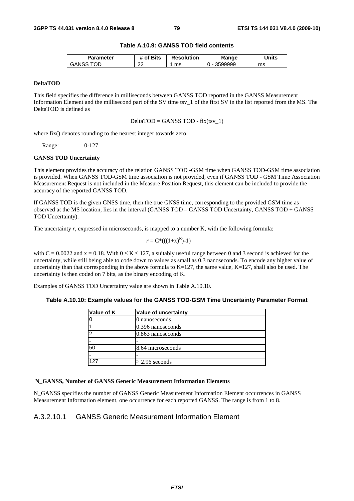#### **Table A.10.9: GANSS TOD field contents**

| Parameter | <b>'Bits</b><br>∍of | <b>Resolution</b> | Range   | Units |
|-----------|---------------------|-------------------|---------|-------|
| OD<br>эAІ | $\sim$<br>∼         | ms                | 3599999 | ms    |

#### **DeltaTOD**

This field specifies the difference in milliseconds between GANSS TOD reported in the GANSS Measurement Information Element and the millisecond part of the SV time tsv\_1 of the first SV in the list reported from the MS. The DeltaTOD is defined as

 $DeltaTOP = GANSS TOP - fix(tsv_1)$ 

where fix() denotes rounding to the nearest integer towards zero.

Range: 0-127

#### **GANSS TOD Uncertainty**

This element provides the accuracy of the relation GANSS TOD -GSM time when GANSS TOD-GSM time association is provided. When GANSS TOD-GSM time association is not provided, even if GANSS TOD - GSM Time Association Measurement Request is not included in the Measure Position Request, this element can be included to provide the accuracy of the reported GANSS TOD.

If GANSS TOD is the given GNSS time, then the true GNSS time, corresponding to the provided GSM time as observed at the MS location, lies in the interval (GANSS TOD – GANSS TOD Uncertainty, GANSS TOD + GANSS TOD Uncertainty).

The uncertainty *r*, expressed in microseconds, is mapped to a number K, with the following formula:

$$
r = C^*(( (1+x)^K )-1)
$$

with  $C = 0.0022$  and  $x = 0.18$ . With  $0 \le K \le 127$ , a suitably useful range between 0 and 3 second is achieved for the uncertainty, while still being able to code down to values as small as 0.3 nanoseconds. To encode any higher value of uncertainty than that corresponding in the above formula to  $K=127$ , the same value,  $K=127$ , shall also be used. The uncertainty is then coded on 7 bits, as the binary encoding of K.

Examples of GANSS TOD Uncertainty value are shown in Table A.10.10.

#### **Table A.10.10: Example values for the GANSS TOD-GSM Time Uncertainty Parameter Format**

| Value of K | Value of uncertainty |
|------------|----------------------|
|            | 0 nanoseconds        |
|            | $0.396$ nanoseconds  |
| ≏          | $0.863$ nanoseconds  |
|            |                      |
| 50         | 8.64 microseconds    |
| -          |                      |
| 127        | $\geq$ 2.96 seconds  |

#### **N\_GANSS, Number of GANSS Generic Measurement Information Elements**

N\_GANSS specifies the number of GANSS Generic Measurement Information Element occurrences in GANSS Measurement Information element, one occurrence for each reported GANSS. The range is from 1 to 8.

### A.3.2.10.1 GANSS Generic Measurement Information Element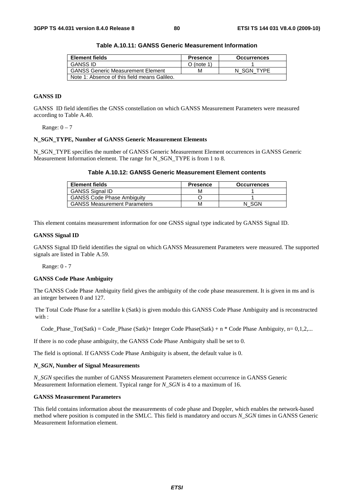| <b>Element fields</b>                        | <b>Presence</b> | <b>Occurrences</b> |
|----------------------------------------------|-----------------|--------------------|
| <b>GANSS ID</b>                              | O (note 1)      |                    |
| <b>GANSS Generic Measurement Element</b>     | м               | N SGN TYPE         |
| Note 1: Absence of this field means Galileo. |                 |                    |

**Table A.10.11: GANSS Generic Measurement Information** 

### **GANSS ID**

GANSS ID field identifies the GNSS constellation on which GANSS Measurement Parameters were measured according to Table A.40.

Range:  $0 - 7$ 

#### **N\_SGN\_TYPE, Number of GANSS Generic Measurement Elements**

N\_SGN\_TYPE specifies the number of GANSS Generic Measurement Element occurrences in GANSS Generic Measurement Information element. The range for N\_SGN\_TYPE is from 1 to 8.

|  | Table A.10.12: GANSS Generic Measurement Element contents |
|--|-----------------------------------------------------------|
|--|-----------------------------------------------------------|

| <b>Element fields</b>               | <b>Presence</b> | <b>Occurrences</b> |
|-------------------------------------|-----------------|--------------------|
| <b>GANSS Signal ID</b>              | м               |                    |
| <b>GANSS Code Phase Ambiguity</b>   |                 |                    |
| <b>GANSS Measurement Parameters</b> | м               | SGN                |

This element contains measurement information for one GNSS signal type indicated by GANSS Signal ID.

#### **GANSS Signal ID**

GANSS Signal ID field identifies the signal on which GANSS Measurement Parameters were measured. The supported signals are listed in Table A.59.

Range: 0 - 7

#### **GANSS Code Phase Ambiguity**

The GANSS Code Phase Ambiguity field gives the ambiguity of the code phase measurement. It is given in ms and is an integer between 0 and 127.

The Total Code Phase for a satellite k (Satk) is given modulo this GANSS Code Phase Ambiguity and is reconstructed with :

Code Phase Tot(Satk) = Code Phase (Satk)+ Integer Code Phase(Satk) + n \* Code Phase Ambiguity, n= 0,1,2,...

If there is no code phase ambiguity, the GANSS Code Phase Ambiguity shall be set to 0.

The field is optional. If GANSS Code Phase Ambiguity is absent, the default value is 0.

#### *N\_SGN***, Number of Signal Measurements**

*N\_SGN* specifies the number of GANSS Measurement Parameters element occurrence in GANSS Generic Measurement Information element. Typical range for *N\_SGN* is 4 to a maximum of 16.

#### **GANSS Measurement Parameters**

This field contains information about the measurements of code phase and Doppler, which enables the network-based method where position is computed in the SMLC. This field is mandatory and occurs *N\_SGN* times in GANSS Generic Measurement Information element.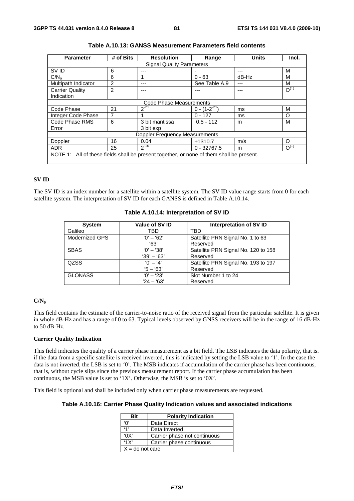| <b>Parameter</b>                                                                         | # of Bits | <b>Resolution</b>                | Range               | <b>Units</b> | Incl.     |
|------------------------------------------------------------------------------------------|-----------|----------------------------------|---------------------|--------------|-----------|
|                                                                                          |           | <b>Signal Quality Parameters</b> |                     |              |           |
| SV ID                                                                                    | 6         | ---                              |                     |              | м         |
| C/N <sub>o</sub>                                                                         | 6         |                                  | $0 - 63$            | dB-Hz        | M         |
| Multipath Indicator                                                                      | 2         |                                  | See Table A.9       |              | M         |
| <b>Carrier Quality</b>                                                                   | 2         |                                  |                     |              | $O^{(1)}$ |
| Indication                                                                               |           |                                  |                     |              |           |
|                                                                                          |           | Code Phase Measurements          |                     |              |           |
| Code Phase                                                                               | 21        | $2^{-21}$                        | $0 - (1 - 2^{-21})$ | ms           | M         |
| Integer Code Phase                                                                       | 7         |                                  | $0 - 127$           | ms           | O         |
| Code Phase RMS                                                                           | 6         | 3 bit mantissa                   | $0.5 - 112$         | m            | м         |
| Error                                                                                    |           | 3 bit exp                        |                     |              |           |
| <b>Doppler Frequency Measurements</b>                                                    |           |                                  |                     |              |           |
| Doppler                                                                                  | 16        | 0.04                             | ±1310.7             | m/s          | $\Omega$  |
| <b>ADR</b>                                                                               | 25        | $2^{-10}$                        | $0 - 32767.5$       | m            | $O^{(1)}$ |
| NOTE 1: All of these fields shall be present together, or none of them shall be present. |           |                                  |                     |              |           |

|  | Table A.10.13: GANSS Measurement Parameters field contents |  |
|--|------------------------------------------------------------|--|
|--|------------------------------------------------------------|--|

### **SV ID**

The SV ID is an index number for a satellite within a satellite system. The SV ID value range starts from 0 for each satellite system. The interpretation of SV ID for each GANSS is defined in Table A.10.14.

| <b>System</b>  | Value of SV ID | Interpretation of SV ID             |
|----------------|----------------|-------------------------------------|
| Galileo        | TBD            | TBD                                 |
| Modernized GPS | $'0' - '62'$   | Satellite PRN Signal No. 1 to 63    |
|                | 63'            | Reserved                            |
| <b>SBAS</b>    | $'0' - '38'$   | Satellite PRN Signal No. 120 to 158 |
|                | $'39' - '63'$  | Reserved                            |
| <b>QZSS</b>    | $'0' - '4'$    | Satellite PRN Signal No. 193 to 197 |
|                | $5 - 63'$      | Reserved                            |
| <b>GLONASS</b> | $'0' - '23'$   | Slot Number 1 to 24                 |
|                | $24 - 63'$     | Reserved                            |

#### **Table A.10.14: Interpretation of SV ID**

#### **C/N0**

This field contains the estimate of the carrier-to-noise ratio of the received signal from the particular satellite. It is given in whole dB-Hz and has a range of 0 to 63. Typical levels observed by GNSS receivers will be in the range of 16 dB-Hz to 50 dB-Hz.

#### **Carrier Quality Indication**

This field indicates the quality of a carrier phase measurement as a bit field. The LSB indicates the data polarity, that is. if the data from a specific satellite is received inverted, this is indicated by setting the LSB value to '1'. In the case the data is not inverted, the LSB is set to '0'. The MSB indicates if accumulation of the carrier phase has been continuous, that is, without cycle slips since the previous measurement report. If the carrier phase accumulation has been continuous, the MSB value is set to '1X'. Otherwise, the MSB is set to '0X'.

This field is optional and shall be included only when carrier phase measurements are requested.

#### **Table A.10.16: Carrier Phase Quality Indication values and associated indications**

| Rit               | <b>Polarity Indication</b>   |
|-------------------|------------------------------|
| 'በ'               | Data Direct                  |
| 4,                | Data Inverted                |
| 'OX'              | Carrier phase not continuous |
| '1X'              | Carrier phase continuous     |
| $X =$ do not care |                              |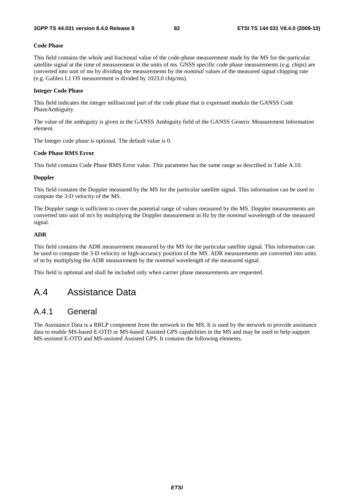#### **Code Phase**

This field contains the whole and fractional value of the code-phase measurement made by the MS for the particular satellite signal at the time of measurement in the units of ms. GNSS specific code phase measurements (e.g. chips) are converted into unit of ms by dividing the measurements by the *nominal* values of the measured signal chipping rate (e.g. Galileo L1 OS measurement is divided by 1023.0 chip/ms).

#### **Integer Code Phase**

This field indicates the integer millisecond part of the code phase that is expressed modulo the GANSS Code PhaseAmbiguity.

The value of the ambiguity is given in the GANSS Ambiguity field of the GANSS Generic Measurement Information element.

The Integer code phase is optional. The default value is 0.

#### **Code Phase RMS Error**

This field contains Code Phase RMS Error value. This parameter has the same range as described in Table A.10.

#### **Doppler**

This field contains the Doppler measured by the MS for the particular satellite signal. This information can be used to compute the 3-D velocity of the MS.

The Doppler range is sufficient to cover the potential range of values measured by the MS. Doppler measurements are converted into unit of m/s by multiplying the Doppler measurement in Hz by the *nominal* wavelength of the measured signal.

#### **ADR**

This field contains the ADR measurement measured by the MS for the particular satellite signal. This information can be used to compute the 3-D velocity or high-accuracy position of the MS. ADR measurements are converted into units of m by multiplying the ADR measurement by the *nominal* wavelength of the measured signal.

This field is optional and shall be included only when carrier phase measurements are requested.

# A.4 Assistance Data

## A.4.1 General

The Assistance Data is a RRLP component from the network to the MS. It is used by the network to provide assistance data to enable MS-based E-OTD or MS-based Assisted GPS capabilities in the MS and may be used to help support MS-assisted E-OTD and MS-assisted Assisted GPS. It contains the following elements.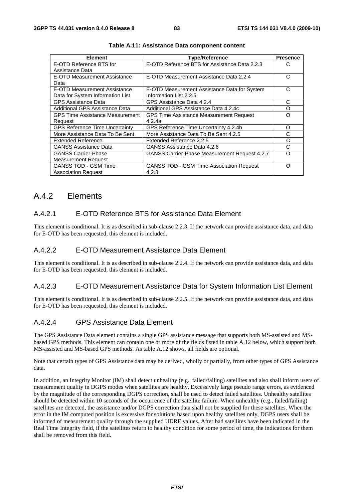| <b>Element</b>                         | <b>Type/Reference</b>                                | <b>Presence</b> |
|----------------------------------------|------------------------------------------------------|-----------------|
| E-OTD Reference BTS for                | E-OTD Reference BTS for Assistance Data 2.2.3        | C               |
| Assistance Data                        |                                                      |                 |
| E-OTD Measurement Assistance           | E-OTD Measurement Assistance Data 2.2.4              | C               |
| Data                                   |                                                      |                 |
| E-OTD Measurement Assistance           | E-OTD Measurement Assistance Data for System         | С               |
| Data for System Information List       | Information List 2.2.5                               |                 |
| <b>GPS Assistance Data</b>             | GPS Assistance Data 4.2.4                            | С               |
| Additional GPS Assistance Data         | Additional GPS Assistance Data 4.2.4c                | O               |
| <b>GPS Time Assistance Measurement</b> | <b>GPS Time Assistance Measurement Request</b>       | റ               |
| Request                                | 4.2.4a                                               |                 |
| <b>GPS Reference Time Uncertainty</b>  | GPS Reference Time Uncertainty 4.2.4b                | Ω               |
| More Assistance Data To Be Sent        | More Assistance Data To Be Sent 4.2.5                | C               |
| Extended Reference                     | Extended Reference 2.2.5                             | С               |
| <b>GANSS Assistance Data</b>           | GANSS Assistance Data 4.2.6                          | С               |
| <b>GANSS Carrier-Phase</b>             | <b>GANSS Carrier-Phase Measurement Request 4.2.7</b> | ∩               |
| <b>Measurement Request</b>             |                                                      |                 |
| <b>GANSS TOD - GSM Time</b>            | <b>GANSS TOD - GSM Time Association Request</b>      | Ω               |
| <b>Association Request</b>             | 4.2.8                                                |                 |

**Table A.11: Assistance Data component content** 

### A.4.2 Elements

### A.4.2.1 E-OTD Reference BTS for Assistance Data Element

This element is conditional. It is as described in sub-clause 2.2.3. If the network can provide assistance data, and data for E-OTD has been requested, this element is included.

### A.4.2.2 E-OTD Measurement Assistance Data Element

This element is conditional. It is as described in sub-clause 2.2.4. If the network can provide assistance data, and data for E-OTD has been requested, this element is included.

### A.4.2.3 E-OTD Measurement Assistance Data for System Information List Element

This element is conditional. It is as described in sub-clause 2.2.5. If the network can provide assistance data, and data for E-OTD has been requested, this element is included.

### A.4.2.4 GPS Assistance Data Element

The GPS Assistance Data element contains a single GPS assistance message that supports both MS-assisted and MSbased GPS methods. This element can contain one or more of the fields listed in table A.12 below, which support both MS-assisted and MS-based GPS methods. As table A.12 shows, all fields are optional.

Note that certain types of GPS Assistance data may be derived, wholly or partially, from other types of GPS Assistance data.

In addition, an Integrity Monitor (IM) shall detect unhealthy (e.g., failed/failing) satellites and also shall inform users of measurement quality in DGPS modes when satellites are healthy. Excessively large pseudo range errors, as evidenced by the magnitude of the corresponding DGPS correction, shall be used to detect failed satellites. Unhealthy satellites should be detected within 10 seconds of the occurrence of the satellite failure. When unhealthy (e.g., failed/failing) satellites are detected, the assistance and/or DGPS correction data shall not be supplied for these satellites. When the error in the IM computed position is excessive for solutions based upon healthy satellites only, DGPS users shall be informed of measurement quality through the supplied UDRE values. After bad satellites have been indicated in the Real Time Integrity field, if the satellites return to healthy condition for some period of time, the indications for them shall be removed from this field.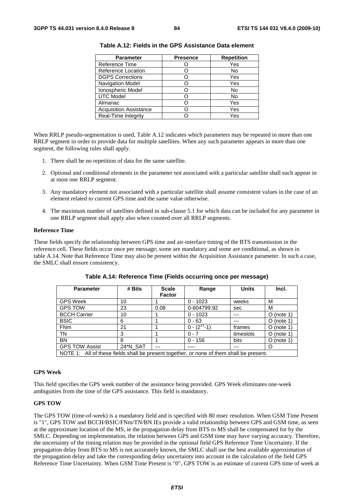| <b>Parameter</b>              | <b>Presence</b> | <b>Repetition</b> |
|-------------------------------|-----------------|-------------------|
| Reference Time                |                 | Yes               |
| Reference Location            |                 | No                |
| <b>DGPS Corrections</b>       |                 | Yes               |
| Navigation Model              |                 | Yes               |
| Ionospheric Model             |                 | No                |
| <b>UTC Model</b>              |                 | No                |
| Almanac                       |                 | Yes               |
| <b>Acquisition Assistance</b> |                 | Yes               |
| Real-Time Integrity           |                 | Yes               |

**Table A.12: Fields in the GPS Assistance Data element** 

When RRLP pseudo-segmentation is used, Table A.12 indicates which parameters may be repeated in more than one RRLP segment in order to provide data for multiple satellites. When any such parameter appears in more than one segment, the following rules shall apply.

- 1. There shall be no repetition of data for the same satellite.
- 2. Optional and conditional elements in the parameter not associated with a particular satellite shall each appear in at most one RRLP segment.
- 3. Any mandatory element not associated with a particular satellite shall assume consistent values in the case of an element related to current GPS time and the same value otherwise.
- 4. The maximum number of satellites defined in sub-clause 5.1 for which data can be included for any parameter in one RRLP segment shall apply also when counted over all RRLP segments.

#### **Reference Time**

These fields specify the relationship between GPS time and air-interface timing of the BTS transmission in the reference cell. These fields occur once per message; some are mandatory and some are conditional, as shown in table A.14. Note that Reference Time may also be present within the Acquisition Assistance parameter. In such a case, the SMLC shall ensure consistency.

| <b>Parameter</b>                                                                         | # Bits   | <b>Scale</b>  | Range              | <b>Units</b> | Incl.        |
|------------------------------------------------------------------------------------------|----------|---------------|--------------------|--------------|--------------|
|                                                                                          |          | <b>Factor</b> |                    |              |              |
| <b>GPS Week</b>                                                                          | 10       |               | $0 - 1023$         | weeks        | м            |
| <b>GPS TOW</b>                                                                           | 23       | 0.08          | 0-604799.92        | sec          | M            |
| <b>BCCH Carrier</b>                                                                      | 10       |               | $0 - 1023$         | ---          | $O$ (note 1) |
| <b>BSIC</b>                                                                              | 6        |               | $0 - 63$           | ---          | $O$ (note 1) |
| <b>FNm</b>                                                                               | 21       |               | $0 - (2^{27} - 1)$ | frames       | O (note 1)   |
| TN                                                                                       | 3        |               | $0 - 7$            | timeslots    | $O$ (note 1) |
| <b>BN</b>                                                                                | 8        |               | $0 - 156$          | bits         | $O$ (note 1) |
| <b>GPS TOW Assist</b>                                                                    | 24*N_SAT | ---           |                    | ---          | O            |
| NOTE 1: All of these fields shall be present together, or none of them shall be present. |          |               |                    |              |              |

**Table A.14: Reference Time (Fields occurring once per message)** 

#### **GPS Week**

This field specifies the GPS week number of the assistance being provided. GPS Week eliminates one-week ambiguities from the time of the GPS assistance. This field is mandatory.

#### **GPS TOW**

The GPS TOW (time-of-week) is a mandatory field and is specified with 80 msec resolution. When GSM Time Present is "1", GPS TOW and BCCH/BSIC/FNm/TN/BN IEs provide a valid relationship between GPS and GSM time, as seen at the approximate location of the MS, ie the propagation delay from BTS to MS shall be compensated for by the SMLC. Depending on implementation, the relation between GPS and GSM time may have varying accuracy. Therefore, the uncertainty of the timing relation may be provided in the optional field GPS Reference Time Uncertainty. If the propagation delay from BTS to MS is not accurately known, the SMLC shall use the best available approximation of the propagation delay and take the corresponding delay uncertainty into account in the calculation of the field GPS Reference Time Uncertainty. When GSM Time Present is "0", GPS TOW is an estimate of current GPS time of week at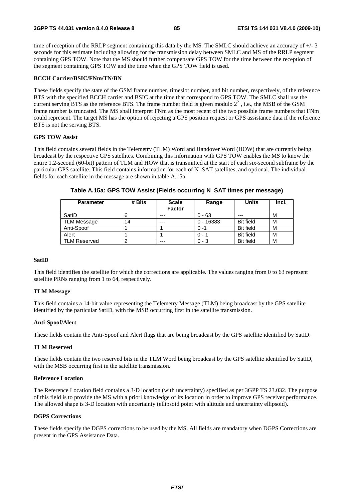time of reception of the RRLP segment containing this data by the MS. The SMLC should achieve an accuracy of  $+/-3$ seconds for this estimate including allowing for the transmission delay between SMLC and MS of the RRLP segment containing GPS TOW. Note that the MS should further compensate GPS TOW for the time between the reception of the segment containing GPS TOW and the time when the GPS TOW field is used.

#### **BCCH Carrier/BSIC/FNm/TN/BN**

These fields specify the state of the GSM frame number, timeslot number, and bit number, respectively, of the reference BTS with the specified BCCH carrier and BSIC at the time that correspond to GPS TOW. The SMLC shall use the current serving BTS as the reference BTS. The frame number field is given modulo  $2^{21}$ , i.e., the MSB of the GSM frame number is truncated. The MS shall interpret FNm as the most recent of the two possible frame numbers that FNm could represent. The target MS has the option of rejecting a GPS position request or GPS assistance data if the reference BTS is not the serving BTS.

#### **GPS TOW Assist**

This field contains several fields in the Telemetry (TLM) Word and Handover Word (HOW) that are currently being broadcast by the respective GPS satellites. Combining this information with GPS TOW enables the MS to know the entire 1.2-second (60-bit) pattern of TLM and HOW that is transmitted at the start of each six-second subframe by the particular GPS satellite. This field contains information for each of N\_SAT satellites, and optional. The individual fields for each satellite in the message are shown in table A.15a.

| <b>Parameter</b>    | # Bits | <b>Scale</b><br><b>Factor</b> | Range                | <b>Units</b>     | Incl. |
|---------------------|--------|-------------------------------|----------------------|------------------|-------|
| SatID               |        | $---$                         | $0 - 63$             | ---              | М     |
| <b>TLM Message</b>  | 14     | $---$                         | $-16383$<br>$\Omega$ | <b>Bit field</b> | м     |
| Anti-Spoof          |        |                               | $0 - 1$              | <b>Bit field</b> | М     |
| Alert               |        |                               | ი - 1                | <b>Bit field</b> | M     |
| <b>TLM Reserved</b> |        | ---                           | $0 - 3$              | <b>Bit field</b> | M     |

**Table A.15a: GPS TOW Assist (Fields occurring N\_SAT times per message)** 

#### **SatID**

This field identifies the satellite for which the corrections are applicable. The values ranging from 0 to 63 represent satellite PRNs ranging from 1 to 64, respectively.

#### **TLM Message**

This field contains a 14-bit value representing the Telemetry Message (TLM) being broadcast by the GPS satellite identified by the particular SatID, with the MSB occurring first in the satellite transmission.

#### **Anti-Spoof/Alert**

These fields contain the Anti-Spoof and Alert flags that are being broadcast by the GPS satellite identified by SatID.

#### **TLM Reserved**

These fields contain the two reserved bits in the TLM Word being broadcast by the GPS satellite identified by SatID, with the MSB occurring first in the satellite transmission.

#### **Reference Location**

The Reference Location field contains a 3-D location (with uncertainty) specified as per 3GPP TS 23.032. The purpose of this field is to provide the MS with a priori knowledge of its location in order to improve GPS receiver performance. The allowed shape is 3-D location with uncertainty (ellipsoid point with altitude and uncertainty ellipsoid).

#### **DGPS Corrections**

These fields specify the DGPS corrections to be used by the MS. All fields are mandatory when DGPS Corrections are present in the GPS Assistance Data.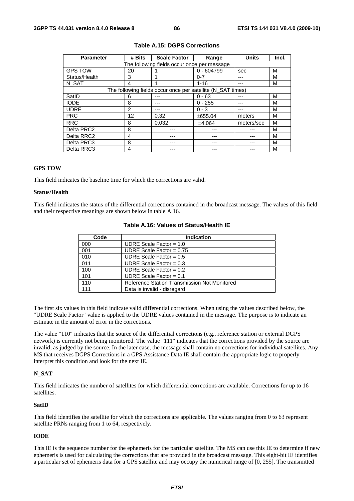| <b>Parameter</b>                            | # Bits | <b>Scale Factor</b>                                         | Range        | <b>Units</b> | Incl. |  |
|---------------------------------------------|--------|-------------------------------------------------------------|--------------|--------------|-------|--|
| The following fields occur once per message |        |                                                             |              |              |       |  |
| <b>GPS TOW</b>                              | 20     |                                                             | $0 - 604799$ | sec          | М     |  |
| Status/Health                               | 3      |                                                             | $0 - 7$      |              | м     |  |
| N_SAT                                       | 4      |                                                             | $1 - 16$     |              | м     |  |
|                                             |        | The following fields occur once per satellite (N_SAT times) |              |              |       |  |
| SatID                                       | 6      |                                                             | $0 - 63$     |              | м     |  |
| <b>IODE</b>                                 | 8      |                                                             | $0 - 255$    |              | м     |  |
| <b>UDRE</b>                                 | 2      |                                                             | $0 - 3$      |              | м     |  |
| <b>PRC</b>                                  | 12     | 0.32                                                        | ±655.04      | meters       | М     |  |
| <b>RRC</b>                                  | 8      | 0.032                                                       | ±4.064       | meters/sec   | м     |  |
| Delta PRC2                                  | 8      |                                                             |              |              | м     |  |
| Delta RRC2                                  | 4      |                                                             |              |              | м     |  |
| Delta PRC3                                  | 8      |                                                             |              |              | м     |  |
| Delta RRC3                                  | 4      |                                                             |              |              | м     |  |

#### **Table A.15: DGPS Corrections**

#### **GPS TOW**

This field indicates the baseline time for which the corrections are valid.

#### **Status/Health**

This field indicates the status of the differential corrections contained in the broadcast message. The values of this field and their respective meanings are shown below in table A.16.

| Code | <b>Indication</b>                            |
|------|----------------------------------------------|
| 000  | UDRE Scale Factor = $1.0$                    |
| 001  | UDRE Scale Factor = $0.75$                   |
| 010  | UDRE Scale Factor = $0.5$                    |
| 011  | UDRE Scale Factor = $0.3$                    |
| 100  | UDRE Scale Factor = $0.2$                    |
| 101  | UDRE Scale Factor = $0.1$                    |
| 110  | Reference Station Transmission Not Monitored |
| 111  | Data is invalid - disregard                  |

#### **Table A.16: Values of Status/Health IE**

The first six values in this field indicate valid differential corrections. When using the values described below, the "UDRE Scale Factor" value is applied to the UDRE values contained in the message. The purpose is to indicate an estimate in the amount of error in the corrections.

The value "110" indicates that the source of the differential corrections (e.g., reference station or external DGPS network) is currently not being monitored. The value "111" indicates that the corrections provided by the source are invalid, as judged by the source. In the later case, the message shall contain no corrections for individual satellites. Any MS that receives DGPS Corrections in a GPS Assistance Data IE shall contain the appropriate logic to properly interpret this condition and look for the next IE.

#### **N\_SAT**

This field indicates the number of satellites for which differential corrections are available. Corrections for up to 16 satellites.

#### **SatID**

This field identifies the satellite for which the corrections are applicable. The values ranging from 0 to 63 represent satellite PRNs ranging from 1 to 64, respectively.

#### **IODE**

This IE is the sequence number for the ephemeris for the particular satellite. The MS can use this IE to determine if new ephemeris is used for calculating the corrections that are provided in the broadcast message. This eight-bit IE identifies a particular set of ephemeris data for a GPS satellite and may occupy the numerical range of [0, 255]. The transmitted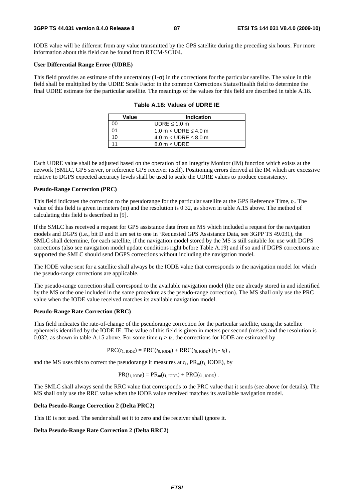IODE value will be different from any value transmitted by the GPS satellite during the preceding six hours. For more information about this field can be found from RTCM-SC104.

#### **User Differential Range Error (UDRE)**

This field provides an estimate of the uncertainty  $(1-\sigma)$  in the corrections for the particular satellite. The value in this field shall be multiplied by the UDRE Scale Factor in the common Corrections Status/Health field to determine the final UDRE estimate for the particular satellite. The meanings of the values for this field are described in table A.18.

| Value | <b>Indication</b>           |
|-------|-----------------------------|
| nn    | UDRE $\leq 1.0$ m           |
| ሰ1    | 1.0 m < UDRE $\leq$ 4.0 m   |
| 10    | 4.0 m $<$ UDRE $\leq$ 8.0 m |
|       | $8.0 m <$ UDRE              |

| Table A.18: Values of UDRE IE |  |  |
|-------------------------------|--|--|
|-------------------------------|--|--|

Each UDRE value shall be adjusted based on the operation of an Integrity Monitor (IM) function which exists at the network (SMLC, GPS server, or reference GPS receiver itself). Positioning errors derived at the IM which are excessive relative to DGPS expected accuracy levels shall be used to scale the UDRE values to produce consistency.

#### **Pseudo-Range Correction (PRC)**

This field indicates the correction to the pseudorange for the particular satellite at the GPS Reference Time, *t*0. The value of this field is given in meters (m) and the resolution is 0.32, as shown in table A.15 above. The method of calculating this field is described in [9].

If the SMLC has received a request for GPS assistance data from an MS which included a request for the navigation models and DGPS (i.e., bit D and E are set to one in 'Requested GPS Assistance Data, see 3GPP TS 49.031), the SMLC shall determine, for each satellite, if the navigation model stored by the MS is still suitable for use with DGPS corrections (also see navigation model update conditions right before Table A.19) and if so and if DGPS corrections are supported the SMLC should send DGPS corrections without including the navigation model.

The IODE value sent for a satellite shall always be the IODE value that corresponds to the navigation model for which the pseudo-range corrections are applicable.

The pseudo-range correction shall correspond to the available navigation model (the one already stored in and identified by the MS or the one included in the same procedure as the pseudo-range correction). The MS shall only use the PRC value when the IODE value received matches its available navigation model.

#### **Pseudo-Range Rate Correction (RRC)**

This field indicates the rate-of-change of the pseudorange correction for the particular satellite, using the satellite ephemeris identified by the IODE IE. The value of this field is given in meters per second (m/sec) and the resolution is 0.032, as shown in table A.15 above. For some time  $t_1 > t_0$ , the corrections for IODE are estimated by

$$
PRC(t_{1,\text{IODE}}) = PRC(t_{0,\text{IODE}}) + RRC(t_{0,\text{IODE}}) (t_1 - t_0),
$$

and the MS uses this to correct the pseudorange it measures at  $t_1$ ,  $PR_m(t_1 \text{ IODE})$ , by

$$
PR(t_{1,\text{IODE}}) = PR_{m}(t_{1,\text{IODE}}) + PRC(t_{1,\text{IODE}}).
$$

The SMLC shall always send the RRC value that corresponds to the PRC value that it sends (see above for details). The MS shall only use the RRC value when the IODE value received matches its available navigation model.

#### **Delta Pseudo-Range Correction 2 (Delta PRC2)**

This IE is not used. The sender shall set it to zero and the receiver shall ignore it.

#### **Delta Pseudo-Range Rate Correction 2 (Delta RRC2)**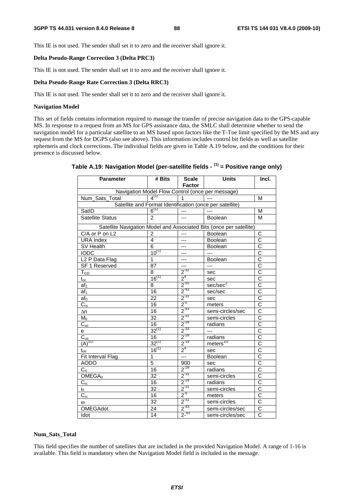This IE is not used. The sender shall set it to zero and the receiver shall ignore it.

#### **Delta Pseudo-Range Correction 3 (Delta PRC3)**

This IE is not used. The sender shall set it to zero and the receiver shall ignore it.

#### **Delta Pseudo-Range Rate Correction 3 (Delta RRC3)**

This IE is not used. The sender shall set it to zero and the receiver shall ignore it.

#### **Navigation Model**

This set of fields contains information required to manage the transfer of precise navigation data to the GPS-capable MS. In response to a request from an MS for GPS assistance data, the SMLC shall determine whether to send the navigation model for a particular satellite to an MS based upon factors like the T-Toe limit specified by the MS and any request from the MS for DGPS (also see above). This information includes control bit fields as well as satellite ephemeris and clock corrections. The individual fields are given in Table A.19 below, and the conditions for their presence is discussed below.

| <b>Parameter</b>                                 | # Bits          | <b>Scale</b><br><b>Factor</b> | <b>Units</b>                                                        | Incl.                    |  |  |
|--------------------------------------------------|-----------------|-------------------------------|---------------------------------------------------------------------|--------------------------|--|--|
| Navigation Model Flow Control (once per message) |                 |                               |                                                                     |                          |  |  |
| Num Sats_Total                                   | $4^{(1)}$       | 1                             |                                                                     | M                        |  |  |
|                                                  |                 |                               | Satellite and Format Identification (once per satellite)            |                          |  |  |
| SatID                                            | $6^{(1)}$       | $---$                         | $\overline{a}$                                                      | M                        |  |  |
| <b>Satellite Status</b>                          | $\mathcal{P}$   | ---                           | Boolean                                                             | M                        |  |  |
|                                                  |                 |                               | Satellite Navigation Model and Associated Bits (once per satellite) |                          |  |  |
| C/A or P on L2                                   | $\overline{2}$  | $\overline{a}$                | Boolean                                                             | C                        |  |  |
| <b>URA Index</b>                                 | 4               | ---                           | <b>Boolean</b>                                                      | $\overline{\text{c}}$    |  |  |
| SV Health                                        | 6               | ---                           | <b>Boolean</b>                                                      | $\overline{\text{c}}$    |  |  |
| <b>IODC</b>                                      | $10^{(1)}$      | ---                           | $---$                                                               | $\overline{\text{c}}$    |  |  |
| L <sub>2</sub> P Data Flag                       | 1               | ---                           | <b>Boolean</b>                                                      | $\overline{C}$           |  |  |
| <b>SF 1 Reserved</b>                             | 87              | ---                           | ---                                                                 | $\frac{\overline{C}}{C}$ |  |  |
| T <sub>GD</sub>                                  | 8               | $2^{-31}$                     | sec                                                                 |                          |  |  |
| $t_{\rm oc}$                                     | $16^{(1)}$      | $2^4$                         | sec                                                                 | $\overline{\text{c}}$    |  |  |
| af <sub>2</sub>                                  | 8               | $2^{55}$                      | sec/sec <sup>2</sup>                                                | $\overline{\text{c}}$    |  |  |
| af <sub>1</sub>                                  | 16              | $2^{-43}$                     | sec/sec                                                             | $\overline{\text{c}}$    |  |  |
| $af_0$                                           | 22              | $2^{-31}$                     | sec                                                                 | $\overline{\text{c}}$    |  |  |
| $\overline{C}_{\underline{r}\underline{s}}$      | 16              | $2^{5}$                       | meters                                                              | $\overline{\text{c}}$    |  |  |
| Δn                                               | 16              | $2^{-43}$                     | semi-circles/sec                                                    | $\overline{\text{c}}$    |  |  |
| $M_0$                                            | 32              | $2^{-31}$                     | semi-circles                                                        | $\overline{\text{c}}$    |  |  |
| $\overline{C}_{\underline{\mathsf{uc}}}$         | 16              | $2^{-29}$                     | radians                                                             | $\overline{\text{c}}$    |  |  |
| e                                                | $32^{(1)}$      | $2^{-33}$                     | ---                                                                 | $\overline{\text{c}}$    |  |  |
|                                                  | $\overline{16}$ | $2^{-29}$                     | radians                                                             | $\overline{\text{c}}$    |  |  |
| $\frac{C_{us}}{(A)^{1/2}}$                       | $32^{(1)}$      | $2^{-19}$                     | meters $^{1/2}$                                                     | $\overline{\text{c}}$    |  |  |
| $t_{oe}$                                         | $16^{(1)}$      | $2^4$                         | sec                                                                 | $\overline{\text{c}}$    |  |  |
| Fit Interval Flag                                | 1               | $---$                         | Boolean                                                             | $\overline{\text{c}}$    |  |  |
| <b>AODO</b>                                      | $\overline{5}$  | 900                           | sec                                                                 | $\overline{\text{c}}$    |  |  |
| $C_{ic}$                                         | 16              | $2^{-29}$                     | radians                                                             | $\overline{\text{c}}$    |  |  |
| OMEGA <sub>0</sub>                               | $\overline{32}$ | $2^{-31}$                     | semi-circles                                                        | $\overline{\text{c}}$    |  |  |
| $C_{is}$                                         | 16              | $2^{-29}$                     | radians                                                             | $\overline{C}$           |  |  |
| $i_0$                                            | $\overline{32}$ | $2^{-31}$                     | semi-circles                                                        | $\overline{\text{c}}$    |  |  |
| $C_{\underline{\text{rc}}}$                      | 16              | $2^{5}$                       | meters                                                              | $\overline{\text{c}}$    |  |  |
| $\omega$                                         | $\overline{32}$ | $2^{31}$                      | semi-circles                                                        | $\overline{\text{c}}$    |  |  |
| OMEGAdot                                         | 24              | $2^{-43}$                     | semi-circles/sec                                                    | $\overline{C}$           |  |  |
| Idot                                             | 14              | $2^{-43}$                     | semi-circles/sec                                                    | $\overline{\text{c}}$    |  |  |

### **Table A.19: Navigation Model (per-satellite fields - (1) = Positive range only)**

#### **Num\_Sats\_Total**

This field specifies the number of satellites that are included in the provided Navigation Model. A range of 1-16 is available. This field is mandatory when the Navigation Model field is included in the message.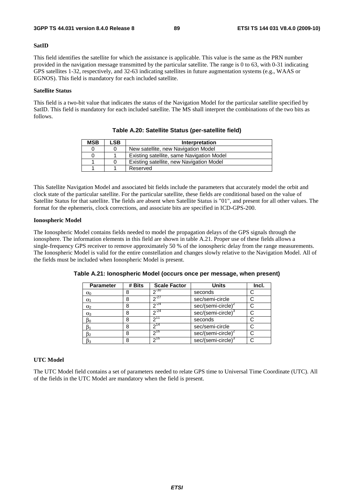#### **SatID**

This field identifies the satellite for which the assistance is applicable. This value is the same as the PRN number provided in the navigation message transmitted by the particular satellite. The range is 0 to 63, with 0-31 indicating GPS satellites 1-32, respectively, and 32-63 indicating satellites in future augmentation systems (e.g., WAAS or EGNOS). This field is mandatory for each included satellite.

#### **Satellite Status**

This field is a two-bit value that indicates the status of the Navigation Model for the particular satellite specified by SatID. This field is mandatory for each included satellite. The MS shall interpret the combinations of the two bits as follows.

| <b>MSB</b> | LSB. | Interpretation                            |
|------------|------|-------------------------------------------|
|            |      | New satellite, new Navigation Model       |
|            |      | Existing satellite, same Navigation Model |
|            |      | Existing satellite, new Navigation Model  |
|            |      | Reserved                                  |

**Table A.20: Satellite Status (per-satellite field)** 

This Satellite Navigation Model and associated bit fields include the parameters that accurately model the orbit and clock state of the particular satellite. For the particular satellite, these fields are conditional based on the value of Satellite Status for that satellite. The fields are absent when Satellite Status is "01", and present for all other values. The format for the ephemeris, clock corrections, and associate bits are specified in ICD-GPS-200.

#### **Ionospheric Model**

The Ionospheric Model contains fields needed to model the propagation delays of the GPS signals through the ionosphere. The information elements in this field are shown in table A.21. Proper use of these fields allows a single-frequency GPS receiver to remove approximately 50 % of the ionospheric delay from the range measurements. The Ionospheric Model is valid for the entire constellation and changes slowly relative to the Navigation Model. All of the fields must be included when Ionospheric Model is present.

| <b>Parameter</b> | # Bits | <b>Scale Factor</b> | <b>Units</b>                   | Incl. |
|------------------|--------|---------------------|--------------------------------|-------|
| $\alpha_0$       |        | $2^{-30}$           | seconds                        |       |
| $\alpha_1$       | 8      | $2^{27}$            | sec/semi-circle                |       |
| $\alpha_2$       | 8      | $2^{24}$            | $sec/(semi-circle)^2$          |       |
| $\alpha_3$       | 8      | $\sqrt{24}$         | sec/(semi-circle) <sup>3</sup> |       |
| $\beta_0$        | 8      | ∩11                 | seconds                        |       |
| $\beta_1$        | 8      | ົາ <sup>14</sup>    | sec/semi-circle                |       |
| $\beta_2$        | 8      | 216                 | sec/(semi-circle) <sup>2</sup> |       |
| $\beta_3$        | 8      | $2^{16}$            | sec/(semi-circle) <sup>3</sup> |       |

**Table A.21: Ionospheric Model (occurs once per message, when present)** 

#### **UTC Model**

The UTC Model field contains a set of parameters needed to relate GPS time to Universal Time Coordinate (UTC). All of the fields in the UTC Model are mandatory when the field is present.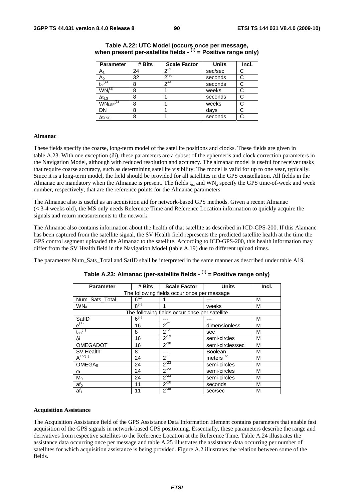| <b>Parameter</b>                 | # Bits | <b>Scale Factor</b> | <b>Units</b> | Incl. |
|----------------------------------|--------|---------------------|--------------|-------|
| A,                               | 24     | $2 - 50$            | sec/sec      | С     |
| $A_0$                            | 32     | $-30$               | seconds      | С     |
| $t_{ot}$ <sup>(1)</sup>          | 8      | 712                 | seconds      | С     |
| $\mathsf{WN}_{\mathsf{t}}^{(1)}$ | 8      |                     | weeks        | C     |
| ∆t∟s                             | 8      |                     | seconds      | С     |
| $WN_{LSF}$ <sup>(1)</sup>        | 8      |                     | weeks        |       |
| DN                               | 8      |                     | days         | C     |
| $\Delta t_{\sf LSF}$             | 8      |                     | seconds      | С     |

#### **Table A.22: UTC Model (occurs once per message, when present per-satellite fields - (1) = Positive range only)**

#### **Almanac**

These fields specify the coarse, long-term model of the satellite positions and clocks. These fields are given in table A.23. With one exception (δi), these parameters are a subset of the ephemeris and clock correction parameters in the Navigation Model, although with reduced resolution and accuracy. The almanac model is useful for receiver tasks that require coarse accuracy, such as determining satellite visibility. The model is valid for up to one year, typically. Since it is a long-term model, the field should be provided for all satellites in the GPS constellation. All fields in the Almanac are mandatory when the Almanac is present. The fields  $t_{0a}$  and WN<sub>a</sub> specify the GPS time-of-week and week number, respectively, that are the reference points for the Almanac parameters.

The Almanac also is useful as an acquisition aid for network-based GPS methods. Given a recent Almanac (< 3-4 weeks old), the MS only needs Reference Time and Reference Location information to quickly acquire the signals and return measurements to the network.

The Almanac also contains information about the health of that satellite as described in ICD-GPS-200. If this Alamanc has been captured from the satellite signal, the SV Health field represents the predicted satellite health at the time the GPS control segment uploaded the Almanac to the satellite. According to ICD-GPS-200, this health information may differ from the SV Health field in the Navigation Model (table A.19) due to different upload times.

The parameters Num\_Sats\_Total and SatID shall be interpreted in the same manner as described under table A19.

| <b>Parameter</b>                            | # Bits    | <b>Scale Factor</b>                           | <b>Units</b>     | Incl. |  |  |
|---------------------------------------------|-----------|-----------------------------------------------|------------------|-------|--|--|
| The following fields occur once per message |           |                                               |                  |       |  |  |
| Num_Sats_Total                              | $6^{(1)}$ |                                               |                  | м     |  |  |
| WN <sub>a</sub>                             | $R^{(1)}$ | 1                                             | weeks            | М     |  |  |
|                                             |           | The following fields occur once per satellite |                  |       |  |  |
| SatID                                       | $6^{(1)}$ |                                               |                  | M     |  |  |
| $e^{(1)}$                                   | 16        | $2^{-21}$                                     | dimensionless    | M     |  |  |
| $\mathfrak{t}_{\text{oa}}^{(1)}$            | 8         | $2^{12}$                                      | sec              | M     |  |  |
| δi                                          | 16        | $2^{-19}$                                     | semi-circles     | M     |  |  |
| OMEGADOT                                    | 16        | $2^{-38}$                                     | semi-circles/sec | M     |  |  |
| SV Health                                   | 8         | ---                                           | <b>Boolean</b>   | M     |  |  |
| $A^{1/2(1)}$                                | 24        | $2^{-11}$                                     | meters $^{1/2}$  | M     |  |  |
| OMEGA <sub>0</sub>                          | 24        | $2^{-23}$                                     | semi-circles     | M     |  |  |
| ω                                           | 24        | $2^{-23}$                                     | semi-circles     | М     |  |  |
| $M_0$                                       | 24        | $2^{-23}$                                     | semi-circles     | M     |  |  |
| $af_0$                                      | 11        | $2^{-20}$                                     | seconds          | M     |  |  |
| af <sub>1</sub>                             | 11        | $2^{-38}$                                     | sec/sec          | M     |  |  |

### **Table A.23: Almanac (per-satellite fields - (1) = Positive range only)**

#### **Acquisition Assistance**

The Acquisition Assistance field of the GPS Assistance Data Information Element contains parameters that enable fast acquisition of the GPS signals in network-based GPS positioning. Essentially, these parameters describe the range and derivatives from respective satellites to the Reference Location at the Reference Time. Table A.24 illustrates the assistance data occurring once per message and table A.25 illustrates the assistance data occurring per number of satellites for which acquisition assistance is being provided. Figure A.2 illustrates the relation between some of the fields.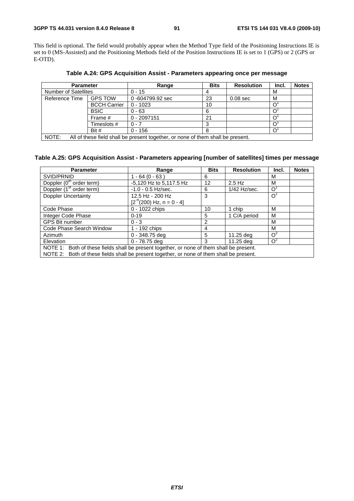This field is optional. The field would probably appear when the Method Type field of the Positioning Instructions IE is set to 0 (MS-Assisted) and the Positioning Methods field of the Position Instructions IE is set to 1 (GPS) or 2 (GPS or E-OTD).

**Parameter Range Range Bits Resolution Incl. Notes** Number of Satellites 0 - 15 4 M Reference Time GPS TOW  $\vert$  0 -604799.92 sec  $\vert$  23  $\vert$  0.08 sec M BCCH Carrier 0 - 1023 10<br>BSIC 0 - 63 6 0 BSIC  $0 - 63$  6  $0<sup>1</sup>$ 8 BSIC 0 - 63 6 0<br>
Frame # 0 - 2097151 21 0<br>
Timeslots # 0 - 7 3 0  $T$ imeslots #  $0.7$  3 O<br>Bit #  $0.156$  8 O Bit #  $0 - 156$  8 0<sup>1</sup> 

**Table A.24: GPS Acquisition Assist - Parameters appearing once per message** 

NOTE: All of these field shall be present together, or none of them shall be present.

### **Table A.25: GPS Acquisition Assist - Parameters appearing [number of satellites] times per message**

| <b>Parameter</b>                                                                          | Range                        | <b>Bits</b>       | <b>Resolution</b> | Incl.          | <b>Notes</b> |  |
|-------------------------------------------------------------------------------------------|------------------------------|-------------------|-------------------|----------------|--------------|--|
| SVID/PRNID                                                                                | $1 - 64 (0 - 63)$            | 6                 |                   | М              |              |  |
| Doppler (0 <sup>th</sup> order term)                                                      | -5,120 Hz to 5,117.5 Hz      | $12 \overline{ }$ | $2.5$ Hz          | М              |              |  |
| Doppler (1 <sup>st</sup> order term)                                                      | $-1.0 - 0.5$ Hz/sec.         | 6                 | 1/42 Hz/sec.      | $\circ$        |              |  |
| <b>Doppler Uncertainty</b>                                                                | 12.5 Hz - 200 Hz             | 3                 |                   | O <sup>1</sup> |              |  |
|                                                                                           | $[2^{n}(200)$ Hz, n = 0 - 4] |                   |                   |                |              |  |
| Code Phase                                                                                | 0 - 1022 chips               | 10                | 1 chip            | м              |              |  |
| Integer Code Phase                                                                        | $0 - 19$                     | 5                 | 1 C/A period      | M              |              |  |
| <b>GPS Bit number</b>                                                                     | $0 - 3$                      | 2                 |                   | м              |              |  |
| Code Phase Search Window                                                                  | 1 - 192 chips                | 4                 |                   | м              |              |  |
| Azimuth                                                                                   | $0 - 348.75$ deg             | 5                 | 11.25 deg         | $O^2$          |              |  |
| Elevation                                                                                 | $0 - 78.75$ deg              | З                 | 11.25 deg         | $\Omega^2$     |              |  |
| NOTE 1: Both of these fields shall be present together, or none of them shall be present. |                              |                   |                   |                |              |  |
| NOTE 2: Both of these fields shall be present together, or none of them shall be present. |                              |                   |                   |                |              |  |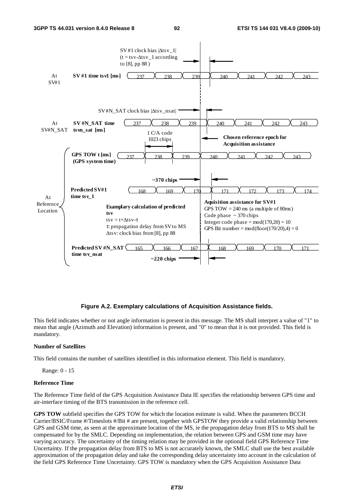

#### **Figure A.2. Exemplary calculations of Acquisition Assistance fields.**

This field indicates whether or not angle information is present in this message. The MS shall interpret a value of "1" to mean that angle (Azimuth and Elevation) information is present, and "0" to mean that it is not provided. This field is mandatory.

#### **Number of Satellites**

This field contains the number of satellites identified in this information element. This field is mandatory.

Range: 0 - 15

#### **Reference Time**

The Reference Time field of the GPS Acquisition Assistance Data IE specifies the relationship between GPS time and air-interface timing of the BTS transmission in the reference cell.

**GPS TOW** subfield specifies the GPS TOW for which the location estimate is valid. When the parameters BCCH Carrier/BSIC/Frame #/Timeslots #/Bit # are present, together with GPSTOW they provide a valid relationship between GPS and GSM time, as seen at the approximate location of the MS, ie the propagation delay from BTS to MS shall be compensated for by the SMLC. Depending on implementation, the relation between GPS and GSM time may have varying accuracy. The uncertainty of the timing relation may be provided in the optional field GPS Reference Time Uncertainty. If the propagation delay from BTS to MS is not accurately known, the SMLC shall use the best available approximation of the propagation delay and take the corresponding delay uncertainty into account in the calculation of the field GPS Reference Time Uncertainty. GPS TOW is mandatory when the GPS Acquisition Assistance Data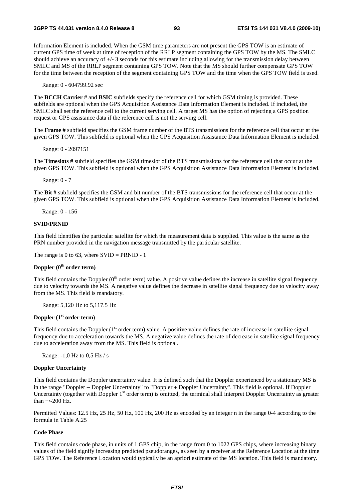Information Element is included. When the GSM time parameters are not present the GPS TOW is an estimate of current GPS time of week at time of reception of the RRLP segment containing the GPS TOW by the MS. The SMLC should achieve an accuracy of +/- 3 seconds for this estimate including allowing for the transmission delay between SMLC and MS of the RRLP segment containing GPS TOW. Note that the MS should further compensate GPS TOW for the time between the reception of the segment containing GPS TOW and the time when the GPS TOW field is used.

Range: 0 - 604799.92 sec

The **BCCH Carrier** # and **BSIC** subfields specify the reference cell for which GSM timing is provided. These subfields are optional when the GPS Acquisition Assistance Data Information Element is included. If included, the SMLC shall set the reference cell to the current serving cell. A target MS has the option of rejecting a GPS position request or GPS assistance data if the reference cell is not the serving cell.

The **Frame #** subfield specifies the GSM frame number of the BTS transmissions for the reference cell that occur at the given GPS TOW. This subfield is optional when the GPS Acquisition Assistance Data Information Element is included.

Range: 0 - 2097151

The **Timeslots #** subfield specifies the GSM timeslot of the BTS transmissions for the reference cell that occur at the given GPS TOW. This subfield is optional when the GPS Acquisition Assistance Data Information Element is included.

Range: 0 - 7

The **Bit #** subfield specifies the GSM and bit number of the BTS transmissions for the reference cell that occur at the given GPS TOW. This subfield is optional when the GPS Acquisition Assistance Data Information Element is included.

Range: 0 - 156

#### **SVID/PRNID**

This field identifies the particular satellite for which the measurement data is supplied. This value is the same as the PRN number provided in the navigation message transmitted by the particular satellite.

The range is 0 to 63, where  $SVID = PRNID - 1$ 

#### **Doppler (0th order term)**

This field contains the Doppler  $(0<sup>th</sup>$  order term) value. A positive value defines the increase in satellite signal frequency due to velocity towards the MS. A negative value defines the decrease in satellite signal frequency due to velocity away from the MS. This field is mandatory.

Range: 5,120 Hz to 5,117.5 Hz

#### **Doppler (1st order term**)

This field contains the Doppler  $(1<sup>st</sup> order term)$  value. A positive value defines the rate of increase in satellite signal frequency due to acceleration towards the MS. A negative value defines the rate of decrease in satellite signal frequency due to acceleration away from the MS. This field is optional.

Range: -1,0 Hz to 0,5 Hz / s

#### **Doppler Uncertainty**

This field contains the Doppler uncertainty value. It is defined such that the Doppler experienced by a stationary MS is in the range "Doppler − Doppler Uncertainty" to "Doppler + Doppler Uncertainty". This field is optional. If Doppler Uncertainty (together with Doppler  $1<sup>st</sup>$  order term) is omitted, the terminal shall interpret Doppler Uncertainty as greater than +/-200 Hz.

Permitted Values: 12.5 Hz, 25 Hz, 50 Hz, 100 Hz, 200 Hz as encoded by an integer n in the range 0-4 according to the formula in Table A.25

#### **Code Phase**

This field contains code phase, in units of 1 GPS chip, in the range from 0 to 1022 GPS chips, where increasing binary values of the field signify increasing predicted pseudoranges, as seen by a receiver at the Reference Location at the time GPS TOW. The Reference Location would typically be an apriori estimate of the MS location. This field is mandatory.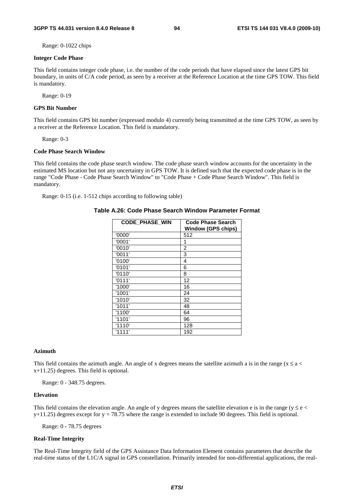Range: 0-1022 chips

#### **Integer Code Phase**

This field contains integer code phase, i.e. the number of the code periods that have elapsed since the latest GPS bit boundary, in units of C/A code period, as seen by a receiver at the Reference Location at the time GPS TOW. This field is mandatory.

Range: 0-19

#### **GPS Bit Number**

This field contains GPS bit number (expressed modulo 4) currently being transmitted at the time GPS TOW, as seen by a receiver at the Reference Location. This field is mandatory.

Range: 0-3

#### **Code Phase Search Window**

This field contains the code phase search window. The code phase search window accounts for the uncertainty in the estimated MS location but not any uncertainty in GPS TOW. It is defined such that the expected code phase is in the range "Code Phase - Code Phase Search Window" to "Code Phase + Code Phase Search Window". This field is mandatory.

Range: 0-15 (i.e. 1-512 chips according to following table)

#### **Table A.26: Code Phase Search Window Parameter Format**

| <b>CODE PHASE WIN</b> | <b>Code Phase Search</b><br><b>Window (GPS chips)</b> |
|-----------------------|-------------------------------------------------------|
| '0000'                | 512                                                   |
| '0001'                | 1                                                     |
| '0010'                | 2                                                     |
| '0011'                | 3                                                     |
| '0100'                | 4                                                     |
| '0101'                | 6                                                     |
| '0110'                | 8                                                     |
| '0111'                | 12                                                    |
| '1000'                | 16                                                    |
| '1001'                | 24                                                    |
| '1010'                | 32                                                    |
| '1011'                | 48                                                    |
| '1100'                | 64                                                    |
| '1101'                | 96                                                    |
| '1110'                | 128                                                   |
| '1111'                | 192                                                   |

#### **Azimuth**

This field contains the azimuth angle. An angle of x degrees means the satellite azimuth a is in the range ( $x \le a$  < x+11.25) degrees. This field is optional.

Range: 0 - 348.75 degrees.

#### **Elevation**

This field contains the elevation angle. An angle of y degrees means the satellite elevation e is in the range ( $y \le e$  $y+11.25$ ) degrees except for  $y = 78.75$  where the range is extended to include 90 degrees. This field is optional.

Range: 0 - 78.75 degrees

#### **Real-Time Integrity**

The Real-Time Integrity field of the GPS Assistance Data Information Element contains parameters that describe the real-time status of the L1C/A signal in GPS constellation. Primarily intended for non-differential applications, the real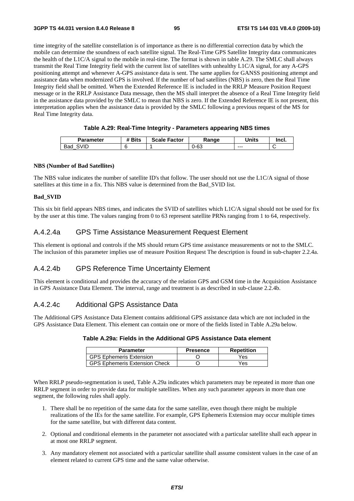time integrity of the satellite constellation is of importance as there is no differential correction data by which the mobile can determine the soundness of each satellite signal. The Real-Time GPS Satellite Integrity data communicates the health of the L1C/A signal to the mobile in real-time. The format is shown in table A.29. The SMLC shall always transmit the Real Time Integrity field with the current list of satellites with unhealthy L1C/A signal, for any A-GPS positioning attempt and whenever A-GPS assistance data is sent. The same applies for GANSS positioning attempt and assistance data when modernized GPS is involved. If the number of bad satellites (NBS) is zero, then the Real Time Integrity field shall be omitted. When the Extended Reference IE is included in the RRLP Measure Position Request message or in the RRLP Assistance Data message, then the MS shall interpret the absence of a Real Time Integrity field in the assistance data provided by the SMLC to mean that NBS is zero. If the Extended Reference IE is not present, this interpretation applies when the assistance data is provided by the SMLC following a previous request of the MS for Real Time Integrity data.

#### **Table A.29: Real-Time Integrity - Parameters appearing NBS times**

| <b>Parameter</b> | <sup>4</sup> Bits | <b>Scale Factor</b> | Range | Units   | Incl. |
|------------------|-------------------|---------------------|-------|---------|-------|
| SVID<br>Bad      |                   |                     | 0-63  | $- - -$ | ╰     |

#### **NBS (Number of Bad Satellites)**

The NBS value indicates the number of satellite ID's that follow. The user should not use the L1C/A signal of those satellites at this time in a fix. This NBS value is determined from the Bad\_SVID list.

#### **Bad\_SVID**

This six bit field appears NBS times, and indicates the SVID of satellites which L1C/A signal should not be used for fix by the user at this time. The values ranging from 0 to 63 represent satellite PRNs ranging from 1 to 64, respectively.

### A.4.2.4a GPS Time Assistance Measurement Request Element

This element is optional and controls if the MS should return GPS time assistance measurements or not to the SMLC. The inclusion of this parameter implies use of measure Position Request The description is found in sub-chapter 2.2.4a.

### A.4.2.4b GPS Reference Time Uncertainty Element

This element is conditional and provides the accuracy of the relation GPS and GSM time in the Acquisition Assistance in GPS Assistance Data Element. The interval, range and treatment is as described in sub-clause 2.2.4b.

### A.4.2.4c Additional GPS Assistance Data

The Additional GPS Assistance Data Element contains additional GPS assistance data which are not included in the GPS Assistance Data Element. This element can contain one or more of the fields listed in Table A.29a below.

### **Table A.29a: Fields in the Additional GPS Assistance Data element**

| <b>Parameter</b>                     | <b>Presence</b> | Repetition |
|--------------------------------------|-----------------|------------|
| <b>GPS Ephemeris Extension</b>       |                 | Yes        |
| <b>GPS Ephemeris Extension Check</b> |                 | Yes        |

When RRLP pseudo-segmentation is used, Table A.29a indicates which parameters may be repeated in more than one RRLP segment in order to provide data for multiple satellites. When any such parameter appears in more than one segment, the following rules shall apply.

- 1. There shall be no repetition of the same data for the same satellite, even though there might be multiple realizations of the IEs for the same satellite. For example, GPS Ephemeris Extension may occur multiple times for the same satellite, but with different data content.
- 2. Optional and conditional elements in the parameter not associated with a particular satellite shall each appear in at most one RRLP segment.
- 3. Any mandatory element not associated with a particular satellite shall assume consistent values in the case of an element related to current GPS time and the same value otherwise.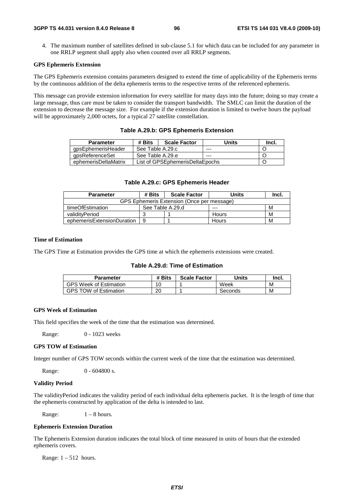4. The maximum number of satellites defined in sub-clause 5.1 for which data can be included for any parameter in one RRLP segment shall apply also when counted over all RRLP segments.

#### **GPS Ephemeris Extension**

The GPS Ephemeris extension contains parameters designed to extend the time of applicability of the Ephemeris terms by the continuous addition of the delta ephemeris terms to the respective terms of the referenced ephemeris.

This message can provide extension information for every satellite for many days into the future; doing so may create a large message, thus care must be taken to consider the transport bandwidth. The SMLC can limit the duration of the extension to decrease the message size. For example if the extension duration is limited to twelve hours the payload will be approximately 2,000 octets, for a typical 27 satellite constellation.

#### **Table A.29.b: GPS Ephemeris Extension**

| <b>Parameter</b>     | # Bits           | <b>Scale Factor</b>             | Units   | Incl. |
|----------------------|------------------|---------------------------------|---------|-------|
| qpsEphemerisHeader   | See Table A.29.c |                                 | $- - -$ |       |
| gpsReferenceSet      | See Table A.29.e |                                 | $- - -$ |       |
| ephemerisDeltaMatrix |                  | List of GPSEphemerisDeltaEpochs |         |       |

#### **Table A.29.c: GPS Ephemeris Header**

| <b>Parameter</b>                           | # Bits           | <b>Scale Factor</b> | Units | Incl. |  |  |
|--------------------------------------------|------------------|---------------------|-------|-------|--|--|
| GPS Ephemeris Extension (Once per message) |                  |                     |       |       |  |  |
| timeOfEstimation                           | See Table A.29.d |                     | ---   | м     |  |  |
| validityPeriod                             | ◠<br>w           |                     | Hours | M     |  |  |
| ephemerisExtensionDuration                 | 9                |                     | Hours | M     |  |  |

#### **Time of Estimation**

The GPS Time at Estimation provides the GPS time at which the ephemeris extensions were created.

#### **Table A.29.d: Time of Estimation**

| Parameter                     | # Bits | <b>Scale Factor</b> | Units   | Incl. |
|-------------------------------|--------|---------------------|---------|-------|
| <b>GPS Week of Estimation</b> | 10     |                     | Week    | M     |
| <b>GPS TOW of Estimation</b>  | 20     |                     | Seconds | М     |

#### **GPS Week of Estimation**

This field specifies the week of the time that the estimation was determined.

Range: 0 - 1023 weeks

#### **GPS TOW of Estimation**

Integer number of GPS TOW seconds within the current week of the time that the estimation was determined.

Range: 0 - 604800 s.

#### **Validity Period**

The validityPeriod indicates the validity period of each individual delta ephemeris packet. It is the length of time that the ephemeris constructed by application of the delta is intended to last.

Range:  $1 - 8$  hours.

#### **Ephemeris Extension Duration**

The Ephemeris Extension duration indicates the total block of time measured in units of hours that the extended ephemeris covers.

Range:  $1 - 512$  hours.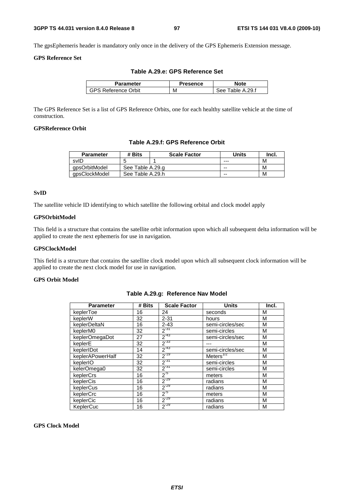The gpsEphemeris header is mandatory only once in the delivery of the GPS Ephemeris Extension message.

### **GPS Reference Set**

|  |  | Table A.29.e: GPS Reference Set |
|--|--|---------------------------------|
|--|--|---------------------------------|

| Parameter                  | Presence | Note                |
|----------------------------|----------|---------------------|
| <b>GPS Reference Orbit</b> | М        | Table A.29.f<br>See |

The GPS Reference Set is a list of GPS Reference Orbits, one for each healthy satellite vehicle at the time of construction.

### **GPSReference Orbit**

**Table A.29.f: GPS Reference Orbit** 

| <b>Parameter</b> | # Bits           | <b>Scale Factor</b> | <b>Units</b> | Incl. |
|------------------|------------------|---------------------|--------------|-------|
| svID             |                  |                     | ---          | М     |
| apsOrbitModel    | See Table A.29.g |                     | --           | М     |
| gpsClockModel    | See Table A.29.h |                     | --           | М     |

### **SvID**

The satellite vehicle ID identifying to which satellite the following orbital and clock model apply

#### **GPSOrbitModel**

This field is a structure that contains the satellite orbit information upon which all subsequent delta information will be applied to create the next ephemeris for use in navigation.

#### **GPSClockModel**

This field is a structure that contains the satellite clock model upon which all subsequent clock information will be applied to create the next clock model for use in navigation.

#### **GPS Orbit Model**

| <b>Parameter</b> | # Bits | <b>Scale Factor</b> | <b>Units</b>     | Incl. |
|------------------|--------|---------------------|------------------|-------|
| keplerToe        | 16     | 24                  | seconds          | M     |
| keplerW          | 32     | $2 - 31$            | hours            | М     |
| keplerDeltaN     | 16     | $2 - 43$            | semi-circles/sec | M     |
| keplerM0         | 32     | $2^{-31}$           | semi-circles     | M     |
| keplerOmegaDot   | 27     | $2^{-43}$           | semi-circles/sec | M     |
| keplerE          | 32     | $2^{-33}$           |                  | M     |
| keplerIDot       | 14     | $2^{-43}$           | semi-circles/sec | М     |
| keplerAPowerHalf | 32     | $2^{-19}$           | Meters $^{1/2}$  | M     |
| keplerIO         | 32     | $2^{-31}$           | semi-circles     | M     |
| kelerOmega0      | 32     | $2^{-31}$           | semi-circles     | M     |
| keplerCrs        | 16     | $2^{-5}$            | meters           | M     |
| keplerCis        | 16     | $2^{-29}$           | radians          | M     |
| keplerCus        | 16     | $2^{-29}$           | radians          | М     |
| keplerCrc        | 16     | $2^{-5}$            | meters           | M     |
| keplerCic        | 16     | $2^{-29}$           | radians          | M     |
| KeplerCuc        | 16     | $2^{-29}$           | radians          | M     |

#### **Table A.29.g: Reference Nav Model**

#### **GPS Clock Model**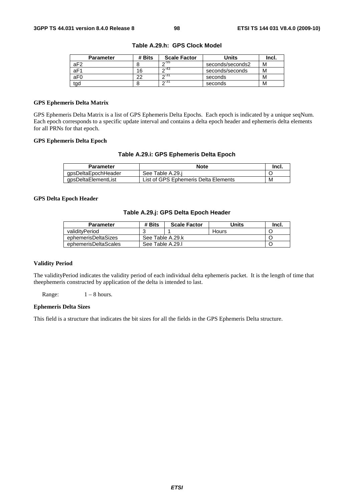| <b>Parameter</b> | # Bits | <b>Scale Factor</b> | Units            | Incl. |
|------------------|--------|---------------------|------------------|-------|
| aF <sub>2</sub>  |        | $\sim$ -55          | seconds/seconds2 | М     |
| aF1              | 16     | $\sim$ -43          | seconds/seconds  | М     |
| aF <sub>0</sub>  | ົດ     | $\sim$ 31           | seconds          | м     |
| tgd              |        | $\sim$ 31           | seconds          | м     |

**Table A.29.h: GPS Clock Model** 

#### **GPS Ephemeris Delta Matrix**

GPS Ephemeris Delta Matrix is a list of GPS Ephemeris Delta Epochs. Each epoch is indicated by a unique seqNum. Each epoch corresponds to a specific update interval and contains a delta epoch header and ephemeris delta elements for all PRNs for that epoch.

#### **GPS Ephemeris Delta Epoch**

#### **Table A.29.i: GPS Ephemeris Delta Epoch**

| <b>Parameter</b>    | <b>Note</b>                          | Incl. |
|---------------------|--------------------------------------|-------|
| gpsDeltaEpochHeader | See Table A.29.i                     |       |
| gpsDeltaElementList | List of GPS Ephemeris Delta Elements | M     |

### **GPS Delta Epoch Header**

### **Table A.29.j: GPS Delta Epoch Header**

| <b>Parameter</b>     | # Bits           | <b>Scale Factor</b> | Units | Incl. |
|----------------------|------------------|---------------------|-------|-------|
| validityPeriod       |                  |                     | Hours |       |
| ephemerisDeltaSizes  | See Table A.29.k |                     |       |       |
| ephemerisDeltaScales |                  | See Table A.29.I    |       |       |

#### **Validity Period**

The validityPeriod indicates the validity period of each individual delta ephemeris packet. It is the length of time that theephemeris constructed by application of the delta is intended to last.

Range:  $1 - 8$  hours.

#### **Ephemeris Delta Sizes**

This field is a structure that indicates the bit sizes for all the fields in the GPS Ephemeris Delta structure.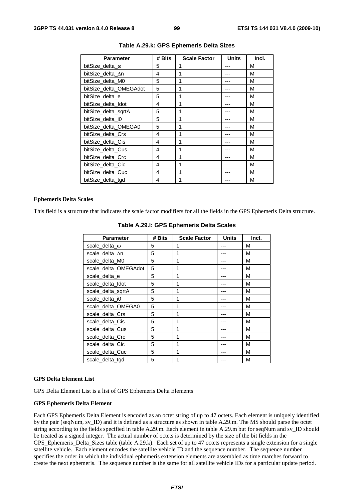| <b>Parameter</b>       | # Bits | <b>Scale Factor</b> | <b>Units</b> | Incl. |
|------------------------|--------|---------------------|--------------|-------|
| bitSize delta ω        | 5      | 1                   |              | М     |
| bitSize_delta_∆n       | 4      | 1                   |              | М     |
| bitSize delta M0       | 5      | 1                   |              | M     |
| bitSize_delta_OMEGAdot | 5      | 1                   |              | M     |
| bitSize delta e        | 5      | 1                   |              | М     |
| bitSize_delta_Idot     | 4      | 1                   |              | М     |
| bitSize delta sgrtA    | 5      | 1                   |              | М     |
| bitSize delta i0       | 5      | 1                   |              | М     |
| bitSize_delta_OMEGA0   | 5      | 1                   |              | M     |
| bitSize delta Crs      | 4      | 1                   |              | M     |
| bitSize delta Cis      | 4      | 1                   |              | М     |
| bitSize delta Cus      | 4      | 1                   |              | М     |
| bitSize_delta_Crc      | 4      | 1                   |              | М     |
| bitSize delta Cic      | 4      | 1                   |              | М     |
| bitSize delta Cuc      | 4      | 1                   |              | М     |
| bitSize delta tgd      | 4      |                     |              | М     |

**Table A.29.k: GPS Ephemeris Delta Sizes** 

#### **Ephemeris Delta Scales**

This field is a structure that indicates the scale factor modifiers for all the fields in the GPS Ephemeris Delta structure.

| <b>Parameter</b>      | # Bits | <b>Scale Factor</b> | <b>Units</b> | Incl. |
|-----------------------|--------|---------------------|--------------|-------|
| scale_delta_ $\omega$ | 5      |                     |              | М     |
| scale_delta_∆n        | 5      | 1                   |              | М     |
| scale_delta_M0        | 5      | 1                   |              | M     |
| scale_delta_OMEGAdot  | 5      | 1                   |              | М     |
| scale delta e         | 5      | 1                   |              | М     |
| scale delta Idot      | 5      | 1                   |              | М     |
| scale_delta_sqrtA     | 5      | 1                   |              | M     |
| scale_delta_i0        | 5      | 1                   |              | M     |
| scale_delta_OMEGA0    | 5      | 1                   |              | M     |
| scale delta Crs       | 5      | 1                   |              | М     |
| scale_delta_Cis       | 5      | 1                   |              | М     |
| scale delta Cus       | 5      | 1                   |              | М     |
| scale_delta_Crc       | 5      | 1                   |              | M     |
| scale_delta_Cic       | 5      | 1                   |              | M     |
| scale_delta_Cuc       | 5      |                     |              | М     |
| scale delta tgd       | 5      | 1                   |              | М     |

**Table A.29.l: GPS Ephemeris Delta Scales** 

#### **GPS Delta Element List**

GPS Delta Element List is a list of GPS Ephemeris Delta Elements

#### **GPS Ephemeris Delta Element**

Each GPS Ephemeris Delta Element is encoded as an octet string of up to 47 octets. Each element is uniquely identified by the pair (seqNum, sv\_ID) and it is defined as a structure as shown in table A.29.m. The MS should parse the octet string according to the fields specified in table A.29.m. Each element in table A.29.m but for seqNum and sv\_ID should be treated as a signed integer. The actual number of octets is determined by the size of the bit fields in the GPS\_Ephemeris\_Delta\_Sizes table (table A.29.k). Each set of up to 47 octets represents a single extension for a single satellite vehicle. Each element encodes the satellite vehicle ID and the sequence number. The sequence number specifies the order in which the individual ephemeris extension elements are assembled as time marches forward to create the next ephemeris. The sequence number is the same for all satellite vehicle IDs for a particular update period.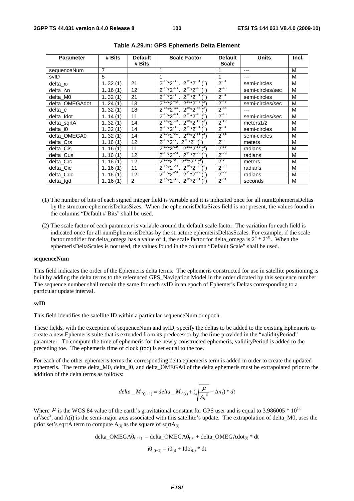| <b>Parameter</b> | # Bits | <b>Default</b><br># Bits | <b>Scale Factor</b>                          | <b>Default</b><br><b>Scale</b> | <b>Units</b>     | Incl. |
|------------------|--------|--------------------------|----------------------------------------------|--------------------------------|------------------|-------|
| sequenceNum      | 7      |                          |                                              |                                | ---              | M     |
| svID             | 5      |                          | 1                                            | 1                              | ---              | M     |
| delta_ $\omega$  | 132(1) | 21                       | $2^{-16*2^{31}}$ $2^{15*2^{31}}$             | $2^{-31}$                      | semi-circles     | M     |
| delta_∆n         | 116(1) | 12                       | $2^{-16}*2^{-43}$ $2^{15}*2^{-43}$           | $2^{-43}$                      | semi-circles/sec | M     |
| delta M0         | 132(1) | 21                       | $2^{-16*}2^{-31}$<br>$2^{15*}2^{31}$         | $2^{-31}$                      | semi-circles     | M     |
| delta OMEGAdot   | 124(1) | 13                       | $2^{-16}*2^{-43}$ $2^{15}*2^{-43}$           | $2^{-43}$                      | semi-circles/sec | M     |
| delta e          | 132(1) | 18                       | $2^{-16}*2^{-33}$ $2^{-15}*2^{-33}$          | $2^{-33}$                      |                  | M     |
| delta_Idot       | 114(1) | 11                       | $2^{-16}*2^{-43}$ $2^{15}*2^{-43}$           | $2^{-43}$                      | semi-circles/sec | M     |
| delta_sqrtA      | 132(1) | 14                       | $2^{-16}*2^{-19}$ $2^{-15}*2^{-19}$          | $2^{-19}$                      | meters $1/2$     | M     |
| delta i0         | 132(1) | 14                       | $2^{-16*2^{31}}$ $2^{15*2^{31}}$             | $2^{-31}$                      | semi-circles     | M     |
| delta_OMEGA0     | 132(1) | 14                       | $2^{-16}*2^{-31}$ $2^{15}*2^{-31}$           | $2^{-31}$                      | semi-circles     | M     |
| delta Crs        | 116(1) | 12                       | $2^{-16}*2^{-5}$ $2^{15}*2^{-5}$ $(2)$       | $2^{-5}$                       | meters           | M     |
| delta Cis        | 116(1) | 11                       | $2^{-16}*2^{-29}$ $2^{15}*2^{-29}$           | $2^{-29}$                      | radians          | M     |
| delta Cus        | 116(1) | 12                       | $2^{-16}*2^{-29}$ $2^{15}*2^{-29}$           | $2^{-29}$                      | radians          | M     |
| delta_Crc        | 116(1) | 12                       | $2^{-16}*2^{-5}$ $2^{15}*2^{-5}$ $(2)$       | $2^{-5}$                       | meters           | M     |
| delta Cic        | 116(1) | 11                       | $2^{-16}*2^{-29}$ $2^{15}*2^{-29}$ $1^{27}$  | $2^{-29}$                      | radians          | M     |
| delta Cuc        | 116(1) | 12                       | $2^{-16}*2^{-29}$ $2^{15}*2^{-29}$           | $2^{-29}$                      | radians          | M     |
| delta_tgd        | 116(1) | 2                        | $2^{-16}*2^{-31}$ $2^{15}*2^{-31}$ $(2^{15}$ | $2^{-31}$                      | seconds          | M     |

- (1) The number of bits of each signed integer field is variable and it is indicated once for all numEphemerisDeltas by the structure ephemerisDeltasSizes. When the ephemerisDeltaSizes field is not present, the values found in the columns "Default # Bits" shall be used.
- (2) The scale factor of each parameter is variable around the default scale factor. The variation for each field is indicated once for all numEphemerisDeltas by the structure ephemerisDeltasScales. For example, if the scale factor modifier for delta\_omega has a value of 4, the scale factor for delta\_omega is  $2^4 * 2^{31}$ . When the ephemerisDeltaScales is not used, the values found in the column "Default Scale" shall be used.

#### **sequenceNum**

This field indicates the order of the Ephemeris delta terms. The ephemeris constructed for use in satellite positioning is built by adding the delta terms to the referenced GPS\_Navigation Model in the order dictated by this sequence number. The sequence number shall remain the same for each svID in an epoch of Ephemeris Deltas corresponding to a particular update interval.

#### **svID**

This field identifies the satellite ID within a particular sequenceNum or epoch.

These fields, with the exception of sequenceNum and svID, specify the deltas to be added to the existing Ephemeris to create a new Ephemeris suite that is extended from its predecessor by the time provided in the "validityPeriod" parameter. To compute the time of ephemeris for the newly constructed ephemeris, validityPeriod is added to the preceding toe. The ephemeris time of clock (toc) is set equal to the toe.

For each of the other ephemeris terms the corresponding delta ephemeris term is added in order to create the updated ephemeris. The terms delta\_M0, delta\_i0, and delta\_OMEGA0 of the delta ephemeris must be extrapolated prior to the addition of the delta terms as follows:

$$
delta\_M_{0(i+1)} = delta\_M_{0(i)} + (\sqrt{\frac{\mu}{A_i^3}} + \Delta n_i) * dt
$$

Where  $\mu$  is the WGS 84 value of the earth's gravitational constant for GPS user and is equal to 3.986005  $*$  10<sup>14</sup>  $m<sup>3</sup>/sec<sup>2</sup>$ , and A(i) is the semi-major axis associated with this satellite's update. The extrapolation of delta\_M0, uses the prior set's sqrtA term to compute  $A_{(i)}$  as the square of sqrtA $_{(i)}$ .

delta\_OMEGA0(i+1) = delta\_OMEGA0(i) + delta\_OMEGAdot(i) \* dt i0 (i+1) = i0(i) + Idot(i) \* dt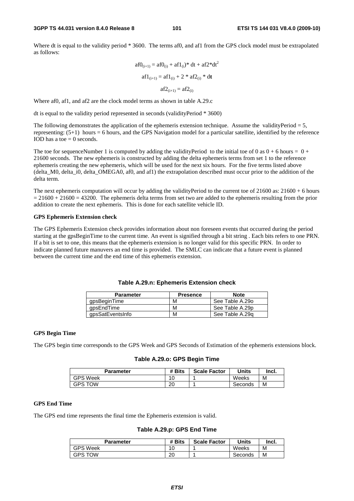Where dt is equal to the validity period \* 3600. The terms af0, and af1 from the GPS clock model must be extrapolated as follows:

$$
af0_{(i+1)} = af0_{(i)} + af1_{(i)} * dt + af2 * dt2
$$

$$
af1_{(i+1)} = af1_{(i)} + 2 * af2_{(i)} * dt
$$

$$
af2_{(i+1)} = af2_{(i)}
$$

Where af0, af1, and af2 are the clock model terms as shown in table A.29.c

dt is equal to the validity period represented in seconds (validityPeriod \* 3600)

The following demonstrates the application of the ephemeris extension technique. Assume the validityPeriod  $= 5$ , representing: (5+1) hours = 6 hours, and the GPS Navigation model for a particular satellite, identified by the reference IOD has a toe  $= 0$  seconds.

The toe for sequenceNumber 1 is computed by adding the validityPeriod to the initial toe of 0 as  $0 + 6$  hours =  $0 +$ 21600 seconds. The new ephemeris is constructed by adding the delta ephemeris terms from set 1 to the reference ephemeris creating the new ephemeris, which will be used for the next six hours. For the five terms listed above (delta\_M0, delta\_i0, delta\_OMEGA0, af0, and af1) the extrapolation described must occur prior to the addition of the delta term.

The next ephemeris computation will occur by adding the validityPeriod to the current toe of  $21600$  as:  $21600 + 6$  hours  $= 21600 + 21600 = 43200$ . The ephemeris delta terms from set two are added to the ephemeris resulting from the prior addition to create the next ephemeris. This is done for each satellite vehicle ID.

#### **GPS Ephemeris Extension check**

The GPS Ephemeris Extension check provides information about non foreseen events that occurred during the period starting at the gpsBeginTime to the current time. An event is signified through a bit string . Each bits refers to one PRN. If a bit is set to one, this means that the ephemeris extension is no longer valid for this specific PRN. In order to indicate planned future manuvers an end time is provided. The SMLC can indicate that a future event is planned between the current time and the end time of this ephemeris extension.

| <b>Parameter</b> | <b>Presence</b> | <b>Note</b>     |
|------------------|-----------------|-----------------|
| qpsBeginTime     | м               | See Table A.29o |
| qpsEndTime       | м               | See Table A.29p |
| gpsSatEventsInfo | м               | See Table A.29g |

### **Table A.29.n: Ephemeris Extension check**

#### **GPS Begin Time**

The GPS begin time corresponds to the GPS Week and GPS Seconds of Estimation of the ephemeris extensions block.

#### **Table A.29.o: GPS Begin Time**

| Parameter       | # Bits | <b>Scale Factor</b> | Units   | Incl. |
|-----------------|--------|---------------------|---------|-------|
| <b>GPS Week</b> | ۱O     |                     | Weeks   | M     |
| <b>GPS TOW</b>  | 20     |                     | Seconds | M     |

#### **GPS End Time**

The GPS end time represents the final time the Ephemeris extension is valid.

**Table A.29.p: GPS End Time** 

| Parameter       | # Bits   | <b>Scale Factor</b> | <b>Units</b> | Incl. |
|-----------------|----------|---------------------|--------------|-------|
| <b>GPS Week</b> | 10       |                     | Weeks        | М     |
| GPS TOW         | ററ<br>۷J |                     | Seconds      | М     |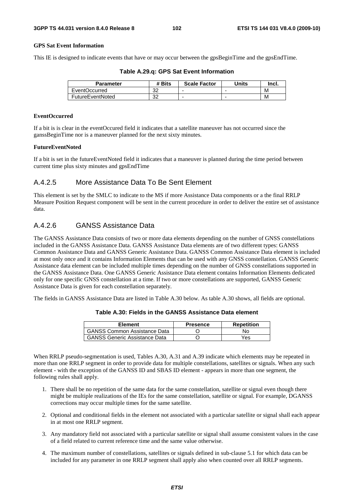#### **GPS Sat Event Information**

This IE is designed to indicate events that have or may occur between the gpsBeginTime and the gpsEndTime.

| Parameter     | # Bits    | <b>Scale Factor</b> | <b>Units</b> | Incl. |
|---------------|-----------|---------------------|--------------|-------|
| EventOccurred | nr.<br>ےں | ۰                   | ۰            | M     |

FutureEventNoted 32 - - M

|  |  | Table A.29.q: GPS Sat Event Information |
|--|--|-----------------------------------------|
|--|--|-----------------------------------------|

# **EventOccurred**

If a bit is is clear in the eventOccured field it indicates that a satellite maneuver has not occurred since the ganssBeginTime nor is a maneuver planned for the next sixty minutes.

#### **FutureEventNoted**

If a bit is set in the futureEventNoted field it indicates that a maneuver is planned during the time period between current time plus sixty minutes and gpsEndTime

### A.4.2.5 More Assistance Data To Be Sent Element

This element is set by the SMLC to indicate to the MS if more Assistance Data components or a the final RRLP Measure Position Request component will be sent in the current procedure in order to deliver the entire set of assistance data.

### A.4.2.6 GANSS Assistance Data

The GANSS Assistance Data consists of two or more data elements depending on the number of GNSS constellations included in the GANSS Assistance Data. GANSS Assistance Data elements are of two different types: GANSS Common Assistance Data and GANSS Generic Assistance Data. GANSS Common Assistance Data element is included at most only once and it contains Information Elements that can be used with any GNSS constellation. GANSS Generic Assistance data element can be included multiple times depending on the number of GNSS constellations supported in the GANSS Assistance Data. One GANSS Generic Assistance Data element contains Information Elements dedicated only for one specific GNSS constellation at a time. If two or more constellations are supported, GANSS Generic Assistance Data is given for each constellation separately.

The fields in GANSS Assistance Data are listed in Table A.30 below. As table A.30 shows, all fields are optional.

| Element                              | <b>Presence</b> | <b>Repetition</b> |
|--------------------------------------|-----------------|-------------------|
| <b>GANSS Common Assistance Data</b>  |                 | No                |
| <b>GANSS Generic Assistance Data</b> |                 | Yes               |

#### **Table A.30: Fields in the GANSS Assistance Data element**

When RRLP pseudo-segmentation is used, Tables A.30, A.31 and A.39 indicate which elements may be repeated in more than one RRLP segment in order to provide data for multiple constellations, satellites or signals. When any such element - with the exception of the GANSS ID and SBAS ID element - appears in more than one segment, the following rules shall apply.

- 1. There shall be no repetition of the same data for the same constellation, satellite or signal even though there might be multiple realizations of the IEs for the same constellation, satellite or signal. For example, DGANSS corrections may occur multiple times for the same satellite.
- 2. Optional and conditional fields in the element not associated with a particular satellite or signal shall each appear in at most one RRLP segment.
- 3. Any mandatory field not associated with a particular satellite or signal shall assume consistent values in the case of a field related to current reference time and the same value otherwise.
- 4. The maximum number of constellations, satellites or signals defined in sub-clause 5.1 for which data can be included for any parameter in one RRLP segment shall apply also when counted over all RRLP segments.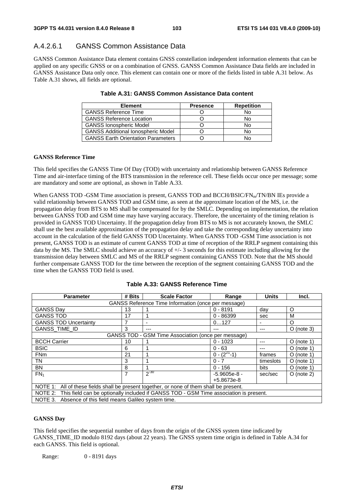### A.4.2.6.1 GANSS Common Assistance Data

GANSS Common Assistance Data element contains GNSS constellation independent information elements that can be applied on any specific GNSS or on a combination of GNSS. GANSS Common Assistance Data fields are included in GANSS Assistance Data only once. This element can contain one or more of the fields listed in table A.31 below. As Table A.31 shows, all fields are optional.

| <b>Element</b>                            | <b>Presence</b> | <b>Repetition</b> |
|-------------------------------------------|-----------------|-------------------|
| <b>GANSS Reference Time</b>               |                 | No                |
| <b>GANSS Reference Location</b>           |                 | No                |
| <b>GANSS Ionospheric Model</b>            |                 | No                |
| <b>GANSS Additional Ionospheric Model</b> |                 | No                |
| <b>GANSS Earth Orientation Parameters</b> |                 | N٥                |

### **Table A.31: GANSS Common Assistance Data content**

#### **GANSS Reference Time**

This field specifies the GANSS Time Of Day (TOD) with uncertainty and relationship between GANSS Reference Time and air-interface timing of the BTS transmission in the reference cell. These fields occur once per message; some are mandatory and some are optional, as shown in Table A.33.

When GANSS TOD -GSM Time association is present, GANSS TOD and BCCH/BSIC/FN<sub>m</sub>/TN/BN IEs provide a valid relationship between GANSS TOD and GSM time, as seen at the approximate location of the MS, i.e. the propagation delay from BTS to MS shall be compensated for by the SMLC. Depending on implementation, the relation between GANSS TOD and GSM time may have varying accuracy. Therefore, the uncertainty of the timing relation is provided in GANSS TOD Uncertainty. If the propagation delay from BTS to MS is not accurately known, the SMLC shall use the best available approximation of the propagation delay and take the corresponding delay uncertainty into account in the calculation of the field GANSS TOD Uncertainty. When GANSS TOD -GSM Time association is not present, GANSS TOD is an estimate of current GANSS TOD at time of reception of the RRLP segment containing this data by the MS. The SMLC should achieve an accuracy of +/- 3 seconds for this estimate including allowing for the transmission delay between SMLC and MS of the RRLP segment containing GANSS TOD. Note that the MS should further compensate GANSS TOD for the time between the reception of the segment containing GANSS TOD and the time when the GANSS TOD field is used.

| <b>Parameter</b>                                                                              | # Bits                                              | <b>Scale Factor</b> | Range              | <b>Units</b> | Incl.        |  |
|-----------------------------------------------------------------------------------------------|-----------------------------------------------------|---------------------|--------------------|--------------|--------------|--|
| GANSS Reference Time Information (once per message)                                           |                                                     |                     |                    |              |              |  |
| <b>GANSS Day</b>                                                                              | 13                                                  |                     | $0 - 8191$         | dav          | O            |  |
| <b>GANSS TOD</b>                                                                              | 17                                                  |                     | $0 - 86399$        | sec          | м            |  |
| <b>GANSS TOD Uncertainty</b>                                                                  | 7                                                   |                     | 0127               | -            | O            |  |
| GANSS_TIME_ID                                                                                 | 3                                                   |                     | ---                | ---          | $O$ (note 3) |  |
|                                                                                               | GANSS TOD - GSM Time Association (once per message) |                     |                    |              |              |  |
| <b>BCCH Carrier</b>                                                                           | 10                                                  |                     | $0 - 1023$         | ---          | $O$ (note 1) |  |
| <b>BSIC</b>                                                                                   | 6                                                   |                     | $0 - 63$           | ---          | $O$ (note 1) |  |
| <b>FNm</b>                                                                                    | 21                                                  |                     | $0 - (2^{27} - 1)$ | frames       | $O$ (note 1) |  |
| TN                                                                                            | 3                                                   |                     | $0 - 7$            | timeslots    | $O$ (note 1) |  |
| <b>BN</b>                                                                                     | 8                                                   |                     | $0 - 156$          | <b>bits</b>  | $O$ (note 1) |  |
| FN <sub>1</sub>                                                                               | 7                                                   | $2^{-30}$           | $-5.9605e-8 -$     | sec/sec      | $O$ (note 2) |  |
|                                                                                               |                                                     |                     | $+5.8673e-8$       |              |              |  |
| NOTE 1: All of these fields shall be present together, or none of them shall be present.      |                                                     |                     |                    |              |              |  |
| NOTE 2: This field can be optionally included if GANSS TOD - GSM Time association is present. |                                                     |                     |                    |              |              |  |
| NOTE 3. Absence of this field means Galileo system time.                                      |                                                     |                     |                    |              |              |  |

|  |  |  |  | Table A.33: GANSS Reference Time |  |
|--|--|--|--|----------------------------------|--|
|--|--|--|--|----------------------------------|--|

#### **GANSS Day**

This field specifies the sequential number of days from the origin of the GNSS system time indicated by GANSS\_TIME\_ID modulo 8192 days (about 22 years). The GNSS system time origin is defined in Table A.34 for each GANSS. This field is optional.

Range: 0 - 8191 days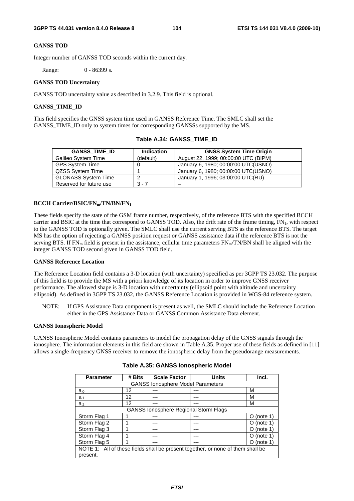#### **GANSS TOD**

Integer number of GANSS TOD seconds within the current day.

Range: 0 - 86399 s.

#### **GANSS TOD Uncertainty**

GANSS TOD uncertainty value as described in 3.2.9. This field is optional.

#### **GANSS\_TIME\_ID**

This field specifies the GNSS system time used in GANSS Reference Time. The SMLC shall set the GANSS\_TIME\_ID only to system times for corresponding GANSSs supported by the MS.

| <b>GANSS TIME ID</b>       | <b>Indication</b> | <b>GNSS System Time Origin</b>       |
|----------------------------|-------------------|--------------------------------------|
| Galileo System Time        | (default)         | August 22, 1999; 00:00:00 UTC (BIPM) |
| <b>GPS System Time</b>     |                   | January 6, 1980; 00:00:00 UTC(USNO)  |
| QZSS System Time           |                   | January 6, 1980; 00:00:00 UTC(USNO)  |
| <b>GLONASS System Time</b> |                   | January 1, 1996; 03:00:00 UTC(RU)    |
| Reserved for future use    | $3 - 7$           |                                      |

#### **Table A.34: GANSS\_TIME\_ID**

#### **BCCH Carrier/BSIC/FN<sub>m</sub>/TN/BN/FN<sub>1</sub>**

These fields specify the state of the GSM frame number, respectively, of the reference BTS with the specified BCCH carrier and BSIC at the time that correspond to GANSS TOD. Also, the drift rate of the frame timing,  $FN_1$ , with respect to the GANSS TOD is optionally given. The SMLC shall use the current serving BTS as the reference BTS. The target MS has the option of rejecting a GANSS position request or GANSS assistance data if the reference BTS is not the serving BTS. If  $FN_m$  field is present in the assistance, cellular time parameters  $FN_m/TN/BN$  shall be aligned with the integer GANSS TOD second given in GANSS TOD field.

#### **GANSS Reference Location**

The Reference Location field contains a 3-D location (with uncertainty) specified as per 3GPP TS 23.032. The purpose of this field is to provide the MS with a priori knowledge of its location in order to improve GNSS receiver performance. The allowed shape is 3-D location with uncertainty (ellipsoid point with altitude and uncertainty ellipsoid). As defined in 3GPP TS 23.032, the GANSS Reference Location is provided in WGS-84 reference system.

NOTE: If GPS Assistance Data component is present as well, the SMLC should include the Reference Location either in the GPS Assistance Data or GANSS Common Assistance Data element.

#### **GANSS Ionospheric Model**

GANSS Ionospheric Model contains parameters to model the propagation delay of the GNSS signals through the ionosphere. The information elements in this field are shown in Table A.35. Proper use of these fields as defined in [11] allows a single-frequency GNSS receiver to remove the ionospheric delay from the pseudorange measurements.

| <b>Parameter</b>                                                                | # Bits                                   | <b>Scale Factor</b> | <b>Units</b> | Incl.                   |  |  |
|---------------------------------------------------------------------------------|------------------------------------------|---------------------|--------------|-------------------------|--|--|
|                                                                                 | <b>GANSS lonosphere Model Parameters</b> |                     |              |                         |  |  |
| $a_{i0}$                                                                        | 12                                       | ---                 | ---          | м                       |  |  |
| $a_{i1}$                                                                        | 12                                       | ---                 | ---          | м                       |  |  |
| $a_{i2}$                                                                        | 12                                       |                     | ---          | М                       |  |  |
| <b>GANSS lonosphere Regional Storm Flags</b>                                    |                                          |                     |              |                         |  |  |
| Storm Flag 1                                                                    |                                          | ---                 | ---          | (note 1)<br>O           |  |  |
| Storm Flag 2                                                                    |                                          |                     |              | (note $1$ )<br>O        |  |  |
| Storm Flag 3                                                                    |                                          |                     |              | (note 1)<br>0           |  |  |
| Storm Flag 4                                                                    |                                          | ---                 |              | (note $1$<br>0          |  |  |
| Storm Flag 5                                                                    |                                          | ---                 | ---          | (note <sub>1</sub><br>0 |  |  |
| NOTE 1: All of these fields shall be present together, or none of them shall be |                                          |                     |              |                         |  |  |
| present.                                                                        |                                          |                     |              |                         |  |  |

#### **Table A.35: GANSS Ionospheric Model**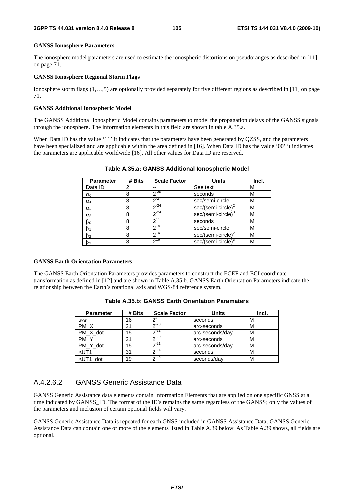#### **GANSS Ionosphere Parameters**

The ionosphere model parameters are used to estimate the ionospheric distortions on pseudoranges as described in [11] on page 71.

#### **GANSS Ionosphere Regional Storm Flags**

Ionosphere storm flags (1,…,5) are optionally provided separately for five different regions as described in [11] on page 71.

#### **GANSS Additional Ionospheric Model**

The GANSS Additional Ionospheric Model contains parameters to model the propagation delays of the GANSS signals through the ionosphere. The information elements in this field are shown in table A.35.a.

When Data ID has the value '11' it indicates that the parameters have been generated by QZSS, and the parameters have been specialized and are applicable within the area defined in [16]. When Data ID has the value '00' it indicates the parameters are applicable worldwide [16]. All other values for Data ID are reserved.

| <b>Parameter</b>      | # Bits | <b>Scale Factor</b> | Units                          | Incl. |
|-----------------------|--------|---------------------|--------------------------------|-------|
| Data ID               | 2      | --                  | See text                       | м     |
| $\alpha_0$            | 8      | $2^{-30}$           | seconds                        | М     |
| $\alpha_1$            | 8      | $2^{-27}$           | sec/semi-circle                | м     |
| $\alpha$ <sub>2</sub> | 8      | $2^{-24}$           | $sec/(semi-circle)^2$          | М     |
| $\alpha_3$            | 8      | $2^{-24}$           | sec/(semi-circle) <sup>3</sup> | М     |
| $\beta_0$             | 8      | $2^{11}$            | seconds                        | м     |
| $\beta_1$             | 8      | $2^{14}$            | sec/semi-circle                | М     |
| $\beta_2$             | 8      | $2^{16}$            | $sec/(semi-circle)^2$          | М     |
| $\beta_3$             | 8      | $2^{16}$            | sec/(semi-circle) <sup>3</sup> | М     |

#### **Table A.35.a: GANSS Additional Ionospheric Model**

#### **GANSS Earth Orientation Parameters**

The GANSS Earth Orientation Parameters provides parameters to construct the ECEF and ECI coordinate transformation as defined in [12] and are shown in Table A.35.b. GANSS Earth Orientation Parameters indicate the relationship between the Earth's rotational axis and WGS-84 reference system.

| <b>Parameter</b> | # Bits | <b>Scale Factor</b> | <b>Units</b>    | Incl. |
|------------------|--------|---------------------|-----------------|-------|
| t <sub>EOP</sub> | 16     | ົາ                  | seconds         | М     |
| PM X             | 21     | $20 - 20$           | arc-seconds     | М     |
| PM X dot         | 15     | $n - 21$            | arc-seconds/day | М     |
| PM Y             | 21     | $20 - 20$           | arc-seconds     | М     |
| PM Y dot         | 15     | 21                  | arc-seconds/day | М     |
| $\triangle$ UT1  | 31     | $2^{24}$            | seconds         | м     |
| $\Delta$ UT1 dot | 19     | $2^{25}$            | seconds/day     | М     |

**Table A.35.b: GANSS Earth Orientation Paramaters** 

### A.4.2.6.2 GANSS Generic Assistance Data

GANSS Generic Assistance data elements contain Information Elements that are applied on one specific GNSS at a time indicated by GANSS\_ID. The format of the IE's remains the same regardless of the GANSS; only the values of the parameters and inclusion of certain optional fields will vary.

GANSS Generic Assistance Data is repeated for each GNSS included in GANSS Assistance Data. GANSS Generic Assistance Data can contain one or more of the elements listed in Table A.39 below. As Table A.39 shows, all fields are optional.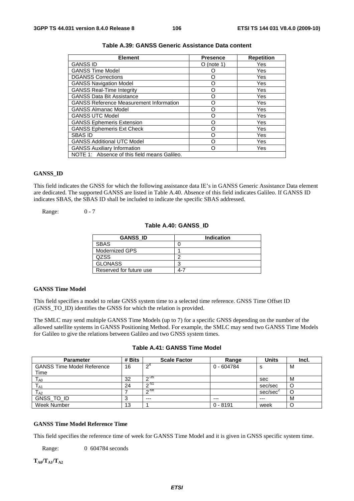| <b>Element</b>                                 | <b>Presence</b> | <b>Repetition</b> |
|------------------------------------------------|-----------------|-------------------|
| <b>GANSS ID</b>                                | $O$ (note 1)    | Yes               |
| <b>GANSS Time Model</b>                        |                 | Yes               |
| <b>DGANSS Corrections</b>                      | Ω               | Yes               |
| <b>GANSS Navigation Model</b>                  | ∩               | Yes               |
| <b>GANSS Real-Time Integrity</b>               | റ               | Yes               |
| <b>GANSS Data Bit Assistance</b>               | O               | Yes               |
| <b>GANSS Reference Measurement Information</b> | ∩               | Yes               |
| <b>GANSS Almanac Model</b>                     | O               | Yes               |
| <b>GANSS UTC Model</b>                         | ∩               | Yes               |
| <b>GANSS Ephemeris Extension</b>               | ∩               | Yes               |
| <b>GANSS Ephemeris Ext Check</b>               | Ω               | Yes               |
| <b>SBAS ID</b>                                 | Ω               | Yes               |
| <b>GANSS Additional UTC Model</b>              | ∩               | Yes               |
| <b>GANSS Auxiliary Information</b>             |                 | Yes               |
| NOTE 1: Absence of this field means Galileo.   |                 |                   |

### **Table A.39: GANSS Generic Assistance Data content**

#### **GANSS\_ID**

This field indicates the GNSS for which the following assistance data IE's in GANSS Generic Assistance Data element are dedicated. The supported GANSS are listed in Table A.40. Absence of this field indicates Galileo. If GANSS ID indicates SBAS, the SBAS ID shall be included to indicate the specific SBAS addressed.

Range: 0 - 7

#### **Table A.40: GANSS\_ID**

| <b>GANSS ID</b>         | <b>Indication</b> |
|-------------------------|-------------------|
| <b>SBAS</b>             |                   |
| Modernized GPS          |                   |
| QZSS.                   | ◠                 |
| <b>GLONASS</b>          | ◠                 |
| Reserved for future use | $4-7$             |

#### **GANSS Time Model**

This field specifies a model to relate GNSS system time to a selected time reference. GNSS Time Offset ID (GNSS\_TO\_ID) identifies the GNSS for which the relation is provided.

The SMLC may send multiple GANSS Time Models (up to 7) for a specific GNSS depending on the number of the allowed satellite systems in GANSS Positioning Method. For example, the SMLC may send two GANSS Time Models for Galileo to give the relations between Galileo and two GNSS system times.

| Table A.41: GANSS Time Model |  |
|------------------------------|--|
|------------------------------|--|

| <b>Parameter</b>                  | # Bits | <b>Scale Factor</b> | Range        | <b>Units</b>         | Incl. |
|-----------------------------------|--------|---------------------|--------------|----------------------|-------|
| <b>GANSS Time Model Reference</b> | 16     | $\mathsf{\Omega}^4$ | $0 - 604784$ | s                    | м     |
| Time                              |        |                     |              |                      |       |
| $T_{\sf A0}$                      | 32     | ∩-35                |              | sec                  | M     |
| $T_{A1}$                          | 24     | ഹ-51                |              | sec/sec              |       |
| $T_{A2}$                          |        | $\sim$ -68          |              | sec/sec <sup>2</sup> | U     |
| GNSS TO ID                        | 3      | $---$               | $---$        | $---$                | M     |
| Week Number                       | 13     |                     | $0 - 8191$   | week                 |       |

#### **GANSS Time Model Reference Time**

This field specifies the reference time of week for GANSS Time Model and it is given in GNSS specific system time.

Range: 0 604784 seconds

 $T_{\rm A0}/T_{\rm A1}/T_{\rm A2}$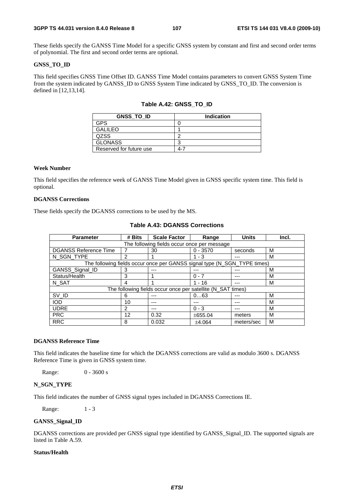#### **3GPP TS 44.031 version 8.4.0 Release 8 107 ETSI TS 144 031 V8.4.0 (2009-10)**

These fields specify the GANSS Time Model for a specific GNSS system by constant and first and second order terms of polynomial. The first and second order terms are optional.

### **GNSS\_TO\_ID**

This field specifies GNSS Time Offset ID. GANSS Time Model contains parameters to convert GNSS System Time from the system indicated by GANSS\_ID to GNSS System Time indicated by GNSS\_TO\_ID. The conversion is defined in [12,13,14].

### **Table A.42: GNSS\_TO\_ID**

| <b>GNSS TO ID</b>       | <b>Indication</b> |
|-------------------------|-------------------|
| GPS                     |                   |
| <b>GALILEO</b>          |                   |
| QZSS                    | ╭                 |
| <b>GLONASS</b>          | ◠                 |
| Reserved for future use | 4-7               |

### **Week Number**

This field specifies the reference week of GANSS Time Model given in GNSS specific system time. This field is optional.

### **DGANSS Corrections**

These fields specify the DGANSS corrections to be used by the MS.

| <b>Parameter</b>                                                         | # Bits        | <b>Scale Factor</b> | Range      | <b>Units</b> | Incl. |  |  |
|--------------------------------------------------------------------------|---------------|---------------------|------------|--------------|-------|--|--|
| The following fields occur once per message                              |               |                     |            |              |       |  |  |
| <b>DGANSS Reference Time</b>                                             |               | 30                  | $0 - 3570$ | seconds      | м     |  |  |
| N SGN TYPE                                                               | $\mathcal{P}$ |                     | $1 - 3$    |              | м     |  |  |
| The following fields occur once per GANSS signal type (N_SGN_TYPE times) |               |                     |            |              |       |  |  |
| GANSS_Signal_ID                                                          | 3             | ---                 | ---        |              | м     |  |  |
| Status/Health                                                            | 3             |                     | $0 - 7$    | ---          | м     |  |  |
| N SAT                                                                    | 4             |                     | $1 - 16$   |              | M     |  |  |
| The following fields occur once per satellite (N_SAT times)              |               |                     |            |              |       |  |  |
| SV_ID                                                                    | 6             | ---                 | 063        |              | м     |  |  |
| <b>IOD</b>                                                               | 10            | ---                 | ---        | ---          | м     |  |  |
| <b>UDRE</b>                                                              | $\mathcal{P}$ | ---                 | $0 - 3$    |              | м     |  |  |
| <b>PRC</b>                                                               | 12            | 0.32                | ±655.04    | meters       | м     |  |  |
| <b>RRC</b>                                                               | 8             | 0.032               | ±4.064     | meters/sec   | м     |  |  |

### **Table A.43: DGANSS Corrections**

#### **DGANSS Reference Time**

This field indicates the baseline time for which the DGANSS corrections are valid as modulo 3600 s. DGANSS Reference Time is given in GNSS system time.

Range: 0 - 3600 s

#### **N\_SGN\_TYPE**

This field indicates the number of GNSS signal types included in DGANSS Corrections IE.

Range: 1 - 3

#### **GANSS\_Signal\_ID**

DGANSS corrections are provided per GNSS signal type identified by GANSS\_Signal\_ID. The supported signals are listed in Table A.59.

#### **Status/Health**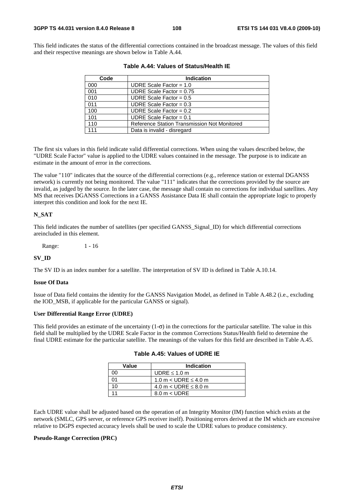This field indicates the status of the differential corrections contained in the broadcast message. The values of this field and their respective meanings are shown below in Table A.44.

| Code | <b>Indication</b>                            |
|------|----------------------------------------------|
| 000  | UDRE Scale Factor = $1.0$                    |
| 001  | UDRE Scale Factor = $0.75$                   |
| 010  | UDRE Scale Factor = $0.5$                    |
| 011  | UDRE Scale Factor = $0.3$                    |
| 100  | UDRE Scale Factor = $0.2$                    |
| 101  | UDRE Scale Factor = $0.1$                    |
| 110  | Reference Station Transmission Not Monitored |
| 111  | Data is invalid - disregard                  |

|  |  | Table A.44: Values of Status/Health IE |  |
|--|--|----------------------------------------|--|
|--|--|----------------------------------------|--|

The first six values in this field indicate valid differential corrections. When using the values described below, the "UDRE Scale Factor" value is applied to the UDRE values contained in the message. The purpose is to indicate an estimate in the amount of error in the corrections.

The value "110" indicates that the source of the differential corrections (e.g., reference station or external DGANSS network) is currently not being monitored. The value "111" indicates that the corrections provided by the source are invalid, as judged by the source. In the later case, the message shall contain no corrections for individual satellites. Any MS that receives DGANSS Corrections in a GANSS Assistance Data IE shall contain the appropriate logic to properly interpret this condition and look for the next IE.

#### **N\_SAT**

This field indicates the number of satellites (per specified GANSS\_Signal\_ID) for which differential corrections areincluded in this element.

Range: 1 - 16

#### **SV\_ID**

The SV ID is an index number for a satellite. The interpretation of SV ID is defined in Table A.10.14.

#### **Issue Of Data**

Issue of Data field contains the identity for the GANSS Navigation Model, as defined in Table A.48.2 (i.e., excluding the IOD\_MSB, if applicable for the particular GANSS or signal).

#### **User Differential Range Error (UDRE)**

This field provides an estimate of the uncertainty  $(1-\sigma)$  in the corrections for the particular satellite. The value in this field shall be multiplied by the UDRE Scale Factor in the common Corrections Status/Health field to determine the final UDRE estimate for the particular satellite. The meanings of the values for this field are described in Table A.45.

| Value | Indication                |
|-------|---------------------------|
|       | UDRE $\leq 1.0$ m         |
|       | 1.0 m < UDRE $\leq$ 4.0 m |
|       | 4.0 m < UDRE $\leq$ 8.0 m |
|       | $8.0 m <$ UDRE            |

|  |  | Table A.45: Values of UDRE IE |
|--|--|-------------------------------|
|--|--|-------------------------------|

Each UDRE value shall be adjusted based on the operation of an Integrity Monitor (IM) function which exists at the network (SMLC, GPS server, or reference GPS receiver itself). Positioning errors derived at the IM which are excessive relative to DGPS expected accuracy levels shall be used to scale the UDRE values to produce consistency.

#### **Pseudo-Range Correction (PRC)**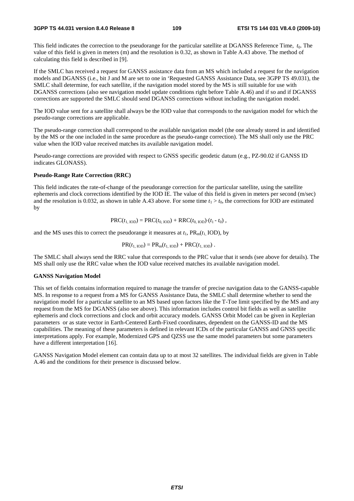#### **3GPP TS 44.031 version 8.4.0 Release 8 109 ETSI TS 144 031 V8.4.0 (2009-10)**

This field indicates the correction to the pseudorange for the particular satellite at DGANSS Reference Time,  $t_0$ . The value of this field is given in meters (m) and the resolution is 0.32, as shown in Table A.43 above. The method of calculating this field is described in [9].

If the SMLC has received a request for GANSS assistance data from an MS which included a request for the navigation models and DGANSS (i.e., bit J and M are set to one in 'Requested GANSS Assistance Data, see 3GPP TS 49.031), the SMLC shall determine, for each satellite, if the navigation model stored by the MS is still suitable for use with DGANSS corrections (also see navigation model update conditions right before Table A.46) and if so and if DGANSS corrections are supported the SMLC should send DGANSS corrections without including the navigation model.

The IOD value sent for a satellite shall always be the IOD value that corresponds to the navigation model for which the pseudo-range corrections are applicable.

The pseudo-range correction shall correspond to the available navigation model (the one already stored in and identified by the MS or the one included in the same procedure as the pseudo-range correction). The MS shall only use the PRC value when the IOD value received matches its available navigation model.

Pseudo-range corrections are provided with respect to GNSS specific geodetic datum (e.g., PZ-90.02 if GANSS ID indicates GLONASS).

#### **Pseudo-Range Rate Correction (RRC)**

This field indicates the rate-of-change of the pseudorange correction for the particular satellite, using the satellite ephemeris and clock corrections identified by the IOD IE. The value of this field is given in meters per second (m/sec) and the resolution is 0.032, as shown in table A.43 above. For some time  $t_1 > t_0$ , the corrections for IOD are estimated by

$$
PRC(t_{1,\text{IOD}}) = PRC(t_{0,\text{IOD}}) + RRC(t_{0,\text{IOD}}) (t_1 - t_0),
$$

and the MS uses this to correct the pseudorange it measures at  $t_1$ ,  $PR_m(t_1, IOD)$ , by

$$
PR(t_{1, IOD}) = PR_m(t_{1, IOD}) + PRC(t_{1, IOD}).
$$

The SMLC shall always send the RRC value that corresponds to the PRC value that it sends (see above for details). The MS shall only use the RRC value when the IOD value received matches its available navigation model.

#### **GANSS Navigation Model**

This set of fields contains information required to manage the transfer of precise navigation data to the GANSS-capable MS. In response to a request from a MS for GANSS Assistance Data, the SMLC shall determine whether to send the navigation model for a particular satellite to an MS based upon factors like the T-Toe limit specified by the MS and any request from the MS for DGANSS (also see above). This information includes control bit fields as well as satellite ephemeris and clock corrections and clock and orbit accuracy models. GANSS Orbit Model can be given in Keplerian parameters or as state vector in Earth-Centered Earth-Fixed coordinates, dependent on the GANSS-ID and the MS capabilities. The meaning of these parameters is defined in relevant ICDs of the particular GANSS and GNSS specific interpretations apply. For example, Modernized GPS and QZSS use the same model parameters but some parameters have a different interpretation [16].

GANSS Navigation Model element can contain data up to at most 32 satellites. The individual fields are given in Table A.46 and the conditions for their presence is discussed below.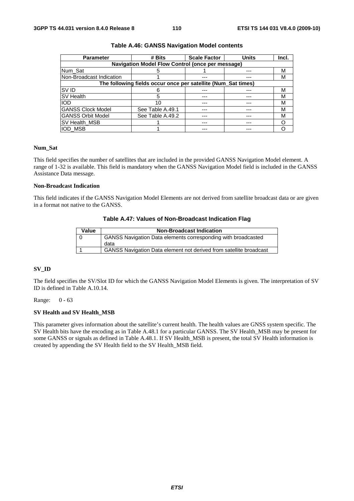| <b>Parameter</b>                                              | # Bits           | <b>Scale Factor</b> | <b>Units</b> | Incl. |  |  |  |  |
|---------------------------------------------------------------|------------------|---------------------|--------------|-------|--|--|--|--|
| <b>Navigation Model Flow Control (once per message)</b>       |                  |                     |              |       |  |  |  |  |
| Num_Sat                                                       | h.               |                     |              | М     |  |  |  |  |
| Non-Broadcast Indication                                      |                  |                     |              | м     |  |  |  |  |
| The following fields occur once per satellite (Num_Sat times) |                  |                     |              |       |  |  |  |  |
| SV ID                                                         |                  |                     |              | м     |  |  |  |  |
| <b>SV Health</b>                                              |                  |                     |              | м     |  |  |  |  |
| <b>IOD</b>                                                    | 10               |                     |              | М     |  |  |  |  |
| <b>GANSS Clock Model</b>                                      | See Table A.49.1 | ---                 |              | M     |  |  |  |  |
| <b>GANSS Orbit Model</b>                                      | See Table A.49.2 | ---                 | ---          | м     |  |  |  |  |
| <b>SV Health MSB</b>                                          |                  | ---                 | ---          |       |  |  |  |  |
| <b>IOD MSB</b>                                                |                  |                     |              |       |  |  |  |  |

#### **Table A.46: GANSS Navigation Model contents**

### **Num\_Sat**

This field specifies the number of satellites that are included in the provided GANSS Navigation Model element. A range of 1-32 is available. This field is mandatory when the GANSS Navigation Model field is included in the GANSS Assistance Data message.

#### **Non-Broadcast Indication**

This field indicates if the GANSS Navigation Model Elements are not derived from satellite broadcast data or are given in a format not native to the GANSS.

#### **Table A.47: Values of Non-Broadcast Indication Flag**

| Value | <b>Non-Broadcast Indication</b>                                      |
|-------|----------------------------------------------------------------------|
|       | <b>GANSS Navigation Data elements corresponding with broadcasted</b> |
|       | data                                                                 |
|       | GANSS Navigation Data element not derived from satellite broadcast   |

#### **SV\_ID**

The field specifies the SV/Slot ID for which the GANSS Navigation Model Elements is given. The interpretation of SV ID is defined in Table A.10.14.

Range: 0 - 63

#### **SV Health and SV Health\_MSB**

This parameter gives information about the satellite's current health. The health values are GNSS system specific. The SV Health bits have the encoding as in Table A.48.1 for a particular GANSS. The SV Health\_MSB may be present for some GANSS or signals as defined in Table A.48.1. If SV Health\_MSB is present, the total SV Health information is created by appending the SV Health field to the SV Health\_MSB field.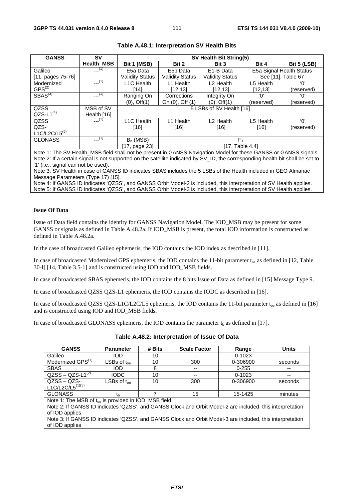| <b>GANSS</b>        | S٧                | SV Health Bit String(5) |                        |                          |                    |                          |
|---------------------|-------------------|-------------------------|------------------------|--------------------------|--------------------|--------------------------|
|                     | <b>Health MSB</b> | Bit 1 (MSB)             | Bit 2                  | Bit 3                    | Bit 4              | <b>Bit 5 (LSB)</b>       |
| Galileo             | $-(-1)$           | E5a Data                | E5b Data               | E <sub>1</sub> -B Data   |                    | E5a Signal Health Status |
| $[11, pages 75-76]$ |                   | <b>Validity Status</b>  | <b>Validity Status</b> | <b>Validity Status</b>   | See [11]. Table 67 |                          |
| Modernized          | $-(-1)$           | L <sub>1</sub> C Health | L1 Health              | L <sub>2</sub> Health    | L5 Health          | 'ቦ'                      |
| $GPS^{(2)}$         |                   | [14]                    | [12, 13]               | [12,13]                  | [12, 13]           | (reserved)               |
| $S}{BAS}^{(3)}$     | $---(1)$          | Ranging On              | Corrections            | Integrity On             | 'ቦ'                | 'ቦ'                      |
|                     |                   | $(0)$ , Off $(1)$       | On (0), Off (1)        | $(0)$ , Off $(1)$        | (reserved)         | (reserved)               |
| QZSS                | MSB of SV         |                         |                        | 5 LSBs of SV Health [16] |                    |                          |
| $QZS-L1^{(4)}$      | Health [16]       |                         |                        |                          |                    |                          |
| QZSS                | $-(-1)$           | L <sub>1</sub> C Health | L1 Health              | L <sub>2</sub> Health    | L5 Health          | 'በ'                      |
| QZS-                |                   | $[16]$                  | $[16]$                 | $[16]$                   | $[16]$             | (reserved)               |
| L1C/L2C/L5 $(5)$    |                   |                         |                        |                          |                    |                          |
| <b>GLONASS</b>      | (1)               | $B_n$ (MSB)             |                        | $F_{\rm T}$              |                    |                          |
|                     |                   | [17, page 23]           |                        |                          | [17, Table 4.4]    |                          |

#### **Table A.48.1: Interpretation SV Health Bits**

Note 1: The SV Health\_MSB field shall not be present in GANSS Navigation Model for these GANSS or GANSS signals. Note 2: If a certain signal is not supported on the satellite indicated by SV\_ID, the corresponding health bit shall be set to '1' (i.e., signal can not be used).

Note 3: SV Health in case of GANSS ID indicates SBAS includes the 5 LSBs of the Health included in GEO Almanac Message Parameters (Type 17) [15].

Note 4: If GANSS ID indicates 'QZSS', and GANSS Orbit Model-2 is included, this interpretation of SV Health applies. Note 5: If GANSS ID indicates 'QZSS', and GANSS Orbit Model-3 is included, this interpretation of SV Health applies.

#### **Issue Of Data**

Issue of Data field contains the identity for GANSS Navigation Model. The IOD\_MSB may be present for some GANSS or signals as defined in Table A.48.2a. If IOD\_MSB is present, the total IOD information is constructed as defined in Table A.48.2a.

In the case of broadcasted Galileo ephemeris, the IOD contains the IOD index as described in [11].

In case of broadcasted Modernized GPS ephemeris, the IOD contains the 11-bit parameter  $t_{oe}$  as defined in [12, Table 30-I] [14, Table 3.5-1] and is constructed using IOD and IOD\_MSB fields.

In case of broadcasted SBAS ephemeris, the IOD contains the 8 bits Issue of Data as defined in [15] Message Type 9.

In case of broadcasted QZSS QZS-L1 ephemeris, the IOD contains the IODC as described in [16].

In case of broadcasted QZSS QZS-L1C/L2C/L5 ephemeris, the IOD contains the 11-bit parameter  $t_{oe}$  as defined in [16] and is constructed using IOD and IOD\_MSB fields.

In case of broadcasted GLONASS ephemeris, the IOD contains the parameter  $t<sub>b</sub>$  as defined in [17].

| <b>GANSS</b>                  | <b>Parameter</b>                 | # Bits | <b>Scale Factor</b> | Range      | Units   |
|-------------------------------|----------------------------------|--------|---------------------|------------|---------|
| Galileo                       | <b>IOD</b>                       | 10     | $- -$               | $0 - 1023$ | --      |
| Modernized GPS <sup>(1)</sup> | $\mathsf{LSBs}$ of t $_{\sf oe}$ | 10     | 300                 | 0-306900   | seconds |
| <b>SBAS</b>                   | <b>IOD</b>                       |        | $-$                 | $0 - 255$  | $- -$   |
| $QZSS - QZS-L1^{(2)}$         | <b>IODC</b>                      | 10     | $- -$               | $0 - 1023$ | $-$     |
| $QZSS - QZS-$                 | $LSBs$ of $t_{\alpha}$           | 10     | 300                 | 0-306900   | seconds |
| L1C/L2C/L5 <sup>(1)(3)</sup>  |                                  |        |                     |            |         |
| <b>GLONASS</b>                | łь                               |        | 15                  | 15-1425    | minutes |

**Table A.48.2: Interpretation of Issue Of Data** 

Note 1: The MSB of t<sub>oe</sub> is provided in IOD\_MSB field.

Note 2: If GANSS ID indicates 'QZSS', and GANSS Clock and Orbit Model-2 are included, this interpretation of IOD applies.

Note 3: If GANSS ID indicates 'QZSS', and GANSS Clock and Orbit Model-3 are included, this interpretation of IOD applies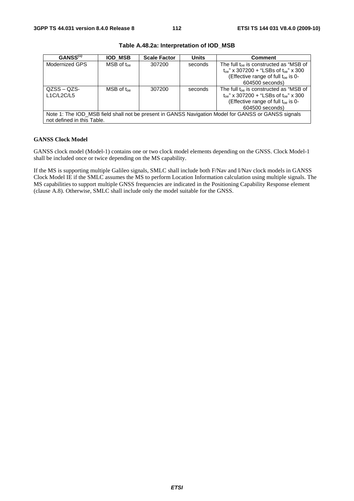| GANSS <sup>(1)</sup>                                                                                                              | IOD MSB                   | <b>Scale Factor</b> | <b>Units</b> | <b>Comment</b>                                                                                                                                                 |  |  |
|-----------------------------------------------------------------------------------------------------------------------------------|---------------------------|---------------------|--------------|----------------------------------------------------------------------------------------------------------------------------------------------------------------|--|--|
| Modernized GPS                                                                                                                    | $MSB$ of $t_{\text{one}}$ | 307200              | seconds      | The full toe is constructed as "MSB of<br>$t_{oe}$ " x 307200 + "LSBs of $t_{oe}$ " x 300<br>(Effective range of full t <sub>oe</sub> is 0-<br>604500 seconds) |  |  |
| $QZSS - QZS$<br>L1C/L2C/L5                                                                                                        | $MSB$ of $t_{\text{one}}$ | 307200              | seconds      | The full $t_{oe}$ is constructed as "MSB of<br>$t_{oe}$ " x 307200 + "LSBs of $t_{oe}$ " x 300<br>(Effective range of full $t_{oe}$ is 0-<br>604500 seconds)   |  |  |
| Note 1: The IOD_MSB field shall not be present in GANSS Navigation Model for GANSS or GANSS signals<br>not defined in this Table. |                           |                     |              |                                                                                                                                                                |  |  |

**Table A.48.2a: Interpretation of IOD\_MSB** 

#### **GANSS Clock Model**

GANSS clock model (Model-1) contains one or two clock model elements depending on the GNSS. Clock Model-1 shall be included once or twice depending on the MS capability.

If the MS is supporting multiple Galileo signals, SMLC shall include both F/Nav and I/Nav clock models in GANSS Clock Model IE if the SMLC assumes the MS to perform Location Information calculation using multiple signals. The MS capabilities to support multiple GNSS frequencies are indicated in the Positioning Capability Response element (clause A.8). Otherwise, SMLC shall include only the model suitable for the GNSS.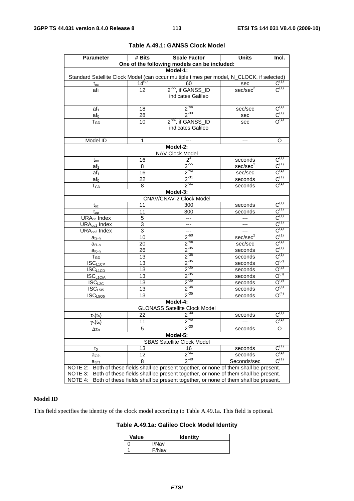| One of the following models can be included:<br>Model-1:<br>Standard Satellite Clock Model (can occur multiple times per model, N_CLOCK, if selected)<br>$14^{(u)}$<br>$\overline{C^{(1)}}$<br>60<br>sec<br>$t_{oc}$<br>$\overline{C^{(1)}}$<br>$2-65$ , if GANSS_ID<br>sec/sec <sup>2</sup><br>12<br>af <sub>2</sub><br>indicates Galileo<br>$C^{(1)}$<br>$2^{-45}$<br>18<br>sec/sec<br>$af_1$<br>$\overline{C}^{(1)}$<br>$2^{-33}$<br>28<br>af <sub>0</sub><br>sec<br>$2-32$ , if GANSS_ID<br>$O^{(1)}$<br>10<br>$T_{GD}$<br>sec<br>indicates Galileo<br>Model ID<br>$\mathbf{1}$<br>O<br>---<br>$---$<br>Model-2:<br><b>NAV Clock Model</b><br>2 <sup>4</sup><br>$C^{(1)}$<br>16<br>seconds<br>$t_{oc}$<br>$2^{55}$<br>$C^{(1)}$<br>sec/sec <sup>2</sup><br>8<br>af <sub>2</sub><br>$\frac{2^{43}}{2^{31}}$<br>$C^{(1)}$<br>16<br>sec/sec<br>$af_1$<br>$C^{(1)}$<br>22<br>seconds<br>$af_0$<br>$C^{(1)}$<br>$2^{.31}$<br>$T_{GD}$<br>8<br>seconds<br>Model-3:<br><b>CNAV/CNAV-2 Clock Model</b><br>$\overline{C^{(1)}}$<br>11<br>300<br>seconds<br>$t_{\rm oc}$<br>$\frac{\overline{C^{(1)}}}{\overline{C^{(1)}}}$ $\frac{\overline{C^{(1)}}}{\overline{C^{(1)}}}$<br>300<br>11<br>seconds<br>$t_{op}$<br>5<br>URA <sub>oc</sub> Index<br>$\overline{a}$<br>$\overline{3}$<br>$\overline{\phantom{a}}$<br>URA <sub>oc1</sub> Index<br>$\overline{a}$<br>3<br>URA <sub>oc2</sub> Index<br>$2^{60}$<br>sec/sec <sup>2</sup><br>10<br>$a_{f2-n}$<br>$\textsf{C}^{\scriptscriptstyle{(1)}}$<br>$\frac{2^{-48}}{2^{-35}}$ $\frac{2^{-35}}{2^{-35}}$ $\frac{2^{-35}}{2^{-35}}$<br>20<br>sec/sec<br>$a_{f1-n}$<br>$C^{(1)}$<br>26<br>seconds<br>$a_{f0-n}$<br>$C^{(1)}$<br>$\overline{13}$<br>$T_{GD}$<br>seconds<br>$O^{(2)}$<br>$\overline{\text{ISC}}_{\text{L1CP}}$<br>13<br>seconds<br>$O^{(2)}$<br>$\overline{13}$<br><b>ISCL1CD</b><br>seconds<br>$O^{(3)}$<br>13<br>$ISC_{L1C/A}$<br>seconds<br>$2^{-35}$<br>$O^{(3)}$<br>13<br>$ISC_{L2C}$<br>seconds<br>$2^{-35}$<br>$O^{(4)}$<br>$\overline{\text{ISC}}_{L515}$<br>13<br>seconds<br>$2^{-35}$<br>$O^{(4)}$<br>$\overline{13}$<br>ISC <sub>L5Q5</sub><br>seconds<br>Model-4:<br><b>GLONASS Satellite Clock Model</b><br>$2^{30}$<br>$C^{(1)}$<br>22<br>seconds<br>$\tau_{n}(t_{b})$<br>$C^{(1)}$<br>$2^{-40}$<br>$\gamma_{\mathsf{n}}(\mathsf{t}_{\mathsf{b}})$<br>11<br>$2^{-30}$<br>$\overline{5}$<br>O<br>seconds<br>$\Delta\tau_{\text{n}}$<br>Model-5:<br><b>SBAS Satellite Clock Model</b><br>$C^{(1)}$<br>13<br>16<br>seconds<br>to<br>$2^{-31}$<br>$\mathsf{C}^{\scriptscriptstyle{(1)}}$<br>12<br>seconds<br>a <sub>Gfo</sub><br>$2^{-40}$<br>$C^{(1)}$<br>Seconds/sec<br>8<br>a <sub>Gf1</sub><br>NOTE 2:<br>Both of these fields shall be present together, or none of them shall be present.<br>NOTE 3:<br>Both of these fields shall be present together, or none of them shall be present.<br>Both of these fields shall be present together, or none of them shall be present. | <b>Parameter</b> | # Bits | <b>Scale Factor</b> | <b>Units</b> | Incl. |  |
|-----------------------------------------------------------------------------------------------------------------------------------------------------------------------------------------------------------------------------------------------------------------------------------------------------------------------------------------------------------------------------------------------------------------------------------------------------------------------------------------------------------------------------------------------------------------------------------------------------------------------------------------------------------------------------------------------------------------------------------------------------------------------------------------------------------------------------------------------------------------------------------------------------------------------------------------------------------------------------------------------------------------------------------------------------------------------------------------------------------------------------------------------------------------------------------------------------------------------------------------------------------------------------------------------------------------------------------------------------------------------------------------------------------------------------------------------------------------------------------------------------------------------------------------------------------------------------------------------------------------------------------------------------------------------------------------------------------------------------------------------------------------------------------------------------------------------------------------------------------------------------------------------------------------------------------------------------------------------------------------------------------------------------------------------------------------------------------------------------------------------------------------------------------------------------------------------------------------------------------------------------------------------------------------------------------------------------------------------------------------------------------------------------------------------------------------------------------------------------------------------------------------------------------------------------------------------------------------------------------------------------------------------------------------------------------------------------------------------------------------------------------------------------------------------------------------------------------------------------------------------------------------------------------------------------------------------------|------------------|--------|---------------------|--------------|-------|--|
|                                                                                                                                                                                                                                                                                                                                                                                                                                                                                                                                                                                                                                                                                                                                                                                                                                                                                                                                                                                                                                                                                                                                                                                                                                                                                                                                                                                                                                                                                                                                                                                                                                                                                                                                                                                                                                                                                                                                                                                                                                                                                                                                                                                                                                                                                                                                                                                                                                                                                                                                                                                                                                                                                                                                                                                                                                                                                                                                                     |                  |        |                     |              |       |  |
|                                                                                                                                                                                                                                                                                                                                                                                                                                                                                                                                                                                                                                                                                                                                                                                                                                                                                                                                                                                                                                                                                                                                                                                                                                                                                                                                                                                                                                                                                                                                                                                                                                                                                                                                                                                                                                                                                                                                                                                                                                                                                                                                                                                                                                                                                                                                                                                                                                                                                                                                                                                                                                                                                                                                                                                                                                                                                                                                                     |                  |        |                     |              |       |  |
|                                                                                                                                                                                                                                                                                                                                                                                                                                                                                                                                                                                                                                                                                                                                                                                                                                                                                                                                                                                                                                                                                                                                                                                                                                                                                                                                                                                                                                                                                                                                                                                                                                                                                                                                                                                                                                                                                                                                                                                                                                                                                                                                                                                                                                                                                                                                                                                                                                                                                                                                                                                                                                                                                                                                                                                                                                                                                                                                                     |                  |        |                     |              |       |  |
|                                                                                                                                                                                                                                                                                                                                                                                                                                                                                                                                                                                                                                                                                                                                                                                                                                                                                                                                                                                                                                                                                                                                                                                                                                                                                                                                                                                                                                                                                                                                                                                                                                                                                                                                                                                                                                                                                                                                                                                                                                                                                                                                                                                                                                                                                                                                                                                                                                                                                                                                                                                                                                                                                                                                                                                                                                                                                                                                                     |                  |        |                     |              |       |  |
|                                                                                                                                                                                                                                                                                                                                                                                                                                                                                                                                                                                                                                                                                                                                                                                                                                                                                                                                                                                                                                                                                                                                                                                                                                                                                                                                                                                                                                                                                                                                                                                                                                                                                                                                                                                                                                                                                                                                                                                                                                                                                                                                                                                                                                                                                                                                                                                                                                                                                                                                                                                                                                                                                                                                                                                                                                                                                                                                                     |                  |        |                     |              |       |  |
|                                                                                                                                                                                                                                                                                                                                                                                                                                                                                                                                                                                                                                                                                                                                                                                                                                                                                                                                                                                                                                                                                                                                                                                                                                                                                                                                                                                                                                                                                                                                                                                                                                                                                                                                                                                                                                                                                                                                                                                                                                                                                                                                                                                                                                                                                                                                                                                                                                                                                                                                                                                                                                                                                                                                                                                                                                                                                                                                                     |                  |        |                     |              |       |  |
|                                                                                                                                                                                                                                                                                                                                                                                                                                                                                                                                                                                                                                                                                                                                                                                                                                                                                                                                                                                                                                                                                                                                                                                                                                                                                                                                                                                                                                                                                                                                                                                                                                                                                                                                                                                                                                                                                                                                                                                                                                                                                                                                                                                                                                                                                                                                                                                                                                                                                                                                                                                                                                                                                                                                                                                                                                                                                                                                                     |                  |        |                     |              |       |  |
|                                                                                                                                                                                                                                                                                                                                                                                                                                                                                                                                                                                                                                                                                                                                                                                                                                                                                                                                                                                                                                                                                                                                                                                                                                                                                                                                                                                                                                                                                                                                                                                                                                                                                                                                                                                                                                                                                                                                                                                                                                                                                                                                                                                                                                                                                                                                                                                                                                                                                                                                                                                                                                                                                                                                                                                                                                                                                                                                                     |                  |        |                     |              |       |  |
|                                                                                                                                                                                                                                                                                                                                                                                                                                                                                                                                                                                                                                                                                                                                                                                                                                                                                                                                                                                                                                                                                                                                                                                                                                                                                                                                                                                                                                                                                                                                                                                                                                                                                                                                                                                                                                                                                                                                                                                                                                                                                                                                                                                                                                                                                                                                                                                                                                                                                                                                                                                                                                                                                                                                                                                                                                                                                                                                                     |                  |        |                     |              |       |  |
|                                                                                                                                                                                                                                                                                                                                                                                                                                                                                                                                                                                                                                                                                                                                                                                                                                                                                                                                                                                                                                                                                                                                                                                                                                                                                                                                                                                                                                                                                                                                                                                                                                                                                                                                                                                                                                                                                                                                                                                                                                                                                                                                                                                                                                                                                                                                                                                                                                                                                                                                                                                                                                                                                                                                                                                                                                                                                                                                                     |                  |        |                     |              |       |  |
|                                                                                                                                                                                                                                                                                                                                                                                                                                                                                                                                                                                                                                                                                                                                                                                                                                                                                                                                                                                                                                                                                                                                                                                                                                                                                                                                                                                                                                                                                                                                                                                                                                                                                                                                                                                                                                                                                                                                                                                                                                                                                                                                                                                                                                                                                                                                                                                                                                                                                                                                                                                                                                                                                                                                                                                                                                                                                                                                                     |                  |        |                     |              |       |  |
|                                                                                                                                                                                                                                                                                                                                                                                                                                                                                                                                                                                                                                                                                                                                                                                                                                                                                                                                                                                                                                                                                                                                                                                                                                                                                                                                                                                                                                                                                                                                                                                                                                                                                                                                                                                                                                                                                                                                                                                                                                                                                                                                                                                                                                                                                                                                                                                                                                                                                                                                                                                                                                                                                                                                                                                                                                                                                                                                                     |                  |        |                     |              |       |  |
|                                                                                                                                                                                                                                                                                                                                                                                                                                                                                                                                                                                                                                                                                                                                                                                                                                                                                                                                                                                                                                                                                                                                                                                                                                                                                                                                                                                                                                                                                                                                                                                                                                                                                                                                                                                                                                                                                                                                                                                                                                                                                                                                                                                                                                                                                                                                                                                                                                                                                                                                                                                                                                                                                                                                                                                                                                                                                                                                                     |                  |        |                     |              |       |  |
|                                                                                                                                                                                                                                                                                                                                                                                                                                                                                                                                                                                                                                                                                                                                                                                                                                                                                                                                                                                                                                                                                                                                                                                                                                                                                                                                                                                                                                                                                                                                                                                                                                                                                                                                                                                                                                                                                                                                                                                                                                                                                                                                                                                                                                                                                                                                                                                                                                                                                                                                                                                                                                                                                                                                                                                                                                                                                                                                                     |                  |        |                     |              |       |  |
|                                                                                                                                                                                                                                                                                                                                                                                                                                                                                                                                                                                                                                                                                                                                                                                                                                                                                                                                                                                                                                                                                                                                                                                                                                                                                                                                                                                                                                                                                                                                                                                                                                                                                                                                                                                                                                                                                                                                                                                                                                                                                                                                                                                                                                                                                                                                                                                                                                                                                                                                                                                                                                                                                                                                                                                                                                                                                                                                                     |                  |        |                     |              |       |  |
|                                                                                                                                                                                                                                                                                                                                                                                                                                                                                                                                                                                                                                                                                                                                                                                                                                                                                                                                                                                                                                                                                                                                                                                                                                                                                                                                                                                                                                                                                                                                                                                                                                                                                                                                                                                                                                                                                                                                                                                                                                                                                                                                                                                                                                                                                                                                                                                                                                                                                                                                                                                                                                                                                                                                                                                                                                                                                                                                                     |                  |        |                     |              |       |  |
|                                                                                                                                                                                                                                                                                                                                                                                                                                                                                                                                                                                                                                                                                                                                                                                                                                                                                                                                                                                                                                                                                                                                                                                                                                                                                                                                                                                                                                                                                                                                                                                                                                                                                                                                                                                                                                                                                                                                                                                                                                                                                                                                                                                                                                                                                                                                                                                                                                                                                                                                                                                                                                                                                                                                                                                                                                                                                                                                                     |                  |        |                     |              |       |  |
|                                                                                                                                                                                                                                                                                                                                                                                                                                                                                                                                                                                                                                                                                                                                                                                                                                                                                                                                                                                                                                                                                                                                                                                                                                                                                                                                                                                                                                                                                                                                                                                                                                                                                                                                                                                                                                                                                                                                                                                                                                                                                                                                                                                                                                                                                                                                                                                                                                                                                                                                                                                                                                                                                                                                                                                                                                                                                                                                                     |                  |        |                     |              |       |  |
|                                                                                                                                                                                                                                                                                                                                                                                                                                                                                                                                                                                                                                                                                                                                                                                                                                                                                                                                                                                                                                                                                                                                                                                                                                                                                                                                                                                                                                                                                                                                                                                                                                                                                                                                                                                                                                                                                                                                                                                                                                                                                                                                                                                                                                                                                                                                                                                                                                                                                                                                                                                                                                                                                                                                                                                                                                                                                                                                                     |                  |        |                     |              |       |  |
|                                                                                                                                                                                                                                                                                                                                                                                                                                                                                                                                                                                                                                                                                                                                                                                                                                                                                                                                                                                                                                                                                                                                                                                                                                                                                                                                                                                                                                                                                                                                                                                                                                                                                                                                                                                                                                                                                                                                                                                                                                                                                                                                                                                                                                                                                                                                                                                                                                                                                                                                                                                                                                                                                                                                                                                                                                                                                                                                                     |                  |        |                     |              |       |  |
|                                                                                                                                                                                                                                                                                                                                                                                                                                                                                                                                                                                                                                                                                                                                                                                                                                                                                                                                                                                                                                                                                                                                                                                                                                                                                                                                                                                                                                                                                                                                                                                                                                                                                                                                                                                                                                                                                                                                                                                                                                                                                                                                                                                                                                                                                                                                                                                                                                                                                                                                                                                                                                                                                                                                                                                                                                                                                                                                                     |                  |        |                     |              |       |  |
|                                                                                                                                                                                                                                                                                                                                                                                                                                                                                                                                                                                                                                                                                                                                                                                                                                                                                                                                                                                                                                                                                                                                                                                                                                                                                                                                                                                                                                                                                                                                                                                                                                                                                                                                                                                                                                                                                                                                                                                                                                                                                                                                                                                                                                                                                                                                                                                                                                                                                                                                                                                                                                                                                                                                                                                                                                                                                                                                                     |                  |        |                     |              |       |  |
|                                                                                                                                                                                                                                                                                                                                                                                                                                                                                                                                                                                                                                                                                                                                                                                                                                                                                                                                                                                                                                                                                                                                                                                                                                                                                                                                                                                                                                                                                                                                                                                                                                                                                                                                                                                                                                                                                                                                                                                                                                                                                                                                                                                                                                                                                                                                                                                                                                                                                                                                                                                                                                                                                                                                                                                                                                                                                                                                                     |                  |        |                     |              |       |  |
|                                                                                                                                                                                                                                                                                                                                                                                                                                                                                                                                                                                                                                                                                                                                                                                                                                                                                                                                                                                                                                                                                                                                                                                                                                                                                                                                                                                                                                                                                                                                                                                                                                                                                                                                                                                                                                                                                                                                                                                                                                                                                                                                                                                                                                                                                                                                                                                                                                                                                                                                                                                                                                                                                                                                                                                                                                                                                                                                                     |                  |        |                     |              |       |  |
|                                                                                                                                                                                                                                                                                                                                                                                                                                                                                                                                                                                                                                                                                                                                                                                                                                                                                                                                                                                                                                                                                                                                                                                                                                                                                                                                                                                                                                                                                                                                                                                                                                                                                                                                                                                                                                                                                                                                                                                                                                                                                                                                                                                                                                                                                                                                                                                                                                                                                                                                                                                                                                                                                                                                                                                                                                                                                                                                                     |                  |        |                     |              |       |  |
|                                                                                                                                                                                                                                                                                                                                                                                                                                                                                                                                                                                                                                                                                                                                                                                                                                                                                                                                                                                                                                                                                                                                                                                                                                                                                                                                                                                                                                                                                                                                                                                                                                                                                                                                                                                                                                                                                                                                                                                                                                                                                                                                                                                                                                                                                                                                                                                                                                                                                                                                                                                                                                                                                                                                                                                                                                                                                                                                                     |                  |        |                     |              |       |  |
|                                                                                                                                                                                                                                                                                                                                                                                                                                                                                                                                                                                                                                                                                                                                                                                                                                                                                                                                                                                                                                                                                                                                                                                                                                                                                                                                                                                                                                                                                                                                                                                                                                                                                                                                                                                                                                                                                                                                                                                                                                                                                                                                                                                                                                                                                                                                                                                                                                                                                                                                                                                                                                                                                                                                                                                                                                                                                                                                                     |                  |        |                     |              |       |  |
|                                                                                                                                                                                                                                                                                                                                                                                                                                                                                                                                                                                                                                                                                                                                                                                                                                                                                                                                                                                                                                                                                                                                                                                                                                                                                                                                                                                                                                                                                                                                                                                                                                                                                                                                                                                                                                                                                                                                                                                                                                                                                                                                                                                                                                                                                                                                                                                                                                                                                                                                                                                                                                                                                                                                                                                                                                                                                                                                                     |                  |        |                     |              |       |  |
|                                                                                                                                                                                                                                                                                                                                                                                                                                                                                                                                                                                                                                                                                                                                                                                                                                                                                                                                                                                                                                                                                                                                                                                                                                                                                                                                                                                                                                                                                                                                                                                                                                                                                                                                                                                                                                                                                                                                                                                                                                                                                                                                                                                                                                                                                                                                                                                                                                                                                                                                                                                                                                                                                                                                                                                                                                                                                                                                                     |                  |        |                     |              |       |  |
|                                                                                                                                                                                                                                                                                                                                                                                                                                                                                                                                                                                                                                                                                                                                                                                                                                                                                                                                                                                                                                                                                                                                                                                                                                                                                                                                                                                                                                                                                                                                                                                                                                                                                                                                                                                                                                                                                                                                                                                                                                                                                                                                                                                                                                                                                                                                                                                                                                                                                                                                                                                                                                                                                                                                                                                                                                                                                                                                                     |                  |        |                     |              |       |  |
|                                                                                                                                                                                                                                                                                                                                                                                                                                                                                                                                                                                                                                                                                                                                                                                                                                                                                                                                                                                                                                                                                                                                                                                                                                                                                                                                                                                                                                                                                                                                                                                                                                                                                                                                                                                                                                                                                                                                                                                                                                                                                                                                                                                                                                                                                                                                                                                                                                                                                                                                                                                                                                                                                                                                                                                                                                                                                                                                                     |                  |        |                     |              |       |  |
|                                                                                                                                                                                                                                                                                                                                                                                                                                                                                                                                                                                                                                                                                                                                                                                                                                                                                                                                                                                                                                                                                                                                                                                                                                                                                                                                                                                                                                                                                                                                                                                                                                                                                                                                                                                                                                                                                                                                                                                                                                                                                                                                                                                                                                                                                                                                                                                                                                                                                                                                                                                                                                                                                                                                                                                                                                                                                                                                                     |                  |        |                     |              |       |  |
|                                                                                                                                                                                                                                                                                                                                                                                                                                                                                                                                                                                                                                                                                                                                                                                                                                                                                                                                                                                                                                                                                                                                                                                                                                                                                                                                                                                                                                                                                                                                                                                                                                                                                                                                                                                                                                                                                                                                                                                                                                                                                                                                                                                                                                                                                                                                                                                                                                                                                                                                                                                                                                                                                                                                                                                                                                                                                                                                                     |                  |        |                     |              |       |  |
|                                                                                                                                                                                                                                                                                                                                                                                                                                                                                                                                                                                                                                                                                                                                                                                                                                                                                                                                                                                                                                                                                                                                                                                                                                                                                                                                                                                                                                                                                                                                                                                                                                                                                                                                                                                                                                                                                                                                                                                                                                                                                                                                                                                                                                                                                                                                                                                                                                                                                                                                                                                                                                                                                                                                                                                                                                                                                                                                                     |                  |        |                     |              |       |  |
|                                                                                                                                                                                                                                                                                                                                                                                                                                                                                                                                                                                                                                                                                                                                                                                                                                                                                                                                                                                                                                                                                                                                                                                                                                                                                                                                                                                                                                                                                                                                                                                                                                                                                                                                                                                                                                                                                                                                                                                                                                                                                                                                                                                                                                                                                                                                                                                                                                                                                                                                                                                                                                                                                                                                                                                                                                                                                                                                                     |                  |        |                     |              |       |  |
|                                                                                                                                                                                                                                                                                                                                                                                                                                                                                                                                                                                                                                                                                                                                                                                                                                                                                                                                                                                                                                                                                                                                                                                                                                                                                                                                                                                                                                                                                                                                                                                                                                                                                                                                                                                                                                                                                                                                                                                                                                                                                                                                                                                                                                                                                                                                                                                                                                                                                                                                                                                                                                                                                                                                                                                                                                                                                                                                                     |                  |        |                     |              |       |  |
|                                                                                                                                                                                                                                                                                                                                                                                                                                                                                                                                                                                                                                                                                                                                                                                                                                                                                                                                                                                                                                                                                                                                                                                                                                                                                                                                                                                                                                                                                                                                                                                                                                                                                                                                                                                                                                                                                                                                                                                                                                                                                                                                                                                                                                                                                                                                                                                                                                                                                                                                                                                                                                                                                                                                                                                                                                                                                                                                                     |                  |        |                     |              |       |  |
|                                                                                                                                                                                                                                                                                                                                                                                                                                                                                                                                                                                                                                                                                                                                                                                                                                                                                                                                                                                                                                                                                                                                                                                                                                                                                                                                                                                                                                                                                                                                                                                                                                                                                                                                                                                                                                                                                                                                                                                                                                                                                                                                                                                                                                                                                                                                                                                                                                                                                                                                                                                                                                                                                                                                                                                                                                                                                                                                                     |                  |        |                     |              |       |  |
|                                                                                                                                                                                                                                                                                                                                                                                                                                                                                                                                                                                                                                                                                                                                                                                                                                                                                                                                                                                                                                                                                                                                                                                                                                                                                                                                                                                                                                                                                                                                                                                                                                                                                                                                                                                                                                                                                                                                                                                                                                                                                                                                                                                                                                                                                                                                                                                                                                                                                                                                                                                                                                                                                                                                                                                                                                                                                                                                                     |                  |        |                     |              |       |  |
|                                                                                                                                                                                                                                                                                                                                                                                                                                                                                                                                                                                                                                                                                                                                                                                                                                                                                                                                                                                                                                                                                                                                                                                                                                                                                                                                                                                                                                                                                                                                                                                                                                                                                                                                                                                                                                                                                                                                                                                                                                                                                                                                                                                                                                                                                                                                                                                                                                                                                                                                                                                                                                                                                                                                                                                                                                                                                                                                                     |                  |        |                     |              |       |  |
|                                                                                                                                                                                                                                                                                                                                                                                                                                                                                                                                                                                                                                                                                                                                                                                                                                                                                                                                                                                                                                                                                                                                                                                                                                                                                                                                                                                                                                                                                                                                                                                                                                                                                                                                                                                                                                                                                                                                                                                                                                                                                                                                                                                                                                                                                                                                                                                                                                                                                                                                                                                                                                                                                                                                                                                                                                                                                                                                                     |                  |        |                     |              |       |  |
|                                                                                                                                                                                                                                                                                                                                                                                                                                                                                                                                                                                                                                                                                                                                                                                                                                                                                                                                                                                                                                                                                                                                                                                                                                                                                                                                                                                                                                                                                                                                                                                                                                                                                                                                                                                                                                                                                                                                                                                                                                                                                                                                                                                                                                                                                                                                                                                                                                                                                                                                                                                                                                                                                                                                                                                                                                                                                                                                                     |                  |        |                     |              |       |  |
|                                                                                                                                                                                                                                                                                                                                                                                                                                                                                                                                                                                                                                                                                                                                                                                                                                                                                                                                                                                                                                                                                                                                                                                                                                                                                                                                                                                                                                                                                                                                                                                                                                                                                                                                                                                                                                                                                                                                                                                                                                                                                                                                                                                                                                                                                                                                                                                                                                                                                                                                                                                                                                                                                                                                                                                                                                                                                                                                                     |                  |        |                     |              |       |  |
|                                                                                                                                                                                                                                                                                                                                                                                                                                                                                                                                                                                                                                                                                                                                                                                                                                                                                                                                                                                                                                                                                                                                                                                                                                                                                                                                                                                                                                                                                                                                                                                                                                                                                                                                                                                                                                                                                                                                                                                                                                                                                                                                                                                                                                                                                                                                                                                                                                                                                                                                                                                                                                                                                                                                                                                                                                                                                                                                                     |                  |        |                     |              |       |  |
|                                                                                                                                                                                                                                                                                                                                                                                                                                                                                                                                                                                                                                                                                                                                                                                                                                                                                                                                                                                                                                                                                                                                                                                                                                                                                                                                                                                                                                                                                                                                                                                                                                                                                                                                                                                                                                                                                                                                                                                                                                                                                                                                                                                                                                                                                                                                                                                                                                                                                                                                                                                                                                                                                                                                                                                                                                                                                                                                                     |                  |        |                     |              |       |  |
|                                                                                                                                                                                                                                                                                                                                                                                                                                                                                                                                                                                                                                                                                                                                                                                                                                                                                                                                                                                                                                                                                                                                                                                                                                                                                                                                                                                                                                                                                                                                                                                                                                                                                                                                                                                                                                                                                                                                                                                                                                                                                                                                                                                                                                                                                                                                                                                                                                                                                                                                                                                                                                                                                                                                                                                                                                                                                                                                                     |                  |        |                     |              |       |  |
|                                                                                                                                                                                                                                                                                                                                                                                                                                                                                                                                                                                                                                                                                                                                                                                                                                                                                                                                                                                                                                                                                                                                                                                                                                                                                                                                                                                                                                                                                                                                                                                                                                                                                                                                                                                                                                                                                                                                                                                                                                                                                                                                                                                                                                                                                                                                                                                                                                                                                                                                                                                                                                                                                                                                                                                                                                                                                                                                                     |                  |        |                     |              |       |  |
|                                                                                                                                                                                                                                                                                                                                                                                                                                                                                                                                                                                                                                                                                                                                                                                                                                                                                                                                                                                                                                                                                                                                                                                                                                                                                                                                                                                                                                                                                                                                                                                                                                                                                                                                                                                                                                                                                                                                                                                                                                                                                                                                                                                                                                                                                                                                                                                                                                                                                                                                                                                                                                                                                                                                                                                                                                                                                                                                                     |                  |        |                     |              |       |  |
|                                                                                                                                                                                                                                                                                                                                                                                                                                                                                                                                                                                                                                                                                                                                                                                                                                                                                                                                                                                                                                                                                                                                                                                                                                                                                                                                                                                                                                                                                                                                                                                                                                                                                                                                                                                                                                                                                                                                                                                                                                                                                                                                                                                                                                                                                                                                                                                                                                                                                                                                                                                                                                                                                                                                                                                                                                                                                                                                                     | NOTE 4:          |        |                     |              |       |  |

### **Table A.49.1: GANSS Clock Model**

### **Model ID**

This field specifies the identity of the clock model according to Table A.49.1a. This field is optional.

**Table A.49.1a: Galileo Clock Model Identity** 

| Value | <b>Identity</b> |
|-------|-----------------|
|       | I/Nav           |
|       | F/Nav           |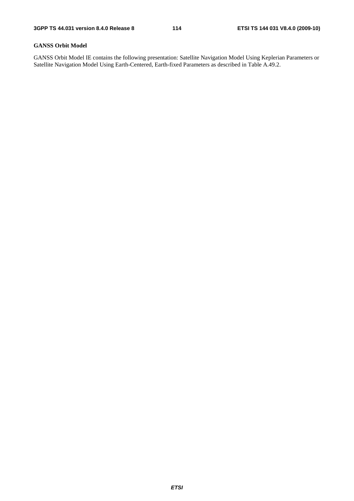#### **GANSS Orbit Model**

GANSS Orbit Model IE contains the following presentation: Satellite Navigation Model Using Keplerian Parameters or Satellite Navigation Model Using Earth-Centered, Earth-fixed Parameters as described in Table A.49.2.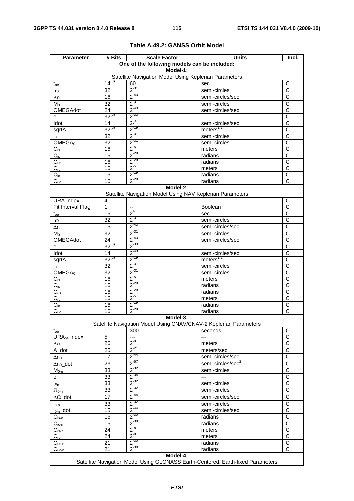| <b>Parameter</b>             | # Bits          | <b>Scale Factor</b>                                               | <b>Units</b>                                                                    | Incl.                 |
|------------------------------|-----------------|-------------------------------------------------------------------|---------------------------------------------------------------------------------|-----------------------|
|                              |                 | One of the following models can be included:                      |                                                                                 |                       |
|                              |                 | Model-1:                                                          |                                                                                 |                       |
|                              |                 | Satellite Navigation Model Using Keplerian Parameters             |                                                                                 |                       |
| $t_{oe}$                     | $14^{(u)}$      | 60                                                                | sec                                                                             | С                     |
| $\omega$                     | 32              | $2^{31}$                                                          | semi-circles                                                                    | $\overline{\text{c}}$ |
| Δn                           | 16              | $2^{-43}$                                                         | semi-circles/sec                                                                | $\overline{\text{c}}$ |
| $M_0$                        | 32              | $2^{-31}$                                                         | semi-circles                                                                    | C                     |
| OMEGAdot                     | $\overline{24}$ | $2^{-43}$                                                         | semi-circles/sec                                                                | $\overline{\text{c}}$ |
| е                            | $32^{(u)}$      | $2^{-33}$                                                         | $---$                                                                           | С                     |
| Idot                         | 14              | $2^{-43}$                                                         | semi-circles/sec                                                                | C                     |
| sqrtA                        | $32^{(u)}$      | $2^{-19}$                                                         | meters $^{1/2}$                                                                 | $\overline{\text{c}}$ |
| İ0.                          | 32              | $2^{-31}$                                                         | semi-circles                                                                    | $\overline{\text{c}}$ |
| OMEGA <sub>0</sub>           | $\overline{32}$ | $2^{-31}$                                                         | semi-circles                                                                    | $\overline{\text{c}}$ |
| $C_{rs}$                     | 16              | $2^{5}$                                                           | meters                                                                          | $\overline{\text{c}}$ |
| $C_{is}$                     | 16              | $2^{-29}$                                                         | radians                                                                         | С                     |
| $C_{us}$                     | 16              | $2^{-29}$                                                         | radians                                                                         | $\overline{\text{c}}$ |
| $C_{rc}$                     | 16              | $2^{5}$                                                           | meters                                                                          | $\overline{\text{c}}$ |
| $\overline{C_{ic}}$          | 16              | $2^{-29}$                                                         | radians                                                                         | $\overline{\text{c}}$ |
| $C_{uc}$                     | 16              | $2^{-29}$                                                         | radians                                                                         | C                     |
|                              |                 | Model-2:                                                          |                                                                                 |                       |
|                              |                 | Satellite Navigation Model Using NAV Keplerian Parameters         |                                                                                 |                       |
| <b>URA</b> Index             | $\overline{4}$  |                                                                   |                                                                                 | C                     |
| Fit Interval Flag            | 1               | $\overline{a}$                                                    | Boolean                                                                         | $\overline{C}$        |
| $t_{oe}$                     | 16              | 2 <sup>4</sup>                                                    | sec                                                                             | $\mathsf{C}$          |
| $\omega$                     | $\overline{32}$ | $2^{31}$                                                          | semi-circles                                                                    | C                     |
| Δn                           | 16              | $2^{-43}$                                                         | semi-circles/sec                                                                | C                     |
| $M_0$                        | $\overline{32}$ | $2^{-31}$                                                         | semi-circles                                                                    | $\overline{\text{c}}$ |
| OMEGAdot                     | 24              | $2^{-43}$                                                         | semi-circles/sec                                                                | $\overline{\text{c}}$ |
| e                            | $32^{(u)}$      | $2^{-33}$                                                         | $---$                                                                           | $\overline{\text{c}}$ |
| Idot                         | 14              | $2^{-43}$                                                         | semi-circles/sec                                                                | $\overline{C}$        |
| sqrtA                        | $32^{(u)}$      | $2^{-19}$                                                         | meters <sup>1/2</sup>                                                           | $\overline{\text{c}}$ |
| İ0.                          | 32              | $2^{-31}$                                                         | semi-circles                                                                    | С                     |
| OMEGA <sub>0</sub>           | $\overline{32}$ | $\frac{2^{31}}{2^{5}}$                                            | semi-circles                                                                    | $\overline{\text{c}}$ |
| $C_{rs}$                     | 16              |                                                                   | meters                                                                          | $\overline{C}$        |
| $C_{is}$                     | 16              | $2^{-29}$                                                         | radians                                                                         | C                     |
| $C_{us}$                     | 16              | $2^{-29}$                                                         | radians                                                                         | $\overline{\text{c}}$ |
| $C_{rc}$                     | 16              | $2^{5}$                                                           | meters                                                                          | C                     |
| $C_{ic}$                     | 16              | $2^{-29}$                                                         | radians                                                                         | $\overline{\text{c}}$ |
| $C_{uc}$                     | 16              | $2^{-29}$                                                         | radians                                                                         | $\overline{\text{c}}$ |
|                              |                 | Model-3:                                                          |                                                                                 |                       |
|                              |                 | Satellite Navigation Model Using CNAV/CNAV-2 Keplerian Parameters |                                                                                 |                       |
| $t_{op}$                     | 11              | 300                                                               | seconds                                                                         | C                     |
| URA <sub>oe</sub> Index      | 5               | $\overline{a}$                                                    | $\overline{a}$                                                                  | C                     |
| ΔΑ                           | 26              | $2^{-9}$                                                          | meters                                                                          | $\overline{\text{c}}$ |
| A_dot                        | 25              | $2^{-21}$                                                         | meters/sec                                                                      | $\overline{\text{c}}$ |
| $\Delta n_0$                 | 17              | $2^{-44}$                                                         | semi-circles/sec                                                                | $\overline{C}$        |
| $\Delta n_0$ _dot            | 23              | $2^{57}$                                                          | semi-circles/sec <sup>2</sup>                                                   | $\overline{\text{c}}$ |
| $M_{0-n}$                    | 33              | $2^{-32}$                                                         | semi-circles                                                                    | $\overline{C}$        |
| $e_n$                        | 33              | $2^{-34}$                                                         | $---$                                                                           | C                     |
| $\omega_{n}$                 | 33              | $2^{-32}$                                                         | semi-circles                                                                    | C                     |
| $\Omega_{0\text{-}n}$        | 33              | $2^{-32}$                                                         | semi-circles                                                                    | $\overline{\text{c}}$ |
| $\Delta\Omega$ dot           | $\overline{17}$ | $2^{-44}$                                                         | semi-circles/sec                                                                | $\overline{\text{c}}$ |
| $i_{o-n}$                    | 33              | $2^{-32}$                                                         | semi-circles                                                                    | C                     |
| $i_{0-n}$ _dot               | 15              | $2^{-44}$                                                         | semi-circles/sec                                                                | $\overline{C}$        |
| $C_{i s - n}$                | 16              | $2^{-30}$                                                         | radians                                                                         | $\mathsf C$           |
| $C_{ic-n}$                   | 16              | $2^{-30}$                                                         | radians                                                                         | C                     |
| $C_{rs-n}$                   | 24              | $2^{-8}$                                                          | meters                                                                          | C                     |
| $C_{rc-n}$                   | 24              | $2^{-8}$                                                          | meters                                                                          | $\overline{\text{c}}$ |
| $C_{\underline{us} \cdot n}$ | 21              | $2^{-30}$                                                         | radians                                                                         | $\mathsf C$           |
| $C_{uc-n}$                   | 21              | $2^{-30}$                                                         | radians                                                                         | $\overline{\text{c}}$ |
|                              |                 | Model-4:                                                          |                                                                                 |                       |
|                              |                 |                                                                   | Satellite Navigation Model Using GLONASS Earth-Centered, Earth-fixed Parameters |                       |
|                              |                 |                                                                   |                                                                                 |                       |

# **Table A.49.2: GANSS Orbit Model**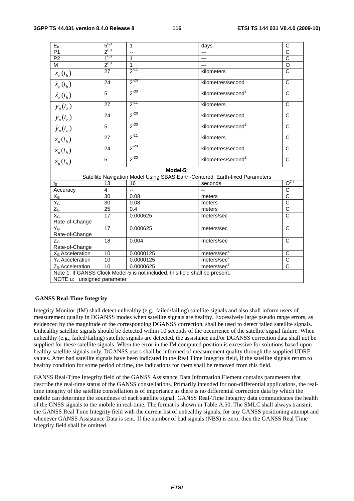| $E_n$                       | 5 <sup>(u)</sup> | $\mathbf{1}$                                                                 | days                                                                         | C                     |  |  |
|-----------------------------|------------------|------------------------------------------------------------------------------|------------------------------------------------------------------------------|-----------------------|--|--|
| P <sub>1</sub>              | $2^{(u)}$        | Ξ.                                                                           | ---                                                                          | $\overline{c}$        |  |  |
| P2                          | $1^{(u)}$        | $\overline{1}$                                                               | ---                                                                          | $\overline{c}$        |  |  |
| M                           | $2^{(u)}$        | $\mathbf{1}$                                                                 | ---                                                                          | $\overline{O}$        |  |  |
| $x_n(t_b)$                  | 27               | $2^{-11}$                                                                    | kilometers                                                                   | $\overline{\rm c}$    |  |  |
| $\dot{x}_n(t_b)$            | 24               | $2^{-20}$                                                                    | kilometres/second                                                            | $\mathsf{C}$          |  |  |
| $\ddot{x}_n(t_b)$           | 5                | $2^{-30}$                                                                    | kilometres/second <sup>2</sup>                                               | $\overline{C}$        |  |  |
| $y_n(t_b)$                  | 27               | $2^{-11}$                                                                    | kilometers                                                                   | $\mathsf{C}$          |  |  |
| $\dot{y}_n(t_b)$            | 24               | $2^{-20}$                                                                    | kilometres/second                                                            | $\mathsf{C}$          |  |  |
| $\ddot{y}_n(t_b)$           | 5                | $2^{-30}$                                                                    | kilometres/second <sup>2</sup>                                               | C                     |  |  |
| $z_n(t_b)$                  | 27               | $2^{-11}$                                                                    | kilometers                                                                   | $\mathsf{C}$          |  |  |
| $\dot{z}_n(t_b)$            | 24               | $2^{-20}$                                                                    | kilometres/second                                                            | C                     |  |  |
| $\ddot{z}_n(t_b)$           | 5                | $2^{-30}$                                                                    | kilometres/second <sup>2</sup>                                               | $\mathsf{C}$          |  |  |
| Model-5:                    |                  |                                                                              |                                                                              |                       |  |  |
|                             |                  |                                                                              | Satellite Navigation Model Using SBAS Earth-Centered, Earth-fixed Parameters |                       |  |  |
| $t_0$                       | 13               | 16                                                                           | seconds                                                                      | $O^{(1)}$             |  |  |
| Accuracy                    | 4                | u.                                                                           |                                                                              | $\overline{C}$        |  |  |
| $X_G$                       | $\overline{30}$  | 0.08                                                                         | meters                                                                       | $\overline{c}$        |  |  |
| $Y_G$                       | 30               | 0.08                                                                         | meters                                                                       | $\overline{c}$        |  |  |
| $Z_G$                       | 25               | 0.4                                                                          | meters                                                                       | $\overline{c}$        |  |  |
| $X_G$                       | $\overline{17}$  | 0.000625                                                                     | meters/sec                                                                   | $\overline{\text{c}}$ |  |  |
| Rate-of-Change              |                  |                                                                              |                                                                              |                       |  |  |
| $Y_G$                       | $\overline{17}$  | 0.000625                                                                     | meters/sec                                                                   | $\mathsf{C}$          |  |  |
| Rate-of-Change              |                  |                                                                              |                                                                              |                       |  |  |
| $Z_{\rm G}$                 | $\overline{18}$  | 0.004                                                                        | meters/sec                                                                   | $\mathsf{C}$          |  |  |
| Rate-of-Change              |                  |                                                                              |                                                                              |                       |  |  |
| X <sub>G</sub> Acceleration | 10               | 0.0000125                                                                    | meters/sec <sup>2</sup>                                                      | C                     |  |  |
| Y <sub>G</sub> Acceleration | 10               | 0.0000125                                                                    | meters/sec <sup>2</sup>                                                      | $\overline{\text{c}}$ |  |  |
| Z <sub>G</sub> Acceleration | 10               | 0.0000625                                                                    | meters/sec <sup>2</sup>                                                      | $\overline{C}$        |  |  |
|                             |                  | Note 1: If GANSS Clock Model-5 is not included, this field shall be present. |                                                                              |                       |  |  |
| NOTE u: unsigned parameter  |                  |                                                                              |                                                                              |                       |  |  |
|                             |                  |                                                                              |                                                                              |                       |  |  |

#### **GANSS Real-Time Integrity**

Integrity Monitor (IM) shall detect unhealthy (e.g., failed/failing) satellite signals and also shall inform users of measurement quality in DGANSS modes when satellite signals are healthy. Excessively large pseudo range errors, as evidenced by the magnitude of the corresponding DGANSS correction, shall be used to detect failed satellite signals. Unhealthy satellite signals should be detected within 10 seconds of the occurrence of the satellite signal failure. When unhealthy (e.g., failed/failing) satellite signals are detected, the assistance and/or DGANSS correction data shall not be supplied for these satellite signals. When the error in the IM computed position is excessive for solutions based upon healthy satellite signals only, DGANSS users shall be informed of measurement quality through the supplied UDRE values. After bad satellite signals have been indicated in the Real Time Integrity field, if the satellite signals return to healthy condition for some period of time, the indications for them shall be removed from this field.

GANSS Real-Time Integrity field of the GANSS Assistance Data Information Element contains parameters that describe the real-time status of the GANSS constellations. Primarily intended for non-differential applications, the realtime integrity of the satellite constellation is of importance as there is no differential correction data by which the mobile can determine the soundness of each satellite signal. GANSS Real-Time Integrity data communicates the health of the GNSS signals to the mobile in real-time. The format is shown in Table A.50. The SMLC shall always transmit the GANSS Real Time Integrity field with the current list of unhealthy signals, for any GANSS positioning attempt and whenever GANSS Assistance Data is sent. If the number of bad signals (NBS) is zero, then the GANSS Real Time Integrity field shall be omitted.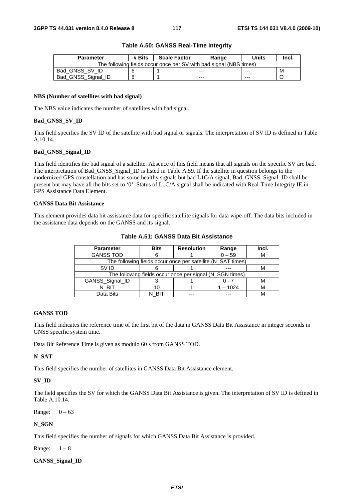| <b>Parameter</b>   | # Bits | <b>Scale Factor</b> | Range                                                              | Units   | Incl. |
|--------------------|--------|---------------------|--------------------------------------------------------------------|---------|-------|
|                    |        |                     | The following fields occur once per SV with bad signal (NBS times) |         |       |
| Bad GNSS SV ID     |        |                     | $- - -$                                                            | $- - -$ | м     |
| Bad GNSS Signal ID |        |                     | $- - -$                                                            | ---     |       |

#### **Table A.50: GANSS Real-Time Integrity**

#### **NBS (Number of satellites with bad signal)**

The NBS value indicates the number of satellites with bad signal.

#### **Bad\_GNSS\_SV\_ID**

This field specifies the SV ID of the satellite with bad signal or signals. The interpretation of SV ID is defined in Table A.10.14.

#### **Bad\_GNSS\_Signal\_ID**

This field identifies the bad signal of a satellite. Absence of this field means that all signals on the specific SV are bad. The interpretation of Bad\_GNSS\_Signal\_ID is listed in Table A.59. If the satellite in question belongs to the modernized GPS constellation and has some healthy signals but bad L1C/A signal, Bad\_GNSS\_Signal\_ID shall be present but may have all the bits set to '0'. Status of L1C/A signal shall be indicated with Real-Time Integrity IE in GPS Assistance Data Element.

#### **GANSS Data Bit Assistance**

This element provides data bit assistance data for specific satellite signals for data wipe-off. The data bits included in the assistance data depends on the GANSS and its signal.

| <b>Parameter</b>                                         | <b>Bits</b> | <b>Resolution</b>                                           | Range    | Incl. |
|----------------------------------------------------------|-------------|-------------------------------------------------------------|----------|-------|
| <b>GANSS TOD</b>                                         |             |                                                             | $0 - 59$ | ιvι   |
|                                                          |             | The following fields occur once per satellite (N_SAT times) |          |       |
| SV ID                                                    |             |                                                             |          |       |
| The following fields occur once per signal (N_SGN times) |             |                                                             |          |       |
| GANSS_Signal_ID                                          |             |                                                             | ი - 7    |       |
| n bit                                                    | 10          |                                                             | 1 – 1024 |       |
| Data Bits                                                |             |                                                             |          |       |

#### **Table A.51: GANSS Data Bit Assistance**

#### **GANSS TOD**

This field indicates the reference time of the first bit of the data in GANSS Data Bit Assistance in integer seconds in GNSS specific system time.

Data Bit Reference Time is given as modulo 60 s from GANSS TOD.

#### **N\_SAT**

This field specifies the number of satellites in GANSS Data Bit Assistance element.

# **SV\_ID**

The field specifies the SV for which the GANSS Data Bit Assistance is given. The interpretation of SV ID is defined in Table A.10.14.

Range:  $0 - 63$ 

#### **N\_SGN**

This field specifies the number of signals for which GANSS Data Bit Assistance is provided.

Range:  $1-8$ 

#### **GANSS\_Signal\_ID**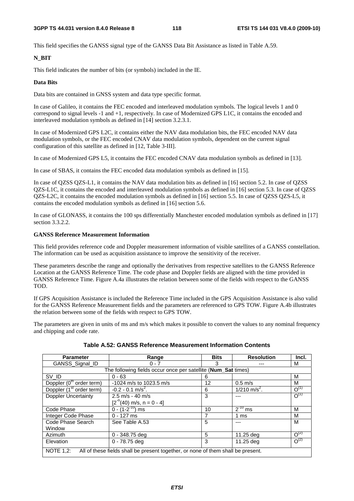This field specifies the GANSS signal type of the GANSS Data Bit Assistance as listed in Table A.59.

#### **N\_BIT**

This field indicates the number of bits (or symbols) included in the IE.

#### **Data Bits**

Data bits are contained in GNSS system and data type specific format.

In case of Galileo, it contains the FEC encoded and interleaved modulation symbols. The logical levels 1 and 0 correspond to signal levels -1 and +1, respectively. In case of Modernized GPS L1C, it contains the encoded and interleaved modulation symbols as defined in [14] section 3.2.3.1.

In case of Modernized GPS L2C, it contains either the NAV data modulation bits, the FEC encoded NAV data modulation symbols, or the FEC encoded CNAV data modulation symbols, dependent on the current signal configuration of this satellite as defined in [12, Table 3-III].

In case of Modernized GPS L5, it contains the FEC encoded CNAV data modulation symbols as defined in [13].

In case of SBAS, it contains the FEC encoded data modulation symbols as defined in [15].

In case of QZSS QZS-L1, it contains the NAV data modulation bits as defined in [16] section 5.2. In case of QZSS QZS-L1C, it contains the encoded and interleaved modulation symbols as defined in [16] section 5.3. In case of QZSS QZS-L2C, it contains the encoded modulation symbols as defined in [16] section 5.5. In case of QZSS QZS-L5, it contains the encoded modulation symbols as defined in [16] section 5.6.

In case of GLONASS, it contains the 100 sps differentially Manchester encoded modulation symbols as defined in [17] section 3.3.2.2.

#### **GANSS Reference Measurement Information**

This field provides reference code and Doppler measurement information of visible satellites of a GANSS constellation. The information can be used as acquisition assistance to improve the sensitivity of the receiver.

These parameters describe the range and optionally the derivatives from respective satellites to the GANSS Reference Location at the GANSS Reference Time. The code phase and Doppler fields are aligned with the time provided in GANSS Reference Time. Figure A.4a illustrates the relation between some of the fields with respect to the GANSS TOD.

If GPS Acquisition Assistance is included the Reference Time included in the GPS Acquisition Assistance is also valid for the GANSS Reference Measurement fields and the parameters are referenced to GPS TOW. Figure A.4b illustrates the relation between some of the fields with respect to GPS TOW.

The parameters are given in units of ms and m/s which makes it possible to convert the values to any nominal frequency and chipping and code rate.

| <b>Parameter</b>                                                                                     | Range                              | <b>Bits</b> | <b>Resolution</b>               | Incl.     |  |  |
|------------------------------------------------------------------------------------------------------|------------------------------------|-------------|---------------------------------|-----------|--|--|
| GANSS Signal ID                                                                                      | $0 - 7$                            | 3           |                                 | м         |  |  |
| The following fields occur once per satellite (Num_Sat times)                                        |                                    |             |                                 |           |  |  |
| SV ID                                                                                                | $0 - 63$                           | 6           |                                 | М         |  |  |
| Doppler (0 <sup>th</sup> order term)                                                                 | -1024 m/s to 1023.5 m/s            | 12          | $0.5$ m/s                       | м         |  |  |
| Doppler (1 <sup>st</sup> order term)                                                                 | $-0.2 - 0.1$ m/s <sup>2</sup> .    | 6           | $\frac{1}{210 \text{ m/s}^2}$ . | $O^{(1)}$ |  |  |
| Doppler Uncertainty                                                                                  | $2.5 \text{ m/s} - 40 \text{ m/s}$ | 3           |                                 | $O^{(1)}$ |  |  |
|                                                                                                      | $[2^{n}(40)$ m/s, n = 0 - 4]       |             |                                 |           |  |  |
| Code Phase                                                                                           | $0 - (1 - 2^{-10})$ ms             | 10          | $2^{-10}$ ms                    | M         |  |  |
| Integer Code Phase                                                                                   | $0 - 127$ ms                       |             | 1 ms                            | М         |  |  |
| Code Phase Search                                                                                    | See Table A.53                     | 5           | ---                             | M         |  |  |
| Window                                                                                               |                                    |             |                                 |           |  |  |
| Azimuth                                                                                              | $0 - 348.75$ deg                   | 5           | 11.25 deg                       | $O^{(2)}$ |  |  |
| Elevation                                                                                            | $0 - 78.75$ deg                    | 3           | 11.25 deg                       | $O^{(2)}$ |  |  |
| <b>NOTE 1.2:</b><br>All of these fields shall be present together, or none of them shall be present. |                                    |             |                                 |           |  |  |

**Table A.52: GANSS Reference Measurement Information Contents**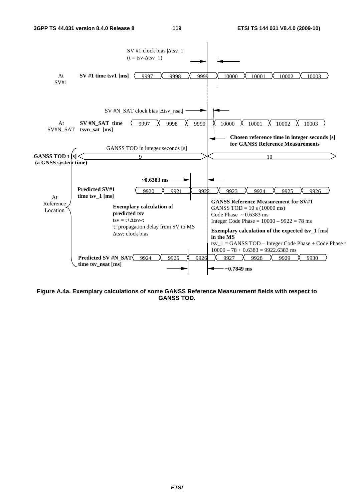

**Figure A.4a. Exemplary calculations of some GANSS Reference Measurement fields with respect to GANSS TOD.**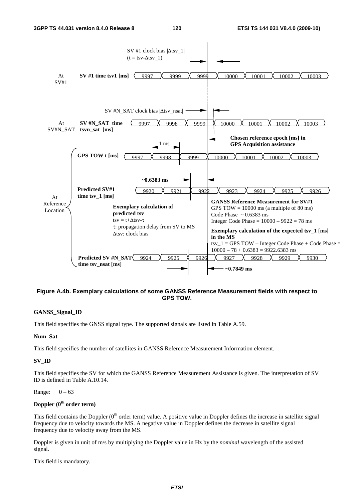

### **Figure A.4b. Exemplary calculations of some GANSS Reference Measurement fields with respect to GPS TOW.**

#### **GANSS\_Signal\_ID**

This field specifies the GNSS signal type. The supported signals are listed in Table A.59.

#### **Num\_Sat**

This field specifies the number of satellites in GANSS Reference Measurement Information element.

#### **SV\_ID**

This field specifies the SV for which the GANSS Reference Measurement Assistance is given. The interpretation of SV ID is defined in Table A.10.14.

#### Range:  $0 - 63$

# **Doppler (0th order term)**

This field contains the Doppler  $(0<sup>th</sup>$  order term) value. A positive value in Doppler defines the increase in satellite signal frequency due to velocity towards the MS. A negative value in Doppler defines the decrease in satellite signal frequency due to velocity away from the MS.

Doppler is given in unit of m/s by multiplying the Doppler value in Hz by the *nominal* wavelength of the assisted signal.

This field is mandatory.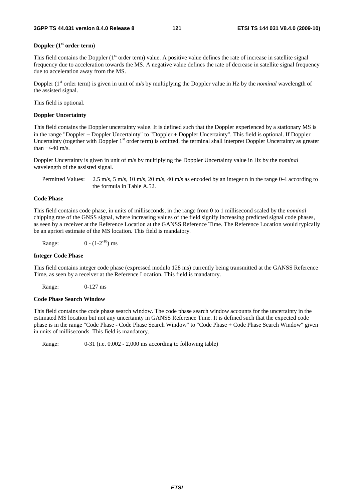#### **Doppler (1st order term**)

This field contains the Doppler  $(1<sup>st</sup> order term)$  value. A positive value defines the rate of increase in satellite signal frequency due to acceleration towards the MS. A negative value defines the rate of decrease in satellite signal frequency due to acceleration away from the MS.

Doppler (1<sup>st</sup> order term) is given in unit of m/s by multiplying the Doppler value in Hz by the *nominal* wavelength of the assisted signal.

This field is optional.

#### **Doppler Uncertainty**

This field contains the Doppler uncertainty value. It is defined such that the Doppler experienced by a stationary MS is in the range "Doppler − Doppler Uncertainty" to "Doppler + Doppler Uncertainty". This field is optional. If Doppler Uncertainty (together with Doppler 1<sup>st</sup> order term) is omitted, the terminal shall interpret Doppler Uncertainty as greater than  $+/-40$  m/s.

Doppler Uncertainty is given in unit of m/s by multiplying the Doppler Uncertainty value in Hz by the *nominal* wavelength of the assisted signal.

Permitted Values: 2.5 m/s, 5 m/s, 10 m/s, 20 m/s, 40 m/s as encoded by an integer n in the range 0-4 according to the formula in Table A.52.

#### **Code Phase**

This field contains code phase, in units of milliseconds, in the range from 0 to 1 millisecond scaled by the *nominal* chipping rate of the GNSS signal, where increasing values of the field signify increasing predicted signal code phases, as seen by a receiver at the Reference Location at the GANSS Reference Time. The Reference Location would typically be an apriori estimate of the MS location. This field is mandatory.

Range:  $0 - (1-2^{-10})$  ms

#### **Integer Code Phase**

This field contains integer code phase (expressed modulo 128 ms) currently being transmitted at the GANSS Reference Time, as seen by a receiver at the Reference Location. This field is mandatory.

Range: 0-127 ms

#### **Code Phase Search Window**

This field contains the code phase search window. The code phase search window accounts for the uncertainty in the estimated MS location but not any uncertainty in GANSS Reference Time. It is defined such that the expected code phase is in the range "Code Phase - Code Phase Search Window" to "Code Phase + Code Phase Search Window" given in units of milliseconds. This field is mandatory.

Range: 0-31 (i.e. 0.002 - 2,000 ms according to following table)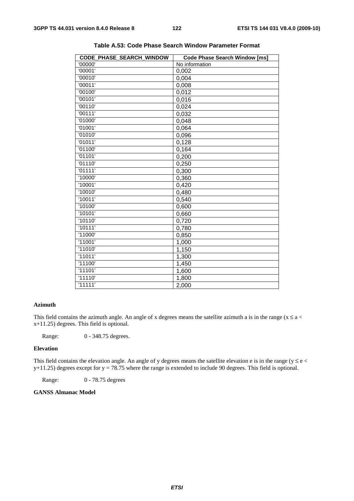| '00000'<br>No information<br>'00001'<br>0,002<br>'00010'<br>0,004<br>'00011'<br>0,008<br>'00100'<br>0,012<br>'00101'<br>0,016<br>'00110'<br>0,024<br>'00111'<br>0,032<br>'01000'<br>0,048<br>'01001'<br>0,064<br>'01010'<br>0,096<br>'01011'<br>0,128<br>'01100'<br>0,164<br>'01101'<br>0,200<br>'01110'<br>0,250<br>'01111'<br>0,300<br>'10000'<br>0,360<br>'10001'<br>0,420<br>'10010'<br>0,480<br>'10011'<br>0,540<br>'10100'<br>0,600<br>'10101'<br>0,660<br>'10110'<br>0,720<br>'10111'<br>0,780<br>$\overline{1}1000'$<br>0,850 | CODE_PHASE_SEARCH_WINDOW | <b>Code Phase Search Window [ms]</b> |
|---------------------------------------------------------------------------------------------------------------------------------------------------------------------------------------------------------------------------------------------------------------------------------------------------------------------------------------------------------------------------------------------------------------------------------------------------------------------------------------------------------------------------------------|--------------------------|--------------------------------------|
|                                                                                                                                                                                                                                                                                                                                                                                                                                                                                                                                       |                          |                                      |
|                                                                                                                                                                                                                                                                                                                                                                                                                                                                                                                                       |                          |                                      |
|                                                                                                                                                                                                                                                                                                                                                                                                                                                                                                                                       |                          |                                      |
|                                                                                                                                                                                                                                                                                                                                                                                                                                                                                                                                       |                          |                                      |
|                                                                                                                                                                                                                                                                                                                                                                                                                                                                                                                                       |                          |                                      |
|                                                                                                                                                                                                                                                                                                                                                                                                                                                                                                                                       |                          |                                      |
|                                                                                                                                                                                                                                                                                                                                                                                                                                                                                                                                       |                          |                                      |
|                                                                                                                                                                                                                                                                                                                                                                                                                                                                                                                                       |                          |                                      |
|                                                                                                                                                                                                                                                                                                                                                                                                                                                                                                                                       |                          |                                      |
|                                                                                                                                                                                                                                                                                                                                                                                                                                                                                                                                       |                          |                                      |
|                                                                                                                                                                                                                                                                                                                                                                                                                                                                                                                                       |                          |                                      |
|                                                                                                                                                                                                                                                                                                                                                                                                                                                                                                                                       |                          |                                      |
|                                                                                                                                                                                                                                                                                                                                                                                                                                                                                                                                       |                          |                                      |
|                                                                                                                                                                                                                                                                                                                                                                                                                                                                                                                                       |                          |                                      |
|                                                                                                                                                                                                                                                                                                                                                                                                                                                                                                                                       |                          |                                      |
|                                                                                                                                                                                                                                                                                                                                                                                                                                                                                                                                       |                          |                                      |
|                                                                                                                                                                                                                                                                                                                                                                                                                                                                                                                                       |                          |                                      |
|                                                                                                                                                                                                                                                                                                                                                                                                                                                                                                                                       |                          |                                      |
|                                                                                                                                                                                                                                                                                                                                                                                                                                                                                                                                       |                          |                                      |
|                                                                                                                                                                                                                                                                                                                                                                                                                                                                                                                                       |                          |                                      |
|                                                                                                                                                                                                                                                                                                                                                                                                                                                                                                                                       |                          |                                      |
|                                                                                                                                                                                                                                                                                                                                                                                                                                                                                                                                       |                          |                                      |
|                                                                                                                                                                                                                                                                                                                                                                                                                                                                                                                                       |                          |                                      |
|                                                                                                                                                                                                                                                                                                                                                                                                                                                                                                                                       |                          |                                      |
|                                                                                                                                                                                                                                                                                                                                                                                                                                                                                                                                       |                          |                                      |
|                                                                                                                                                                                                                                                                                                                                                                                                                                                                                                                                       | '11001'                  | 1,000                                |
| '11010'<br>1,150                                                                                                                                                                                                                                                                                                                                                                                                                                                                                                                      |                          |                                      |
| '11011'<br>1,300                                                                                                                                                                                                                                                                                                                                                                                                                                                                                                                      |                          |                                      |
| '11100'<br>1,450                                                                                                                                                                                                                                                                                                                                                                                                                                                                                                                      |                          |                                      |
| $\overline{11101}$<br>1,600                                                                                                                                                                                                                                                                                                                                                                                                                                                                                                           |                          |                                      |
| '11110'<br>1,800                                                                                                                                                                                                                                                                                                                                                                                                                                                                                                                      |                          |                                      |
| '11111'<br>2,000                                                                                                                                                                                                                                                                                                                                                                                                                                                                                                                      |                          |                                      |

**Table A.53: Code Phase Search Window Parameter Format** 

#### **Azimuth**

This field contains the azimuth angle. An angle of x degrees means the satellite azimuth a is in the range ( $x \le a <$ x+11.25) degrees. This field is optional.

Range: 0 - 348.75 degrees.

#### **Elevation**

This field contains the elevation angle. An angle of y degrees means the satellite elevation e is in the range ( $y \le e$  <  $y+11.25$ ) degrees except for  $y = 78.75$  where the range is extended to include 90 degrees. This field is optional.

Range: 0 - 78.75 degrees

#### **GANSS Almanac Model**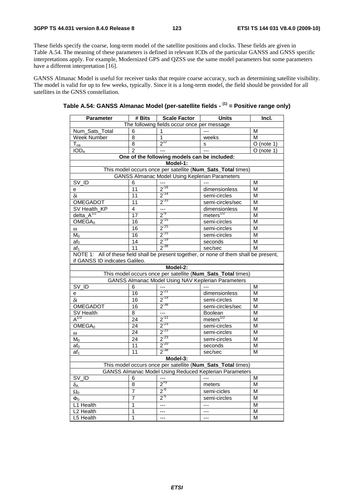These fields specify the coarse, long-term model of the satellite positions and clocks. These fields are given in Table A.54. The meaning of these parameters is defined in relevant ICDs of the particular GANSS and GNSS specific interpretations apply. For example, Modernized GPS and QZSS use the same model parameters but some parameters have a different interpretation [16].

GANSS Almanac Model is useful for receiver tasks that require coarse accuracy, such as determining satellite visibility. The model is valid for up to few weeks, typically. Since it is a long-term model, the field should be provided for all satellites in the GNSS constellation.

| <b>Parameter</b>                                                                                                      | # Bits                                                                                  | <b>Scale Factor</b>                          | Units                                                       | Incl.                   |  |  |  |
|-----------------------------------------------------------------------------------------------------------------------|-----------------------------------------------------------------------------------------|----------------------------------------------|-------------------------------------------------------------|-------------------------|--|--|--|
| The following fields occur once per message                                                                           |                                                                                         |                                              |                                                             |                         |  |  |  |
| Num_Sats_Total                                                                                                        | 6                                                                                       | 1                                            |                                                             | M                       |  |  |  |
| Week Number                                                                                                           | 8                                                                                       | 1                                            | weeks                                                       | M                       |  |  |  |
| $\mathsf{T}_{\mathsf{oa}}$                                                                                            | $\overline{8}$                                                                          | $2^{12}$                                     | s                                                           | $\overline{O}$ (note 1) |  |  |  |
| IOD <sub>a</sub>                                                                                                      | $\mathfrak{p}$                                                                          |                                              |                                                             | $O$ (note 1)            |  |  |  |
|                                                                                                                       |                                                                                         | One of the following models can be included: |                                                             |                         |  |  |  |
|                                                                                                                       |                                                                                         | Model-1:                                     |                                                             |                         |  |  |  |
|                                                                                                                       |                                                                                         |                                              | This model occurs once per satellite (Num_Sats_Total times) |                         |  |  |  |
|                                                                                                                       | <b>GANSS Almanac Model Using Keplerian Parameters</b>                                   |                                              |                                                             |                         |  |  |  |
| SV_ID                                                                                                                 | 6                                                                                       |                                              |                                                             | М                       |  |  |  |
| e                                                                                                                     | $\overline{11}$                                                                         | $2^{-16}$                                    | dimensionless                                               | M                       |  |  |  |
| δi                                                                                                                    | 11                                                                                      | $2^{-14}$                                    | semi-circles                                                | M                       |  |  |  |
| <b>OMEGADOT</b>                                                                                                       | 11                                                                                      | $2^{-33}$                                    | semi-circles/sec                                            | M                       |  |  |  |
| SV Health_KP                                                                                                          | 4                                                                                       | $\frac{1}{2^{2}}$                            | dimensionless                                               | M                       |  |  |  |
| delta $A^{1/2}$                                                                                                       | 17                                                                                      |                                              | meters <sup>1/2</sup>                                       | M                       |  |  |  |
| OMEGA <sub>0</sub>                                                                                                    | $\overline{16}$                                                                         | $2^{-15}$                                    | semi-circles                                                | M                       |  |  |  |
| $\omega$                                                                                                              | $\overline{16}$                                                                         | $2^{-15}$                                    | semi-circles                                                | M                       |  |  |  |
| $\overline{\mathsf{M}_0}$                                                                                             | 16                                                                                      | $2^{-15}$                                    | semi-circles                                                | M                       |  |  |  |
| $af_0$                                                                                                                | $\overline{14}$                                                                         | $2^{-19}$                                    | seconds                                                     | M                       |  |  |  |
| af <sub>1</sub>                                                                                                       | $\overline{11}$                                                                         | $2^{-38}$                                    | sec/sec                                                     | M                       |  |  |  |
|                                                                                                                       | NOTE 1: All of these field shall be present together, or none of them shall be present, |                                              |                                                             |                         |  |  |  |
| if GANSS ID indicates Galileo.                                                                                        |                                                                                         |                                              |                                                             |                         |  |  |  |
| Model-2:                                                                                                              |                                                                                         |                                              |                                                             |                         |  |  |  |
| This model occurs once per satellite (Num_Sats_Total times)<br>GANSS Almanac Model Using NAV Keplerian Parameters     |                                                                                         |                                              |                                                             |                         |  |  |  |
|                                                                                                                       |                                                                                         |                                              |                                                             |                         |  |  |  |
| SV_ID                                                                                                                 | 6                                                                                       | ---<br>$2^{-21}$                             |                                                             | M                       |  |  |  |
| e                                                                                                                     | 16                                                                                      | $2^{-19}$                                    | dimensionless                                               | M                       |  |  |  |
| δi                                                                                                                    | 16                                                                                      |                                              | semi-circles                                                | M                       |  |  |  |
| <b>OMEGADOT</b>                                                                                                       | $\overline{16}$                                                                         | $2^{-38}$                                    | semi-circles/sec                                            | M                       |  |  |  |
| <b>SV Health</b>                                                                                                      | 8                                                                                       | $\overline{\phantom{a}}$                     | Boolean                                                     | M                       |  |  |  |
| $A^{1/2}$                                                                                                             | 24                                                                                      | $2^{-11}$<br>$\frac{1}{2}$ <sup>-23</sup>    | meters $^{1/2}$                                             | M                       |  |  |  |
| OMEGA <sub>0</sub>                                                                                                    | $\overline{24}$                                                                         | $2^{-23}$                                    | semi-circles                                                | M                       |  |  |  |
| $\omega$                                                                                                              | $\overline{24}$                                                                         |                                              | semi-circles                                                | M                       |  |  |  |
| $M_0$                                                                                                                 | $\overline{24}$                                                                         | $2^{-23}$                                    | semi-circles                                                | $\overline{\mathsf{M}}$ |  |  |  |
| af <sub>0</sub>                                                                                                       | 11                                                                                      | $2^{-20}$                                    | seconds                                                     | M                       |  |  |  |
| af <sub>1</sub>                                                                                                       | 11                                                                                      | $2^{-38}$                                    | sec/sec                                                     | M                       |  |  |  |
| Model-3:                                                                                                              |                                                                                         |                                              |                                                             |                         |  |  |  |
| This model occurs once per satellite (Num_Sats_Total times)<br>GANSS Almanac Model Using Reduced Keplerian Parameters |                                                                                         |                                              |                                                             |                         |  |  |  |
|                                                                                                                       |                                                                                         |                                              |                                                             |                         |  |  |  |
| SV_ID                                                                                                                 | 6                                                                                       | ---<br>$2^{+9}$                              |                                                             | M                       |  |  |  |
| $\delta$ a                                                                                                            | 8                                                                                       |                                              | meters                                                      | M                       |  |  |  |
| $\Omega_0$                                                                                                            | $\overline{7}$                                                                          | $2^{6}$                                      | semi-cicles                                                 | M                       |  |  |  |
| $\Phi_0$                                                                                                              | 7                                                                                       | $2^{-6}$                                     | semi-circles                                                | M                       |  |  |  |
| L1 Health                                                                                                             | 1                                                                                       | ---                                          | $---$                                                       | M                       |  |  |  |
| $L2$ Health                                                                                                           | 1                                                                                       | ---                                          | $\overline{a}$                                              | M                       |  |  |  |
| L5 Health                                                                                                             | 1                                                                                       | $---$                                        | $---$                                                       | M                       |  |  |  |

| Table A.54: GANSS Almanac Model (per-satellite fields - <sup>(1)</sup> = Positive range only) |  |
|-----------------------------------------------------------------------------------------------|--|
|-----------------------------------------------------------------------------------------------|--|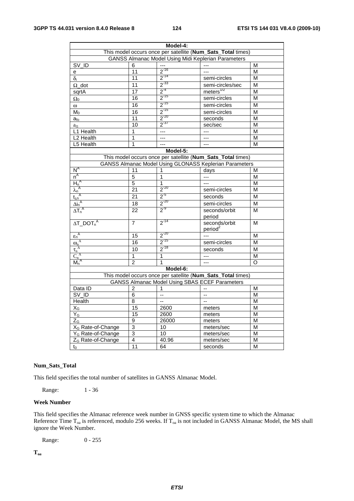|                                                                             |                 | Model-4:                                              |                                                             |          |  |
|-----------------------------------------------------------------------------|-----------------|-------------------------------------------------------|-------------------------------------------------------------|----------|--|
| This model occurs once per satellite (Num_Sats_Total times)                 |                 |                                                       |                                                             |          |  |
|                                                                             |                 |                                                       | <b>GANSS Almanac Model Using Midi Keplerian Parameters</b>  |          |  |
| $SV$ <sub>ID</sub>                                                          | 6               |                                                       |                                                             | М        |  |
| e                                                                           | 11              | $2^{-16}$                                             |                                                             | M        |  |
| $\delta_{\rm i}$                                                            | 11              | $2^{-14}$                                             | semi-circles                                                | M        |  |
| $\Omega$ _dot                                                               | 11              | $2^{-33}$                                             | semi-circles/sec                                            | M        |  |
| sqrtA                                                                       | 17              | $\frac{2^{14}}{2^{15}}$                               | meters <sup>1/2</sup>                                       | М        |  |
| $\Omega_0$                                                                  | 16              |                                                       | semi-circles                                                | M        |  |
| $\omega$                                                                    | 16              | $2^{-15}$                                             | semi-circles                                                | M        |  |
| $M_0$                                                                       | 16              | $2^{-15}$                                             | semi-circles                                                | M        |  |
| $a_{\text{fo}}$                                                             | 11              | $2^{-20}$                                             | seconds                                                     | М        |  |
| $a_{\rm fl}$                                                                | 10              | $2^{-37}$                                             | sec/sec                                                     | М        |  |
| L1 Health                                                                   | 1               |                                                       |                                                             | M        |  |
| L2 Health                                                                   | 1               | ---                                                   | ---                                                         | M        |  |
| L5 Health                                                                   | 1               |                                                       |                                                             | M        |  |
|                                                                             |                 | Model-5:                                              |                                                             |          |  |
|                                                                             |                 |                                                       | This model occurs once per satellite (Num_Sats_Total times) |          |  |
|                                                                             |                 |                                                       | GANSS Almanac Model Using GLONASS Keplerian Parameters      |          |  |
| $N^A$                                                                       | 11              | 1                                                     | days                                                        | м        |  |
|                                                                             | 5               | 1                                                     |                                                             | M        |  |
|                                                                             | 5               | 1                                                     | ---                                                         | M        |  |
|                                                                             | $\overline{21}$ | $2^{-20}$                                             | semi-circles                                                | M        |  |
|                                                                             | 21              | $2^{5}$                                               | seconds                                                     | M        |  |
|                                                                             | 18              | $\frac{2^{20}}{2^{2}}$                                | semi-circles                                                | М        |  |
| $\frac{n^A}{h_n^A}$<br>$\frac{1}{\Delta i_n^A}$<br>$\frac{1}{\Delta i_n^A}$ | 22              |                                                       | seconds/orbit<br>period                                     | M        |  |
| $\Delta T\_DOT_n^A$                                                         | 7               | $2^{-14}$                                             | seconds/orbit<br>period <sup>2</sup>                        | M        |  |
| $\epsilon_n^A$                                                              | 15              | $2^{-20}$                                             |                                                             | M        |  |
| $\frac{\omega_n^A}{\tau_n^A}$<br>$\frac{\tau_n^A}{C_n^A}$                   | 16              | $2^{-15}$                                             | semi-circles                                                | M        |  |
|                                                                             | 10              | $2^{-18}$                                             | seconds                                                     | M        |  |
|                                                                             | 1               | 1                                                     | $---$                                                       | M        |  |
|                                                                             | $\overline{2}$  | 1                                                     | $\overline{a}$                                              | $\Omega$ |  |
|                                                                             |                 | Model-6:                                              |                                                             |          |  |
|                                                                             |                 |                                                       | This model occurs once per satellite (Num_Sats_Total times) |          |  |
|                                                                             |                 | <b>GANSS Almanac Model Using SBAS ECEF Parameters</b> |                                                             |          |  |
| Data ID                                                                     | $\overline{c}$  | 1                                                     |                                                             | M        |  |
| SV_ID                                                                       | 6               | --                                                    | --                                                          | M        |  |
| Health                                                                      | $\overline{8}$  | --                                                    |                                                             | M        |  |
| $X_G$                                                                       | 15              | 2600                                                  | meters                                                      | М        |  |
| $Y_G$                                                                       | 15              | 2600                                                  | meters                                                      | M        |  |
| $Z_{\underline{G}}$                                                         | 9               | 26000                                                 | meters                                                      | M        |  |
| X <sub>G</sub> Rate-of-Change                                               | 3               | 10                                                    | meters/sec                                                  | M        |  |
| Y <sub>G</sub> Rate-of-Change                                               | $\overline{3}$  | 10                                                    | meters/sec                                                  | M        |  |
| Z <sub>G</sub> Rate-of-Change                                               | 4               | 40.96                                                 | meters/sec                                                  | M        |  |
| $t_0$                                                                       | $\overline{1}1$ | 64                                                    | seconds                                                     | М        |  |
|                                                                             |                 |                                                       |                                                             |          |  |

#### **Num\_Sats\_Total**

This field specifies the total number of satellites in GANSS Almanac Model.

Range: 1 - 36

#### **Week Number**

This field specifies the Almanac reference week number in GNSS specific system time to which the Almanac Reference Time  $T_{oa}$  is referenced, modulo 256 weeks. If  $T_{oa}$  is not included in GANSS Almanac Model, the MS shall ignore the Week Number.

Range: 0 - 255

**Toa**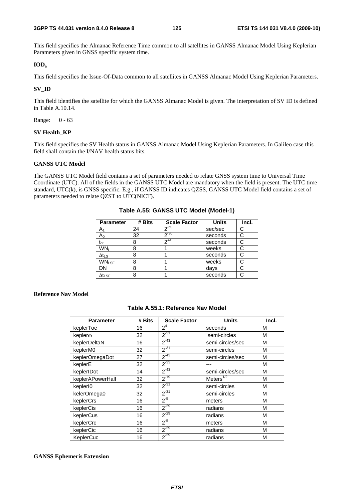This field specifies the Almanac Reference Time common to all satellites in GANSS Almanac Model Using Keplerian Parameters given in GNSS specific system time.

#### **IODa**

This field specifies the Issue-Of-Data common to all satellites in GANSS Almanac Model Using Keplerian Parameters.

#### **SV\_ID**

This field identifies the satellite for which the GANSS Almanac Model is given. The interpretation of SV ID is defined in Table A.10.14.

Range: 0 - 63

#### **SV Health\_KP**

This field specifies the SV Health status in GANSS Almanac Model Using Keplerian Parameters. In Galileo case this field shall contain the I/NAV health status bits.

#### **GANSS UTC Model**

The GANSS UTC Model field contains a set of parameters needed to relate GNSS system time to Universal Time Coordinate (UTC). All of the fields in the GANSS UTC Model are mandatory when the field is present. The UTC time standard, UTC(k), is GNSS specific. E.g., if GANSS ID indicates QZSS, GANSS UTC Model field contains a set of parameters needed to relate QZST to UTC(NICT).

| <b>Parameter</b>             | # Bits | <b>Scale Factor</b> | <b>Units</b> | Incl. |
|------------------------------|--------|---------------------|--------------|-------|
| A۱                           | 24     | $2^{-50}$           | sec/sec      |       |
| Aი                           | 32     | $2^{-30}$           | seconds      |       |
| $\mathfrak{t}_{\mathrm{ot}}$ | 8      | $2^{12}$            | seconds      |       |
| WN <sub>t</sub>              | 8      |                     | weeks        |       |
| $\Delta t_{LS}$              | 8      |                     | seconds      |       |
| <b>WNLSF</b>                 | 8      |                     | weeks        | C.    |
| DN                           | 8      |                     | days         |       |
| $\Delta t_{\textsf{LSF}}$    | 8      |                     | seconds      |       |

**Table A.55: GANSS UTC Model (Model-1)** 

#### **Reference Nav Model**

| <b>Parameter</b>     | # Bits | <b>Scale Factor</b> | <b>Units</b>     | Incl. |
|----------------------|--------|---------------------|------------------|-------|
| keplerToe            | 16     | 2 <sup>4</sup>      | seconds          | М     |
| kepler <sub>®</sub>  | 32     | $2^{-31}$           | semi-circles     | M     |
| keplerDeltaN         | 16     | $2^{-43}$           | semi-circles/sec | M     |
| keplerM0             | 32     | $2^{-31}$           | semi-circles     | M     |
| keplerOmegaDot       | 27     | $2^{-43}$           | semi-circles/sec | M     |
| keplerE              | 32     | $2^{-33}$           |                  | M     |
| keplerIDot           | 14     | $2^{-43}$           | semi-circles/sec | M     |
| keplerAPowerHalf     | 32     | $2^{-19}$           | Meters $1/2$     | M     |
| kepler <sub>10</sub> | 32     | $2^{-31}$           | semi-circles     | M     |
| kelerOmega0          | 32     | $2^{-31}$           | semi-circles     | M     |
| keplerCrs            | 16     | $2^{5}$             | meters           | М     |
| keplerCis            | 16     | $2^{-29}$           | radians          | M     |
| keplerCus            | 16     | $2^{-29}$           | radians          | M     |
| keplerCrc            | 16     | $2^{5}$             | meters           | М     |
| keplerCic            | 16     | $2^{-29}$           | radians          | M     |
| KeplerCuc            | 16     | $2^{-29}$           | radians          | M     |

#### **GANSS Ephemeris Extension**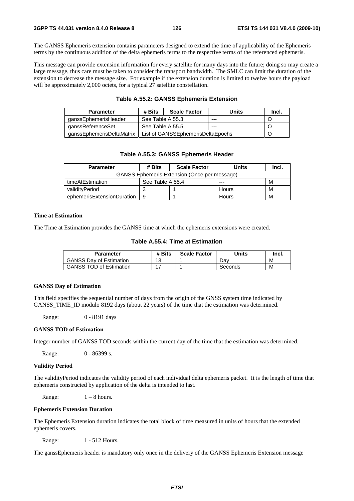The GANSS Ephemeris extension contains parameters designed to extend the time of applicability of the Ephemeris terms by the continuous addition of the delta ephemeris terms to the respective terms of the referenced ephemeris.

This message can provide extension information for every satellite for many days into the future; doing so may create a large message, thus care must be taken to consider the transport bandwidth. The SMLC can limit the duration of the extension to decrease the message size. For example if the extension duration is limited to twelve hours the payload will be approximately 2,000 octets, for a typical 27 satellite constellation.

#### **Table A.55.2: GANSS Ephemeris Extension**

| <b>Parameter</b>          | # Bits           | <b>Scale Factor</b>               | Units | Incl. |
|---------------------------|------------------|-----------------------------------|-------|-------|
| ganssEphemerisHeader      | See Table A.55.3 |                                   | ---   |       |
| ganssReferenceSet         | See Table A.55.5 |                                   | ---   |       |
| aanssEphemerisDeltaMatrix |                  | List of GANSSEphemerisDeltaEpochs |       |       |

#### **Table A.55.3: GANSS Ephemeris Header**

| <b>Parameter</b>                                    | # Bits<br><b>Scale Factor</b> |  | Units        | Incl. |
|-----------------------------------------------------|-------------------------------|--|--------------|-------|
| <b>GANSS Ephemeris Extension (Once per message)</b> |                               |  |              |       |
| timeAtEstimation                                    | See Table A.55.4              |  | ---          | м     |
| validityPeriod                                      | 3                             |  | Hours        | м     |
| ephemerisExtensionDuration                          | 9                             |  | <b>Hours</b> | M     |

#### **Time at Estimation**

The Time at Estimation provides the GANSS time at which the ephemeris extensions were created.

#### **Table A.55.4: Time at Estimation**

| Parameter                      | # Bits | <b>Scale Factor</b> | <b>Units</b> | lncl. |
|--------------------------------|--------|---------------------|--------------|-------|
| <b>GANSS Day of Estimation</b> | 13     |                     | Dav          | M     |
| <b>GANSS TOD of Estimation</b> |        |                     | Seconds      | M     |

#### **GANSS Day of Estimation**

This field specifies the sequential number of days from the origin of the GNSS system time indicated by GANSS\_TIME\_ID modulo 8192 days (about 22 years) of the time that the estimation was determined.

Range: 0 - 8191 days

#### **GANSS TOD of Estimation**

Integer number of GANSS TOD seconds within the current day of the time that the estimation was determined.

Range: 0 - 86399 s.

#### **Validity Period**

The validityPeriod indicates the validity period of each individual delta ephemeris packet. It is the length of time that ephemeris constructed by application of the delta is intended to last.

Range:  $1 - 8$  hours.

#### **Ephemeris Extension Duration**

The Ephemeris Extension duration indicates the total block of time measured in units of hours that the extended ephemeris covers.

Range: 1 - 512 Hours.

The ganssEphemeris header is mandatory only once in the delivery of the GANSS Ephemeris Extension message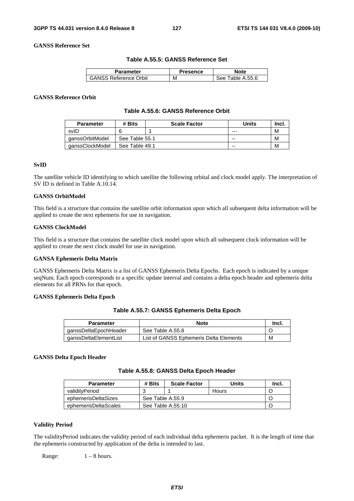**GANSS Reference Set** 

#### **Table A.55.5: GANSS Reference Set**

| Parameter                    | Presence | <b>Note</b>      |
|------------------------------|----------|------------------|
| <b>GANSS Reference Orbit</b> | M        | See Table A.55.6 |

#### **GANSS Reference Orbit**

#### **Table A.55.6: GANSS Reference Orbit**

| <b>Parameter</b> | # Bits         | <b>Scale Factor</b> | Units   | Incl. |
|------------------|----------------|---------------------|---------|-------|
| svID             |                |                     | $- - -$ | M     |
| qanssOrbitModel  | See Table 55.1 |                     | --      | M     |
| qanssClockModel  | See Table 49.1 |                     | --      | M     |

#### **SvID**

The satellite vehicle ID identifying to which satellite the following orbital and clock model apply. The interpretation of SV ID is defined in Table A.10.14.

#### **GANSS OrbitModel**

This field is a structure that contains the satellite orbit information upon which all subsequent delta information will be applied to create the next ephemeris for use in navigation.

#### **GANSS ClockModel**

This field is a structure that contains the satellite clock model upon which all subsequent clock information will be applied to create the next clock model for use in navigation.

#### **GANSA Ephemeris Delta Matrix**

GANSS Ephemeris Delta Matrix is a list of GANSS Ephemeris Delta Epochs. Each epoch is indicated by a unique seqNum. Each epoch corresponds to a specific update interval and contains a delta epoch header and ephemeris delta elements for all PRNs for that epoch.

#### **GANSS Ephemeris Delta Epoch**

#### **Table A.55.7: GANSS Ephemeris Delta Epoch**

| <b>Parameter</b>      | <b>Note</b>                            | -Incl. |
|-----------------------|----------------------------------------|--------|
| ganssDeltaEpochHeader | See Table A.55.8                       |        |
| ganssDeltaElementList | List of GANSS Ephemeris Delta Elements | M      |

#### **GANSS Delta Epoch Header**

#### **Table A.55.8: GANSS Delta Epoch Header**

| <b>Parameter</b>     | # Bits | <b>Scale Factor</b> | Units | -Incl. |
|----------------------|--------|---------------------|-------|--------|
| validitvPeriod       |        |                     | Hours |        |
| ephemerisDeltaSizes  |        | See Table A.55.9    |       |        |
| ephemerisDeltaScales |        | See Table A.55.10   |       |        |

#### **Validity Period**

The validityPeriod indicates the validity period of each individual delta ephemeris packet. It is the length of time that the ephemeris constructed by application of the delta is intended to last.

Range:  $1 - 8$  hours.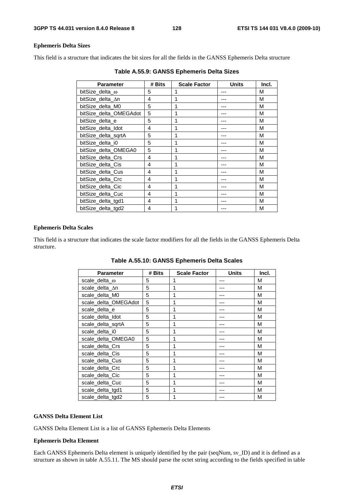#### **Ephemeris Delta Sizes**

This field is a structure that indicates the bit sizes for all the fields in the GANSS Ephemeris Delta structure

| <b>Parameter</b>       | # Bits | <b>Scale Factor</b> | <b>Units</b> | Incl. |
|------------------------|--------|---------------------|--------------|-------|
| bitSize delta $\omega$ | 5      |                     |              | М     |
| bitSize delta ∆n       | 4      |                     |              | М     |
| bitSize delta M0       | 5      |                     |              | М     |
| bitSize delta OMEGAdot | 5      | 1                   |              | М     |
| bitSize delta e        | 5      | 1                   |              | М     |
| bitSize delta Idot     | 4      | 1                   |              | М     |
| bitSize delta sqrtA    | 5      | 1                   |              | М     |
| bitSize delta i0       | 5      | 1                   |              | M     |
| bitSize delta OMEGA0   | 5      | 1                   |              | М     |
| bitSize delta Crs      | 4      | 1                   |              | M     |
| bitSize_delta_Cis      | 4      | 1                   |              | M     |
| bitSize delta Cus      | 4      | 1                   |              | М     |
| bitSize delta Crc      | 4      | 1                   |              | М     |
| bitSize delta Cic      | 4      | 1                   |              | М     |
| bitSize delta Cuc      | 4      | 1                   |              | М     |
| bitSize delta tgd1     | 4      | 1                   |              | М     |
| bitSize delta tgd2     | 4      |                     |              | M     |

**Table A.55.9: GANSS Ephemeris Delta Sizes** 

#### **Ephemeris Delta Scales**

This field is a structure that indicates the scale factor modifiers for all the fields in the GANSS Ephemeris Delta structure.

**Table A.55.10: GANSS Ephemeris Delta Scales** 

| <b>Parameter</b>     | # Bits | <b>Scale Factor</b> | <b>Units</b> | Incl. |
|----------------------|--------|---------------------|--------------|-------|
| scale_delta_@        | 5      | 1                   |              | M     |
| scale_delta_∆n       | 5      | 1                   |              | М     |
| scale delta M0       | 5      | 1                   |              | M     |
| scale_delta_OMEGAdot | 5      | 1                   |              | М     |
| scale delta e        | 5      | 1                   |              | М     |
| scale delta Idot     | 5      | 1                   |              | M     |
| scale delta sqrtA    | 5      | 1                   |              | M     |
| scale_delta_i0       | 5      | 1                   |              | M     |
| scale_delta_OMEGA0   | 5      | 1                   |              | M     |
| scale delta Crs      | 5      | 1                   |              | М     |
| scale_delta_Cis      | 5      | 1                   |              | M     |
| scale delta Cus      | 5      | 1                   |              | М     |
| scale_delta_Crc      | 5      | 1                   |              | M     |
| scale_delta_Cic      | 5      | 1                   |              | М     |
| scale delta Cuc      | 5      | 1                   |              | М     |
| scale delta tgd1     | 5      | 1                   |              | M     |
| scale delta tgd2     | 5      |                     |              | М     |

#### **GANSS Delta Element List**

GANSS Delta Element List is a list of GANSS Ephemeris Delta Elements

#### **Ephemeris Delta Element**

Each GANSS Ephemeris Delta element is uniquely identified by the pair (seqNum, sv\_ID) and it is defined as a structure as shown in table A.55.11. The MS should parse the octet string according to the fields specified in table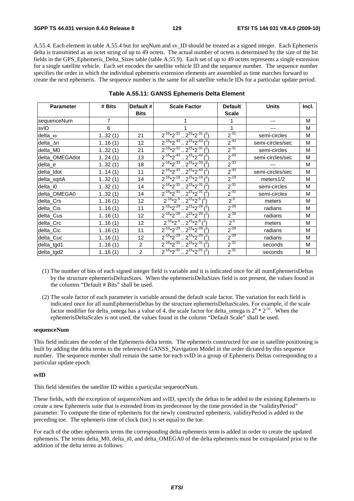A.55.4. Each element in table A.55.4 but for seqNum and sv\_ID should be treated as a signed integer. Each Ephemeris delta is transmitted as an octet string of up to 49 octets. The actual number of octets is determined by the size of the bit fields in the GPS\_Ephemeris\_Delta\_Sizes table (table A.55.9). Each set of up to 49 octets represents a single extension for a single satellite vehicle. Each set encodes the satellite vehicle ID and the sequence number. The sequence number specifies the order in which the individual ephemeris extension elements are assembled as time marches forward to create the next ephemeris. The sequence number is the same for all satellite vehicle IDs for a particular update period.

| <b>Parameter</b> | # Bits | Default #         | <b>Scale Factor</b>                                             | <b>Default</b> | <b>Units</b>     | Incl. |
|------------------|--------|-------------------|-----------------------------------------------------------------|----------------|------------------|-------|
|                  |        | <b>Bits</b>       |                                                                 | <b>Scale</b>   |                  |       |
| sequenceNum      | 7      |                   |                                                                 |                |                  | м     |
| svID             | 6      |                   |                                                                 | 1              | ---              | м     |
| delta_ω          | 132(1) | 21                | $2^{-16*2^{-31}} \cdot 2^{15*2^{-31}}$ ( <sup>2</sup> )         | $2^{-31}$      | semi-circles     | м     |
| delta_∆n         | 116(1) | $12 \overline{ }$ | $\sqrt{2^{-16}*2^{-43}}$ $\sqrt{2^{15}*2^{-43}}$ $\binom{2}{1}$ | $2^{-43}$      | semi-circles/sec | M     |
| delta_M0         | 132(1) | 21                | $2^{-16}*2^{-31}$ , $2^{15}*2^{-31}$ $(^2)$                     | $2^{-31}$      | semi-circles     | M     |
| delta_OMEGAdot   | 124(1) | 13                | $2^{-16*2^{-43}} \cdot 2^{15*2^{-43} \cdot 2^2}$                | $2^{-43}$      | semi-circles/sec | М     |
| delta_e          | 132(1) | 18                | $\sqrt{2^{-16}*2^{-33}}$ $\sqrt{2^{15}*2^{-33}}$ $\binom{2}{1}$ | $2^{-33}$      |                  | м     |
| delta_Idot       | 114(1) | 11                | $\sqrt{2^{-16}*2^{-43}}$ $\sqrt{2^{15}*2^{-43}}$ $\binom{2}{1}$ | $2^{-43}$      | semi-circles/sec | М     |
| delta_sqrtA      | 132(1) | 14                | $\sqrt{2^{-16}*2^{-19}}$ $\sqrt{2^{15}*2^{-19}}$ $\binom{2}{1}$ | $2^{-19}$      | meters1/2        | M     |
| delta_i0         | 132(1) | 14                | $2^{-16}*2^{-31}$ $2^{15}*2^{-31}$ $(2)$                        | $2^{-31}$      | semi-circles     | М     |
| delta_OMEGA0     | 132(1) | 14                | $2^{-16*2^{-31}} \cdot 2^{15*2^{-31}}$ ( <sup>2</sup> )         | $2^{-31}$      | semi-circles     | м     |
| delta_Crs        | 116(1) | $12 \overline{ }$ | $2^{-16*2^{5}} \cdot 2^{15*2^{5}}$                              | $2^{5}$        | meters           | м     |
| delta_Cis        | 116(1) | 11                | $2^{-16*}2^{-29}$ $2^{15*}2^{-29}$ $(2)$                        | $2^{-29}$      | radians          | M     |
| delta_Cus        | 116(1) | $12 \overline{ }$ | $2^{-16}*2^{-29}$ $2^{15}*2^{-29}$ $(2)$                        | $2^{-29}$      | radians          | М     |
| delta Crc        | 116(1) | 12                | $2^{-16}*2^{-5}$ $2^{15}*2^{-5}$ $(2)$                          | $2^{-5}$       | meters           | м     |
| delta_Cic        | 116(1) | 11                | $2^{-16*2^{29}} \cdot 2^{15*2^{29}}$                            | $2^{-29}$      | radians          | м     |
| delta_Cuc        | 116(1) | $12 \overline{ }$ | $2^{-16*2^{-29}}$ $2^{15*2^{-29}}$ $(2)$                        | $2^{-29}$      | radians          | M     |
| delta_tgd1       | 116(1) | 2                 | $2^{-16*2^{-31}} \cdot 2^{15*2^{-31}}$ ( <sup>2</sup> )         | $2^{-31}$      | seconds          | м     |
| delta_tgd2       | 116(1) | $\overline{2}$    | $2^{-16*2^{31}} \cdot 2^{15*2^{31}}$                            | $2^{-31}$      | seconds          | M     |

| Table A.55.11: GANSS Ephemeris Delta Element |  |  |
|----------------------------------------------|--|--|
|----------------------------------------------|--|--|

(1) The number of bits of each signed integer field is variable and it is indicated once for all numEphemerisDeltas by the structure ephemerisDeltasSizes. When the ephemerisDeltaSizes field is not present, the values found in the columns "Default # Bits" shall be used.

#### **sequenceNum**

This field indicates the order of the Ephemeris delta terms. The ephemeris constructed for use in satellite positioning is built by adding the delta terms to the referenced GANSS\_Navigation Model in the order dictated by this sequence number. The sequence number shall remain the same for each svID in a group of Ephemeris Deltas corresponding to a particular update epoch.

#### **svID**

This field identifies the satellite ID within a particular sequenceNum.

These fields, with the exception of sequenceNum and svID, specify the deltas to be added to the existing Ephemeris to create a new Ephemeris suite that is extended from its predecessor by the time provided in the "validityPeriod" parameter. To compute the time of ephemeris for the newly constructed ephemeris, validityPeriod is added to the preceding toe. The ephemeris time of clock (toc) is set equal to the toe.

For each of the other ephemeris terms the corresponding delta ephemeris term is added in order to create the updated ephemeris. The terms delta\_M0, delta\_i0, and delta\_OMEGA0 of the delta ephemeris must be extrapolated prior to the addition of the delta terms as follows:

<sup>(2)</sup> The scale factor of each parameter is variable around the default scale factor. The variation for each field is indicated once for all numEphemerisDeltas by the structure ephemerisDeltasScales. For example, if the scale factor modifier for delta\_omega has a value of 4, the scale factor for delta\_omega is  $2^4 * 2^{31}$ . When the ephemerisDeltaScales is not used, the values found in the column "Default Scale" shall be used.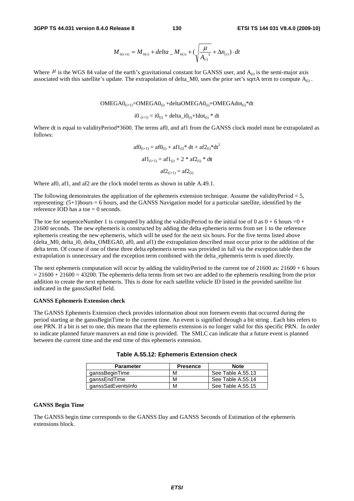$$
M_{0(i+1)} = M_{0(i)} + delta \_M_{0(i)} + (\sqrt{\frac{\mu}{A_{(i)}}^3 + \Delta n_{(i)}}) \cdot dt
$$

Where  $\mu$  is the WGS 84 value of the earth's gravitational constant for GANSS user, and  $A_{(i)}$  is the semi-major axis associated with this satellite's update. The extrapolation of delta\_M0, uses the prior set's sqrtA term to compute  $A_{(i)}$ .

$$
OMEGA0_{(i+1)} = OMEGA0_{(i)} + deltaOMEGA0_{(i)} + OMEGAdot_{(i)} * dt
$$

i0  $i_0$  (i+1) = i0(i) + delta\_i0(i) + Idot(i) \* dt

Where dt is equal to validityPeriod\*3600. The terms af0, and af1 from the GANSS clock model must be extrapolated as follows:

$$
af0_{(i+1)} = af0_{(i)} + af1_{(i)} * dt + af2_{(i)} * dt2
$$

$$
af1_{(i+1)} = af1_{(i)} + 2 * af2_{(i)} * dt
$$

$$
af2_{(i+1)} = af2_{(i)}
$$

Where af0, af1, and af2 are the clock model terms as shown in table A.49.1.

The following demonstrates the application of the ephemeris extension technique. Assume the validityPeriod = 5, representing: (5+1)hours = 6 hours, and the GANSS Navigation model for a particular satellite, identified by the reference IOD has a toe  $= 0$  seconds.

The toe for sequenceNumber 1 is computed by adding the validityPeriod to the initial toe of 0 as  $0 + 6$  hours =0 + 21600 seconds. The new ephemeris is constructed by adding the delta ephemeris terms from set 1 to the reference ephemeris creating the new ephemeris, which will be used for the next six hours. For the five terms listed above (delta\_M0, delta\_i0, delta\_OMEGA0, af0, and af1) the extrapolation described must occur prior to the addition of the delta term. Of course if one of these three delta ephemeris terms was provided in full via the exception table then the extrapolation is unnecessary and the exception term combined with the delta\_ephemeris term is used directly.

The next ephemeris computation will occur by adding the validityPeriod to the current toe of  $21600$  as:  $21600 + 6$  hours  $= 21600 + 21600 = 43200$ . The ephemeris delta terms from set two are added to the ephemeris resulting from the prior addition to create the next ephemeris. This is done for each satellite vehicle ID listed in the provided satellite list indicated in the ganssSatRef field.

#### **GANSS Ephemeris Extension check**

The GANSS Ephemeris Extension check provides information about non foreseen events that occurred during the period starting at the ganssBeginTime to the current time. An event is signified through a bit string . Each bits refers to one PRN. If a bit is set to one, this means that the ephemeris extension is no longer valid for this specific PRN. In order to indicate planned future manuvers an end time is provided. The SMLC can indicate that a future event is planned between the current time and the end time of this ephemeris extension.

| <b>Parameter</b>   | <b>Presence</b> | <b>Note</b>       |
|--------------------|-----------------|-------------------|
| qanssBeginTime     | м               | See Table A.55.13 |
| qanssEndTime       | м               | See Table A.55.14 |
| ganssSatEventsInfo | м               | See Table A.55.15 |

#### **Table A.55.12: Ephemeris Extension check**

#### **GANSS Begin Time**

The GANSS begin time corresponds to the GANSS Day and GANSS Seconds of Estimation of the ephemeris extensions block.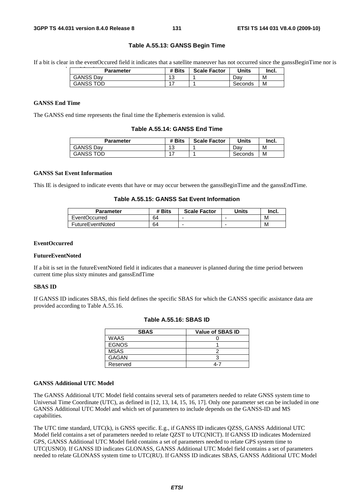#### **Table A.55.13: GANSS Begin Time**

If a bit is clear in the eventOccured field it indicates that a satellite maneuver has not occurred since the ganssBeginTime nor is

| <b>Parameter</b> | # Bits    | <b>Scale Factor</b> | <b>Units</b> | Incl. |
|------------------|-----------|---------------------|--------------|-------|
| <b>GANSS Dav</b> | 12<br>ں ו |                     | Dav          | M     |
| <b>GANSS TOD</b> | -         |                     | Seconds      | M     |

### **GANSS End Time**

The GANSS end time represents the final time the Ephemeris extension is valid.

#### **Table A.55.14: GANSS End Time**

| Parameter        | # Bits  | <b>Scale Factor</b> | Units   | Incl. |
|------------------|---------|---------------------|---------|-------|
| <b>GANSS Dav</b> | 12<br>J |                     | Dav     | М     |
| <b>GANSS TOD</b> |         |                     | Seconds | M     |

#### **GANSS Sat Event Information**

This IE is designed to indicate events that have or may occur between the ganssBeginTime and the ganssEndTime.

**Table A.55.15: GANSS Sat Event Information** 

| <b>Parameter</b>        | # Bits | <b>Scale Factor</b> | <b>Units</b> | Incl. |
|-------------------------|--------|---------------------|--------------|-------|
| EventOccurred           | 64     |                     |              | M     |
| <b>FutureEventNoted</b> | 64     | -                   |              | M     |

#### **EventOccurred**

#### **FutureEventNoted**

If a bit is set in the futureEventNoted field it indicates that a maneuver is planned during the time period between current time plus sixty minutes and ganssEndTime

#### **SBAS ID**

If GANSS ID indicates SBAS, this field defines the specific SBAS for which the GANSS specific assistance data are provided according to Table A.55.16.

| <b>SBAS</b>  | <b>Value of SBAS ID</b> |
|--------------|-------------------------|
| <b>WAAS</b>  |                         |
| <b>EGNOS</b> |                         |
| <b>MSAS</b>  |                         |
| <b>GAGAN</b> |                         |
| Reserved     | ⊿-∵                     |

#### **Table A.55.16: SBAS ID**

#### **GANSS Additional UTC Model**

The GANSS Additional UTC Model field contains several sets of parameters needed to relate GNSS system time to Universal Time Coordinate (UTC), as defined in [12, 13, 14, 15, 16, 17]. Only one parameter set can be included in one GANSS Additional UTC Model and which set of parameters to include depends on the GANSS-ID and MS capabilities.

The UTC time standard, UTC(k), is GNSS specific. E.g., if GANSS ID indicates QZSS, GANSS Additional UTC Model field contains a set of parameters needed to relate QZST to UTC(NICT). If GANSS ID indicates Modernized GPS, GANSS Additional UTC Model field contains a set of parameters needed to relate GPS system time to UTC(USNO). If GANSS ID indicates GLONASS, GANSS Additional UTC Model field contains a set of parameters needed to relate GLONASS system time to UTC(RU). If GANSS ID indicates SBAS, GANSS Additional UTC Model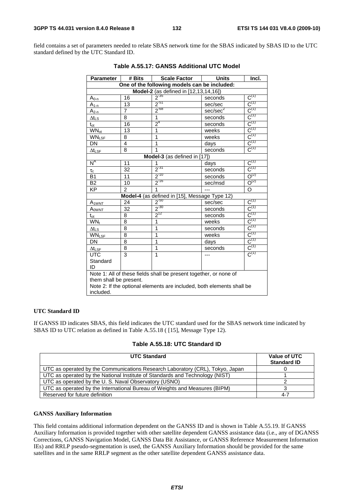field contains a set of parameters needed to relate SBAS network time for the SBAS indicated by SBAS ID to the UTC standard defined by the UTC Standard ID.

| <b>Parameter</b>                                                      | # Bits         | <b>Scale Factor</b>                           | <b>Units</b><br>Incl. |                      |  |
|-----------------------------------------------------------------------|----------------|-----------------------------------------------|-----------------------|----------------------|--|
| One of the following models can be included:                          |                |                                               |                       |                      |  |
| Model-2 (as defined in [12,13,14,16])                                 |                |                                               |                       |                      |  |
| $A_{0-n}$                                                             | 16             | $2^{-35}$                                     | seconds               | $C^{(1)}$            |  |
| $A_{1-n}$                                                             | 13             | $2^{51}$                                      | sec/sec               | $C^{(1)}$            |  |
| <u>A<sub>2-n</sub></u>                                                | 7              | $2^{-68}$                                     | sec/sec <sup>2</sup>  | $C^{(1)}$            |  |
| $\Delta t_{\text{LS}}$                                                | 8              | 1                                             | seconds               | $C^{(1)}$            |  |
| $t_{\rm ot}$                                                          | 16             | $2^4$                                         | seconds               | $C^{(1)}$            |  |
| $WN_{ot}$                                                             | 13             | 1                                             | weeks                 | $C^{(1)}$            |  |
| <b>WNLSF</b>                                                          | 8              | 1                                             | weeks                 | $C^{(1)}$            |  |
| DN                                                                    | 4              | 1                                             | days                  | $C^{(1)}$            |  |
| $\Delta t_{LSF}$                                                      | 8              | 1                                             | seconds               | $C^{(1)}$            |  |
|                                                                       |                | Model-3 (as defined in [17])                  |                       |                      |  |
| $N^A$                                                                 | 11             | 1                                             | days                  | $C^{(1)}$            |  |
| $\tau_{\rm c}$                                                        | 32             | $2^{31}$                                      | seconds               | $C^{(1)}$            |  |
| <b>B1</b>                                                             | 11             | $2^{-10}$                                     | seconds               | $\overline{O^{(2)}}$ |  |
| <b>B2</b>                                                             | 10             | $2^{-16}$                                     | sec/msd               | $\overline{O^{(2)}}$ |  |
| KP                                                                    | $\overline{2}$ | 1                                             |                       | O                    |  |
|                                                                       |                | Model-4 (as defined in [15], Message Type 12) |                       |                      |  |
| $A_{1WNT}$                                                            | 24             | $2^{-50}$                                     | sec/sec               | $C^{(1)}$            |  |
| A <sub>OWNT</sub>                                                     | 32             | $2^{-30}$                                     | seconds               | $\overline{C^{(1)}}$ |  |
| $\rm t_{ot}$                                                          | 8              | $2^{12}$                                      | seconds               | $C^{(1)}$            |  |
| $WN_t$                                                                | 8              | 1                                             | weeks                 | $\overline{C^{(1)}}$ |  |
| $\Delta t_{LS}$                                                       | 8              | 1                                             | seconds               | $\overline{C^{(1)}}$ |  |
| <b>WNLSF</b>                                                          | 8              | 1                                             | weeks                 | $C^{(1)}$            |  |
| <b>DN</b>                                                             | 8              | 1                                             | days                  | $C^{(1)}$            |  |
| $\Delta t_{\text{LSF}}$                                               | 8              | 1                                             | seconds               | $\overline{C^{(1)}}$ |  |
| <b>UTC</b>                                                            | 3              | 1                                             |                       | $C^{(1)}$            |  |
| Standard                                                              |                |                                               |                       |                      |  |
| ID                                                                    |                |                                               |                       |                      |  |
| Note 1: All of these fields shall be present together, or none of     |                |                                               |                       |                      |  |
| them shall be present.                                                |                |                                               |                       |                      |  |
| Note 2: If the optional elements are included, both elements shall be |                |                                               |                       |                      |  |
| included.                                                             |                |                                               |                       |                      |  |

**Table A.55.17: GANSS Additional UTC Model** 

### **UTC Standard ID**

If GANSS ID indicates SBAS, this field indicates the UTC standard used for the SBAS network time indicated by SBAS ID to UTC relation as defined in Table A.55.18 ( [15], Message Type 12).

|  |  |  | Table A.55.18: UTC Standard ID |  |
|--|--|--|--------------------------------|--|
|--|--|--|--------------------------------|--|

| <b>UTC Standard</b>                                                           | Value of UTC<br><b>Standard ID</b> |
|-------------------------------------------------------------------------------|------------------------------------|
| UTC as operated by the Communications Research Laboratory (CRL), Tokyo, Japan |                                    |
| UTC as operated by the National Institute of Standards and Technology (NIST)  |                                    |
| UTC as operated by the U.S. Naval Observatory (USNO)                          |                                    |
| UTC as operated by the International Bureau of Weights and Measures (BIPM)    |                                    |
| Reserved for future definition                                                | 4-7                                |

#### **GANSS Auxiliary Information**

This field contains additional information dependent on the GANSS ID and is shown in Table A.55.19. If GANSS Auxiliary Information is provided together with other satellite dependent GANSS assistance data (i.e., any of DGANSS Corrections, GANSS Navigation Model, GANSS Data Bit Assistance, or GANSS Reference Measurement Information IEs) and RRLP pseudo-segmentation is used, the GANSS Auxiliary Information should be provided for the same satellites and in the same RRLP segment as the other satellite dependent GANSS assistance data.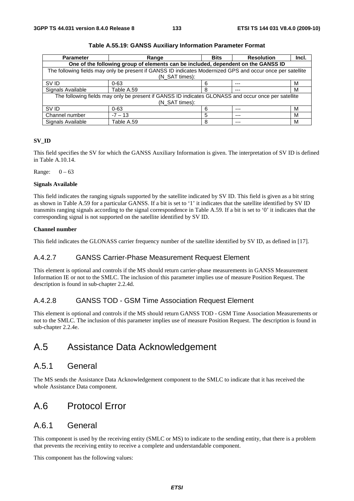| <b>Parameter</b>                                                                                    | Range                                                                                                      | <b>Bits</b> | <b>Resolution</b> | Incl. |  |
|-----------------------------------------------------------------------------------------------------|------------------------------------------------------------------------------------------------------------|-------------|-------------------|-------|--|
| One of the following group of elements can be included, dependent on the GANSS ID                   |                                                                                                            |             |                   |       |  |
|                                                                                                     | The following fields may only be present if GANSS ID indicates Modernized GPS and occur once per satellite |             |                   |       |  |
|                                                                                                     | (N SAT times):                                                                                             |             |                   |       |  |
| SV ID                                                                                               | $0 - 63$                                                                                                   |             | ---               | м     |  |
| Signals Available                                                                                   | Table A.59                                                                                                 | 8           | ---               | м     |  |
| The following fields may only be present if GANSS ID indicates GLONASS and occur once per satellite |                                                                                                            |             |                   |       |  |
| (N_SAT times):                                                                                      |                                                                                                            |             |                   |       |  |
| SV ID                                                                                               | $0 - 63$                                                                                                   | 6           | $---$             | м     |  |
| Channel number                                                                                      | $-7 - 13$                                                                                                  | 5           | $--$              | м     |  |
| Signals Available                                                                                   | Table A.59                                                                                                 | 8           | ---               | м     |  |

#### **SV\_ID**

This field specifies the SV for which the GANSS Auxiliary Information is given. The interpretation of SV ID is defined in Table A.10.14.

Range:  $0 - 63$ 

#### **Signals Available**

This field indicates the ranging signals supported by the satellite indicated by SV ID. This field is given as a bit string as shown in Table A.59 for a particular GANSS. If a bit is set to '1' it indicates that the satellite identified by SV ID transmits ranging signals according to the signal correspondence in Table A.59. If a bit is set to '0' it indicates that the corresponding signal is not supported on the satellite identified by SV ID.

#### **Channel number**

This field indicates the GLONASS carrier frequency number of the satellite identified by SV ID, as defined in [17].

### A.4.2.7 GANSS Carrier-Phase Measurement Request Element

This element is optional and controls if the MS should return carrier-phase measurements in GANSS Measurement Information IE or not to the SMLC. The inclusion of this parameter implies use of measure Position Request. The description is found in sub-chapter 2.2.4d.

### A.4.2.8 GANSS TOD - GSM Time Association Request Element

This element is optional and controls if the MS should return GANSS TOD - GSM Time Association Measurements or not to the SMLC. The inclusion of this parameter implies use of measure Position Request. The description is found in sub-chapter 2.2.4e.

# A.5 Assistance Data Acknowledgement

# A.5.1 General

The MS sends the Assistance Data Acknowledgement component to the SMLC to indicate that it has received the whole Assistance Data component.

# A.6 Protocol Error

# A.6.1 General

This component is used by the receiving entity (SMLC or MS) to indicate to the sending entity, that there is a problem that prevents the receiving entity to receive a complete and understandable component.

This component has the following values: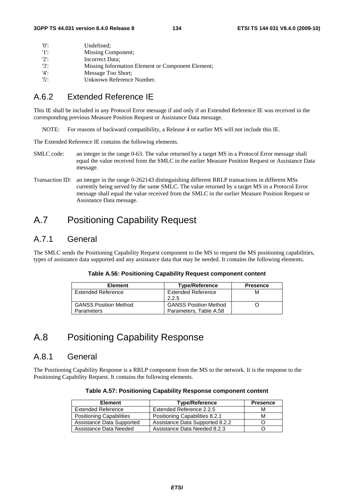| 'በ'     | Undefined:                                        |
|---------|---------------------------------------------------|
| -11.    | Missing Component;                                |
| $'2$ :  | Incorrect Data:                                   |
| $'3'$ : | Missing Information Element or Component Element; |
| '4'     | Message Too Short:                                |
| $'5$ .  | Unknown Reference Number.                         |

# A.6.2 Extended Reference IE

This IE shall be included in any Protocol Error message if and only if an Extended Reference IE was received in the corresponding previous Measure Position Request or Assistance Data message.

NOTE: For reasons of backward compatibility, a Release 4 or earlier MS will not include this IE.

The Extended Reference IE contains the following elements.

- SMLC code: an integer in the range 0-63. The value returned by a target MS in a Protocol Error message shall equal the value received from the SMLC in the earlier Measure Position Request or Assistance Data message.
- Transaction ID: an integer in the range 0-262143 distinguishing different RRLP transactions in different MSs currently being served by the same SMLC. The value returned by a target MS in a Protocol Error message shall equal the value received from the SMLC in the earlier Measure Position Request or Assistance Data message.

# A.7 Positioning Capability Request

# A.7.1 General

The SMLC sends the Positioning Capability Request component to the MS to request the MS positioning capabilities, types of assistance data supported and any assistance data that may be needed. It contains the following elements.

| <b>Element</b>               | <b>Type/Reference</b>        | <b>Presence</b> |
|------------------------------|------------------------------|-----------------|
| <b>Extended Reference</b>    | <b>Extended Reference</b>    | м               |
|                              | 2.2.5                        |                 |
| <b>GANSS Position Method</b> | <b>GANSS Position Method</b> |                 |
| <b>Parameters</b>            | Parameters, Table A.58       |                 |

# A.8 Positioning Capability Response

# A.8.1 General

The Positioning Capability Response is a RRLP component from the MS to the network. It is the response to the Positioning Capability Request. It contains the following elements.

| <b>Element</b>            | <b>Type/Reference</b>           | <b>Presence</b> |
|---------------------------|---------------------------------|-----------------|
| <b>Extended Reference</b> | Extended Reference 2.2.5        | м               |
| Positioning Capabilities  | Positioning Capabilities 8.2.1  | м               |
| Assistance Data Supported | Assistance Data Supported 8.2.2 |                 |
| Assistance Data Needed    | Assistance Data Needed 8.2.3    |                 |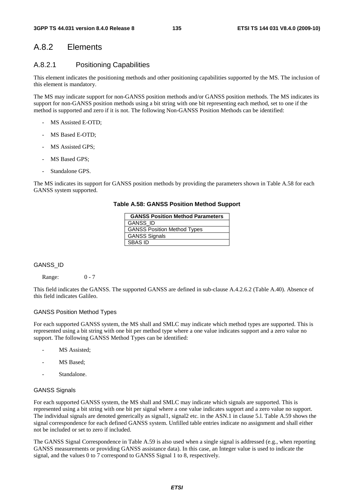# A.8.2 Elements

### A.8.2.1 Positioning Capabilities

This element indicates the positioning methods and other positioning capabilities supported by the MS. The inclusion of this element is mandatory.

The MS may indicate support for non-GANSS position methods and/or GANSS position methods. The MS indicates its support for non-GANSS position methods using a bit string with one bit representing each method, set to one if the method is supported and zero if it is not. The following Non-GANSS Position Methods can be identified:

- MS Assisted E-OTD:
- MS Based E-OTD:
- MS Assisted GPS;
- MS Based GPS:
- Standalone GPS.

The MS indicates its support for GANSS position methods by providing the parameters shown in Table A.58 for each GANSS system supported.

#### **Table A.58: GANSS Position Method Support**

| <b>GANSS Position Method Parameters</b> |
|-----------------------------------------|
| <b>GANSS ID</b>                         |
| <b>GANSS Position Method Types</b>      |
| <b>GANSS Signals</b>                    |
| <b>SBAS ID</b>                          |

GANSS\_ID

Range: 0 - 7

This field indicates the GANSS. The supported GANSS are defined in sub-clause A.4.2.6.2 (Table A.40). Absence of this field indicates Galileo.

#### GANSS Position Method Types

For each supported GANSS system, the MS shall and SMLC may indicate which method types are supported. This is represented using a bit string with one bit per method type where a one value indicates support and a zero value no support. The following GANSS Method Types can be identified:

- MS Assisted;
- MS Based:
- Standalone.

#### GANSS Signals

For each supported GANSS system, the MS shall and SMLC may indicate which signals are supported. This is represented using a bit string with one bit per signal where a one value indicates support and a zero value no support. The individual signals are denoted generically as signal1, signal2 etc. in the ASN.1 in clause 5.l. Table A.59 shows the signal correspondence for each defined GANSS system. Unfilled table entries indicate no assignment and shall either not be included or set to zero if included.

The GANSS Signal Correspondence in Table A.59 is also used when a single signal is addressed (e.g., when reporting GANSS measurements or providing GANSS assistance data). In this case, an Integer value is used to indicate the signal, and the values 0 to 7 correspond to GANSS Signal 1 to 8, respectively.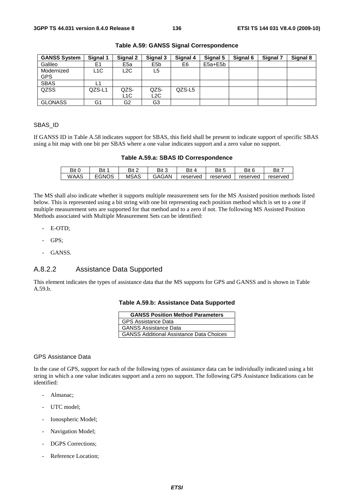| <b>GANSS System</b> | Signal 1 | Signal 2        | Signal 3         | Signal 4 | Signal 5    | Signal 6 | Signal 7 | Signal 8 |
|---------------------|----------|-----------------|------------------|----------|-------------|----------|----------|----------|
| Galileo             | E1       | E <sub>5a</sub> | E <sub>5</sub> b | E6       | $E5a + E5b$ |          |          |          |
| Modernized          | L1C      | L2C             | L5               |          |             |          |          |          |
| <b>GPS</b>          |          |                 |                  |          |             |          |          |          |
| <b>SBAS</b>         |          |                 |                  |          |             |          |          |          |
| QZSS                | QZS-L1   | QZS-            | QZS-             | QZS-L5   |             |          |          |          |
|                     |          | L1C             | L2C              |          |             |          |          |          |
| <b>GLONASS</b>      | G1       | G2              | G3               |          |             |          |          |          |

#### **Table A.59: GANSS Signal Correspondence**

#### SBAS\_ID

If GANSS ID in Table A.58 indicates support for SBAS, this field shall be present to indicate support of specific SBAS using a bit map with one bit per SBAS where a one value indicates support and a zero value no support.

|  |  |  |  | Table A.59.a: SBAS ID Correspondence |
|--|--|--|--|--------------------------------------|
|--|--|--|--|--------------------------------------|

| Bit C<br>ັບ | D.I+<br>DIL | Bit 2       | Bit 3<br>J | Bit      | Bit<br>ີ | Bit      | Bit      |
|-------------|-------------|-------------|------------|----------|----------|----------|----------|
| WAAS        | <b>GNOS</b> | <b>MSAS</b> | GAGAN      | reserved | reserved | reserved | reserved |

The MS shall also indicate whether it supports multiple measurement sets for the MS Assisted position methods listed below. This is represented using a bit string with one bit representing each position method which is set to a one if multiple measurement sets are supported for that method and to a zero if not. The following MS Assisted Position Methods associated with Multiple Measurement Sets can be identified:

- E-OTD;
- GPS:
- GANSS.

# A.8.2.2 Assistance Data Supported

This element indicates the types of assistance data that the MS supports for GPS and GANSS and is shown in Table A.59.b.

#### **Table A.59.b: Assistance Data Supported**

| <b>GANSS Position Method Parameters</b>         |  |  |  |  |  |
|-------------------------------------------------|--|--|--|--|--|
| <b>GPS Assistance Data</b>                      |  |  |  |  |  |
| <b>GANSS Assistance Data</b>                    |  |  |  |  |  |
| <b>GANSS Additional Assistance Data Choices</b> |  |  |  |  |  |

#### GPS Assistance Data

In the case of GPS, support for each of the following types of assistance data can be individually indicated using a bit string in which a one value indicates support and a zero no support. The following GPS Assistance Indications can be identified:

- Almanac;
- UTC model;
- Ionospheric Model;
- Navigation Model;
- DGPS Corrections;
- Reference Location;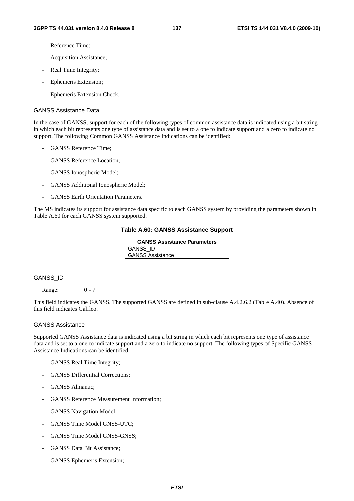- Reference Time:
- Acquisition Assistance;
- Real Time Integrity;
- Ephemeris Extension;
- Ephemeris Extension Check.

#### GANSS Assistance Data

In the case of GANSS, support for each of the following types of common assistance data is indicated using a bit string in which each bit represents one type of assistance data and is set to a one to indicate support and a zero to indicate no support. The following Common GANSS Assistance Indications can be identified:

- GANSS Reference Time;
- GANSS Reference Location:
- GANSS Ionospheric Model;
- GANSS Additional Ionospheric Model;
- GANSS Earth Orientation Parameters.

The MS indicates its support for assistance data specific to each GANSS system by providing the parameters shown in Table A.60 for each GANSS system supported.

#### **Table A.60: GANSS Assistance Support**

| <b>GANSS Assistance Parameters</b> |
|------------------------------------|
| <b>GANSS ID</b>                    |
| <b>GANSS Assistance</b>            |

#### GANSS\_ID

Range: 0 - 7

This field indicates the GANSS. The supported GANSS are defined in sub-clause A.4.2.6.2 (Table A.40). Absence of this field indicates Galileo.

#### GANSS Assistance

Supported GANSS Assistance data is indicated using a bit string in which each bit represents one type of assistance data and is set to a one to indicate support and a zero to indicate no support. The following types of Specific GANSS Assistance Indications can be identified.

- GANSS Real Time Integrity;
- GANSS Differential Corrections;
- GANSS Almanac;
- GANSS Reference Measurement Information;
- GANSS Navigation Model;
- GANSS Time Model GNSS-UTC;
- GANSS Time Model GNSS-GNSS:
- GANSS Data Bit Assistance;
- GANSS Ephemeris Extension;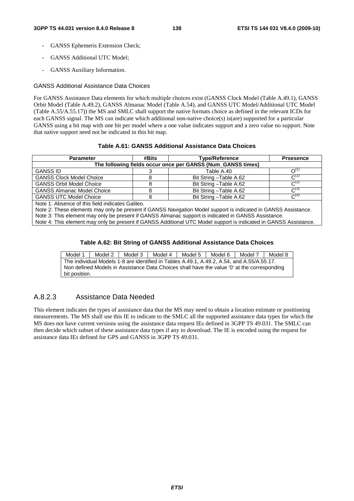- GANSS Ephemeris Extension Check:
- GANSS Additional UTC Model;
- GANSS Auxiliary Information.

#### GANSS Additional Assistance Data Choices

For GANSS Assistance Data elements for which multiple choices exist (GANSS Clock Model (Table A.49.1), GANSS Orbit Model (Table A.49.2), GANSS Almanac Model (Table A.54), and GANSS UTC Model/Additional UTC Model (Table A.55/A.55.17)) the MS and SMLC shall support the native formats choice as defined in the relevant ICDs for each GANSS signal. The MS can indicate which additional non-native choice(s) is(are) supported for a particular GANSS using a bit map with one bit per model where a one value indicates support and a zero value no support. Note that native support need not be indicated in this bit map.

#### **Table A.61: GANSS Additional Assistance Data Choices**

| <b>Parameter</b>                                            | #Bits | <b>Type/Reference</b>   | <b>Prsesence</b>            |  |  |  |
|-------------------------------------------------------------|-------|-------------------------|-----------------------------|--|--|--|
| The following fields occur once per GANSS (Num_GANSS times) |       |                         |                             |  |  |  |
| <b>GANSS ID</b>                                             |       | Table A.40              | $\bigcap \setminus \bigcup$ |  |  |  |
| <b>GANSS Clock Model Choice</b>                             |       | Bit String - Table A.62 | $\mathcal{C}^{(2)}$         |  |  |  |
| <b>GANSS Orbit Model Choice</b>                             |       | Bit String - Table A.62 | $C^{(2)}$                   |  |  |  |
| <b>GANSS Almanac Model Choice</b>                           |       | Bit String - Table A.62 | $\mathcal{L}^{(3)}$         |  |  |  |
| <b>GANSS UTC Model Choice</b>                               |       | Bit String - Table A.62 | $\mathcal{C}^{(4)}$         |  |  |  |

Note 1: Absence of this field indicates Galileo.

Note 2: These elements may only be present if GANSS Navigation Model support is indicated in GANSS Assistance.

Note 3: This element may only be present if GANSS Almanac support is indicated in GANSS Assistance.

Note 4: This element may only be present if GANSS Additional UTC Model support is indicated in GANSS Assistance.

#### **Table A.62: Bit String of GANSS Additional Assistance Data Choices**

Model 1 | Model 2 | Model 3 | Model 4 | Model 5 | Model 6 | Model 7 | Model 8 The individual Models 1-8 are identified in Tables A.49.1, A.49.2, A.54, and A.55/A.55.17. Non defined Models in Assistance Data Choices shall have the value '0' at the corresponding bit position.

# A.8.2.3 Assistance Data Needed

This element indicates the types of assistance data that the MS may need to obtain a location estimate or positioning measurements. The MS shall use this IE to indicate to the SMLC all the supported assistance data types for which the MS does not have current versions using the assistance data request IEs defined in 3GPP TS 49.031. The SMLC can then decide which subset of these assistance data types if any to download. The IE is encoded using the request for assistance data IEs defined for GPS and GANSS in 3GPP TS 49.031.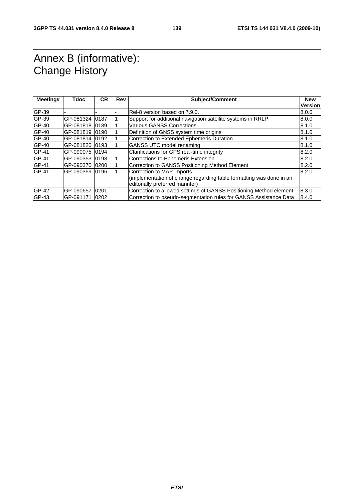# Annex B (informative): Change History

| Meeting# | Tdoc            | CR | <b>Rev</b> | <b>Subject/Comment</b>                                              |                |
|----------|-----------------|----|------------|---------------------------------------------------------------------|----------------|
|          |                 |    |            |                                                                     | <b>Version</b> |
| GP-39    |                 |    |            | Rel-8 version based on 7.9.0.                                       | 8.0.0          |
| GP-39    | GP-081324 0187  |    |            | Support for additional navigation satellite systems in RRLP         | 8.0.0          |
| GP-40    | GP-081818 0189  |    |            | <b>Various GANSS Corrections</b>                                    | 8.1.0          |
| GP-40    | GP-081819 0190  |    |            | Definition of GNSS system time origins                              | 8.1.0          |
| GP-40    | GP-081814 0192  |    |            | Correction to Extended Ephemeris Duration                           | 8.1.0          |
| GP-40    | GP-081820 0193  |    |            | <b>GANSS UTC model renaming</b>                                     | 8.1.0          |
| GP-41    | GP-090075 0194  |    |            | Clarifications for GPS real-time integrity                          | 8.2.0          |
| GP-41    | GP-090353 0198  |    |            | Corrections to Ephemeris Extension                                  | 8.2.0          |
| GP-41    | GP-090370 0200  |    |            | Correction to GANSS Positioning Method Element                      | 8.2.0          |
| GP-41    | GP-090359 0196  |    |            | Correction to MAP imports                                           | 8.2.0          |
|          |                 |    |            | (implementation of change regarding table formatting was done in an |                |
|          |                 |    |            | editorially preferred mannter)                                      |                |
| $GP-42$  | GP-090657  0201 |    |            | Correction to allowed settings of GANSS Positioning Method element  | 8.3.0          |
| GP-43    | GP-091171 0202  |    |            | Correction to pseudo-segmentation rules for GANSS Assistance Data   | 8.4.0          |